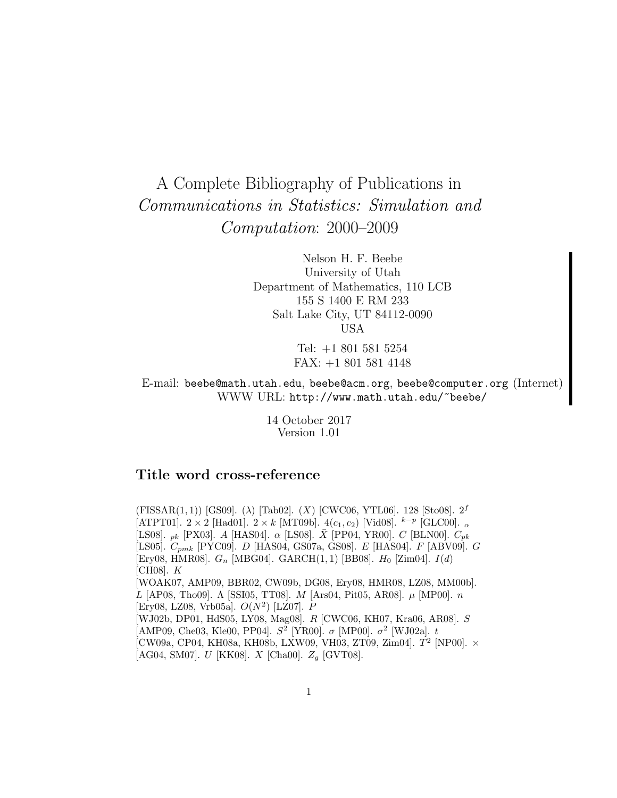# A Complete Bibliography of Publications in Communications in Statistics: Simulation and Computation: 2000–2009

Nelson H. F. Beebe University of Utah Department of Mathematics, 110 LCB 155 S 1400 E RM 233 Salt Lake City, UT 84112-0090 USA

> Tel: +1 801 581 5254 FAX: +1 801 581 4148

E-mail: beebe@math.utah.edu, beebe@acm.org, beebe@computer.org (Internet) WWW URL: http://www.math.utah.edu/~beebe/

> 14 October 2017 Version 1.01

# **Title word cross-reference**

(FISSAR(1,1)) [GS09]. ( $\lambda$ ) [Tab02]. (X) [CWC06, YTL06]. 128 [Sto08].  $2^f$ [ATPT01].  $2 \times 2$  [Had01].  $2 \times k$  [MT09b].  $4(c_1, c_2)$  [Vid08].  $k^{-p}$  [GLC00].  $\alpha$ [LS08].  $_{pk}$  [PX03]. A [HAS04].  $\alpha$  [LS08].  $\bar{X}$  [PP04, YR00].  $C$  [BLN00].  $C_{pk}$ [LS05].  $C_{pmk}$  [PYC09]. D [HAS04, GS07a, GS08]. E [HAS04]. F [ABV09]. G [Ery08, HMR08].  $G_n$  [MBG04]. GARCH $(1, 1)$  [BB08].  $H_0$  [Zim04].  $I(d)$ [CH08]. K [WOAK07, AMP09, BBR02, CW09b, DG08, Ery08, HMR08, LZ08, MM00b]. L [AP08, Tho09]. Λ [SSI05, TT08]. *M* [Ars04, Pit05, AR08].  $\mu$  [MP00]. *n* [Ery08, LZ08, Vrb05a].  $O(N^2)$  [LZ07]. P [WJ02b, DP01, HdS05, LY08, Mag08]. R [CWC06, KH07, Kra06, AR08]. S [AMP09, Che03, Kle00, PP04].  $S^2$  [YR00].  $\sigma$  [MP00].  $\sigma^2$  [WJ02a]. t  $[CW09a, CP04, KH08a, KH08b, LXW09, VH03, ZT09, Zim04].$   $T^2$  [NP00].  $\times$ [AG04, SM07].  $U$  [KK08].  $X$  [Cha00].  $Z_g$  [GVT08].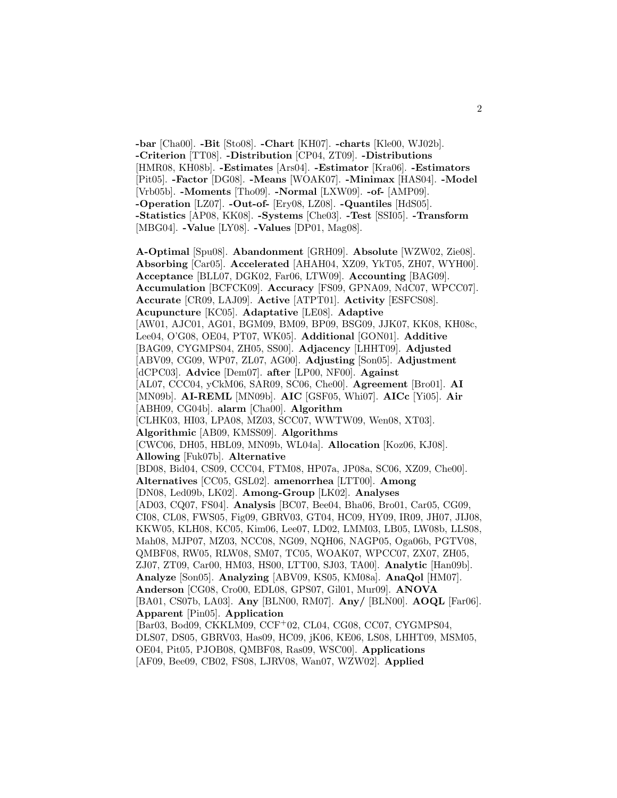**-bar** [Cha00]. **-Bit** [Sto08]. **-Chart** [KH07]. **-charts** [Kle00, WJ02b]. **-Criterion** [TT08]. **-Distribution** [CP04, ZT09]. **-Distributions** [HMR08, KH08b]. **-Estimates** [Ars04]. **-Estimator** [Kra06]. **-Estimators** [Pit05]. **-Factor** [DG08]. **-Means** [WOAK07]. **-Minimax** [HAS04]. **-Model** [Vrb05b]. **-Moments** [Tho09]. **-Normal** [LXW09]. **-of-** [AMP09]. **-Operation** [LZ07]. **-Out-of-** [Ery08, LZ08]. **-Quantiles** [HdS05]. **-Statistics** [AP08, KK08]. **-Systems** [Che03]. **-Test** [SSI05]. **-Transform** [MBG04]. **-Value** [LY08]. **-Values** [DP01, Mag08].

**A-Optimal** [Spu08]. **Abandonment** [GRH09]. **Absolute** [WZW02, Zie08]. **Absorbing** [Car05]. **Accelerated** [AHAH04, XZ09, YkT05, ZH07, WYH00]. **Acceptance** [BLL07, DGK02, Far06, LTW09]. **Accounting** [BAG09]. **Accumulation** [BCFCK09]. **Accuracy** [FS09, GPNA09, NdC07, WPCC07]. **Accurate** [CR09, LAJ09]. **Active** [ATPT01]. **Activity** [ESFCS08]. **Acupuncture** [KC05]. **Adaptative** [LE08]. **Adaptive** [AW01, AJC01, AG01, BGM09, BM09, BP09, BSG09, JJK07, KK08, KH08c, Lee04, O'G08, OE04, PT07, WK05]. **Additional** [GON01]. **Additive** [BAG09, CYGMPS04, ZH05, SS00]. **Adjacency** [LHHT09]. **Adjusted** [ABV09, CG09, WP07, ZL07, AG00]. **Adjusting** [Son05]. **Adjustment** [dCPC03]. **Advice** [Dem07]. **after** [LP00, NF00]. **Against** [AL07, CCC04, yCkM06, SAR09, SC06, Che00]. **Agreement** [Bro01]. **AI** [MN09b]. **AI-REML** [MN09b]. **AIC** [GSF05, Whi07]. **AICc** [Yi05]. **Air** [ABH09, CG04b]. **alarm** [Cha00]. **Algorithm** [CLHK03, HI03, LPA08, MZ03, SCC07, WWTW09, Wen08, XT03]. **Algorithmic** [AB09, KMSS09]. **Algorithms** [CWC06, DH05, HBL09, MN09b, WL04a]. **Allocation** [Koz06, KJ08]. **Allowing** [Fuk07b]. **Alternative** [BD08, Bid04, CS09, CCC04, FTM08, HP07a, JP08a, SC06, XZ09, Che00]. **Alternatives** [CC05, GSL02]. **amenorrhea** [LTT00]. **Among** [DN08, Led09b, LK02]. **Among-Group** [LK02]. **Analyses** [AD03, CQ07, FS04]. **Analysis** [BC07, Bee04, Bha06, Bro01, Car05, CG09, CI08, CL08, FWS05, Fig09, GBRV03, GT04, HC09, HY09, IR09, JH07, JIJ08, KKW05, KLH08, KC05, Kim06, Lee07, LD02, LMM03, LB05, LW08b, LLS08, Mah08, MJP07, MZ03, NCC08, NG09, NQH06, NAGP05, Oga06b, PGTV08, QMBF08, RW05, RLW08, SM07, TC05, WOAK07, WPCC07, ZX07, ZH05, ZJ07, ZT09, Car00, HM03, HS00, LTT00, SJ03, TA00]. **Analytic** [Han09b]. **Analyze** [Son05]. **Analyzing** [ABV09, KS05, KM08a]. **AnaQol** [HM07]. **Anderson** [CG08, Cro00, EDL08, GPS07, Gil01, Mur09]. **ANOVA** [BA01, CS07b, LA03]. **Any** [BLN00, RM07]. **Any/** [BLN00]. **AOQL** [Far06]. **Apparent** [Pin05]. **Application** [Bar03, Bod09, CKKLM09, CCF<sup>+</sup>02, CL04, CG08, CC07, CYGMPS04, DLS07, DS05, GBRV03, Has09, HC09, jK06, KE06, LS08, LHHT09, MSM05, OE04, Pit05, PJOB08, QMBF08, Ras09, WSC00]. **Applications**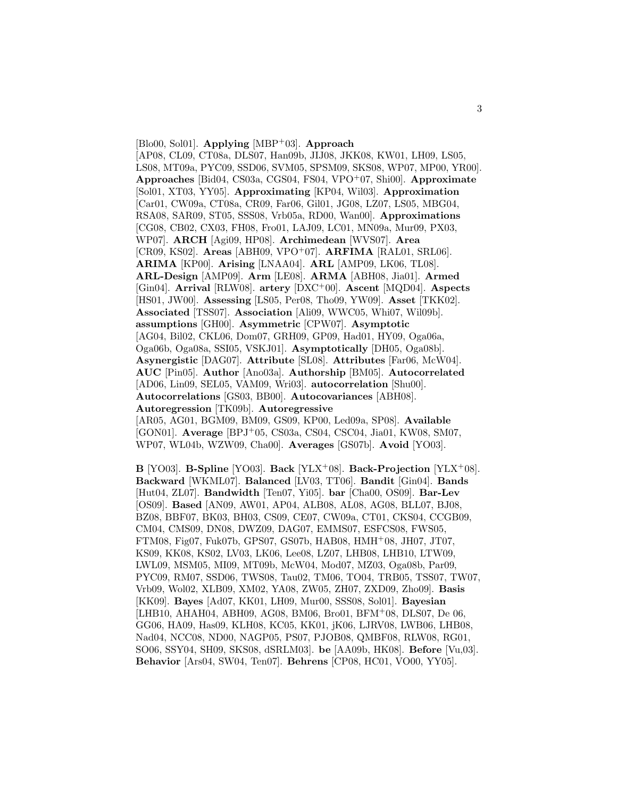[Blo00, Sol01]. **Applying** [MBP<sup>+</sup>03]. **Approach** [AP08, CL09, CT08a, DLS07, Han09b, JIJ08, JKK08, KW01, LH09, LS05, LS08, MT09a, PYC09, SSD06, SVM05, SPSM09, SKS08, WP07, MP00, YR00]. **Approaches** [Bid04, CS03a, CGS04, FS04, VPO<sup>+</sup>07, Shi00]. **Approximate** [Sol01, XT03, YY05]. **Approximating** [KP04, Wil03]. **Approximation** [Car01, CW09a, CT08a, CR09, Far06, Gil01, JG08, LZ07, LS05, MBG04, RSA08, SAR09, ST05, SSS08, Vrb05a, RD00, Wan00]. **Approximations** [CG08, CB02, CX03, FH08, Fro01, LAJ09, LC01, MN09a, Mur09, PX03, WP07]. **ARCH** [Agi09, HP08]. **Archimedean** [WVS07]. **Area** [CR09, KS02]. **Areas** [ABH09, VPO<sup>+</sup>07]. **ARFIMA** [RAL01, SRL06]. **ARIMA** [KP00]. **Arising** [LNAA04]. **ARL** [AMP09, LK06, TL08]. **ARL-Design** [AMP09]. **Arm** [LE08]. **ARMA** [ABH08, Jia01]. **Armed** [Gin04]. **Arrival** [RLW08]. **artery** [DXC<sup>+</sup>00]. **Ascent** [MQD04]. **Aspects** [HS01, JW00]. **Assessing** [LS05, Per08, Tho09, YW09]. **Asset** [TKK02]. **Associated** [TSS07]. **Association** [Ali09, WWC05, Whi07, Wil09b]. **assumptions** [GH00]. **Asymmetric** [CPW07]. **Asymptotic** [AG04, Bil02, CKL06, Dom07, GRH09, GP09, Had01, HY09, Oga06a, Oga06b, Oga08a, SSI05, VSKJ01]. **Asymptotically** [DH05, Oga08b]. **Asynergistic** [DAG07]. **Attribute** [SL08]. **Attributes** [Far06, McW04]. **AUC** [Pin05]. **Author** [Ano03a]. **Authorship** [BM05]. **Autocorrelated** [AD06, Lin09, SEL05, VAM09, Wri03]. **autocorrelation** [Shu00]. **Autocorrelations** [GS03, BB00]. **Autocovariances** [ABH08]. **Autoregression** [TK09b]. **Autoregressive** [AR05, AG01, BGM09, BM09, GS09, KP00, Led09a, SP08]. **Available** [GON01]. **Average** [BPJ<sup>+</sup>05, CS03a, CS04, CSC04, Jia01, KW08, SM07, WP07, WL04b, WZW09, Cha00]. **Averages** [GS07b]. **Avoid** [YO03].

**B** [YO03]. **B-Spline** [YO03]. **Back** [YLX<sup>+</sup>08]. **Back-Projection** [YLX<sup>+</sup>08]. **Backward** [WKML07]. **Balanced** [LV03, TT06]. **Bandit** [Gin04]. **Bands** [Hut04, ZL07]. **Bandwidth** [Ten07, Yi05]. **bar** [Cha00, OS09]. **Bar-Lev** [OS09]. **Based** [AN09, AW01, AP04, ALB08, AL08, AG08, BLL07, BJ08, BZ08, BBF07, BK03, BH03, CS09, CE07, CW09a, CT01, CKS04, CCGB09, CM04, CMS09, DN08, DWZ09, DAG07, EMMS07, ESFCS08, FWS05, FTM08, Fig07, Fuk07b, GPS07, GS07b, HAB08, HMH<sup>+</sup>08, JH07, JT07, KS09, KK08, KS02, LV03, LK06, Lee08, LZ07, LHB08, LHB10, LTW09, LWL09, MSM05, MI09, MT09b, McW04, Mod07, MZ03, Oga08b, Par09, PYC09, RM07, SSD06, TWS08, Tau02, TM06, TO04, TRB05, TSS07, TW07, Vrb09, Wol02, XLB09, XM02, YA08, ZW05, ZH07, ZXD09, Zho09]. **Basis** [KK09]. **Bayes** [Ad07, KK01, LH09, Mur00, SSS08, Sol01]. **Bayesian** [LHB10, AHAH04, ABH09, AG08, BM06, Bro01, BFM<sup>+</sup>08, DLS07, De 06, GG06, HA09, Has09, KLH08, KC05, KK01, jK06, LJRV08, LWB06, LHB08, Nad04, NCC08, ND00, NAGP05, PS07, PJOB08, QMBF08, RLW08, RG01, SO06, SSY04, SH09, SKS08, dSRLM03]. **be** [AA09b, HK08]. **Before** [Vu,03]. **Behavior** [Ars04, SW04, Ten07]. **Behrens** [CP08, HC01, VO00, YY05].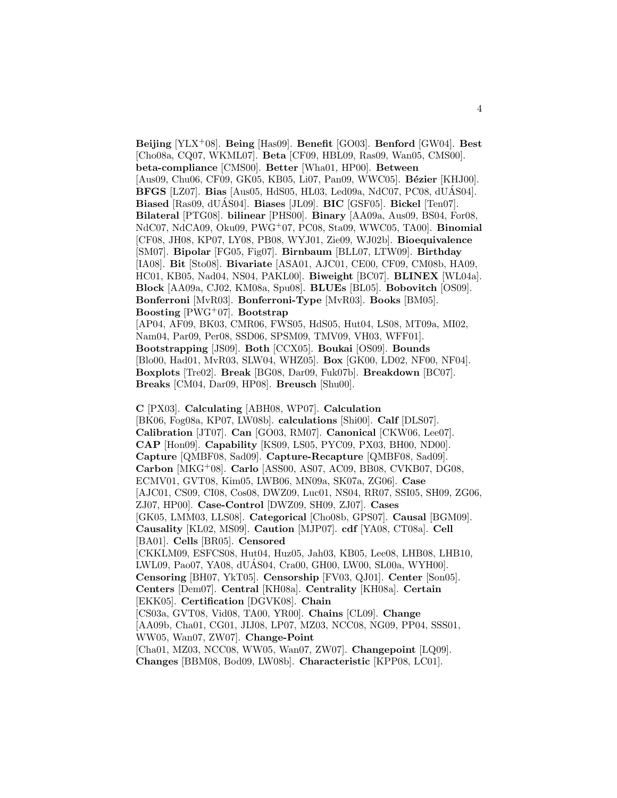**Beijing** [YLX<sup>+</sup>08]. **Being** [Has09]. **Benefit** [GO03]. **Benford** [GW04]. **Best** [Cho08a, CQ07, WKML07]. **Beta** [CF09, HBL09, Ras09, Wan05, CMS00]. **beta-compliance** [CMS00]. **Better** [Wha01, HP00]. **Between** [Aus09, Chu06, CF09, GK05, KB05, Li07, Pan09, WWC05]. **Bézier** [KHJ00]. **BFGS** [LZ07]. **Bias** [Aus05, HdS05, HL03, Led09a, NdC07, PC08, dUAS04]. ´ **Biased** [Ras09, dUÁS04]. **Biases** [JL09]. **BIC** [GSF05]. **Bickel** [Ten07]. **Bilateral** [PTG08]. **bilinear** [PHS00]. **Binary** [AA09a, Aus09, BS04, For08, NdC07, NdCA09, Oku09, PWG<sup>+</sup>07, PC08, Sta09, WWC05, TA00]. **Binomial** [CF08, JH08, KP07, LY08, PB08, WYJ01, Zie09, WJ02b]. **Bioequivalence** [SM07]. **Bipolar** [FG05, Fig07]. **Birnbaum** [BLL07, LTW09]. **Birthday** [IA08]. **Bit** [Sto08]. **Bivariate** [ASA01, AJC01, CE00, CF09, CM08b, HA09, HC01, KB05, Nad04, NS04, PAKL00]. **Biweight** [BC07]. **BLINEX** [WL04a]. **Block** [AA09a, CJ02, KM08a, Spu08]. **BLUEs** [BL05]. **Bobovitch** [OS09]. **Bonferroni** [MvR03]. **Bonferroni-Type** [MvR03]. **Books** [BM05]. **Boosting** [PWG<sup>+</sup>07]. **Bootstrap** [AP04, AF09, BK03, CMR06, FWS05, HdS05, Hut04, LS08, MT09a, MI02, Nam04, Par09, Per08, SSD06, SPSM09, TMV09, VH03, WFF01]. **Bootstrapping** [JS09]. **Both** [CCX05]. **Boukai** [OS09]. **Bounds** [Blo00, Had01, MvR03, SLW04, WHZ05]. **Box** [GK00, LD02, NF00, NF04].

**Boxplots** [Tre02]. **Break** [BG08, Dar09, Fuk07b]. **Breakdown** [BC07]. **Breaks** [CM04, Dar09, HP08]. **Breusch** [Shu00].

**C** [PX03]. **Calculating** [ABH08, WP07]. **Calculation** [BK06, Fog08a, KP07, LW08b]. **calculations** [Shi00]. **Calf** [DLS07]. **Calibration** [JT07]. **Can** [GO03, RM07]. **Canonical** [CKW06, Lee07]. **CAP** [Hon09]. **Capability** [KS09, LS05, PYC09, PX03, BH00, ND00]. **Capture** [QMBF08, Sad09]. **Capture-Recapture** [QMBF08, Sad09]. **Carbon** [MKG<sup>+</sup>08]. **Carlo** [ASS00, AS07, AC09, BB08, CVKB07, DG08, ECMV01, GVT08, Kim05, LWB06, MN09a, SK07a, ZG06]. **Case** [AJC01, CS09, CI08, Cos08, DWZ09, Luc01, NS04, RR07, SSI05, SH09, ZG06, ZJ07, HP00]. **Case-Control** [DWZ09, SH09, ZJ07]. **Cases** [GK05, LMM03, LLS08]. **Categorical** [Cho08b, GPS07]. **Causal** [BGM09]. **Causality** [KL02, MS09]. **Caution** [MJP07]. **cdf** [YA08, CT08a]. **Cell** [BA01]. **Cells** [BR05]. **Censored** [CKKLM09, ESFCS08, Hut04, Huz05, Jah03, KB05, Lee08, LHB08, LHB10, LWL09, Pao07, YA08, dUAS04, Cra00, GH00, LW00, SL00a, WYH00]. ´ **Censoring** [BH07, YkT05]. **Censorship** [FV03, QJ01]. **Center** [Son05]. **Centers** [Dem07]. **Central** [KH08a]. **Centrality** [KH08a]. **Certain** [EKK05]. **Certification** [DGVK08]. **Chain** [CS03a, GVT08, Vid08, TA00, YR00]. **Chains** [CL09]. **Change** [AA09b, Cha01, CG01, JIJ08, LP07, MZ03, NCC08, NG09, PP04, SSS01, WW05, Wan07, ZW07]. **Change-Point** [Cha01, MZ03, NCC08, WW05, Wan07, ZW07]. **Changepoint** [LQ09]. **Changes** [BBM08, Bod09, LW08b]. **Characteristic** [KPP08, LC01].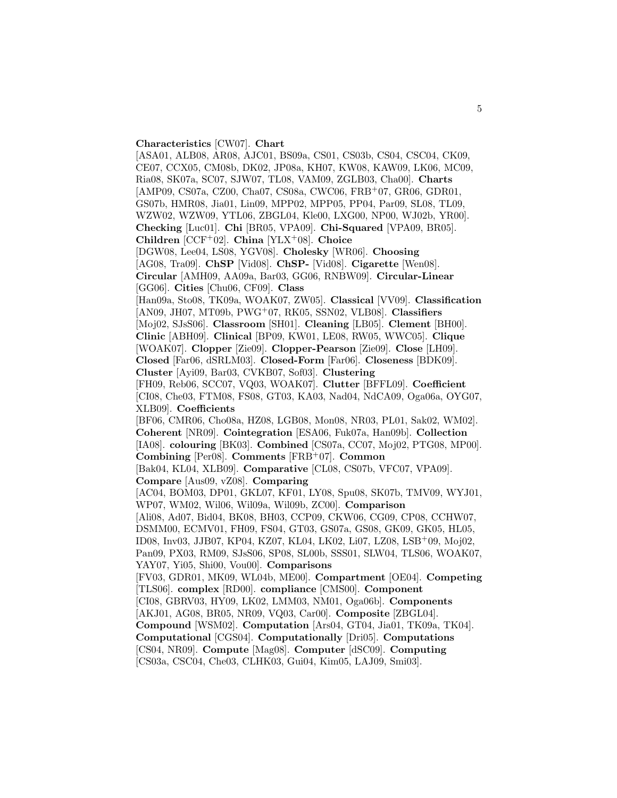**Characteristics** [CW07]. **Chart**

[ASA01, ALB08, AR08, AJC01, BS09a, CS01, CS03b, CS04, CSC04, CK09, CE07, CCX05, CM08b, DK02, JP08a, KH07, KW08, KAW09, LK06, MC09, Ria08, SK07a, SC07, SJW07, TL08, VAM09, ZGLB03, Cha00]. **Charts** [AMP09, CS07a, CZ00, Cha07, CS08a, CWC06, FRB<sup>+</sup>07, GR06, GDR01, GS07b, HMR08, Jia01, Lin09, MPP02, MPP05, PP04, Par09, SL08, TL09, WZW02, WZW09, YTL06, ZBGL04, Kle00, LXG00, NP00, WJ02b, YR00]. **Checking** [Luc01]. **Chi** [BR05, VPA09]. **Chi-Squared** [VPA09, BR05]. **Children** [CCF<sup>+</sup>02]. **China** [YLX<sup>+</sup>08]. **Choice** [DGW08, Lee04, LS08, YGV08]. **Cholesky** [WR06]. **Choosing** [AG08, Tra09]. **ChSP** [Vid08]. **ChSP-** [Vid08]. **Cigarette** [Wen08]. **Circular** [AMH09, AA09a, Bar03, GG06, RNBW09]. **Circular-Linear** [GG06]. **Cities** [Chu06, CF09]. **Class** [Han09a, Sto08, TK09a, WOAK07, ZW05]. **Classical** [VV09]. **Classification** [AN09, JH07, MT09b, PWG<sup>+</sup>07, RK05, SSN02, VLB08]. **Classifiers** [Moj02, SJsS06]. **Classroom** [SH01]. **Cleaning** [LB05]. **Clement** [BH00]. **Clinic** [ABH09]. **Clinical** [BP09, KW01, LE08, RW05, WWC05]. **Clique** [WOAK07]. **Clopper** [Zie09]. **Clopper-Pearson** [Zie09]. **Close** [LH09]. **Closed** [Far06, dSRLM03]. **Closed-Form** [Far06]. **Closeness** [BDK09]. **Cluster** [Ayi09, Bar03, CVKB07, Sof03]. **Clustering** [FH09, Reb06, SCC07, VQ03, WOAK07]. **Clutter** [BFFL09]. **Coefficient** [CI08, Che03, FTM08, FS08, GT03, KA03, Nad04, NdCA09, Oga06a, OYG07, XLB09]. **Coefficients** [BF06, CMR06, Cho08a, HZ08, LGB08, Mon08, NR03, PL01, Sak02, WM02]. **Coherent** [NR09]. **Cointegration** [ESA06, Fuk07a, Han09b]. **Collection** [IA08]. **colouring** [BK03]. **Combined** [CS07a, CC07, Moj02, PTG08, MP00]. **Combining** [Per08]. **Comments** [FRB<sup>+</sup>07]. **Common** [Bak04, KL04, XLB09]. **Comparative** [CL08, CS07b, VFC07, VPA09]. **Compare** [Aus09, vZ08]. **Comparing** [AC04, BOM03, DP01, GKL07, KF01, LY08, Spu08, SK07b, TMV09, WYJ01, WP07, WM02, Wil06, Wil09a, Wil09b, ZC00]. **Comparison** [Ali08, Ad07, Bid04, BK08, BH03, CCP09, CKW06, CG09, CP08, CCHW07, DSMM00, ECMV01, FH09, FS04, GT03, GS07a, GS08, GK09, GK05, HL05, ID08, Inv03, JJB07, KP04, KZ07, KL04, LK02, Li07, LZ08, LSB<sup>+</sup>09, Moj02, Pan09, PX03, RM09, SJsS06, SP08, SL00b, SSS01, SLW04, TLS06, WOAK07, YAY07, Yi05, Shi00, Vou00]. **Comparisons** [FV03, GDR01, MK09, WL04b, ME00]. **Compartment** [OE04]. **Competing** [TLS06]. **complex** [RD00]. **compliance** [CMS00]. **Component** [CI08, GBRV03, HY09, LK02, LMM03, NM01, Oga06b]. **Components** [AKJ01, AG08, BR05, NR09, VQ03, Car00]. **Composite** [ZBGL04]. **Compound** [WSM02]. **Computation** [Ars04, GT04, Jia01, TK09a, TK04]. **Computational** [CGS04]. **Computationally** [Dri05]. **Computations** [CS04, NR09]. **Compute** [Mag08]. **Computer** [dSC09]. **Computing** [CS03a, CSC04, Che03, CLHK03, Gui04, Kim05, LAJ09, Smi03].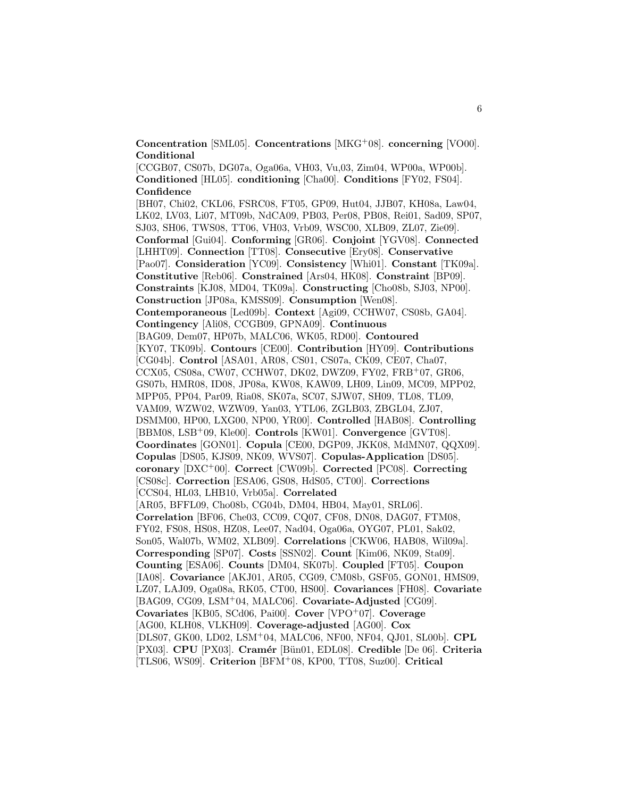**Concentration** [SML05]. **Concentrations** [MKG<sup>+</sup>08]. **concerning** [VO00]. **Conditional**

[CCGB07, CS07b, DG07a, Oga06a, VH03, Vu,03, Zim04, WP00a, WP00b]. **Conditioned** [HL05]. **conditioning** [Cha00]. **Conditions** [FY02, FS04]. **Confidence**

[BH07, Chi02, CKL06, FSRC08, FT05, GP09, Hut04, JJB07, KH08a, Law04, LK02, LV03, Li07, MT09b, NdCA09, PB03, Per08, PB08, Rei01, Sad09, SP07, SJ03, SH06, TWS08, TT06, VH03, Vrb09, WSC00, XLB09, ZL07, Zie09]. **Conformal** [Gui04]. **Conforming** [GR06]. **Conjoint** [YGV08]. **Connected** [LHHT09]. **Connection** [TT08]. **Consecutive** [Ery08]. **Conservative** [Pao07]. **Consideration** [YC09]. **Consistency** [Whi01]. **Constant** [TK09a]. **Constitutive** [Reb06]. **Constrained** [Ars04, HK08]. **Constraint** [BP09]. **Constraints** [KJ08, MD04, TK09a]. **Constructing** [Cho08b, SJ03, NP00]. **Construction** [JP08a, KMSS09]. **Consumption** [Wen08]. **Contemporaneous** [Led09b]. **Context** [Agi09, CCHW07, CS08b, GA04]. **Contingency** [Ali08, CCGB09, GPNA09]. **Continuous** [BAG09, Dem07, HP07b, MALC06, WK05, RD00]. **Contoured** [KY07, TK09b]. **Contours** [CE00]. **Contribution** [HY09]. **Contributions** [CG04b]. **Control** [ASA01, AR08, CS01, CS07a, CK09, CE07, Cha07, CCX05, CS08a, CW07, CCHW07, DK02, DWZ09, FY02, FRB<sup>+</sup>07, GR06, GS07b, HMR08, ID08, JP08a, KW08, KAW09, LH09, Lin09, MC09, MPP02, MPP05, PP04, Par09, Ria08, SK07a, SC07, SJW07, SH09, TL08, TL09, VAM09, WZW02, WZW09, Yan03, YTL06, ZGLB03, ZBGL04, ZJ07, DSMM00, HP00, LXG00, NP00, YR00]. **Controlled** [HAB08]. **Controlling** [BBM08, LSB<sup>+</sup>09, Kle00]. **Controls** [KW01]. **Convergence** [GVT08]. **Coordinates** [GON01]. **Copula** [CE00, DGP09, JKK08, MdMN07, QQX09]. **Copulas** [DS05, KJS09, NK09, WVS07]. **Copulas-Application** [DS05]. **coronary** [DXC<sup>+</sup>00]. **Correct** [CW09b]. **Corrected** [PC08]. **Correcting** [CS08c]. **Correction** [ESA06, GS08, HdS05, CT00]. **Corrections** [CCS04, HL03, LHB10, Vrb05a]. **Correlated** [AR05, BFFL09, Cho08b, CG04b, DM04, HB04, May01, SRL06]. **Correlation** [BF06, Che03, CC09, CQ07, CF08, DN08, DAG07, FTM08, FY02, FS08, HS08, HZ08, Lee07, Nad04, Oga06a, OYG07, PL01, Sak02, Son05, Wal07b, WM02, XLB09]. **Correlations** [CKW06, HAB08, Wil09a]. **Corresponding** [SP07]. **Costs** [SSN02]. **Count** [Kim06, NK09, Sta09]. **Counting** [ESA06]. **Counts** [DM04, SK07b]. **Coupled** [FT05]. **Coupon** [IA08]. **Covariance** [AKJ01, AR05, CG09, CM08b, GSF05, GON01, HMS09, LZ07, LAJ09, Oga08a, RK05, CT00, HS00]. **Covariances** [FH08]. **Covariate** [BAG09, CG09, LSM<sup>+</sup>04, MALC06]. **Covariate-Adjusted** [CG09]. **Covariates** [KB05, SCd06, Pai00]. **Cover** [VPO<sup>+</sup>07]. **Coverage** [AG00, KLH08, VLKH09]. **Coverage-adjusted** [AG00]. **Cox** [DLS07, GK00, LD02, LSM<sup>+</sup>04, MALC06, NF00, NF04, QJ01, SL00b]. **CPL** [PX03]. **CPU** [PX03]. **Cram´er** [B¨un01, EDL08]. **Credible** [De 06]. **Criteria** [TLS06, WS09]. **Criterion** [BFM<sup>+</sup>08, KP00, TT08, Suz00]. **Critical**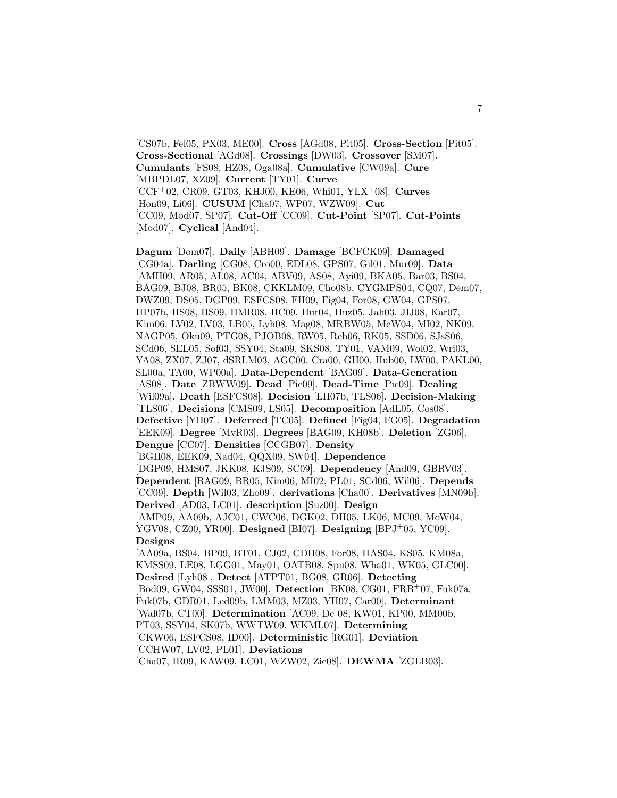[CS07b, Fel05, PX03, ME00]. **Cross** [AGd08, Pit05]. **Cross-Section** [Pit05]. **Cross-Sectional** [AGd08]. **Crossings** [DW03]. **Crossover** [SM07]. **Cumulants** [FS08, HZ08, Oga08a]. **Cumulative** [CW09a]. **Cure** [MBPDL07, XZ09]. **Current** [TY01]. **Curve** [CCF<sup>+</sup>02, CR09, GT03, KHJ00, KE06, Whi01, YLX<sup>+</sup>08]. **Curves** [Hon09, Li06]. **CUSUM** [Cha07, WP07, WZW09]. **Cut** [CC09, Mod07, SP07]. **Cut-Off** [CC09]. **Cut-Point** [SP07]. **Cut-Points** [Mod07]. **Cyclical** [And04].

**Dagum** [Dom07]. **Daily** [ABH09]. **Damage** [BCFCK09]. **Damaged** [CG04a]. **Darling** [CG08, Cro00, EDL08, GPS07, Gil01, Mur09]. **Data** [AMH09, AR05, AL08, AC04, ABV09, AS08, Ayi09, BKA05, Bar03, BS04, BAG09, BJ08, BR05, BK08, CKKLM09, Cho08b, CYGMPS04, CQ07, Dem07, DWZ09, DS05, DGP09, ESFCS08, FH09, Fig04, For08, GW04, GPS07, HP07b, HS08, HS09, HMR08, HC09, Hut04, Huz05, Jah03, JIJ08, Kar07, Kim06, LV02, LV03, LB05, Lyh08, Mag08, MRBW05, McW04, MI02, NK09, NAGP05, Oku09, PTG08, PJOB08, RW05, Reb06, RK05, SSD06, SJsS06, SCd06, SEL05, Sof03, SSY04, Sta09, SKS08, TY01, VAM09, Wol02, Wri03, YA08, ZX07, ZJ07, dSRLM03, AGC00, Cra00, GH00, Hub00, LW00, PAKL00, SL00a, TA00, WP00a]. **Data-Dependent** [BAG09]. **Data-Generation** [AS08]. **Date** [ZBWW09]. **Dead** [Pic09]. **Dead-Time** [Pic09]. **Dealing** [Wil09a]. **Death** [ESFCS08]. **Decision** [LH07b, TLS06]. **Decision-Making** [TLS06]. **Decisions** [CMS09, LS05]. **Decomposition** [AdL05, Cos08]. **Defective** [YH07]. **Deferred** [TC05]. **Defined** [Fig04, FG05]. **Degradation** [EEK09]. **Degree** [MvR03]. **Degrees** [BAG09, KH08b]. **Deletion** [ZG06]. **Dengue** [CC07]. **Densities** [CCGB07]. **Density** [BGH08, EEK09, Nad04, QQX09, SW04]. **Dependence** [DGP09, HMS07, JKK08, KJS09, SC09]. **Dependency** [And09, GBRV03]. **Dependent** [BAG09, BR05, Kim06, MI02, PL01, SCd06, Wil06]. **Depends** [CC09]. **Depth** [Wil03, Zho09]. **derivations** [Cha00]. **Derivatives** [MN09b]. **Derived** [AD03, LC01]. **description** [Suz00]. **Design** [AMP09, AA09b, AJC01, CWC06, DGK02, DH05, LK06, MC09, McW04, YGV08, CZ00, YR00]. **Designed** [BI07]. **Designing** [BPJ<sup>+</sup>05, YC09]. **Designs** [AA09a, BS04, BP09, BT01, CJ02, CDH08, For08, HAS04, KS05, KM08a, KMSS09, LE08, LGG01, May01, OATB08, Spu08, Wha01, WK05, GLC00]. **Desired** [Lyh08]. **Detect** [ATPT01, BG08, GR06]. **Detecting** [Bod09, GW04, SSS01, JW00]. **Detection** [BK08, CG01, FRB<sup>+</sup>07, Fuk07a, Fuk07b, GDR01, Led09b, LMM03, MZ03, YH07, Car00]. **Determinant** [Wal07b, CT00]. **Determination** [AC09, De 08, KW01, KP00, MM00b, PT03, SSY04, SK07b, WWTW09, WKML07]. **Determining** [CKW06, ESFCS08, ID00]. **Deterministic** [RG01]. **Deviation** [CCHW07, LV02, PL01]. **Deviations**

[Cha07, IR09, KAW09, LC01, WZW02, Zie08]. **DEWMA** [ZGLB03].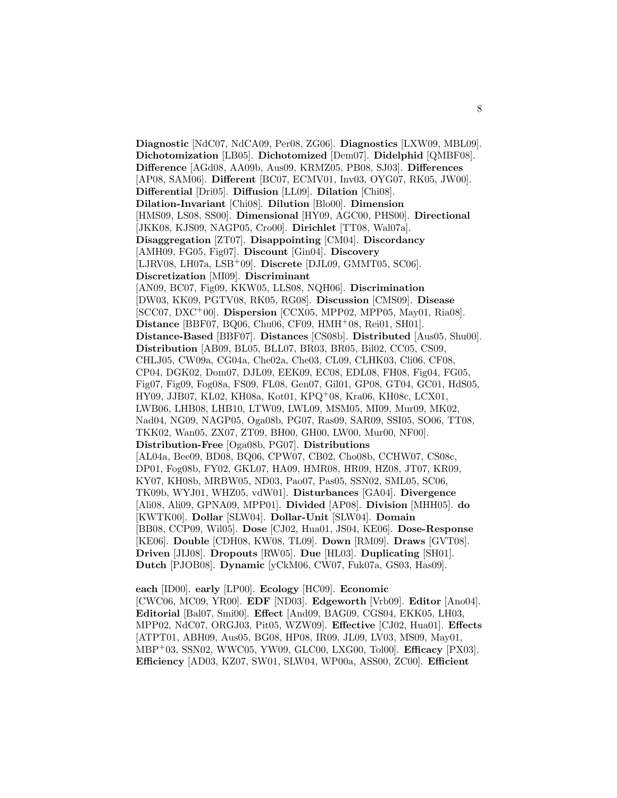**Diagnostic** [NdC07, NdCA09, Per08, ZG06]. **Diagnostics** [LXW09, MBL09]. **Dichotomization** [LB05]. **Dichotomized** [Dem07]. **Didelphid** [QMBF08]. **Difference** [AGd08, AA09b, Aus09, KRMZ05, PB08, SJ03]. **Differences** [AP08, SAM06]. **Different** [BC07, ECMV01, Inv03, OYG07, RK05, JW00]. **Differential** [Dri05]. **Diffusion** [LL09]. **Dilation** [Chi08]. **Dilation-Invariant** [Chi08]. **Dilution** [Blo00]. **Dimension** [HMS09, LS08, SS00]. **Dimensional** [HY09, AGC00, PHS00]. **Directional** [JKK08, KJS09, NAGP05, Cro00]. **Dirichlet** [TT08, Wal07a]. **Disaggregation** [ZT07]. **Disappointing** [CM04]. **Discordancy** [AMH09, FG05, Fig07]. **Discount** [Gin04]. **Discovery** [LJRV08, LH07a, LSB<sup>+</sup>09]. **Discrete** [DJL09, GMMT05, SC06]. **Discretization** [MI09]. **Discriminant** [AN09, BC07, Fig09, KKW05, LLS08, NQH06]. **Discrimination** [DW03, KK09, PGTV08, RK05, RG08]. **Discussion** [CMS09]. **Disease** [SCC07, DXC<sup>+</sup>00]. **Dispersion** [CCX05, MPP02, MPP05, May01, Ria08]. **Distance** [BBF07, BQ06, Chu06, CF09, HMH<sup>+</sup>08, Rei01, SH01]. **Distance-Based** [BBF07]. **Distances** [CS08b]. **Distributed** [Aus05, Shu00]. **Distribution** [AB09, BL05, BLL07, BR03, BR05, Bil02, CC05, CS09, CHLJ05, CW09a, CG04a, Che02a, Che03, CL09, CLHK03, Cli06, CF08, CP04, DGK02, Dom07, DJL09, EEK09, EC08, EDL08, FH08, Fig04, FG05, Fig07, Fig09, Fog08a, FS09, FL08, Gen07, Gil01, GP08, GT04, GC01, HdS05, HY09, JJB07, KL02, KH08a, Kot01, KPQ<sup>+</sup>08, Kra06, KH08c, LCX01, LWB06, LHB08, LHB10, LTW09, LWL09, MSM05, MI09, Mur09, MK02, Nad04, NG09, NAGP05, Oga08b, PG07, Ras09, SAR09, SSI05, SO06, TT08, TKK02, Wan05, ZX07, ZT09, BH00, GH00, LW00, Mur00, NF00]. **Distribution-Free** [Oga08b, PG07]. **Distributions** [AL04a, Bee09, BD08, BQ06, CPW07, CB02, Cho08b, CCHW07, CS08c, DP01, Fog08b, FY02, GKL07, HA09, HMR08, HR09, HZ08, JT07, KR09, KY07, KH08b, MRBW05, ND03, Pao07, Pas05, SSN02, SML05, SC06, TK09b, WYJ01, WHZ05, vdW01]. **Disturbances** [GA04]. **Divergence** [Ali08, Ali09, GPNA09, MPP01]. **Divided** [AP08]. **Division** [MHH05]. **do** [KWTK00]. **Dollar** [SLW04]. **Dollar-Unit** [SLW04]. **Domain** [BB08, CCP09, Wil05]. **Dose** [CJ02, Hua01, JS04, KE06]. **Dose-Response** [KE06]. **Double** [CDH08, KW08, TL09]. **Down** [RM09]. **Draws** [GVT08]. **Driven** [JIJ08]. **Dropouts** [RW05]. **Due** [HL03]. **Duplicating** [SH01]. **Dutch** [PJOB08]. **Dynamic** [yCkM06, CW07, Fuk07a, GS03, Has09].

**each** [ID00]. **early** [LP00]. **Ecology** [HC09]. **Economic** [CWC06, MC09, YR00]. **EDF** [ND03]. **Edgeworth** [Vrb09]. **Editor** [Ano04]. **Editorial** [Bal07, Smi00]. **Effect** [And09, BAG09, CGS04, EKK05, LH03, MPP02, NdC07, ORGJ03, Pit05, WZW09]. **Effective** [CJ02, Hua01]. **Effects** [ATPT01, ABH09, Aus05, BG08, HP08, IR09, JL09, LV03, MS09, May01, MBP<sup>+</sup>03, SSN02, WWC05, YW09, GLC00, LXG00, Tol00]. **Efficacy** [PX03]. **Efficiency** [AD03, KZ07, SW01, SLW04, WP00a, ASS00, ZC00]. **Efficient**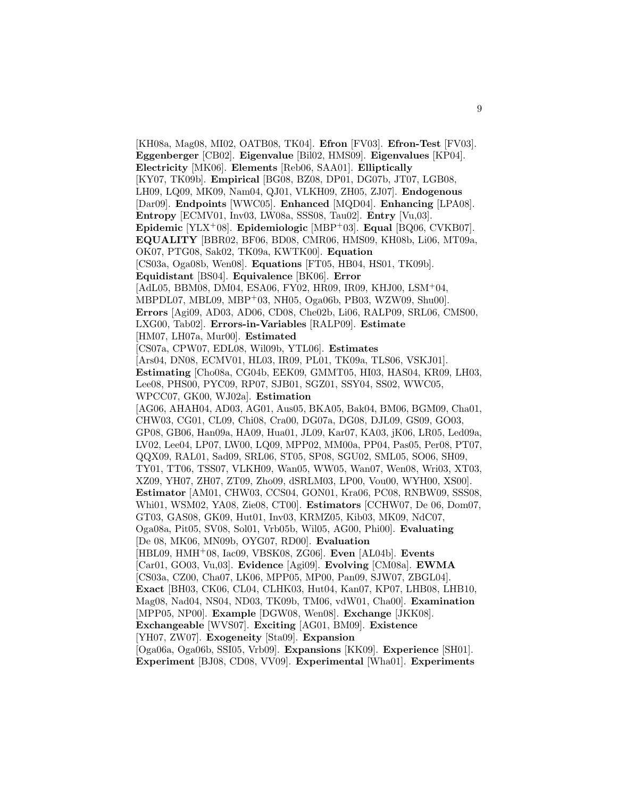[KH08a, Mag08, MI02, OATB08, TK04]. **Efron** [FV03]. **Efron-Test** [FV03]. **Eggenberger** [CB02]. **Eigenvalue** [Bil02, HMS09]. **Eigenvalues** [KP04]. **Electricity** [MK06]. **Elements** [Reb06, SAA01]. **Elliptically** [KY07, TK09b]. **Empirical** [BG08, BZ08, DP01, DG07b, JT07, LGB08, LH09, LQ09, MK09, Nam04, QJ01, VLKH09, ZH05, ZJ07]. **Endogenous** [Dar09]. **Endpoints** [WWC05]. **Enhanced** [MQD04]. **Enhancing** [LPA08]. **Entropy** [ECMV01, Inv03, LW08a, SSS08, Tau02]. **Entry** [Vu,03]. **Epidemic** [YLX<sup>+</sup>08]. **Epidemiologic** [MBP<sup>+</sup>03]. **Equal** [BQ06, CVKB07]. **EQUALITY** [BBR02, BF06, BD08, CMR06, HMS09, KH08b, Li06, MT09a, OK07, PTG08, Sak02, TK09a, KWTK00]. **Equation** [CS03a, Oga08b, Wen08]. **Equations** [FT05, HB04, HS01, TK09b]. **Equidistant** [BS04]. **Equivalence** [BK06]. **Error** [AdL05, BBM08, DM04, ESA06, FY02, HR09, IR09, KHJ00, LSM<sup>+</sup>04, MBPDL07, MBL09, MBP<sup>+</sup>03, NH05, Oga06b, PB03, WZW09, Shu00]. **Errors** [Agi09, AD03, AD06, CD08, Che02b, Li06, RALP09, SRL06, CMS00, LXG00, Tab02]. **Errors-in-Variables** [RALP09]. **Estimate** [HM07, LH07a, Mur00]. **Estimated** [CS07a, CPW07, EDL08, Wil09b, YTL06]. **Estimates** [Ars04, DN08, ECMV01, HL03, IR09, PL01, TK09a, TLS06, VSKJ01]. **Estimating** [Cho08a, CG04b, EEK09, GMMT05, HI03, HAS04, KR09, LH03, Lee08, PHS00, PYC09, RP07, SJB01, SGZ01, SSY04, SS02, WWC05, WPCC07, GK00, WJ02a]. **Estimation** [AG06, AHAH04, AD03, AG01, Aus05, BKA05, Bak04, BM06, BGM09, Cha01, CHW03, CG01, CL09, Chi08, Cra00, DG07a, DG08, DJL09, GS09, GO03, GP08, GB06, Han09a, HA09, Hua01, JL09, Kar07, KA03, jK06, LR05, Led09a, LV02, Lee04, LP07, LW00, LQ09, MPP02, MM00a, PP04, Pas05, Per08, PT07, QQX09, RAL01, Sad09, SRL06, ST05, SP08, SGU02, SML05, SO06, SH09, TY01, TT06, TSS07, VLKH09, Wan05, WW05, Wan07, Wen08, Wri03, XT03, XZ09, YH07, ZH07, ZT09, Zho09, dSRLM03, LP00, Vou00, WYH00, XS00]. **Estimator** [AM01, CHW03, CCS04, GON01, Kra06, PC08, RNBW09, SSS08, Whi01, WSM02, YA08, Zie08, CT00]. **Estimators** [CCHW07, De 06, Dom07, GT03, GAS08, GK09, Hut01, Inv03, KRMZ05, Kib03, MK09, NdC07, Oga08a, Pit05, SV08, Sol01, Vrb05b, Wil05, AG00, Phi00]. **Evaluating** [De 08, MK06, MN09b, OYG07, RD00]. **Evaluation** [HBL09, HMH<sup>+</sup>08, Iac09, VBSK08, ZG06]. **Even** [AL04b]. **Events** [Car01, GO03, Vu,03]. **Evidence** [Agi09]. **Evolving** [CM08a]. **EWMA** [CS03a, CZ00, Cha07, LK06, MPP05, MP00, Pan09, SJW07, ZBGL04]. **Exact** [BH03, CK06, CL04, CLHK03, Hut04, Kan07, KP07, LHB08, LHB10, Mag08, Nad04, NS04, ND03, TK09b, TM06, vdW01, Cha00]. **Examination** [MPP05, NP00]. **Example** [DGW08, Wen08]. **Exchange** [JKK08]. **Exchangeable** [WVS07]. **Exciting** [AG01, BM09]. **Existence** [YH07, ZW07]. **Exogeneity** [Sta09]. **Expansion** [Oga06a, Oga06b, SSI05, Vrb09]. **Expansions** [KK09]. **Experience** [SH01]. **Experiment** [BJ08, CD08, VV09]. **Experimental** [Wha01]. **Experiments**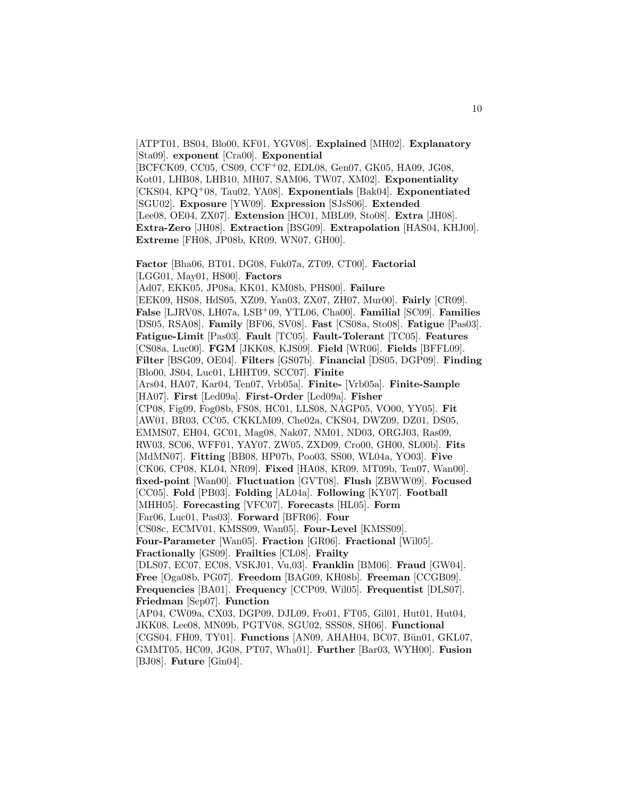[ATPT01, BS04, Blo00, KF01, YGV08]. **Explained** [MH02]. **Explanatory** [Sta09]. **exponent** [Cra00]. **Exponential** [BCFCK09, CC05, CS09, CCF<sup>+</sup>02, EDL08, Gen07, GK05, HA09, JG08, Kot01, LHB08, LHB10, MH07, SAM06, TW07, XM02]. **Exponentiality** [CKS04, KPQ<sup>+</sup>08, Tau02, YA08]. **Exponentials** [Bak04]. **Exponentiated** [SGU02]. **Exposure** [YW09]. **Expression** [SJsS06]. **Extended** [Lee08, OE04, ZX07]. **Extension** [HC01, MBL09, Sto08]. **Extra** [JH08]. **Extra-Zero** [JH08]. **Extraction** [BSG09]. **Extrapolation** [HAS04, KHJ00]. **Extreme** [FH08, JP08b, KR09, WN07, GH00].

**Factor** [Bha06, BT01, DG08, Fuk07a, ZT09, CT00]. **Factorial** [LGG01, May01, HS00]. **Factors** [Ad07, EKK05, JP08a, KK01, KM08b, PHS00]. **Failure** [EEK09, HS08, HdS05, XZ09, Yan03, ZX07, ZH07, Mur00]. **Fairly** [CR09]. **False** [LJRV08, LH07a, LSB<sup>+</sup>09, YTL06, Cha00]. **Familial** [SC09]. **Families** [DS05, RSA08]. **Family** [BF06, SV08]. **Fast** [CS08a, Sto08]. **Fatigue** [Pas03]. **Fatigue-Limit** [Pas03]. **Fault** [TC05]. **Fault-Tolerant** [TC05]. **Features** [CS08a, Luc00]. **FGM** [JKK08, KJS09]. **Field** [WR06]. **Fields** [BFFL09]. **Filter** [BSG09, OE04]. **Filters** [GS07b]. **Financial** [DS05, DGP09]. **Finding** [Blo00, JS04, Luc01, LHHT09, SCC07]. **Finite** [Ars04, HA07, Kar04, Ten07, Vrb05a]. **Finite-** [Vrb05a]. **Finite-Sample** [HA07]. **First** [Led09a]. **First-Order** [Led09a]. **Fisher** [CP08, Fig09, Fog08b, FS08, HC01, LLS08, NAGP05, VO00, YY05]. **Fit** [AW01, BR03, CC05, CKKLM09, Che02a, CKS04, DWZ09, DZ01, DS05, EMMS07, EH04, GC01, Mag08, Nak07, NM01, ND03, ORGJ03, Ras09, RW03, SC06, WFF01, YAY07, ZW05, ZXD09, Cro00, GH00, SL00b]. **Fits** [MdMN07]. **Fitting** [BB08, HP07b, Poo03, SS00, WL04a, YO03]. **Five** [CK06, CP08, KL04, NR09]. **Fixed** [HA08, KR09, MT09b, Ten07, Wan00]. **fixed-point** [Wan00]. **Fluctuation** [GVT08]. **Flush** [ZBWW09]. **Focused** [CC05]. **Fold** [PB03]. **Folding** [AL04a]. **Following** [KY07]. **Football** [MHH05]. **Forecasting** [VFC07]. **Forecasts** [HL05]. **Form** [Far06, Luc01, Pas03]. **Forward** [BFR06]. **Four** [CS08c, ECMV01, KMSS09, Wan05]. **Four-Level** [KMSS09]. **Four-Parameter** [Wan05]. **Fraction** [GR06]. **Fractional** [Wil05]. **Fractionally** [GS09]. **Frailties** [CL08]. **Frailty** [DLS07, EC07, EC08, VSKJ01, Vu,03]. **Franklin** [BM06]. **Fraud** [GW04]. **Free** [Oga08b, PG07]. **Freedom** [BAG09, KH08b]. **Freeman** [CCGB09]. **Frequencies** [BA01]. **Frequency** [CCP09, Wil05]. **Frequentist** [DLS07]. **Friedman** [Sep07]. **Function** [AP04, CW09a, CX03, DGP09, DJL09, Fro01, FT05, Gil01, Hut01, Hut04, JKK08, Lee08, MN09b, PGTV08, SGU02, SSS08, SH06]. **Functional** [CGS04, FH09, TY01]. **Functions** [AN09, AHAH04, BC07, Bün01, GKL07, GMMT05, HC09, JG08, PT07, Wha01]. **Further** [Bar03, WYH00]. **Fusion** [BJ08]. **Future** [Gin04].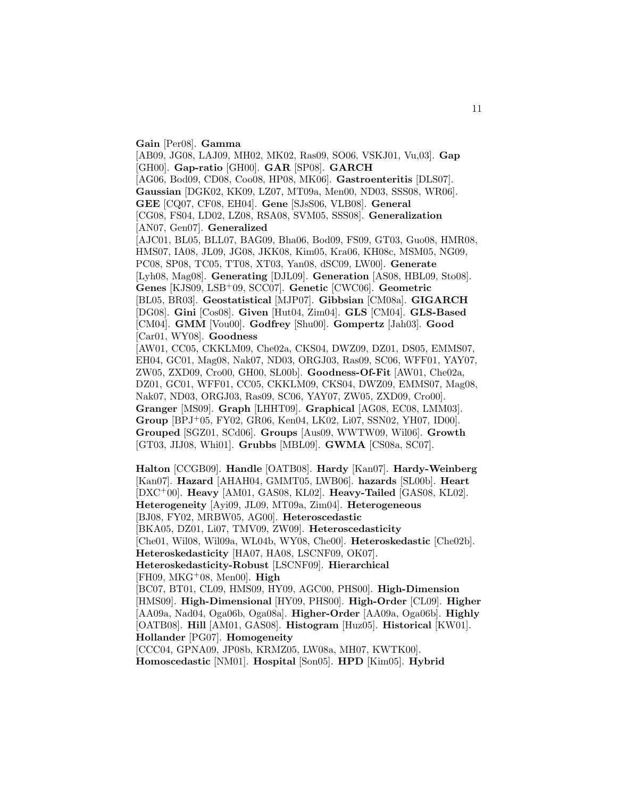**Gain** [Per08]. **Gamma** [AB09, JG08, LAJ09, MH02, MK02, Ras09, SO06, VSKJ01, Vu,03]. **Gap** [GH00]. **Gap-ratio** [GH00]. **GAR** [SP08]. **GARCH** [AG06, Bod09, CD08, Coo08, HP08, MK06]. **Gastroenteritis** [DLS07]. **Gaussian** [DGK02, KK09, LZ07, MT09a, Men00, ND03, SSS08, WR06]. **GEE** [CQ07, CF08, EH04]. **Gene** [SJsS06, VLB08]. **General** [CG08, FS04, LD02, LZ08, RSA08, SVM05, SSS08]. **Generalization** [AN07, Gen07]. **Generalized** [AJC01, BL05, BLL07, BAG09, Bha06, Bod09, FS09, GT03, Guo08, HMR08, HMS07, IA08, JL09, JG08, JKK08, Kim05, Kra06, KH08c, MSM05, NG09, PC08, SP08, TC05, TT08, XT03, Yan08, dSC09, LW00]. **Generate** [Lyh08, Mag08]. **Generating** [DJL09]. **Generation** [AS08, HBL09, Sto08]. **Genes** [KJS09, LSB<sup>+</sup>09, SCC07]. **Genetic** [CWC06]. **Geometric** [BL05, BR03]. **Geostatistical** [MJP07]. **Gibbsian** [CM08a]. **GIGARCH** [DG08]. **Gini** [Cos08]. **Given** [Hut04, Zim04]. **GLS** [CM04]. **GLS-Based** [CM04]. **GMM** [Vou00]. **Godfrey** [Shu00]. **Gompertz** [Jah03]. **Good** [Car01, WY08]. **Goodness** [AW01, CC05, CKKLM09, Che02a, CKS04, DWZ09, DZ01, DS05, EMMS07, EH04, GC01, Mag08, Nak07, ND03, ORGJ03, Ras09, SC06, WFF01, YAY07, ZW05, ZXD09, Cro00, GH00, SL00b]. **Goodness-Of-Fit** [AW01, Che02a, DZ01, GC01, WFF01, CC05, CKKLM09, CKS04, DWZ09, EMMS07, Mag08, Nak07, ND03, ORGJ03, Ras09, SC06, YAY07, ZW05, ZXD09, Cro00]. **Granger** [MS09]. **Graph** [LHHT09]. **Graphical** [AG08, EC08, LMM03]. **Group** [BPJ<sup>+</sup>05, FY02, GR06, Ken04, LK02, Li07, SSN02, YH07, ID00]. **Grouped** [SGZ01, SCd06]. **Groups** [Aus09, WWTW09, Wil06]. **Growth** [GT03, JIJ08, Whi01]. **Grubbs** [MBL09]. **GWMA** [CS08a, SC07].

**Halton** [CCGB09]. **Handle** [OATB08]. **Hardy** [Kan07]. **Hardy-Weinberg** [Kan07]. **Hazard** [AHAH04, GMMT05, LWB06]. **hazards** [SL00b]. **Heart** [DXC<sup>+</sup>00]. **Heavy** [AM01, GAS08, KL02]. **Heavy-Tailed** [GAS08, KL02]. **Heterogeneity** [Ayi09, JL09, MT09a, Zim04]. **Heterogeneous** [BJ08, FY02, MRBW05, AG00]. **Heteroscedastic** [BKA05, DZ01, Li07, TMV09, ZW09]. **Heteroscedasticity** [Che01, Wil08, Wil09a, WL04b, WY08, Che00]. **Heteroskedastic** [Che02b]. **Heteroskedasticity** [HA07, HA08, LSCNF09, OK07]. **Heteroskedasticity-Robust** [LSCNF09]. **Hierarchical** [FH09, MKG<sup>+</sup>08, Men00]. **High** [BC07, BT01, CL09, HMS09, HY09, AGC00, PHS00]. **High-Dimension** [HMS09]. **High-Dimensional** [HY09, PHS00]. **High-Order** [CL09]. **Higher** [AA09a, Nad04, Oga06b, Oga08a]. **Higher-Order** [AA09a, Oga06b]. **Highly** [OATB08]. **Hill** [AM01, GAS08]. **Histogram** [Huz05]. **Historical** [KW01]. **Hollander** [PG07]. **Homogeneity** [CCC04, GPNA09, JP08b, KRMZ05, LW08a, MH07, KWTK00]. **Homoscedastic** [NM01]. **Hospital** [Son05]. **HPD** [Kim05]. **Hybrid**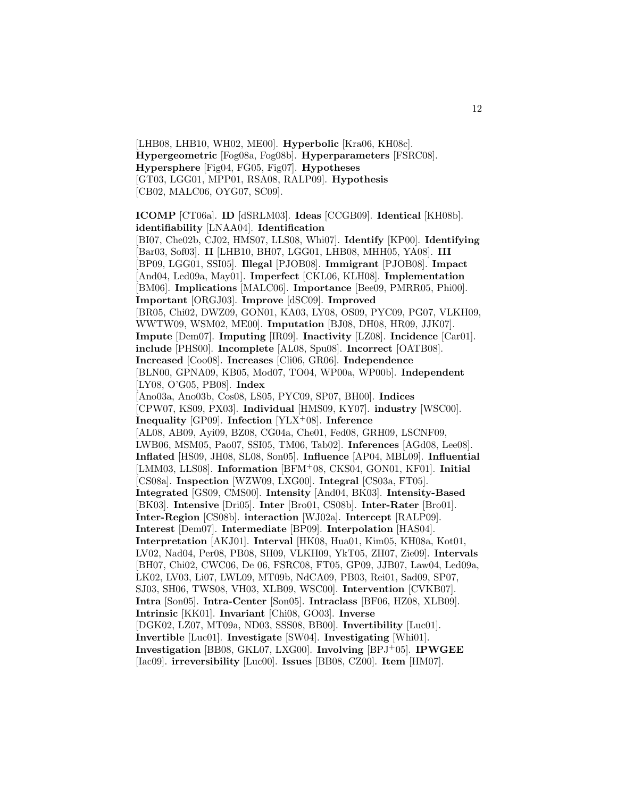[LHB08, LHB10, WH02, ME00]. **Hyperbolic** [Kra06, KH08c]. **Hypergeometric** [Fog08a, Fog08b]. **Hyperparameters** [FSRC08]. **Hypersphere** [Fig04, FG05, Fig07]. **Hypotheses** [GT03, LGG01, MPP01, RSA08, RALP09]. **Hypothesis** [CB02, MALC06, OYG07, SC09].

**ICOMP** [CT06a]. **ID** [dSRLM03]. **Ideas** [CCGB09]. **Identical** [KH08b]. **identifiability** [LNAA04]. **Identification**

[BI07, Che02b, CJ02, HMS07, LLS08, Whi07]. **Identify** [KP00]. **Identifying** [Bar03, Sof03]. **II** [LHB10, BH07, LGG01, LHB08, MHH05, YA08]. **III** [BP09, LGG01, SSI05]. **Illegal** [PJOB08]. **Immigrant** [PJOB08]. **Impact** [And04, Led09a, May01]. **Imperfect** [CKL06, KLH08]. **Implementation** [BM06]. **Implications** [MALC06]. **Importance** [Bee09, PMRR05, Phi00]. **Important** [ORGJ03]. **Improve** [dSC09]. **Improved** [BR05, Chi02, DWZ09, GON01, KA03, LY08, OS09, PYC09, PG07, VLKH09, WWTW09, WSM02, ME00]. **Imputation** [BJ08, DH08, HR09, JJK07]. **Impute** [Dem07]. **Imputing** [IR09]. **Inactivity** [LZ08]. **Incidence** [Car01]. **include** [PHS00]. **Incomplete** [AL08, Spu08]. **Incorrect** [OATB08]. **Increased** [Coo08]. **Increases** [Cli06, GR06]. **Independence** [BLN00, GPNA09, KB05, Mod07, TO04, WP00a, WP00b]. **Independent** [LY08, O'G05, PB08]. **Index** [Ano03a, Ano03b, Cos08, LS05, PYC09, SP07, BH00]. **Indices** [CPW07, KS09, PX03]. **Individual** [HMS09, KY07]. **industry** [WSC00]. **Inequality** [GP09]. **Infection** [YLX<sup>+</sup>08]. **Inference** [AL08, AB09, Ayi09, BZ08, CG04a, Che01, Fed08, GRH09, LSCNF09, LWB06, MSM05, Pao07, SSI05, TM06, Tab02]. **Inferences** [AGd08, Lee08]. **Inflated** [HS09, JH08, SL08, Son05]. **Influence** [AP04, MBL09]. **Influential** [LMM03, LLS08]. **Information** [BFM<sup>+</sup>08, CKS04, GON01, KF01]. **Initial** [CS08a]. **Inspection** [WZW09, LXG00]. **Integral** [CS03a, FT05]. **Integrated** [GS09, CMS00]. **Intensity** [And04, BK03]. **Intensity-Based** [BK03]. **Intensive** [Dri05]. **Inter** [Bro01, CS08b]. **Inter-Rater** [Bro01]. **Inter-Region** [CS08b]. **interaction** [WJ02a]. **Intercept** [RALP09]. **Interest** [Dem07]. **Intermediate** [BP09]. **Interpolation** [HAS04]. **Interpretation** [AKJ01]. **Interval** [HK08, Hua01, Kim05, KH08a, Kot01, LV02, Nad04, Per08, PB08, SH09, VLKH09, YkT05, ZH07, Zie09]. **Intervals** [BH07, Chi02, CWC06, De 06, FSRC08, FT05, GP09, JJB07, Law04, Led09a, LK02, LV03, Li07, LWL09, MT09b, NdCA09, PB03, Rei01, Sad09, SP07, SJ03, SH06, TWS08, VH03, XLB09, WSC00]. **Intervention** [CVKB07]. **Intra** [Son05]. **Intra-Center** [Son05]. **Intraclass** [BF06, HZ08, XLB09]. **Intrinsic** [KK01]. **Invariant** [Chi08, GO03]. **Inverse** [DGK02, LZ07, MT09a, ND03, SSS08, BB00]. **Invertibility** [Luc01]. **Invertible** [Luc01]. **Investigate** [SW04]. **Investigating** [Whi01]. **Investigation** [BB08, GKL07, LXG00]. **Involving** [BPJ<sup>+</sup>05]. **IPWGEE** [Iac09]. **irreversibility** [Luc00]. **Issues** [BB08, CZ00]. **Item** [HM07].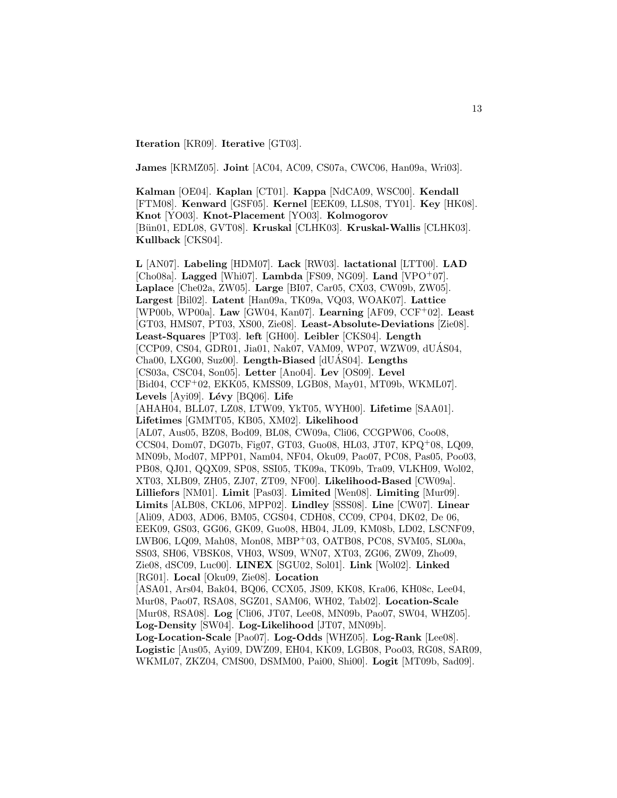**Iteration** [KR09]. **Iterative** [GT03].

**James** [KRMZ05]. **Joint** [AC04, AC09, CS07a, CWC06, Han09a, Wri03].

**Kalman** [OE04]. **Kaplan** [CT01]. **Kappa** [NdCA09, WSC00]. **Kendall** [FTM08]. **Kenward** [GSF05]. **Kernel** [EEK09, LLS08, TY01]. **Key** [HK08]. **Knot** [YO03]. **Knot-Placement** [YO03]. **Kolmogorov** [B¨un01, EDL08, GVT08]. **Kruskal** [CLHK03]. **Kruskal-Wallis** [CLHK03]. **Kullback** [CKS04].

**L** [AN07]. **Labeling** [HDM07]. **Lack** [RW03]. **lactational** [LTT00]. **LAD** [Cho08a]. **Lagged** [Whi07]. **Lambda** [FS09, NG09]. **Land** [VPO<sup>+</sup>07]. **Laplace** [Che02a, ZW05]. **Large** [BI07, Car05, CX03, CW09b, ZW05]. **Largest** [Bil02]. **Latent** [Han09a, TK09a, VQ03, WOAK07]. **Lattice** [WP00b, WP00a]. **Law** [GW04, Kan07]. **Learning** [AF09, CCF<sup>+</sup>02]. **Least** [GT03, HMS07, PT03, XS00, Zie08]. **Least-Absolute-Deviations** [Zie08]. **Least-Squares** [PT03]. **left** [GH00]. **Leibler** [CKS04]. **Length** [CCP09, CS04, GDR01, Jia01, Nak07, VAM09, WP07, WZW09, dUAS04, Cha00, LXG00, Suz00]. Length-Biased [dUAS04]. Lengths [CS03a, CSC04, Son05]. **Letter** [Ano04]. **Lev** [OS09]. **Level** [Bid04, CCF+02, EKK05, KMSS09, LGB08, May01, MT09b, WKML07]. Levels [Ayi09]. Lévy [BQ06]. Life [AHAH04, BLL07, LZ08, LTW09, YkT05, WYH00]. **Lifetime** [SAA01]. **Lifetimes** [GMMT05, KB05, XM02]. **Likelihood** [AL07, Aus05, BZ08, Bod09, BL08, CW09a, Cli06, CCGPW06, Coo08, CCS04, Dom07, DG07b, Fig07, GT03, Guo08, HL03, JT07, KPQ<sup>+</sup>08, LQ09, MN09b, Mod07, MPP01, Nam04, NF04, Oku09, Pao07, PC08, Pas05, Poo03, PB08, QJ01, QQX09, SP08, SSI05, TK09a, TK09b, Tra09, VLKH09, Wol02, XT03, XLB09, ZH05, ZJ07, ZT09, NF00]. **Likelihood-Based** [CW09a]. **Lilliefors** [NM01]. **Limit** [Pas03]. **Limited** [Wen08]. **Limiting** [Mur09]. **Limits** [ALB08, CKL06, MPP02]. **Lindley** [SSS08]. **Line** [CW07]. **Linear** [Ali09, AD03, AD06, BM05, CGS04, CDH08, CC09, CP04, DK02, De 06, EEK09, GS03, GG06, GK09, Guo08, HB04, JL09, KM08b, LD02, LSCNF09, LWB06, LQ09, Mah08, Mon08, MBP<sup>+</sup>03, OATB08, PC08, SVM05, SL00a, SS03, SH06, VBSK08, VH03, WS09, WN07, XT03, ZG06, ZW09, Zho09, Zie08, dSC09, Luc00]. **LINEX** [SGU02, Sol01]. **Link** [Wol02]. **Linked** [RG01]. **Local** [Oku09, Zie08]. **Location** [ASA01, Ars04, Bak04, BQ06, CCX05, JS09, KK08, Kra06, KH08c, Lee04, Mur08, Pao07, RSA08, SGZ01, SAM06, WH02, Tab02]. **Location-Scale** [Mur08, RSA08]. **Log** [Cli06, JT07, Lee08, MN09b, Pao07, SW04, WHZ05]. **Log-Density** [SW04]. **Log-Likelihood** [JT07, MN09b]. **Log-Location-Scale** [Pao07]. **Log-Odds** [WHZ05]. **Log-Rank** [Lee08]. **Logistic** [Aus05, Ayi09, DWZ09, EH04, KK09, LGB08, Poo03, RG08, SAR09, WKML07, ZKZ04, CMS00, DSMM00, Pai00, Shi00]. **Logit** [MT09b, Sad09].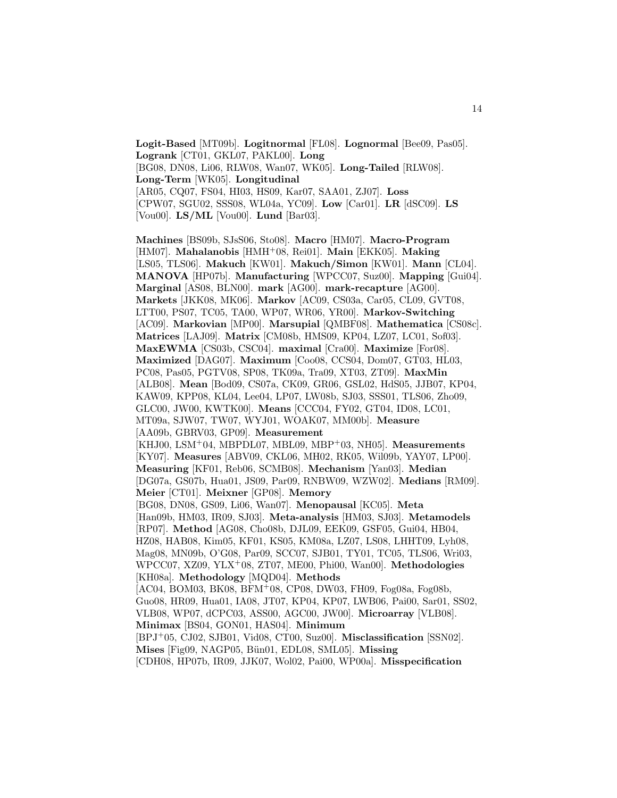**Logit-Based** [MT09b]. **Logitnormal** [FL08]. **Lognormal** [Bee09, Pas05]. **Logrank** [CT01, GKL07, PAKL00]. **Long** [BG08, DN08, Li06, RLW08, Wan07, WK05]. **Long-Tailed** [RLW08]. **Long-Term** [WK05]. **Longitudinal** [AR05, CQ07, FS04, HI03, HS09, Kar07, SAA01, ZJ07]. **Loss** [CPW07, SGU02, SSS08, WL04a, YC09]. **Low** [Car01]. **LR** [dSC09]. **LS** [Vou00]. **LS/ML** [Vou00]. **Lund** [Bar03].

**Machines** [BS09b, SJsS06, Sto08]. **Macro** [HM07]. **Macro-Program** [HM07]. **Mahalanobis** [HMH<sup>+</sup>08, Rei01]. **Main** [EKK05]. **Making** [LS05, TLS06]. **Makuch** [KW01]. **Makuch/Simon** [KW01]. **Mann** [CL04]. **MANOVA** [HP07b]. **Manufacturing** [WPCC07, Suz00]. **Mapping** [Gui04]. **Marginal** [AS08, BLN00]. **mark** [AG00]. **mark-recapture** [AG00]. **Markets** [JKK08, MK06]. **Markov** [AC09, CS03a, Car05, CL09, GVT08, LTT00, PS07, TC05, TA00, WP07, WR06, YR00]. **Markov-Switching** [AC09]. **Markovian** [MP00]. **Marsupial** [QMBF08]. **Mathematica** [CS08c]. **Matrices** [LAJ09]. **Matrix** [CM08b, HMS09, KP04, LZ07, LC01, Sof03]. **MaxEWMA** [CS03b, CSC04]. **maximal** [Cra00]. **Maximize** [For08]. **Maximized** [DAG07]. **Maximum** [Coo08, CCS04, Dom07, GT03, HL03, PC08, Pas05, PGTV08, SP08, TK09a, Tra09, XT03, ZT09]. **MaxMin** [ALB08]. **Mean** [Bod09, CS07a, CK09, GR06, GSL02, HdS05, JJB07, KP04, KAW09, KPP08, KL04, Lee04, LP07, LW08b, SJ03, SSS01, TLS06, Zho09, GLC00, JW00, KWTK00]. **Means** [CCC04, FY02, GT04, ID08, LC01, MT09a, SJW07, TW07, WYJ01, WOAK07, MM00b]. **Measure** [AA09b, GBRV03, GP09]. **Measurement** [KHJ00, LSM<sup>+</sup>04, MBPDL07, MBL09, MBP<sup>+</sup>03, NH05]. **Measurements** [KY07]. **Measures** [ABV09, CKL06, MH02, RK05, Wil09b, YAY07, LP00]. **Measuring** [KF01, Reb06, SCMB08]. **Mechanism** [Yan03]. **Median** [DG07a, GS07b, Hua01, JS09, Par09, RNBW09, WZW02]. **Medians** [RM09]. **Meier** [CT01]. **Meixner** [GP08]. **Memory** [BG08, DN08, GS09, Li06, Wan07]. **Menopausal** [KC05]. **Meta** [Han09b, HM03, IR09, SJ03]. **Meta-analysis** [HM03, SJ03]. **Metamodels** [RP07]. **Method** [AG08, Cho08b, DJL09, EEK09, GSF05, Gui04, HB04, HZ08, HAB08, Kim05, KF01, KS05, KM08a, LZ07, LS08, LHHT09, Lyh08, Mag08, MN09b, O'G08, Par09, SCC07, SJB01, TY01, TC05, TLS06, Wri03, WPCC07, XZ09, YLX<sup>+</sup>08, ZT07, ME00, Phi00, Wan00]. **Methodologies** [KH08a]. **Methodology** [MQD04]. **Methods** [AC04, BOM03, BK08, BFM<sup>+</sup>08, CP08, DW03, FH09, Fog08a, Fog08b, Guo08, HR09, Hua01, IA08, JT07, KP04, KP07, LWB06, Pai00, Sar01, SS02, VLB08, WP07, dCPC03, ASS00, AGC00, JW00]. **Microarray** [VLB08]. **Minimax** [BS04, GON01, HAS04]. **Minimum** [BPJ<sup>+</sup>05, CJ02, SJB01, Vid08, CT00, Suz00]. **Misclassification** [SSN02]. **Mises** [Fig09, NAGP05, Bün01, EDL08, SML05]. **Missing**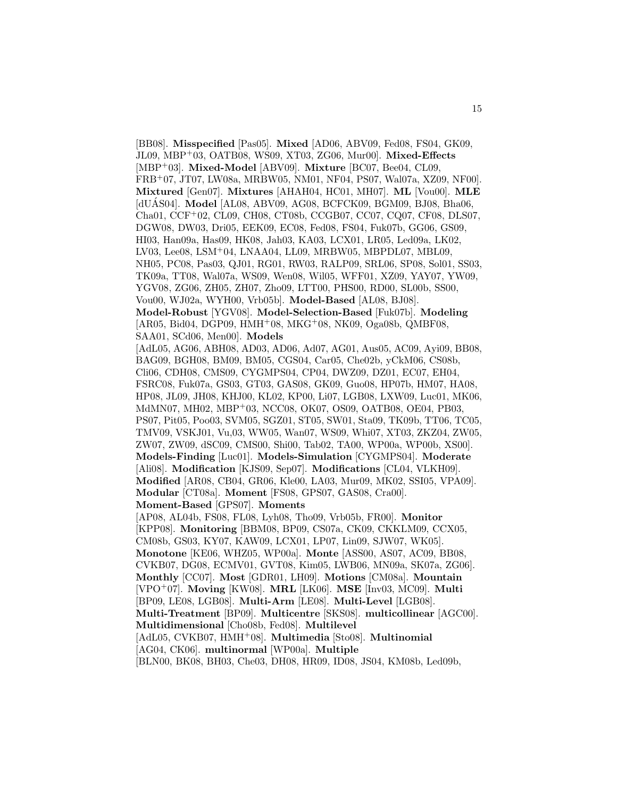[BB08]. **Misspecified** [Pas05]. **Mixed** [AD06, ABV09, Fed08, FS04, GK09, JL09, MBP<sup>+</sup>03, OATB08, WS09, XT03, ZG06, Mur00]. **Mixed-Effects** [MBP<sup>+</sup>03]. **Mixed-Model** [ABV09]. **Mixture** [BC07, Bee04, CL09, FRB<sup>+</sup>07, JT07, LW08a, MRBW05, NM01, NF04, PS07, Wal07a, XZ09, NF00]. **Mixtured** [Gen07]. **Mixtures** [AHAH04, HC01, MH07]. **ML** [Vou00]. **MLE** [dUAS04]. **Model** [AL08, ABV09, AG08, BCFCK09, BGM09, BJ08, Bha06, Cha01, CCF<sup>+</sup>02, CL09, CH08, CT08b, CCGB07, CC07, CQ07, CF08, DLS07, DGW08, DW03, Dri05, EEK09, EC08, Fed08, FS04, Fuk07b, GG06, GS09, HI03, Han09a, Has09, HK08, Jah03, KA03, LCX01, LR05, Led09a, LK02, LV03, Lee08, LSM<sup>+</sup>04, LNAA04, LL09, MRBW05, MBPDL07, MBL09, NH05, PC08, Pas03, QJ01, RG01, RW03, RALP09, SRL06, SP08, Sol01, SS03, TK09a, TT08, Wal07a, WS09, Wen08, Wil05, WFF01, XZ09, YAY07, YW09, YGV08, ZG06, ZH05, ZH07, Zho09, LTT00, PHS00, RD00, SL00b, SS00, Vou00, WJ02a, WYH00, Vrb05b]. **Model-Based** [AL08, BJ08]. **Model-Robust** [YGV08]. **Model-Selection-Based** [Fuk07b]. **Modeling** [AR05, Bid04, DGP09, HMH<sup>+</sup>08, MKG<sup>+</sup>08, NK09, Oga08b, QMBF08, SAA01, SCd06, Men00]. **Models** [AdL05, AG06, ABH08, AD03, AD06, Ad07, AG01, Aus05, AC09, Ayi09, BB08, BAG09, BGH08, BM09, BM05, CGS04, Car05, Che02b, yCkM06, CS08b, Cli06, CDH08, CMS09, CYGMPS04, CP04, DWZ09, DZ01, EC07, EH04, FSRC08, Fuk07a, GS03, GT03, GAS08, GK09, Guo08, HP07b, HM07, HA08, HP08, JL09, JH08, KHJ00, KL02, KP00, Li07, LGB08, LXW09, Luc01, MK06, MdMN07, MH02, MBP<sup>+</sup>03, NCC08, OK07, OS09, OATB08, OE04, PB03, PS07, Pit05, Poo03, SVM05, SGZ01, ST05, SW01, Sta09, TK09b, TT06, TC05, TMV09, VSKJ01, Vu,03, WW05, Wan07, WS09, Whi07, XT03, ZKZ04, ZW05, ZW07, ZW09, dSC09, CMS00, Shi00, Tab02, TA00, WP00a, WP00b, XS00]. **Models-Finding** [Luc01]. **Models-Simulation** [CYGMPS04]. **Moderate** [Ali08]. **Modification** [KJS09, Sep07]. **Modifications** [CL04, VLKH09]. **Modified** [AR08, CB04, GR06, Kle00, LA03, Mur09, MK02, SSI05, VPA09]. **Modular** [CT08a]. **Moment** [FS08, GPS07, GAS08, Cra00]. **Moment-Based** [GPS07]. **Moments** [AP08, AL04b, FS08, FL08, Lyh08, Tho09, Vrb05b, FR00]. **Monitor** [KPP08]. **Monitoring** [BBM08, BP09, CS07a, CK09, CKKLM09, CCX05, CM08b, GS03, KY07, KAW09, LCX01, LP07, Lin09, SJW07, WK05]. **Monotone** [KE06, WHZ05, WP00a]. **Monte** [ASS00, AS07, AC09, BB08, CVKB07, DG08, ECMV01, GVT08, Kim05, LWB06, MN09a, SK07a, ZG06]. **Monthly** [CC07]. **Most** [GDR01, LH09]. **Motions** [CM08a]. **Mountain** [VPO<sup>+</sup>07]. **Moving** [KW08]. **MRL** [LK06]. **MSE** [Inv03, MC09]. **Multi** [BP09, LE08, LGB08]. **Multi-Arm** [LE08]. **Multi-Level** [LGB08]. **Multi-Treatment** [BP09]. **Multicentre** [SKS08]. **multicollinear** [AGC00]. **Multidimensional** [Cho08b, Fed08]. **Multilevel** [AdL05, CVKB07, HMH<sup>+</sup>08]. **Multimedia** [Sto08]. **Multinomial** [AG04, CK06]. **multinormal** [WP00a]. **Multiple** [BLN00, BK08, BH03, Che03, DH08, HR09, ID08, JS04, KM08b, Led09b,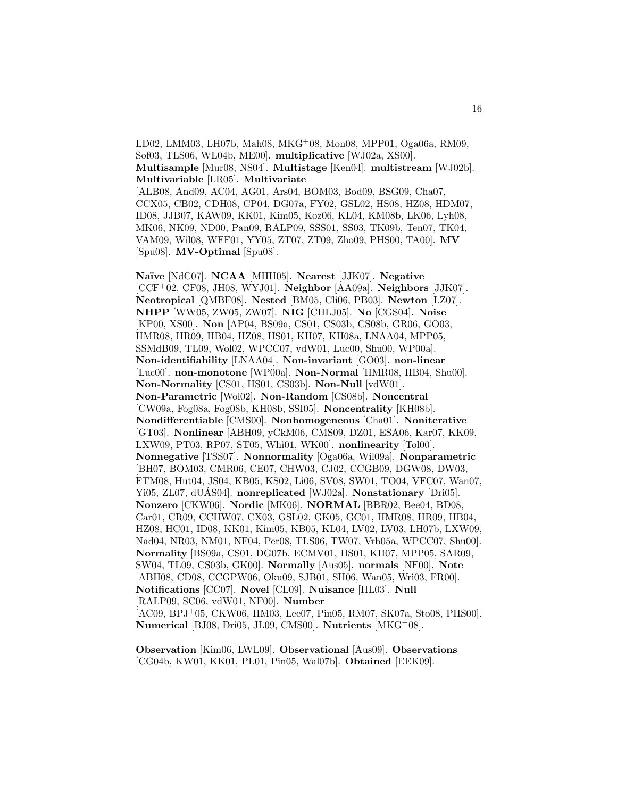LD02, LMM03, LH07b, Mah08, MKG<sup>+</sup>08, Mon08, MPP01, Oga06a, RM09, Sof03, TLS06, WL04b, ME00]. **multiplicative** [WJ02a, XS00]. **Multisample** [Mur08, NS04]. **Multistage** [Ken04]. **multistream** [WJ02b]. **Multivariable** [LR05]. **Multivariate** [ALB08, And09, AC04, AG01, Ars04, BOM03, Bod09, BSG09, Cha07, CCX05, CB02, CDH08, CP04, DG07a, FY02, GSL02, HS08, HZ08, HDM07, ID08, JJB07, KAW09, KK01, Kim05, Koz06, KL04, KM08b, LK06, Lyh08, MK06, NK09, ND00, Pan09, RALP09, SSS01, SS03, TK09b, Ten07, TK04, VAM09, Wil08, WFF01, YY05, ZT07, ZT09, Zho09, PHS00, TA00]. **MV** [Spu08]. **MV-Optimal** [Spu08].

**Na¨ıve** [NdC07]. **NCAA** [MHH05]. **Nearest** [JJK07]. **Negative** [CCF<sup>+</sup>02, CF08, JH08, WYJ01]. **Neighbor** [AA09a]. **Neighbors** [JJK07]. **Neotropical** [QMBF08]. **Nested** [BM05, Cli06, PB03]. **Newton** [LZ07]. **NHPP** [WW05, ZW05, ZW07]. **NIG** [CHLJ05]. **No** [CGS04]. **Noise** [KP00, XS00]. **Non** [AP04, BS09a, CS01, CS03b, CS08b, GR06, GO03, HMR08, HR09, HB04, HZ08, HS01, KH07, KH08a, LNAA04, MPP05, SSMdB09, TL09, Wol02, WPCC07, vdW01, Luc00, Shu00, WP00a]. **Non-identifiability** [LNAA04]. **Non-invariant** [GO03]. **non-linear** [Luc00]. **non-monotone** [WP00a]. **Non-Normal** [HMR08, HB04, Shu00]. **Non-Normality** [CS01, HS01, CS03b]. **Non-Null** [vdW01]. **Non-Parametric** [Wol02]. **Non-Random** [CS08b]. **Noncentral** [CW09a, Fog08a, Fog08b, KH08b, SSI05]. **Noncentrality** [KH08b]. **Nondifferentiable** [CMS00]. **Nonhomogeneous** [Cha01]. **Noniterative** [GT03]. **Nonlinear** [ABH09, yCkM06, CMS09, DZ01, ESA06, Kar07, KK09, LXW09, PT03, RP07, ST05, Whi01, WK00]. **nonlinearity** [Tol00]. **Nonnegative** [TSS07]. **Nonnormality** [Oga06a, Wil09a]. **Nonparametric** [BH07, BOM03, CMR06, CE07, CHW03, CJ02, CCGB09, DGW08, DW03, FTM08, Hut04, JS04, KB05, KS02, Li06, SV08, SW01, TO04, VFC07, Wan07, Yi05, ZL07, dUÁS04]. **nonreplicated** [WJ02a]. **Nonstationary** [Dri05]. **Nonzero** [CKW06]. **Nordic** [MK06]. **NORMAL** [BBR02, Bee04, BD08, Car01, CR09, CCHW07, CX03, GSL02, GK05, GC01, HMR08, HR09, HB04, HZ08, HC01, ID08, KK01, Kim05, KB05, KL04, LV02, LV03, LH07b, LXW09, Nad04, NR03, NM01, NF04, Per08, TLS06, TW07, Vrb05a, WPCC07, Shu00]. **Normality** [BS09a, CS01, DG07b, ECMV01, HS01, KH07, MPP05, SAR09, SW04, TL09, CS03b, GK00]. **Normally** [Aus05]. **normals** [NF00]. **Note** [ABH08, CD08, CCGPW06, Oku09, SJB01, SH06, Wan05, Wri03, FR00]. **Notifications** [CC07]. **Novel** [CL09]. **Nuisance** [HL03]. **Null** [RALP09, SC06, vdW01, NF00]. **Number** [AC09, BPJ<sup>+</sup>05, CKW06, HM03, Lee07, Pin05, RM07, SK07a, Sto08, PHS00]. **Numerical** [BJ08, Dri05, JL09, CMS00]. **Nutrients** [MKG<sup>+</sup>08].

**Observation** [Kim06, LWL09]. **Observational** [Aus09]. **Observations** [CG04b, KW01, KK01, PL01, Pin05, Wal07b]. **Obtained** [EEK09].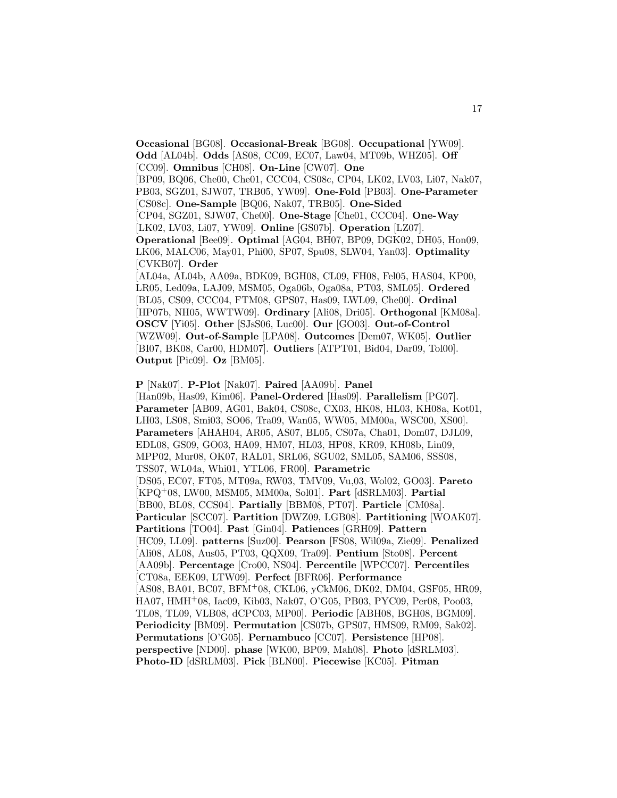**Occasional** [BG08]. **Occasional-Break** [BG08]. **Occupational** [YW09]. **Odd** [AL04b]. **Odds** [AS08, CC09, EC07, Law04, MT09b, WHZ05]. **Off** [CC09]. **Omnibus** [CH08]. **On-Line** [CW07]. **One** [BP09, BQ06, Che00, Che01, CCC04, CS08c, CP04, LK02, LV03, Li07, Nak07, PB03, SGZ01, SJW07, TRB05, YW09]. **One-Fold** [PB03]. **One-Parameter** [CS08c]. **One-Sample** [BQ06, Nak07, TRB05]. **One-Sided** [CP04, SGZ01, SJW07, Che00]. **One-Stage** [Che01, CCC04]. **One-Way** [LK02, LV03, Li07, YW09]. **Online** [GS07b]. **Operation** [LZ07]. **Operational** [Bee09]. **Optimal** [AG04, BH07, BP09, DGK02, DH05, Hon09, LK06, MALC06, May01, Phi00, SP07, Spu08, SLW04, Yan03]. **Optimality** [CVKB07]. **Order** [AL04a, AL04b, AA09a, BDK09, BGH08, CL09, FH08, Fel05, HAS04, KP00, LR05, Led09a, LAJ09, MSM05, Oga06b, Oga08a, PT03, SML05]. **Ordered** [BL05, CS09, CCC04, FTM08, GPS07, Has09, LWL09, Che00]. **Ordinal** [HP07b, NH05, WWTW09]. **Ordinary** [Ali08, Dri05]. **Orthogonal** [KM08a]. **OSCV** [Yi05]. **Other** [SJsS06, Luc00]. **Our** [GO03]. **Out-of-Control** [WZW09]. **Out-of-Sample** [LPA08]. **Outcomes** [Dem07, WK05]. **Outlier** [BI07, BK08, Car00, HDM07]. **Outliers** [ATPT01, Bid04, Dar09, Tol00]. **Output** [Pic09]. **Oz** [BM05].

#### **P** [Nak07]. **P-Plot** [Nak07]. **Paired** [AA09b]. **Panel**

[Han09b, Has09, Kim06]. **Panel-Ordered** [Has09]. **Parallelism** [PG07]. **Parameter** [AB09, AG01, Bak04, CS08c, CX03, HK08, HL03, KH08a, Kot01, LH03, LS08, Smi03, SO06, Tra09, Wan05, WW05, MM00a, WSC00, XS00]. **Parameters** [AHAH04, AR05, AS07, BL05, CS07a, Cha01, Dom07, DJL09, EDL08, GS09, GO03, HA09, HM07, HL03, HP08, KR09, KH08b, Lin09, MPP02, Mur08, OK07, RAL01, SRL06, SGU02, SML05, SAM06, SSS08, TSS07, WL04a, Whi01, YTL06, FR00]. **Parametric** [DS05, EC07, FT05, MT09a, RW03, TMV09, Vu,03, Wol02, GO03]. **Pareto** [KPQ<sup>+</sup>08, LW00, MSM05, MM00a, Sol01]. **Part** [dSRLM03]. **Partial** [BB00, BL08, CCS04]. **Partially** [BBM08, PT07]. **Particle** [CM08a]. **Particular** [SCC07]. **Partition** [DWZ09, LGB08]. **Partitioning** [WOAK07]. **Partitions** [TO04]. **Past** [Gin04]. **Patiences** [GRH09]. **Pattern** [HC09, LL09]. **patterns** [Suz00]. **Pearson** [FS08, Wil09a, Zie09]. **Penalized** [Ali08, AL08, Aus05, PT03, QQX09, Tra09]. **Pentium** [Sto08]. **Percent** [AA09b]. **Percentage** [Cro00, NS04]. **Percentile** [WPCC07]. **Percentiles** [CT08a, EEK09, LTW09]. **Perfect** [BFR06]. **Performance** [AS08, BA01, BC07, BFM<sup>+</sup>08, CKL06, yCkM06, DK02, DM04, GSF05, HR09, HA07, HMH<sup>+</sup>08, Iac09, Kib03, Nak07, O'G05, PB03, PYC09, Per08, Poo03, TL08, TL09, VLB08, dCPC03, MP00]. **Periodic** [ABH08, BGH08, BGM09]. **Periodicity** [BM09]. **Permutation** [CS07b, GPS07, HMS09, RM09, Sak02]. **Permutations** [O'G05]. **Pernambuco** [CC07]. **Persistence** [HP08]. **perspective** [ND00]. **phase** [WK00, BP09, Mah08]. **Photo** [dSRLM03]. **Photo-ID** [dSRLM03]. **Pick** [BLN00]. **Piecewise** [KC05]. **Pitman**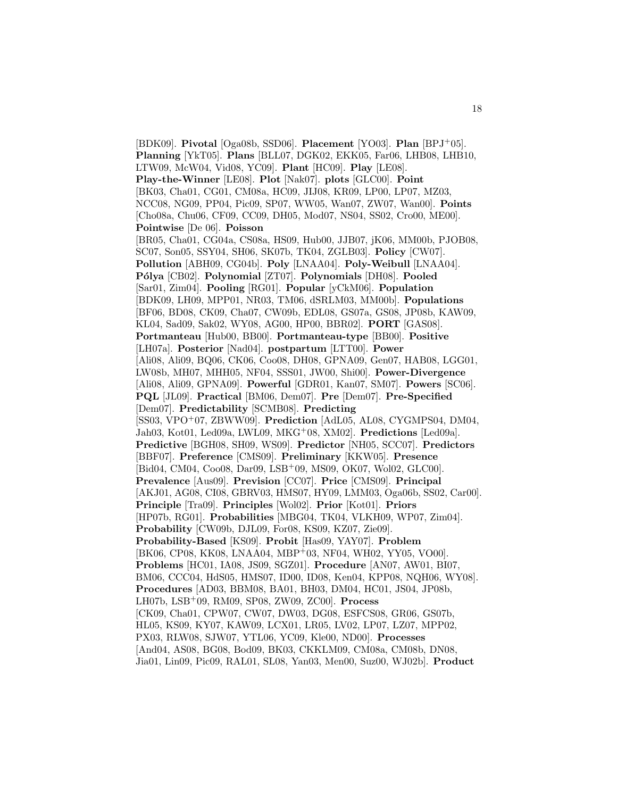[BDK09]. **Pivotal** [Oga08b, SSD06]. **Placement** [YO03]. **Plan** [BPJ<sup>+</sup>05]. **Planning** [YkT05]. **Plans** [BLL07, DGK02, EKK05, Far06, LHB08, LHB10, LTW09, McW04, Vid08, YC09]. **Plant** [HC09]. **Play** [LE08]. **Play-the-Winner** [LE08]. **Plot** [Nak07]. **plots** [GLC00]. **Point** [BK03, Cha01, CG01, CM08a, HC09, JIJ08, KR09, LP00, LP07, MZ03, NCC08, NG09, PP04, Pic09, SP07, WW05, Wan07, ZW07, Wan00]. **Points** [Cho08a, Chu06, CF09, CC09, DH05, Mod07, NS04, SS02, Cro00, ME00]. **Pointwise** [De 06]. **Poisson** [BR05, Cha01, CG04a, CS08a, HS09, Hub00, JJB07, jK06, MM00b, PJOB08, SC07, Son05, SSY04, SH06, SK07b, TK04, ZGLB03]. **Policy** [CW07]. **Pollution** [ABH09, CG04b]. **Poly** [LNAA04]. **Poly-Weibull** [LNAA04]. **P´olya** [CB02]. **Polynomial** [ZT07]. **Polynomials** [DH08]. **Pooled** [Sar01, Zim04]. **Pooling** [RG01]. **Popular** [yCkM06]. **Population** [BDK09, LH09, MPP01, NR03, TM06, dSRLM03, MM00b]. **Populations** [BF06, BD08, CK09, Cha07, CW09b, EDL08, GS07a, GS08, JP08b, KAW09, KL04, Sad09, Sak02, WY08, AG00, HP00, BBR02]. **PORT** [GAS08]. **Portmanteau** [Hub00, BB00]. **Portmanteau-type** [BB00]. **Positive** [LH07a]. **Posterior** [Nad04]. **postpartum** [LTT00]. **Power** [Ali08, Ali09, BQ06, CK06, Coo08, DH08, GPNA09, Gen07, HAB08, LGG01, LW08b, MH07, MHH05, NF04, SSS01, JW00, Shi00]. **Power-Divergence** [Ali08, Ali09, GPNA09]. **Powerful** [GDR01, Kan07, SM07]. **Powers** [SC06]. **PQL** [JL09]. **Practical** [BM06, Dem07]. **Pre** [Dem07]. **Pre-Specified** [Dem07]. **Predictability** [SCMB08]. **Predicting** [SS03, VPO<sup>+</sup>07, ZBWW09]. **Prediction** [AdL05, AL08, CYGMPS04, DM04, Jah03, Kot01, Led09a, LWL09, MKG<sup>+</sup>08, XM02]. **Predictions** [Led09a]. **Predictive** [BGH08, SH09, WS09]. **Predictor** [NH05, SCC07]. **Predictors** [BBF07]. **Preference** [CMS09]. **Preliminary** [KKW05]. **Presence** [Bid04, CM04, Coo08, Dar09, LSB<sup>+</sup>09, MS09, OK07, Wol02, GLC00]. **Prevalence** [Aus09]. **Prevision** [CC07]. **Price** [CMS09]. **Principal** [AKJ01, AG08, CI08, GBRV03, HMS07, HY09, LMM03, Oga06b, SS02, Car00]. **Principle** [Tra09]. **Principles** [Wol02]. **Prior** [Kot01]. **Priors** [HP07b, RG01]. **Probabilities** [MBG04, TK04, VLKH09, WP07, Zim04]. **Probability** [CW09b, DJL09, For08, KS09, KZ07, Zie09]. **Probability-Based** [KS09]. **Probit** [Has09, YAY07]. **Problem** [BK06, CP08, KK08, LNAA04, MBP+03, NF04, WH02, YY05, VO00]. **Problems** [HC01, IA08, JS09, SGZ01]. **Procedure** [AN07, AW01, BI07, BM06, CCC04, HdS05, HMS07, ID00, ID08, Ken04, KPP08, NQH06, WY08]. **Procedures** [AD03, BBM08, BA01, BH03, DM04, HC01, JS04, JP08b, LH07b, LSB<sup>+</sup>09, RM09, SP08, ZW09, ZC00]. **Process** [CK09, Cha01, CPW07, CW07, DW03, DG08, ESFCS08, GR06, GS07b, HL05, KS09, KY07, KAW09, LCX01, LR05, LV02, LP07, LZ07, MPP02, PX03, RLW08, SJW07, YTL06, YC09, Kle00, ND00]. **Processes** [And04, AS08, BG08, Bod09, BK03, CKKLM09, CM08a, CM08b, DN08, Jia01, Lin09, Pic09, RAL01, SL08, Yan03, Men00, Suz00, WJ02b]. **Product**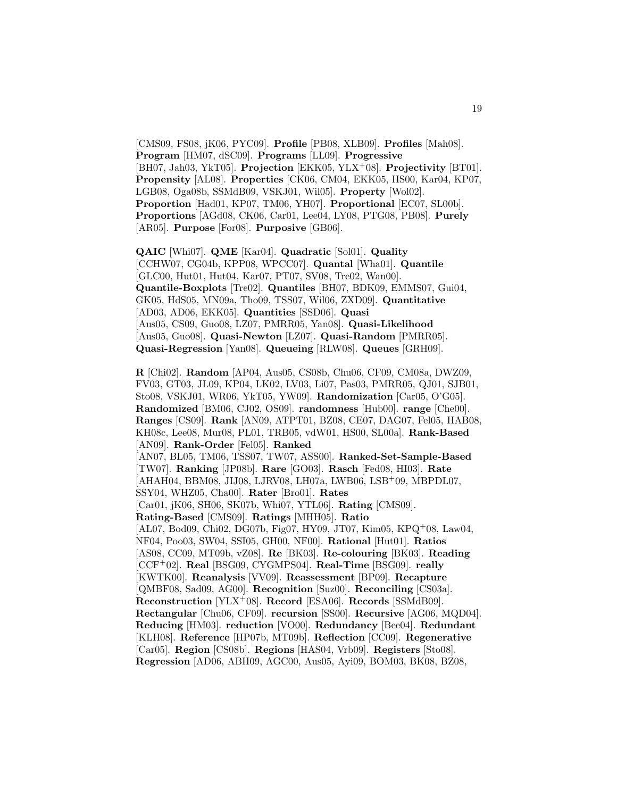[CMS09, FS08, jK06, PYC09]. **Profile** [PB08, XLB09]. **Profiles** [Mah08]. **Program** [HM07, dSC09]. **Programs** [LL09]. **Progressive** [BH07, Jah03, YkT05]. **Projection** [EKK05, YLX<sup>+</sup>08]. **Projectivity** [BT01]. **Propensity** [AL08]. **Properties** [CK06, CM04, EKK05, HS00, Kar04, KP07, LGB08, Oga08b, SSMdB09, VSKJ01, Wil05]. **Property** [Wol02]. **Proportion** [Had01, KP07, TM06, YH07]. **Proportional** [EC07, SL00b]. **Proportions** [AGd08, CK06, Car01, Lee04, LY08, PTG08, PB08]. **Purely** [AR05]. **Purpose** [For08]. **Purposive** [GB06].

**QAIC** [Whi07]. **QME** [Kar04]. **Quadratic** [Sol01]. **Quality** [CCHW07, CG04b, KPP08, WPCC07]. **Quantal** [Wha01]. **Quantile** [GLC00, Hut01, Hut04, Kar07, PT07, SV08, Tre02, Wan00]. **Quantile-Boxplots** [Tre02]. **Quantiles** [BH07, BDK09, EMMS07, Gui04, GK05, HdS05, MN09a, Tho09, TSS07, Wil06, ZXD09]. **Quantitative** [AD03, AD06, EKK05]. **Quantities** [SSD06]. **Quasi** [Aus05, CS09, Guo08, LZ07, PMRR05, Yan08]. **Quasi-Likelihood** [Aus05, Guo08]. **Quasi-Newton** [LZ07]. **Quasi-Random** [PMRR05]. **Quasi-Regression** [Yan08]. **Queueing** [RLW08]. **Queues** [GRH09].

**R** [Chi02]. **Random** [AP04, Aus05, CS08b, Chu06, CF09, CM08a, DWZ09, FV03, GT03, JL09, KP04, LK02, LV03, Li07, Pas03, PMRR05, QJ01, SJB01, Sto08, VSKJ01, WR06, YkT05, YW09]. **Randomization** [Car05, O'G05]. **Randomized** [BM06, CJ02, OS09]. **randomness** [Hub00]. **range** [Che00]. **Ranges** [CS09]. **Rank** [AN09, ATPT01, BZ08, CE07, DAG07, Fel05, HAB08, KH08c, Lee08, Mur08, PL01, TRB05, vdW01, HS00, SL00a]. **Rank-Based** [AN09]. **Rank-Order** [Fel05]. **Ranked** [AN07, BL05, TM06, TSS07, TW07, ASS00]. **Ranked-Set-Sample-Based** [TW07]. **Ranking** [JP08b]. **Rare** [GO03]. **Rasch** [Fed08, HI03]. **Rate** [AHAH04, BBM08, JIJ08, LJRV08, LH07a, LWB06, LSB<sup>+</sup>09, MBPDL07, SSY04, WHZ05, Cha00]. **Rater** [Bro01]. **Rates** [Car01, jK06, SH06, SK07b, Whi07, YTL06]. **Rating** [CMS09]. **Rating-Based** [CMS09]. **Ratings** [MHH05]. **Ratio** [AL07, Bod09, Chi02, DG07b, Fig07, HY09, JT07, Kim05, KPQ<sup>+</sup>08, Law04, NF04, Poo03, SW04, SSI05, GH00, NF00]. **Rational** [Hut01]. **Ratios** [AS08, CC09, MT09b, vZ08]. **Re** [BK03]. **Re-colouring** [BK03]. **Reading** [CCF<sup>+</sup>02]. **Real** [BSG09, CYGMPS04]. **Real-Time** [BSG09]. **really** [KWTK00]. **Reanalysis** [VV09]. **Reassessment** [BP09]. **Recapture** [QMBF08, Sad09, AG00]. **Recognition** [Suz00]. **Reconciling** [CS03a]. **Reconstruction** [YLX<sup>+</sup>08]. **Record** [ESA06]. **Records** [SSMdB09]. **Rectangular** [Chu06, CF09]. **recursion** [SS00]. **Recursive** [AG06, MQD04]. **Reducing** [HM03]. **reduction** [VO00]. **Redundancy** [Bee04]. **Redundant** [KLH08]. **Reference** [HP07b, MT09b]. **Reflection** [CC09]. **Regenerative** [Car05]. **Region** [CS08b]. **Regions** [HAS04, Vrb09]. **Registers** [Sto08]. **Regression** [AD06, ABH09, AGC00, Aus05, Ayi09, BOM03, BK08, BZ08,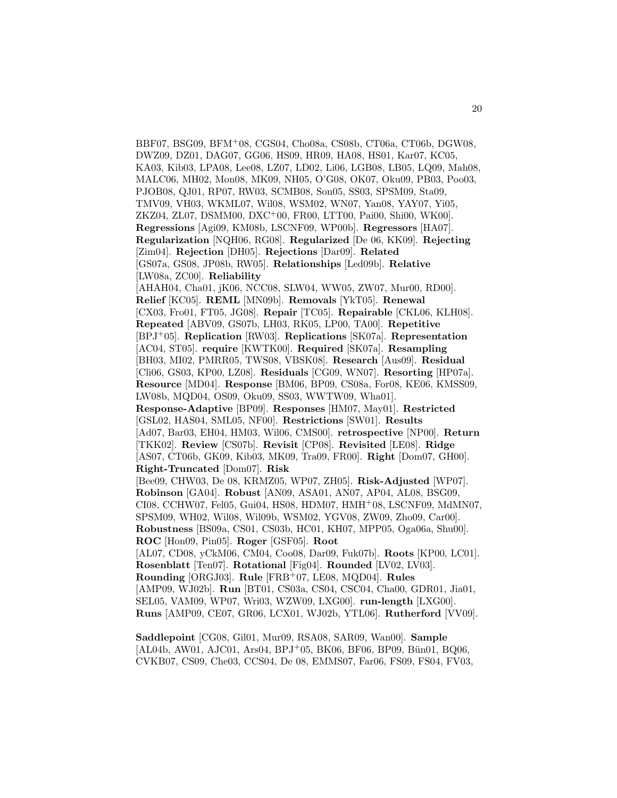BBF07, BSG09, BFM<sup>+</sup>08, CGS04, Cho08a, CS08b, CT06a, CT06b, DGW08, DWZ09, DZ01, DAG07, GG06, HS09, HR09, HA08, HS01, Kar07, KC05, KA03, Kib03, LPA08, Lee08, LZ07, LD02, Li06, LGB08, LB05, LQ09, Mah08, MALC06, MH02, Mon08, MK09, NH05, O'G08, OK07, Oku09, PB03, Poo03, PJOB08, QJ01, RP07, RW03, SCMB08, Son05, SS03, SPSM09, Sta09, TMV09, VH03, WKML07, Wil08, WSM02, WN07, Yan08, YAY07, Yi05, ZKZ04, ZL07, DSMM00, DXC<sup>+</sup>00, FR00, LTT00, Pai00, Shi00, WK00]. **Regressions** [Agi09, KM08b, LSCNF09, WP00b]. **Regressors** [HA07]. **Regularization** [NQH06, RG08]. **Regularized** [De 06, KK09]. **Rejecting** [Zim04]. **Rejection** [DH05]. **Rejections** [Dar09]. **Related** [GS07a, GS08, JP08b, RW05]. **Relationships** [Led09b]. **Relative** [LW08a, ZC00]. **Reliability** [AHAH04, Cha01, jK06, NCC08, SLW04, WW05, ZW07, Mur00, RD00]. **Relief** [KC05]. **REML** [MN09b]. **Removals** [YkT05]. **Renewal** [CX03, Fro01, FT05, JG08]. **Repair** [TC05]. **Repairable** [CKL06, KLH08]. **Repeated** [ABV09, GS07b, LH03, RK05, LP00, TA00]. **Repetitive** [BPJ<sup>+</sup>05]. **Replication** [RW03]. **Replications** [SK07a]. **Representation** [AC04, ST05]. **require** [KWTK00]. **Required** [SK07a]. **Resampling** [BH03, MI02, PMRR05, TWS08, VBSK08]. **Research** [Aus09]. **Residual** [Cli06, GS03, KP00, LZ08]. **Residuals** [CG09, WN07]. **Resorting** [HP07a]. **Resource** [MD04]. **Response** [BM06, BP09, CS08a, For08, KE06, KMSS09, LW08b, MQD04, OS09, Oku09, SS03, WWTW09, Wha01]. **Response-Adaptive** [BP09]. **Responses** [HM07, May01]. **Restricted** [GSL02, HAS04, SML05, NF00]. **Restrictions** [SW01]. **Results** [Ad07, Bar03, EH04, HM03, Wil06, CMS00]. **retrospective** [NP00]. **Return** [TKK02]. **Review** [CS07b]. **Revisit** [CP08]. **Revisited** [LE08]. **Ridge** [AS07, CT06b, GK09, Kib03, MK09, Tra09, FR00]. **Right** [Dom07, GH00]. **Right-Truncated** [Dom07]. **Risk** [Bee09, CHW03, De 08, KRMZ05, WP07, ZH05]. **Risk-Adjusted** [WP07]. **Robinson** [GA04]. **Robust** [AN09, ASA01, AN07, AP04, AL08, BSG09, CI08, CCHW07, Fel05, Gui04, HS08, HDM07, HMH<sup>+</sup>08, LSCNF09, MdMN07, SPSM09, WH02, Wil08, Wil09b, WSM02, YGV08, ZW09, Zho09, Car00]. **Robustness** [BS09a, CS01, CS03b, HC01, KH07, MPP05, Oga06a, Shu00]. **ROC** [Hon09, Pin05]. **Roger** [GSF05]. **Root** [AL07, CD08, yCkM06, CM04, Coo08, Dar09, Fuk07b]. **Roots** [KP00, LC01]. **Rosenblatt** [Ten07]. **Rotational** [Fig04]. **Rounded** [LV02, LV03]. **Rounding** [ORGJ03]. **Rule** [FRB<sup>+</sup>07, LE08, MQD04]. **Rules** [AMP09, WJ02b]. **Run** [BT01, CS03a, CS04, CSC04, Cha00, GDR01, Jia01, SEL05, VAM09, WP07, Wri03, WZW09, LXG00]. **run-length** [LXG00]. **Runs** [AMP09, CE07, GR06, LCX01, WJ02b, YTL06]. **Rutherford** [VV09].

**Saddlepoint** [CG08, Gil01, Mur09, RSA08, SAR09, Wan00]. **Sample**  $[AL04b, AW01, AJC01, Ars04, BPJ<sup>+</sup>05, BK06, BF06, BP09, Bün01, BQ06,$ CVKB07, CS09, Che03, CCS04, De 08, EMMS07, Far06, FS09, FS04, FV03,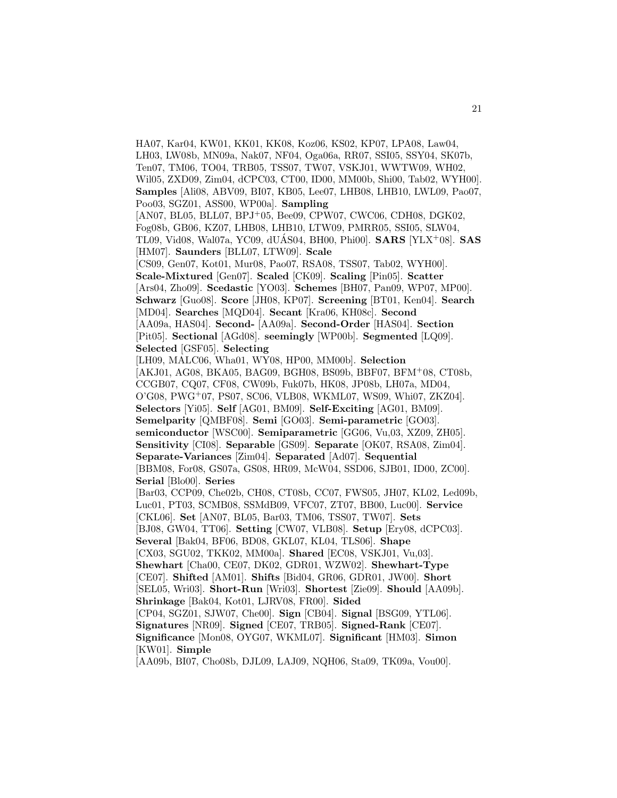HA07, Kar04, KW01, KK01, KK08, Koz06, KS02, KP07, LPA08, Law04, LH03, LW08b, MN09a, Nak07, NF04, Oga06a, RR07, SSI05, SSY04, SK07b, Ten07, TM06, TO04, TRB05, TSS07, TW07, VSKJ01, WWTW09, WH02, Wil05, ZXD09, Zim04, dCPC03, CT00, ID00, MM00b, Shi00, Tab02, WYH00]. **Samples** [Ali08, ABV09, BI07, KB05, Lee07, LHB08, LHB10, LWL09, Pao07, Poo03, SGZ01, ASS00, WP00a]. **Sampling** [AN07, BL05, BLL07, BPJ<sup>+</sup>05, Bee09, CPW07, CWC06, CDH08, DGK02, Fog08b, GB06, KZ07, LHB08, LHB10, LTW09, PMRR05, SSI05, SLW04, TL09, Vid08, Wal07a, YC09, dUAS04, BH00, Phi00]. ´ **SARS** [YLX<sup>+</sup>08]. **SAS** [HM07]. **Saunders** [BLL07, LTW09]. **Scale** [CS09, Gen07, Kot01, Mur08, Pao07, RSA08, TSS07, Tab02, WYH00]. **Scale-Mixtured** [Gen07]. **Scaled** [CK09]. **Scaling** [Pin05]. **Scatter** [Ars04, Zho09]. **Scedastic** [YO03]. **Schemes** [BH07, Pan09, WP07, MP00]. **Schwarz** [Guo08]. **Score** [JH08, KP07]. **Screening** [BT01, Ken04]. **Search** [MD04]. **Searches** [MQD04]. **Secant** [Kra06, KH08c]. **Second** [AA09a, HAS04]. **Second-** [AA09a]. **Second-Order** [HAS04]. **Section** [Pit05]. **Sectional** [AGd08]. **seemingly** [WP00b]. **Segmented** [LQ09]. **Selected** [GSF05]. **Selecting** [LH09, MALC06, Wha01, WY08, HP00, MM00b]. **Selection** [AKJ01, AG08, BKA05, BAG09, BGH08, BS09b, BBF07, BFM<sup>+</sup>08, CT08b, CCGB07, CQ07, CF08, CW09b, Fuk07b, HK08, JP08b, LH07a, MD04, O'G08, PWG<sup>+</sup>07, PS07, SC06, VLB08, WKML07, WS09, Whi07, ZKZ04]. **Selectors** [Yi05]. **Self** [AG01, BM09]. **Self-Exciting** [AG01, BM09]. **Semelparity** [QMBF08]. **Semi** [GO03]. **Semi-parametric** [GO03]. **semiconductor** [WSC00]. **Semiparametric** [GG06, Vu,03, XZ09, ZH05]. **Sensitivity** [CI08]. **Separable** [GS09]. **Separate** [OK07, RSA08, Zim04]. **Separate-Variances** [Zim04]. **Separated** [Ad07]. **Sequential** [BBM08, For08, GS07a, GS08, HR09, McW04, SSD06, SJB01, ID00, ZC00]. **Serial** [Blo00]. **Series** [Bar03, CCP09, Che02b, CH08, CT08b, CC07, FWS05, JH07, KL02, Led09b, Luc01, PT03, SCMB08, SSMdB09, VFC07, ZT07, BB00, Luc00]. **Service** [CKL06]. **Set** [AN07, BL05, Bar03, TM06, TSS07, TW07]. **Sets** [BJ08, GW04, TT06]. **Setting** [CW07, VLB08]. **Setup** [Ery08, dCPC03]. **Several** [Bak04, BF06, BD08, GKL07, KL04, TLS06]. **Shape** [CX03, SGU02, TKK02, MM00a]. **Shared** [EC08, VSKJ01, Vu,03]. **Shewhart** [Cha00, CE07, DK02, GDR01, WZW02]. **Shewhart-Type** [CE07]. **Shifted** [AM01]. **Shifts** [Bid04, GR06, GDR01, JW00]. **Short** [SEL05, Wri03]. **Short-Run** [Wri03]. **Shortest** [Zie09]. **Should** [AA09b]. **Shrinkage** [Bak04, Kot01, LJRV08, FR00]. **Sided** [CP04, SGZ01, SJW07, Che00]. **Sign** [CB04]. **Signal** [BSG09, YTL06]. **Signatures** [NR09]. **Signed** [CE07, TRB05]. **Signed-Rank** [CE07]. **Significance** [Mon08, OYG07, WKML07]. **Significant** [HM03]. **Simon** [KW01]. **Simple** [AA09b, BI07, Cho08b, DJL09, LAJ09, NQH06, Sta09, TK09a, Vou00].

21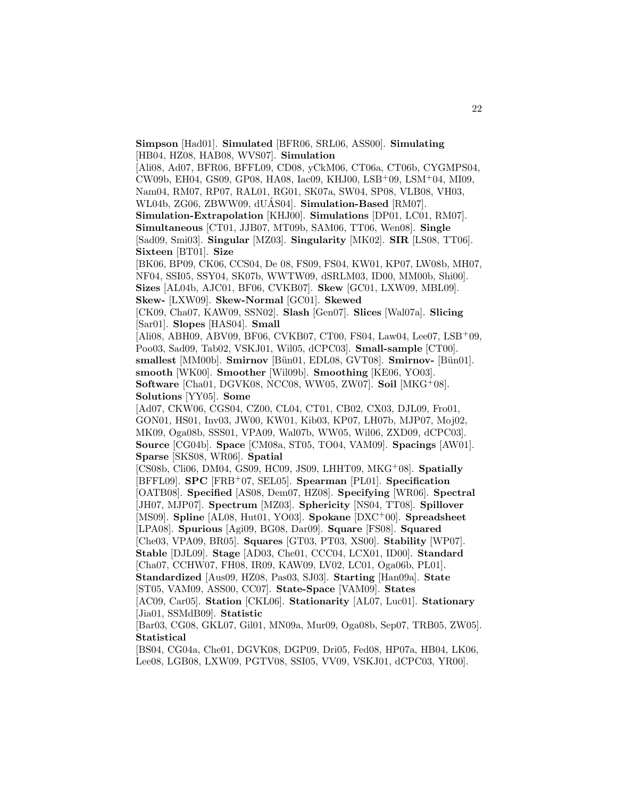**Simpson** [Had01]. **Simulated** [BFR06, SRL06, ASS00]. **Simulating** [HB04, HZ08, HAB08, WVS07]. **Simulation** [Ali08, Ad07, BFR06, BFFL09, CD08, yCkM06, CT06a, CT06b, CYGMPS04, CW09b, EH04, GS09, GP08, HA08, Iac09, KHJ00, LSB<sup>+</sup>09, LSM<sup>+</sup>04, MI09, Nam04, RM07, RP07, RAL01, RG01, SK07a, SW04, SP08, VLB08, VH03, WL04b, ZG06, ZBWW09, dUÁS04]. Simulation-Based [RM07]. **Simulation-Extrapolation** [KHJ00]. **Simulations** [DP01, LC01, RM07]. **Simultaneous** [CT01, JJB07, MT09b, SAM06, TT06, Wen08]. **Single** [Sad09, Smi03]. **Singular** [MZ03]. **Singularity** [MK02]. **SIR** [LS08, TT06]. **Sixteen** [BT01]. **Size** [BK06, BP09, CK06, CCS04, De 08, FS09, FS04, KW01, KP07, LW08b, MH07, NF04, SSI05, SSY04, SK07b, WWTW09, dSRLM03, ID00, MM00b, Shi00]. **Sizes** [AL04b, AJC01, BF06, CVKB07]. **Skew** [GC01, LXW09, MBL09]. **Skew-** [LXW09]. **Skew-Normal** [GC01]. **Skewed** [CK09, Cha07, KAW09, SSN02]. **Slash** [Gen07]. **Slices** [Wal07a]. **Slicing** [Sar01]. **Slopes** [HAS04]. **Small** [Ali08, ABH09, ABV09, BF06, CVKB07, CT00, FS04, Law04, Lee07, LSB<sup>+</sup>09, Poo03, Sad09, Tab02, VSKJ01, Wil05, dCPC03]. **Small-sample** [CT00]. smallest [MM00b]. **Smirnov** [Bün01, EDL08, GVT08]. **Smirnov-** [Bün01]. **smooth** [WK00]. **Smoother** [Wil09b]. **Smoothing** [KE06, YO03]. **Software** [Cha01, DGVK08, NCC08, WW05, ZW07]. **Soil** [MKG<sup>+</sup>08]. **Solutions** [YY05]. **Some** [Ad07, CKW06, CGS04, CZ00, CL04, CT01, CB02, CX03, DJL09, Fro01, GON01, HS01, Inv03, JW00, KW01, Kib03, KP07, LH07b, MJP07, Moj02, MK09, Oga08b, SSS01, VPA09, Wal07b, WW05, Wil06, ZXD09, dCPC03]. **Source** [CG04b]. **Space** [CM08a, ST05, TO04, VAM09]. **Spacings** [AW01]. **Sparse** [SKS08, WR06]. **Spatial** [CS08b, Cli06, DM04, GS09, HC09, JS09, LHHT09, MKG<sup>+</sup>08]. **Spatially** [BFFL09]. **SPC** [FRB<sup>+</sup>07, SEL05]. **Spearman** [PL01]. **Specification** [OATB08]. **Specified** [AS08, Dem07, HZ08]. **Specifying** [WR06]. **Spectral** [JH07, MJP07]. **Spectrum** [MZ03]. **Sphericity** [NS04, TT08]. **Spillover** [MS09]. **Spline** [AL08, Hut01, YO03]. **Spokane** [DXC<sup>+</sup>00]. **Spreadsheet** [LPA08]. **Spurious** [Agi09, BG08, Dar09]. **Square** [FS08]. **Squared** [Che03, VPA09, BR05]. **Squares** [GT03, PT03, XS00]. **Stability** [WP07]. **Stable** [DJL09]. **Stage** [AD03, Che01, CCC04, LCX01, ID00]. **Standard** [Cha07, CCHW07, FH08, IR09, KAW09, LV02, LC01, Oga06b, PL01]. **Standardized** [Aus09, HZ08, Pas03, SJ03]. **Starting** [Han09a]. **State** [ST05, VAM09, ASS00, CC07]. **State-Space** [VAM09]. **States** [AC09, Car05]. **Station** [CKL06]. **Stationarity** [AL07, Luc01]. **Stationary** [Jia01, SSMdB09]. **Statistic** [Bar03, CG08, GKL07, Gil01, MN09a, Mur09, Oga08b, Sep07, TRB05, ZW05]. **Statistical**

[BS04, CG04a, Che01, DGVK08, DGP09, Dri05, Fed08, HP07a, HB04, LK06, Lee08, LGB08, LXW09, PGTV08, SSI05, VV09, VSKJ01, dCPC03, YR00].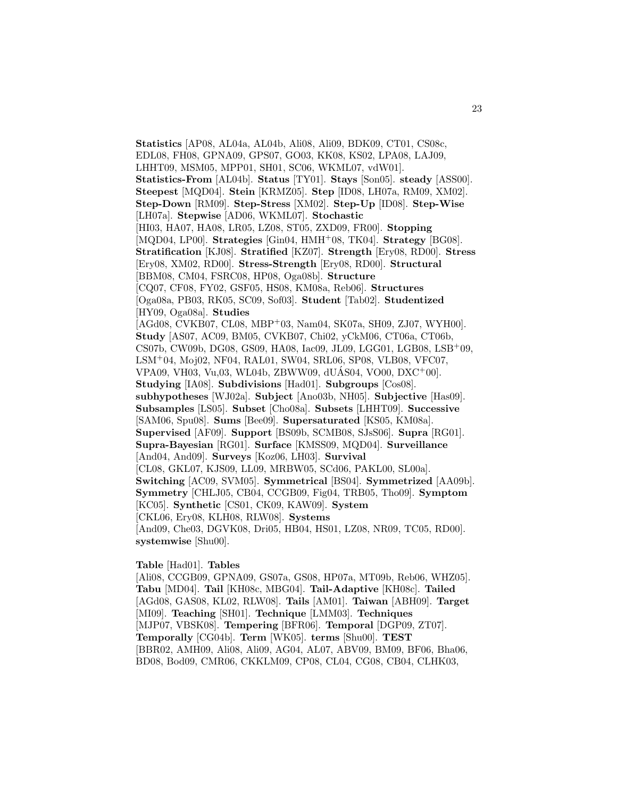**Statistics** [AP08, AL04a, AL04b, Ali08, Ali09, BDK09, CT01, CS08c, EDL08, FH08, GPNA09, GPS07, GO03, KK08, KS02, LPA08, LAJ09, LHHT09, MSM05, MPP01, SH01, SC06, WKML07, vdW01]. **Statistics-From** [AL04b]. **Status** [TY01]. **Stays** [Son05]. **steady** [ASS00]. **Steepest** [MQD04]. **Stein** [KRMZ05]. **Step** [ID08, LH07a, RM09, XM02]. **Step-Down** [RM09]. **Step-Stress** [XM02]. **Step-Up** [ID08]. **Step-Wise** [LH07a]. **Stepwise** [AD06, WKML07]. **Stochastic** [HI03, HA07, HA08, LR05, LZ08, ST05, ZXD09, FR00]. **Stopping** [MQD04, LP00]. **Strategies** [Gin04, HMH<sup>+</sup>08, TK04]. **Strategy** [BG08]. **Stratification** [KJ08]. **Stratified** [KZ07]. **Strength** [Ery08, RD00]. **Stress** [Ery08, XM02, RD00]. **Stress-Strength** [Ery08, RD00]. **Structural** [BBM08, CM04, FSRC08, HP08, Oga08b]. **Structure** [CQ07, CF08, FY02, GSF05, HS08, KM08a, Reb06]. **Structures** [Oga08a, PB03, RK05, SC09, Sof03]. **Student** [Tab02]. **Studentized** [HY09, Oga08a]. **Studies** [AGd08, CVKB07, CL08, MBP<sup>+</sup>03, Nam04, SK07a, SH09, ZJ07, WYH00]. **Study** [AS07, AC09, BM05, CVKB07, Chi02, yCkM06, CT06a, CT06b, CS07b, CW09b, DG08, GS09, HA08, Iac09, JL09, LGG01, LGB08, LSB<sup>+</sup>09, LSM<sup>+</sup>04, Moj02, NF04, RAL01, SW04, SRL06, SP08, VLB08, VFC07,  $VPA09, VH03, Vu,03, WL04b, ZBWW09, dUÁS04, VOO0, DXC<sup>+</sup>00].$ **Studying** [IA08]. **Subdivisions** [Had01]. **Subgroups** [Cos08]. **subhypotheses** [WJ02a]. **Subject** [Ano03b, NH05]. **Subjective** [Has09]. **Subsamples** [LS05]. **Subset** [Cho08a]. **Subsets** [LHHT09]. **Successive** [SAM06, Spu08]. **Sums** [Bee09]. **Supersaturated** [KS05, KM08a]. **Supervised** [AF09]. **Support** [BS09b, SCMB08, SJsS06]. **Supra** [RG01]. **Supra-Bayesian** [RG01]. **Surface** [KMSS09, MQD04]. **Surveillance** [And04, And09]. **Surveys** [Koz06, LH03]. **Survival** [CL08, GKL07, KJS09, LL09, MRBW05, SCd06, PAKL00, SL00a]. **Switching** [AC09, SVM05]. **Symmetrical** [BS04]. **Symmetrized** [AA09b]. **Symmetry** [CHLJ05, CB04, CCGB09, Fig04, TRB05, Tho09]. **Symptom** [KC05]. **Synthetic** [CS01, CK09, KAW09]. **System** [CKL06, Ery08, KLH08, RLW08]. **Systems** [And09, Che03, DGVK08, Dri05, HB04, HS01, LZ08, NR09, TC05, RD00]. **systemwise** [Shu00].

## **Table** [Had01]. **Tables**

[Ali08, CCGB09, GPNA09, GS07a, GS08, HP07a, MT09b, Reb06, WHZ05]. **Tabu** [MD04]. **Tail** [KH08c, MBG04]. **Tail-Adaptive** [KH08c]. **Tailed** [AGd08, GAS08, KL02, RLW08]. **Tails** [AM01]. **Taiwan** [ABH09]. **Target** [MI09]. **Teaching** [SH01]. **Technique** [LMM03]. **Techniques** [MJP07, VBSK08]. **Tempering** [BFR06]. **Temporal** [DGP09, ZT07]. **Temporally** [CG04b]. **Term** [WK05]. **terms** [Shu00]. **TEST** [BBR02, AMH09, Ali08, Ali09, AG04, AL07, ABV09, BM09, BF06, Bha06, BD08, Bod09, CMR06, CKKLM09, CP08, CL04, CG08, CB04, CLHK03,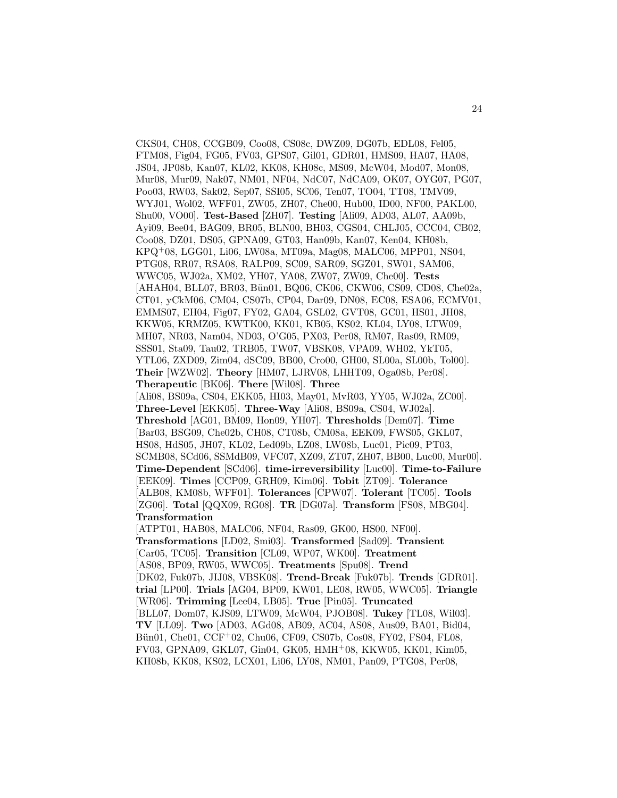CKS04, CH08, CCGB09, Coo08, CS08c, DWZ09, DG07b, EDL08, Fel05, FTM08, Fig04, FG05, FV03, GPS07, Gil01, GDR01, HMS09, HA07, HA08, JS04, JP08b, Kan07, KL02, KK08, KH08c, MS09, McW04, Mod07, Mon08, Mur08, Mur09, Nak07, NM01, NF04, NdC07, NdCA09, OK07, OYG07, PG07, Poo03, RW03, Sak02, Sep07, SSI05, SC06, Ten07, TO04, TT08, TMV09, WYJ01, Wol02, WFF01, ZW05, ZH07, Che00, Hub00, ID00, NF00, PAKL00, Shu00, VO00]. **Test-Based** [ZH07]. **Testing** [Ali09, AD03, AL07, AA09b, Ayi09, Bee04, BAG09, BR05, BLN00, BH03, CGS04, CHLJ05, CCC04, CB02, Coo08, DZ01, DS05, GPNA09, GT03, Han09b, Kan07, Ken04, KH08b, KPQ<sup>+</sup>08, LGG01, Li06, LW08a, MT09a, Mag08, MALC06, MPP01, NS04, PTG08, RR07, RSA08, RALP09, SC09, SAR09, SGZ01, SW01, SAM06, WWC05, WJ02a, XM02, YH07, YA08, ZW07, ZW09, Che00]. **Tests** [AHAH04, BLL07, BR03, Bün01, BQ06, CK06, CKW06, CS09, CD08, Che02a, CT01, yCkM06, CM04, CS07b, CP04, Dar09, DN08, EC08, ESA06, ECMV01, EMMS07, EH04, Fig07, FY02, GA04, GSL02, GVT08, GC01, HS01, JH08, KKW05, KRMZ05, KWTK00, KK01, KB05, KS02, KL04, LY08, LTW09, MH07, NR03, Nam04, ND03, O'G05, PX03, Per08, RM07, Ras09, RM09, SSS01, Sta09, Tau02, TRB05, TW07, VBSK08, VPA09, WH02, YkT05, YTL06, ZXD09, Zim04, dSC09, BB00, Cro00, GH00, SL00a, SL00b, Tol00]. **Their** [WZW02]. **Theory** [HM07, LJRV08, LHHT09, Oga08b, Per08]. **Therapeutic** [BK06]. **There** [Wil08]. **Three** [Ali08, BS09a, CS04, EKK05, HI03, May01, MvR03, YY05, WJ02a, ZC00]. **Three-Level** [EKK05]. **Three-Way** [Ali08, BS09a, CS04, WJ02a]. **Threshold** [AG01, BM09, Hon09, YH07]. **Thresholds** [Dem07]. **Time** [Bar03, BSG09, Che02b, CH08, CT08b, CM08a, EEK09, FWS05, GKL07, HS08, HdS05, JH07, KL02, Led09b, LZ08, LW08b, Luc01, Pic09, PT03, SCMB08, SCd06, SSMdB09, VFC07, XZ09, ZT07, ZH07, BB00, Luc00, Mur00]. **Time-Dependent** [SCd06]. **time-irreversibility** [Luc00]. **Time-to-Failure** [EEK09]. **Times** [CCP09, GRH09, Kim06]. **Tobit** [ZT09]. **Tolerance** [ALB08, KM08b, WFF01]. **Tolerances** [CPW07]. **Tolerant** [TC05]. **Tools** [ZG06]. **Total** [QQX09, RG08]. **TR** [DG07a]. **Transform** [FS08, MBG04]. **Transformation** [ATPT01, HAB08, MALC06, NF04, Ras09, GK00, HS00, NF00]. **Transformations** [LD02, Smi03]. **Transformed** [Sad09]. **Transient** [Car05, TC05]. **Transition** [CL09, WP07, WK00]. **Treatment** [AS08, BP09, RW05, WWC05]. **Treatments** [Spu08]. **Trend** [DK02, Fuk07b, JIJ08, VBSK08]. **Trend-Break** [Fuk07b]. **Trends** [GDR01]. **trial** [LP00]. **Trials** [AG04, BP09, KW01, LE08, RW05, WWC05]. **Triangle** [WR06]. **Trimming** [Lee04, LB05]. **True** [Pin05]. **Truncated** [BLL07, Dom07, KJS09, LTW09, McW04, PJOB08]. **Tukey** [TL08, Wil03]. **TV** [LL09]. **Two** [AD03, AGd08, AB09, AC04, AS08, Aus09, BA01, Bid04, Bün01, Che01, CCF+02, Chu06, CF09, CS07b, Cos08, FY02, FS04, FL08, FV03, GPNA09, GKL07, Gin04, GK05, HMH<sup>+</sup>08, KKW05, KK01, Kim05, KH08b, KK08, KS02, LCX01, Li06, LY08, NM01, Pan09, PTG08, Per08,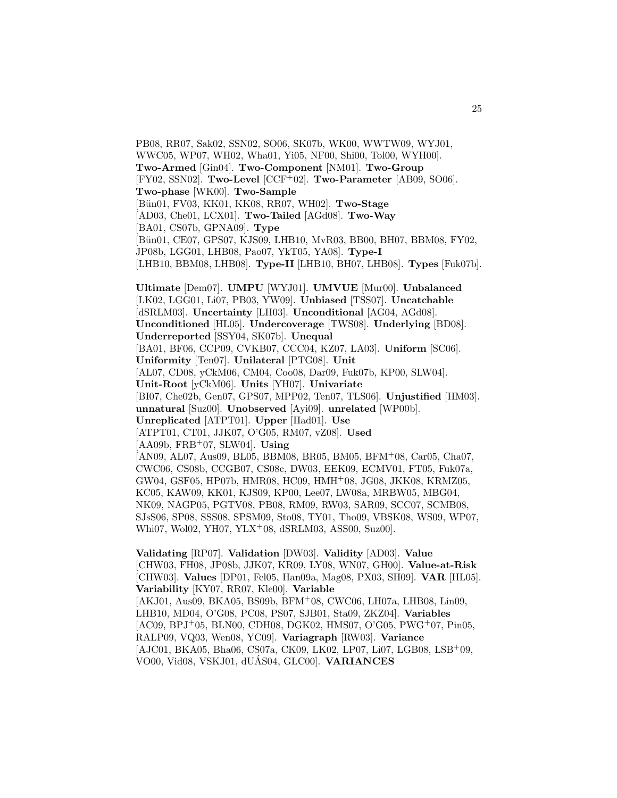PB08, RR07, Sak02, SSN02, SO06, SK07b, WK00, WWTW09, WYJ01, WWC05, WP07, WH02, Wha01, Yi05, NF00, Shi00, Tol00, WYH00]. **Two-Armed** [Gin04]. **Two-Component** [NM01]. **Two-Group** [FY02, SSN02]. **Two-Level** [CCF<sup>+</sup>02]. **Two-Parameter** [AB09, SO06]. **Two-phase** [WK00]. **Two-Sample** [B¨un01, FV03, KK01, KK08, RR07, WH02]. **Two-Stage** [AD03, Che01, LCX01]. **Two-Tailed** [AGd08]. **Two-Way** [BA01, CS07b, GPNA09]. **Type** [Bün01, CE07, GPS07, KJS09, LHB10, MvR03, BB00, BH07, BBM08, FY02, JP08b, LGG01, LHB08, Pao07, YkT05, YA08]. **Type-I** [LHB10, BBM08, LHB08]. **Type-II** [LHB10, BH07, LHB08]. **Types** [Fuk07b]. **Ultimate** [Dem07]. **UMPU** [WYJ01]. **UMVUE** [Mur00]. **Unbalanced** [LK02, LGG01, Li07, PB03, YW09]. **Unbiased** [TSS07]. **Uncatchable** [dSRLM03]. **Uncertainty** [LH03]. **Unconditional** [AG04, AGd08]. **Unconditioned** [HL05]. **Undercoverage** [TWS08]. **Underlying** [BD08]. **Underreported** [SSY04, SK07b]. **Unequal** [BA01, BF06, CCP09, CVKB07, CCC04, KZ07, LA03]. **Uniform** [SC06]. **Uniformity** [Ten07]. **Unilateral** [PTG08]. **Unit** [AL07, CD08, yCkM06, CM04, Coo08, Dar09, Fuk07b, KP00, SLW04]. **Unit-Root** [yCkM06]. **Units** [YH07]. **Univariate** [BI07, Che02b, Gen07, GPS07, MPP02, Ten07, TLS06]. **Unjustified** [HM03]. **unnatural** [Suz00]. **Unobserved** [Ayi09]. **unrelated** [WP00b]. **Unreplicated** [ATPT01]. **Upper** [Had01]. **Use** [ATPT01, CT01, JJK07, O'G05, RM07, vZ08]. **Used** [AA09b, FRB<sup>+</sup>07, SLW04]. **Using** [AN09, AL07, Aus09, BL05, BBM08, BR05, BM05, BFM<sup>+</sup>08, Car05, Cha07, CWC06, CS08b, CCGB07, CS08c, DW03, EEK09, ECMV01, FT05, Fuk07a, GW04, GSF05, HP07b, HMR08, HC09, HMH<sup>+</sup>08, JG08, JKK08, KRMZ05, KC05, KAW09, KK01, KJS09, KP00, Lee07, LW08a, MRBW05, MBG04, NK09, NAGP05, PGTV08, PB08, RM09, RW03, SAR09, SCC07, SCMB08, SJsS06, SP08, SSS08, SPSM09, Sto08, TY01, Tho09, VBSK08, WS09, WP07, Whi07, Wol02, YH07, YLX<sup>+</sup>08, dSRLM03, ASS00, Suz00].

**Validating** [RP07]. **Validation** [DW03]. **Validity** [AD03]. **Value** [CHW03, FH08, JP08b, JJK07, KR09, LY08, WN07, GH00]. **Value-at-Risk** [CHW03]. **Values** [DP01, Fel05, Han09a, Mag08, PX03, SH09]. **VAR** [HL05]. **Variability** [KY07, RR07, Kle00]. **Variable** [AKJ01, Aus09, BKA05, BS09b, BFM<sup>+</sup>08, CWC06, LH07a, LHB08, Lin09, LHB10, MD04, O'G08, PC08, PS07, SJB01, Sta09, ZKZ04]. **Variables** [AC09, BPJ<sup>+</sup>05, BLN00, CDH08, DGK02, HMS07, O'G05, PWG<sup>+</sup>07, Pin05, RALP09, VQ03, Wen08, YC09]. **Variagraph** [RW03]. **Variance** [AJC01, BKA05, Bha06, CS07a, CK09, LK02, LP07, Li07, LGB08, LSB+09, VO00, Vid08, VSKJ01, dUÁS04, GLC00]. **VARIANCES**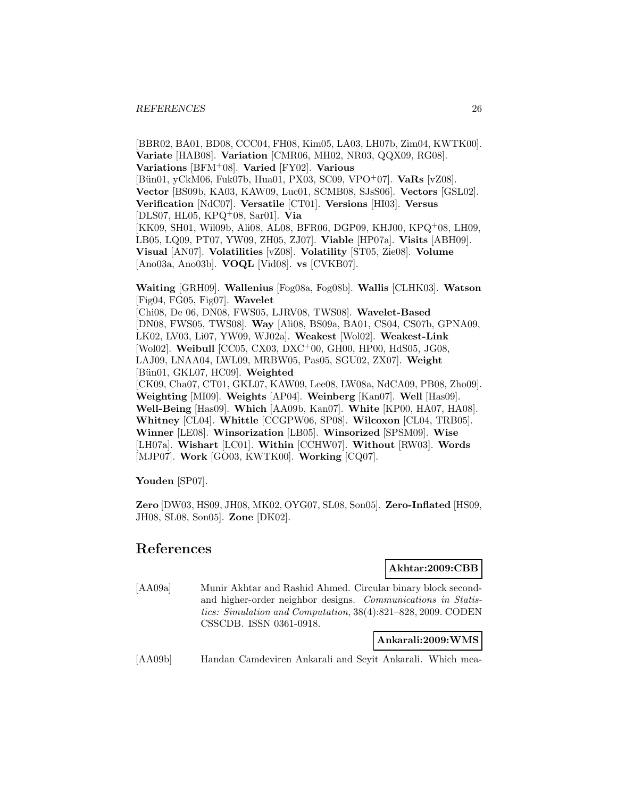[BBR02, BA01, BD08, CCC04, FH08, Kim05, LA03, LH07b, Zim04, KWTK00]. **Variate** [HAB08]. **Variation** [CMR06, MH02, NR03, QQX09, RG08]. **Variations** [BFM<sup>+</sup>08]. **Varied** [FY02]. **Various** [B¨un01, yCkM06, Fuk07b, Hua01, PX03, SC09, VPO<sup>+</sup>07]. **VaRs** [vZ08]. **Vector** [BS09b, KA03, KAW09, Luc01, SCMB08, SJsS06]. **Vectors** [GSL02]. **Verification** [NdC07]. **Versatile** [CT01]. **Versions** [HI03]. **Versus** [DLS07, HL05, KPQ<sup>+</sup>08, Sar01]. **Via** [KK09, SH01, Wil09b, Ali08, AL08, BFR06, DGP09, KHJ00, KPQ<sup>+</sup>08, LH09, LB05, LQ09, PT07, YW09, ZH05, ZJ07]. **Viable** [HP07a]. **Visits** [ABH09]. **Visual** [AN07]. **Volatilities** [vZ08]. **Volatility** [ST05, Zie08]. **Volume** [Ano03a, Ano03b]. **VOQL** [Vid08]. **vs** [CVKB07].

**Waiting** [GRH09]. **Wallenius** [Fog08a, Fog08b]. **Wallis** [CLHK03]. **Watson** [Fig04, FG05, Fig07]. **Wavelet** [Chi08, De 06, DN08, FWS05, LJRV08, TWS08]. **Wavelet-Based** [DN08, FWS05, TWS08]. **Way** [Ali08, BS09a, BA01, CS04, CS07b, GPNA09, LK02, LV03, Li07, YW09, WJ02a]. **Weakest** [Wol02]. **Weakest-Link** [Wol02]. **Weibull** [CC05, CX03, DXC<sup>+</sup>00, GH00, HP00, HdS05, JG08, LAJ09, LNAA04, LWL09, MRBW05, Pas05, SGU02, ZX07]. **Weight** [Bün01, GKL07, HC09]. **Weighted** [CK09, Cha07, CT01, GKL07, KAW09, Lee08, LW08a, NdCA09, PB08, Zho09]. **Weighting** [MI09]. **Weights** [AP04]. **Weinberg** [Kan07]. **Well** [Has09]. **Well-Being** [Has09]. **Which** [AA09b, Kan07]. **White** [KP00, HA07, HA08]. **Whitney** [CL04]. **Whittle** [CCGPW06, SP08]. **Wilcoxon** [CL04, TRB05]. **Winner** [LE08]. **Winsorization** [LB05]. **Winsorized** [SPSM09]. **Wise** [LH07a]. **Wishart** [LC01]. **Within** [CCHW07]. **Without** [RW03]. **Words** [MJP07]. **Work** [GO03, KWTK00]. **Working** [CQ07].

**Youden** [SP07].

**Zero** [DW03, HS09, JH08, MK02, OYG07, SL08, Son05]. **Zero-Inflated** [HS09, JH08, SL08, Son05]. **Zone** [DK02].

# **References**

**Akhtar:2009:CBB**

[AA09a] Munir Akhtar and Rashid Ahmed. Circular binary block secondand higher-order neighbor designs. Communications in Statistics: Simulation and Computation, 38(4):821–828, 2009. CODEN CSSCDB. ISSN 0361-0918.

**Ankarali:2009:WMS**

[AA09b] Handan Camdeviren Ankarali and Seyit Ankarali. Which mea-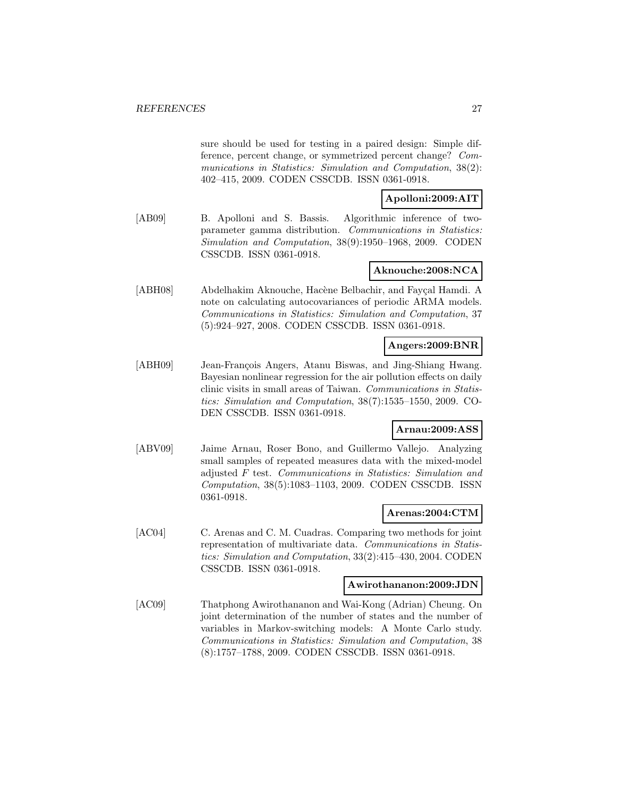sure should be used for testing in a paired design: Simple difference, percent change, or symmetrized percent change? Communications in Statistics: Simulation and Computation, 38(2): 402–415, 2009. CODEN CSSCDB. ISSN 0361-0918.

## **Apolloni:2009:AIT**

[AB09] B. Apolloni and S. Bassis. Algorithmic inference of twoparameter gamma distribution. Communications in Statistics: Simulation and Computation, 38(9):1950–1968, 2009. CODEN CSSCDB. ISSN 0361-0918.

## **Aknouche:2008:NCA**

[ABH08] Abdelhakim Aknouche, Hacène Belbachir, and Fayçal Hamdi. A note on calculating autocovariances of periodic ARMA models. Communications in Statistics: Simulation and Computation, 37 (5):924–927, 2008. CODEN CSSCDB. ISSN 0361-0918.

### **Angers:2009:BNR**

[ABH09] Jean-François Angers, Atanu Biswas, and Jing-Shiang Hwang. Bayesian nonlinear regression for the air pollution effects on daily clinic visits in small areas of Taiwan. Communications in Statistics: Simulation and Computation, 38(7):1535–1550, 2009. CO-DEN CSSCDB. ISSN 0361-0918.

#### **Arnau:2009:ASS**

[ABV09] Jaime Arnau, Roser Bono, and Guillermo Vallejo. Analyzing small samples of repeated measures data with the mixed-model adjusted F test. Communications in Statistics: Simulation and Computation, 38(5):1083–1103, 2009. CODEN CSSCDB. ISSN 0361-0918.

#### **Arenas:2004:CTM**

[AC04] C. Arenas and C. M. Cuadras. Comparing two methods for joint representation of multivariate data. Communications in Statistics: Simulation and Computation, 33(2):415–430, 2004. CODEN CSSCDB. ISSN 0361-0918.

#### **Awirothananon:2009:JDN**

[AC09] Thatphong Awirothananon and Wai-Kong (Adrian) Cheung. On joint determination of the number of states and the number of variables in Markov-switching models: A Monte Carlo study. Communications in Statistics: Simulation and Computation, 38 (8):1757–1788, 2009. CODEN CSSCDB. ISSN 0361-0918.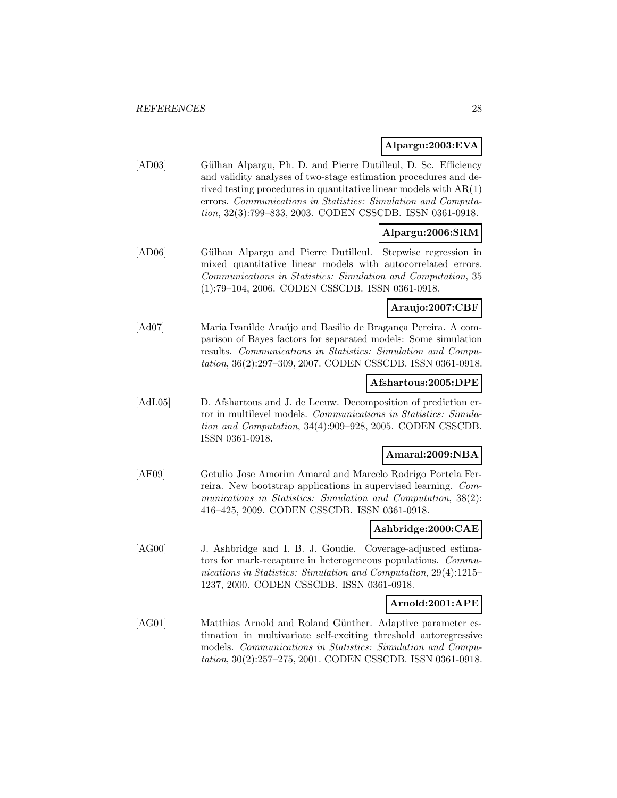## **Alpargu:2003:EVA**

[AD03] Gülhan Alpargu, Ph. D. and Pierre Dutilleul, D. Sc. Efficiency and validity analyses of two-stage estimation procedures and derived testing procedures in quantitative linear models with AR(1) errors. Communications in Statistics: Simulation and Computation, 32(3):799–833, 2003. CODEN CSSCDB. ISSN 0361-0918.

## **Alpargu:2006:SRM**

[AD06] Gülhan Alpargu and Pierre Dutilleul. Stepwise regression in mixed quantitative linear models with autocorrelated errors. Communications in Statistics: Simulation and Computation, 35 (1):79–104, 2006. CODEN CSSCDB. ISSN 0361-0918.

## **Araujo:2007:CBF**

[Ad07] Maria Ivanilde Araújo and Basilio de Bragança Pereira. A comparison of Bayes factors for separated models: Some simulation results. Communications in Statistics: Simulation and Computation, 36(2):297–309, 2007. CODEN CSSCDB. ISSN 0361-0918.

## **Afshartous:2005:DPE**

[AdL05] D. Afshartous and J. de Leeuw. Decomposition of prediction error in multilevel models. Communications in Statistics: Simulation and Computation, 34(4):909–928, 2005. CODEN CSSCDB. ISSN 0361-0918.

## **Amaral:2009:NBA**

[AF09] Getulio Jose Amorim Amaral and Marcelo Rodrigo Portela Ferreira. New bootstrap applications in supervised learning. Communications in Statistics: Simulation and Computation, 38(2): 416–425, 2009. CODEN CSSCDB. ISSN 0361-0918.

#### **Ashbridge:2000:CAE**

[AG00] J. Ashbridge and I. B. J. Goudie. Coverage-adjusted estimators for mark-recapture in heterogeneous populations. Communications in Statistics: Simulation and Computation, 29(4):1215– 1237, 2000. CODEN CSSCDB. ISSN 0361-0918.

#### **Arnold:2001:APE**

[AG01] Matthias Arnold and Roland Günther. Adaptive parameter estimation in multivariate self-exciting threshold autoregressive models. Communications in Statistics: Simulation and Computation, 30(2):257–275, 2001. CODEN CSSCDB. ISSN 0361-0918.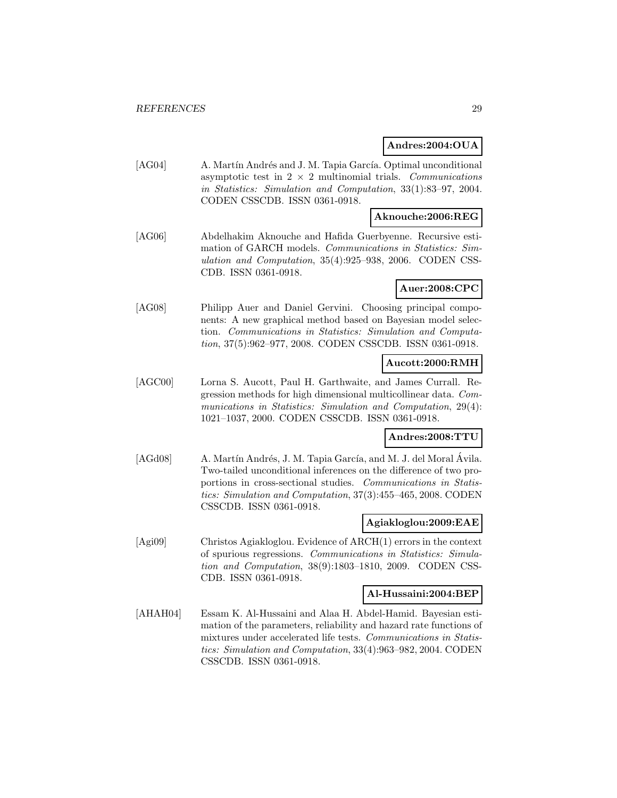#### **Andres:2004:OUA**

[AG04] A. Martín Andrés and J. M. Tapia García. Optimal unconditional asymptotic test in  $2 \times 2$  multinomial trials. Communications in Statistics: Simulation and Computation, 33(1):83–97, 2004. CODEN CSSCDB. ISSN 0361-0918.

## **Aknouche:2006:REG**

[AG06] Abdelhakim Aknouche and Hafida Guerbyenne. Recursive estimation of GARCH models. Communications in Statistics: Simulation and Computation, 35(4):925–938, 2006. CODEN CSS-CDB. ISSN 0361-0918.

## **Auer:2008:CPC**

[AG08] Philipp Auer and Daniel Gervini. Choosing principal components: A new graphical method based on Bayesian model selection. Communications in Statistics: Simulation and Computation, 37(5):962–977, 2008. CODEN CSSCDB. ISSN 0361-0918.

#### **Aucott:2000:RMH**

[AGC00] Lorna S. Aucott, Paul H. Garthwaite, and James Currall. Regression methods for high dimensional multicollinear data. Communications in Statistics: Simulation and Computation, 29(4): 1021–1037, 2000. CODEN CSSCDB. ISSN 0361-0918.

## **Andres:2008:TTU**

[AGd08] A. Martín Andrés, J. M. Tapia García, and M. J. del Moral Ávila. Two-tailed unconditional inferences on the difference of two proportions in cross-sectional studies. Communications in Statistics: Simulation and Computation, 37(3):455–465, 2008. CODEN CSSCDB. ISSN 0361-0918.

#### **Agiakloglou:2009:EAE**

[Agi09] Christos Agiakloglou. Evidence of ARCH(1) errors in the context of spurious regressions. Communications in Statistics: Simulation and Computation, 38(9):1803–1810, 2009. CODEN CSS-CDB. ISSN 0361-0918.

#### **Al-Hussaini:2004:BEP**

[AHAH04] Essam K. Al-Hussaini and Alaa H. Abdel-Hamid. Bayesian estimation of the parameters, reliability and hazard rate functions of mixtures under accelerated life tests. Communications in Statistics: Simulation and Computation, 33(4):963–982, 2004. CODEN CSSCDB. ISSN 0361-0918.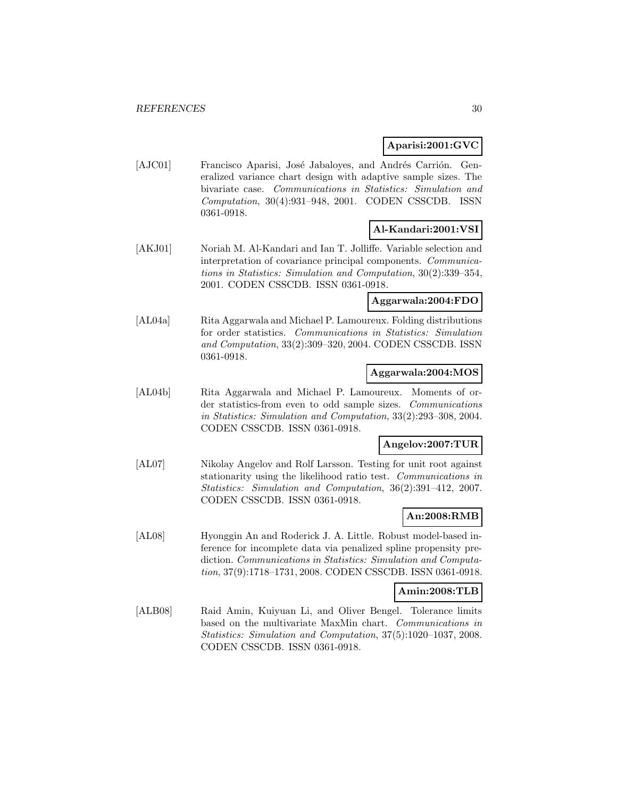**Aparisi:2001:GVC**

[AJC01] Francisco Aparisi, José Jabaloyes, and Andrés Carrión. Generalized variance chart design with adaptive sample sizes. The bivariate case. Communications in Statistics: Simulation and Computation, 30(4):931–948, 2001. CODEN CSSCDB. ISSN 0361-0918.

## **Al-Kandari:2001:VSI**

[AKJ01] Noriah M. Al-Kandari and Ian T. Jolliffe. Variable selection and interpretation of covariance principal components. Communications in Statistics: Simulation and Computation, 30(2):339–354, 2001. CODEN CSSCDB. ISSN 0361-0918.

## **Aggarwala:2004:FDO**

[AL04a] Rita Aggarwala and Michael P. Lamoureux. Folding distributions for order statistics. Communications in Statistics: Simulation and Computation, 33(2):309–320, 2004. CODEN CSSCDB. ISSN 0361-0918.

#### **Aggarwala:2004:MOS**

[AL04b] Rita Aggarwala and Michael P. Lamoureux. Moments of order statistics-from even to odd sample sizes. Communications in Statistics: Simulation and Computation, 33(2):293–308, 2004. CODEN CSSCDB. ISSN 0361-0918.

#### **Angelov:2007:TUR**

[AL07] Nikolay Angelov and Rolf Larsson. Testing for unit root against stationarity using the likelihood ratio test. Communications in Statistics: Simulation and Computation, 36(2):391–412, 2007. CODEN CSSCDB. ISSN 0361-0918.

## **An:2008:RMB**

[AL08] Hyonggin An and Roderick J. A. Little. Robust model-based inference for incomplete data via penalized spline propensity prediction. Communications in Statistics: Simulation and Computation, 37(9):1718–1731, 2008. CODEN CSSCDB. ISSN 0361-0918.

#### **Amin:2008:TLB**

[ALB08] Raid Amin, Kuiyuan Li, and Oliver Bengel. Tolerance limits based on the multivariate MaxMin chart. Communications in Statistics: Simulation and Computation, 37(5):1020–1037, 2008. CODEN CSSCDB. ISSN 0361-0918.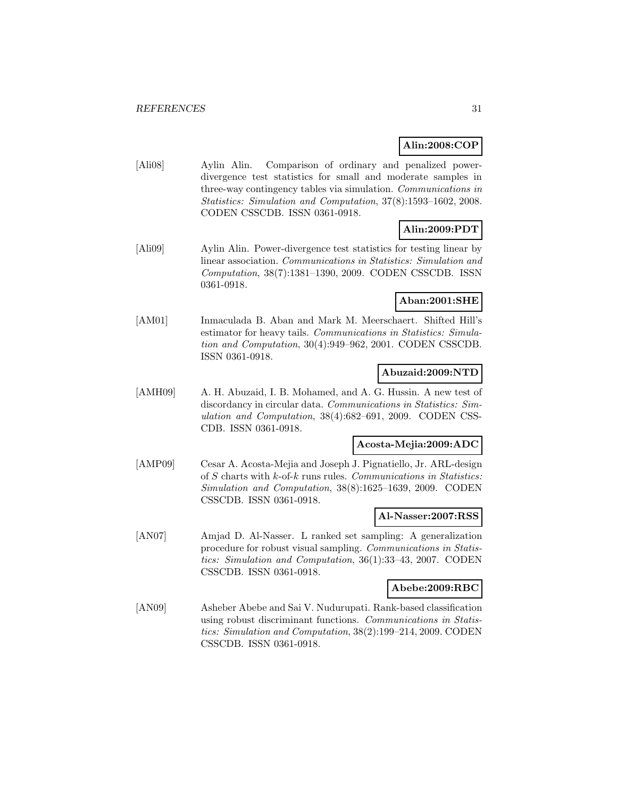# **Alin:2008:COP**

[Ali08] Aylin Alin. Comparison of ordinary and penalized powerdivergence test statistics for small and moderate samples in three-way contingency tables via simulation. Communications in Statistics: Simulation and Computation, 37(8):1593–1602, 2008. CODEN CSSCDB. ISSN 0361-0918.

# **Alin:2009:PDT**

[Ali09] Aylin Alin. Power-divergence test statistics for testing linear by linear association. Communications in Statistics: Simulation and Computation, 38(7):1381–1390, 2009. CODEN CSSCDB. ISSN 0361-0918.

## **Aban:2001:SHE**

[AM01] Inmaculada B. Aban and Mark M. Meerschaert. Shifted Hill's estimator for heavy tails. Communications in Statistics: Simulation and Computation, 30(4):949–962, 2001. CODEN CSSCDB. ISSN 0361-0918.

## **Abuzaid:2009:NTD**

[AMH09] A. H. Abuzaid, I. B. Mohamed, and A. G. Hussin. A new test of discordancy in circular data. Communications in Statistics: Simulation and Computation, 38(4):682–691, 2009. CODEN CSS-CDB. ISSN 0361-0918.

#### **Acosta-Mejia:2009:ADC**

[AMP09] Cesar A. Acosta-Mejia and Joseph J. Pignatiello, Jr. ARL-design of S charts with k-of-k runs rules. Communications in Statistics: Simulation and Computation, 38(8):1625–1639, 2009. CODEN CSSCDB. ISSN 0361-0918.

#### **Al-Nasser:2007:RSS**

[AN07] Amjad D. Al-Nasser. L ranked set sampling: A generalization procedure for robust visual sampling. Communications in Statistics: Simulation and Computation, 36(1):33–43, 2007. CODEN CSSCDB. ISSN 0361-0918.

#### **Abebe:2009:RBC**

[AN09] Asheber Abebe and Sai V. Nudurupati. Rank-based classification using robust discriminant functions. Communications in Statistics: Simulation and Computation, 38(2):199–214, 2009. CODEN CSSCDB. ISSN 0361-0918.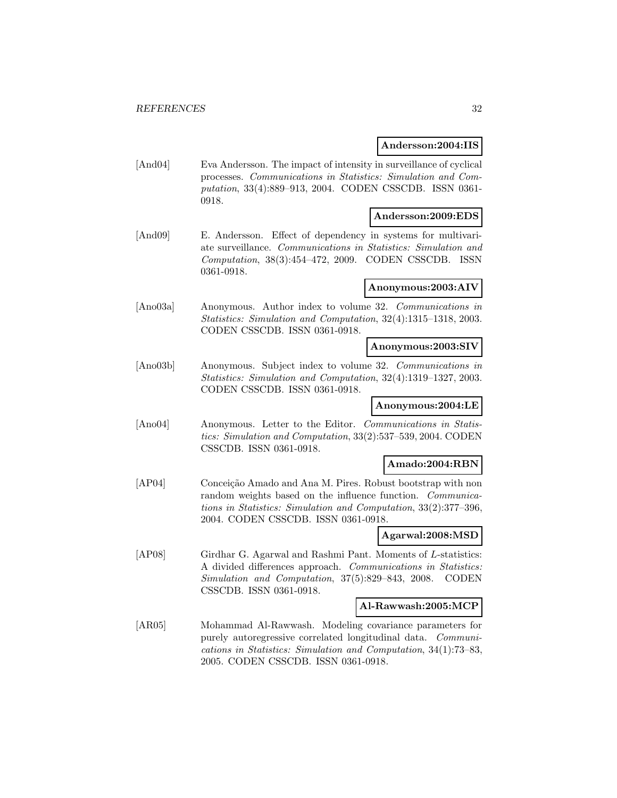#### **Andersson:2004:IIS**

[And04] Eva Andersson. The impact of intensity in surveillance of cyclical processes. Communications in Statistics: Simulation and Computation, 33(4):889–913, 2004. CODEN CSSCDB. ISSN 0361- 0918.

## **Andersson:2009:EDS**

[And09] E. Andersson. Effect of dependency in systems for multivariate surveillance. Communications in Statistics: Simulation and Computation, 38(3):454–472, 2009. CODEN CSSCDB. ISSN 0361-0918.

#### **Anonymous:2003:AIV**

[Ano03a] Anonymous. Author index to volume 32. Communications in Statistics: Simulation and Computation, 32(4):1315–1318, 2003. CODEN CSSCDB. ISSN 0361-0918.

## **Anonymous:2003:SIV**

[Ano03b] Anonymous. Subject index to volume 32. Communications in Statistics: Simulation and Computation, 32(4):1319–1327, 2003. CODEN CSSCDB. ISSN 0361-0918.

#### **Anonymous:2004:LE**

[Ano04] Anonymous. Letter to the Editor. Communications in Statistics: Simulation and Computation, 33(2):537–539, 2004. CODEN CSSCDB. ISSN 0361-0918.

## **Amado:2004:RBN**

[AP04] Conceição Amado and Ana M. Pires. Robust bootstrap with non random weights based on the influence function. Communications in Statistics: Simulation and Computation, 33(2):377–396, 2004. CODEN CSSCDB. ISSN 0361-0918.

#### **Agarwal:2008:MSD**

[AP08] Girdhar G. Agarwal and Rashmi Pant. Moments of L-statistics: A divided differences approach. Communications in Statistics: Simulation and Computation, 37(5):829–843, 2008. CODEN CSSCDB. ISSN 0361-0918.

#### **Al-Rawwash:2005:MCP**

[AR05] Mohammad Al-Rawwash. Modeling covariance parameters for purely autoregressive correlated longitudinal data. Communications in Statistics: Simulation and Computation, 34(1):73–83, 2005. CODEN CSSCDB. ISSN 0361-0918.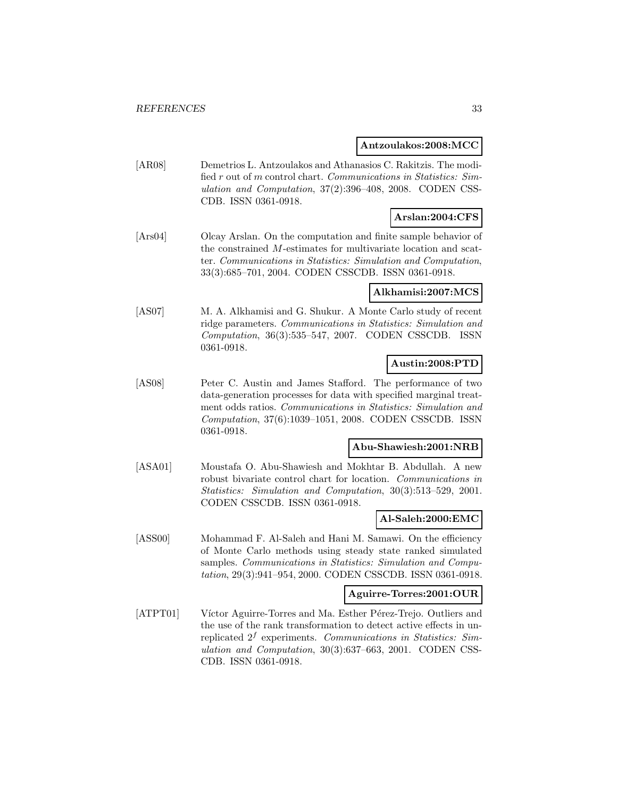#### **Antzoulakos:2008:MCC**

[AR08] Demetrios L. Antzoulakos and Athanasios C. Rakitzis. The modified r out of m control chart. Communications in Statistics: Simulation and Computation, 37(2):396–408, 2008. CODEN CSS-CDB. ISSN 0361-0918.

# **Arslan:2004:CFS**

[Ars04] Olcay Arslan. On the computation and finite sample behavior of the constrained M-estimates for multivariate location and scatter. Communications in Statistics: Simulation and Computation, 33(3):685–701, 2004. CODEN CSSCDB. ISSN 0361-0918.

#### **Alkhamisi:2007:MCS**

[AS07] M. A. Alkhamisi and G. Shukur. A Monte Carlo study of recent ridge parameters. Communications in Statistics: Simulation and Computation, 36(3):535–547, 2007. CODEN CSSCDB. ISSN 0361-0918.

## **Austin:2008:PTD**

[AS08] Peter C. Austin and James Stafford. The performance of two data-generation processes for data with specified marginal treatment odds ratios. Communications in Statistics: Simulation and Computation, 37(6):1039–1051, 2008. CODEN CSSCDB. ISSN 0361-0918.

#### **Abu-Shawiesh:2001:NRB**

[ASA01] Moustafa O. Abu-Shawiesh and Mokhtar B. Abdullah. A new robust bivariate control chart for location. Communications in Statistics: Simulation and Computation, 30(3):513–529, 2001. CODEN CSSCDB. ISSN 0361-0918.

#### **Al-Saleh:2000:EMC**

[ASS00] Mohammad F. Al-Saleh and Hani M. Samawi. On the efficiency of Monte Carlo methods using steady state ranked simulated samples. Communications in Statistics: Simulation and Computation, 29(3):941–954, 2000. CODEN CSSCDB. ISSN 0361-0918.

#### **Aguirre-Torres:2001:OUR**

[ATPT01] Víctor Aguirre-Torres and Ma. Esther Pérez-Trejo. Outliers and the use of the rank transformation to detect active effects in unreplicated  $2<sup>f</sup>$  experiments. Communications in Statistics: Simulation and Computation, 30(3):637–663, 2001. CODEN CSS-CDB. ISSN 0361-0918.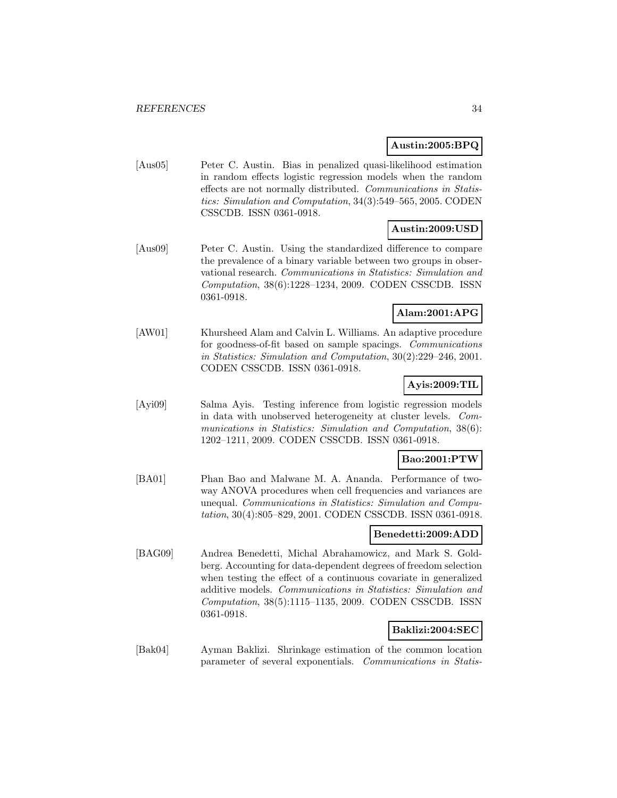#### **Austin:2005:BPQ**

[Aus05] Peter C. Austin. Bias in penalized quasi-likelihood estimation in random effects logistic regression models when the random effects are not normally distributed. Communications in Statistics: Simulation and Computation, 34(3):549–565, 2005. CODEN CSSCDB. ISSN 0361-0918.

## **Austin:2009:USD**

[Aus09] Peter C. Austin. Using the standardized difference to compare the prevalence of a binary variable between two groups in observational research. Communications in Statistics: Simulation and Computation, 38(6):1228–1234, 2009. CODEN CSSCDB. ISSN 0361-0918.

## **Alam:2001:APG**

[AW01] Khursheed Alam and Calvin L. Williams. An adaptive procedure for goodness-of-fit based on sample spacings. Communications in Statistics: Simulation and Computation, 30(2):229–246, 2001. CODEN CSSCDB. ISSN 0361-0918.

## **Ayis:2009:TIL**

[Ayi09] Salma Ayis. Testing inference from logistic regression models in data with unobserved heterogeneity at cluster levels. Communications in Statistics: Simulation and Computation, 38(6): 1202–1211, 2009. CODEN CSSCDB. ISSN 0361-0918.

#### **Bao:2001:PTW**

[BA01] Phan Bao and Malwane M. A. Ananda. Performance of twoway ANOVA procedures when cell frequencies and variances are unequal. Communications in Statistics: Simulation and Computation, 30(4):805–829, 2001. CODEN CSSCDB. ISSN 0361-0918.

## **Benedetti:2009:ADD**

[BAG09] Andrea Benedetti, Michal Abrahamowicz, and Mark S. Goldberg. Accounting for data-dependent degrees of freedom selection when testing the effect of a continuous covariate in generalized additive models. Communications in Statistics: Simulation and Computation, 38(5):1115–1135, 2009. CODEN CSSCDB. ISSN 0361-0918.

#### **Baklizi:2004:SEC**

[Bak04] Ayman Baklizi. Shrinkage estimation of the common location parameter of several exponentials. Communications in Statis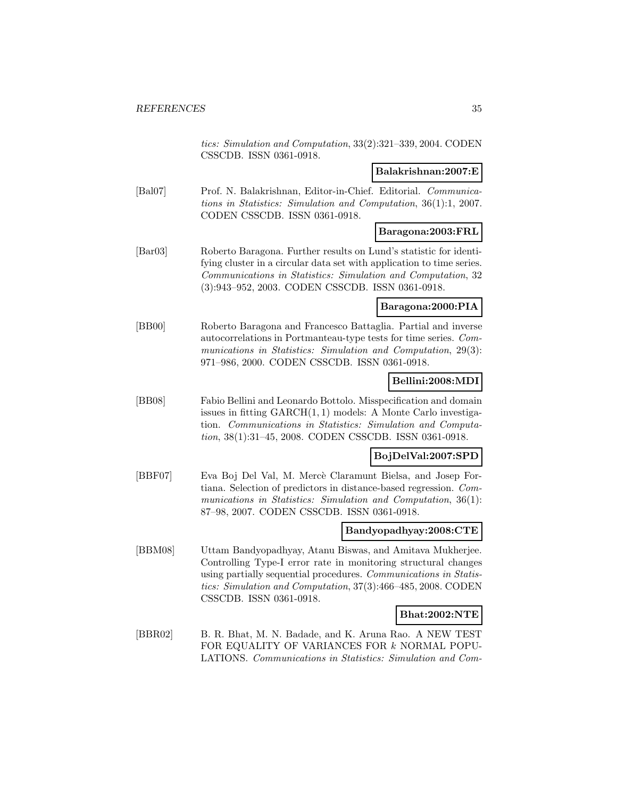tics: Simulation and Computation, 33(2):321–339, 2004. CODEN CSSCDB. ISSN 0361-0918.

#### **Balakrishnan:2007:E**

[Bal07] Prof. N. Balakrishnan, Editor-in-Chief. Editorial. Communications in Statistics: Simulation and Computation, 36(1):1, 2007. CODEN CSSCDB. ISSN 0361-0918.

## **Baragona:2003:FRL**

[Bar03] Roberto Baragona. Further results on Lund's statistic for identifying cluster in a circular data set with application to time series. Communications in Statistics: Simulation and Computation, 32 (3):943–952, 2003. CODEN CSSCDB. ISSN 0361-0918.

## **Baragona:2000:PIA**

[BB00] Roberto Baragona and Francesco Battaglia. Partial and inverse autocorrelations in Portmanteau-type tests for time series. Communications in Statistics: Simulation and Computation, 29(3): 971–986, 2000. CODEN CSSCDB. ISSN 0361-0918.

## **Bellini:2008:MDI**

[BB08] Fabio Bellini and Leonardo Bottolo. Misspecification and domain issues in fitting GARCH(1, 1) models: A Monte Carlo investigation. Communications in Statistics: Simulation and Computation, 38(1):31–45, 2008. CODEN CSSCDB. ISSN 0361-0918.

#### **BojDelVal:2007:SPD**

[BBF07] Eva Boj Del Val, M. Mercè Claramunt Bielsa, and Josep Fortiana. Selection of predictors in distance-based regression. Communications in Statistics: Simulation and Computation, 36(1): 87–98, 2007. CODEN CSSCDB. ISSN 0361-0918.

#### **Bandyopadhyay:2008:CTE**

[BBM08] Uttam Bandyopadhyay, Atanu Biswas, and Amitava Mukherjee. Controlling Type-I error rate in monitoring structural changes using partially sequential procedures. Communications in Statistics: Simulation and Computation, 37(3):466–485, 2008. CODEN CSSCDB. ISSN 0361-0918.

#### **Bhat:2002:NTE**

[BBR02] B. R. Bhat, M. N. Badade, and K. Aruna Rao. A NEW TEST FOR EQUALITY OF VARIANCES FOR k NORMAL POPU-LATIONS. Communications in Statistics: Simulation and Com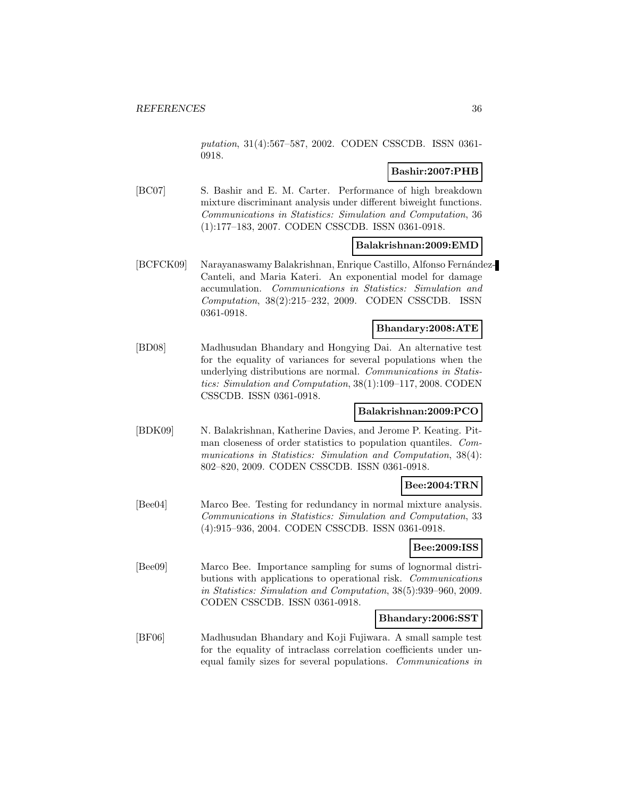putation, 31(4):567–587, 2002. CODEN CSSCDB. ISSN 0361- 0918.

# **Bashir:2007:PHB**

[BC07] S. Bashir and E. M. Carter. Performance of high breakdown mixture discriminant analysis under different biweight functions. Communications in Statistics: Simulation and Computation, 36 (1):177–183, 2007. CODEN CSSCDB. ISSN 0361-0918.

## **Balakrishnan:2009:EMD**

[BCFCK09] Narayanaswamy Balakrishnan, Enrique Castillo, Alfonso Fernández-Canteli, and Maria Kateri. An exponential model for damage accumulation. Communications in Statistics: Simulation and Computation, 38(2):215–232, 2009. CODEN CSSCDB. ISSN 0361-0918.

## **Bhandary:2008:ATE**

[BD08] Madhusudan Bhandary and Hongying Dai. An alternative test for the equality of variances for several populations when the underlying distributions are normal. Communications in Statistics: Simulation and Computation, 38(1):109–117, 2008. CODEN CSSCDB. ISSN 0361-0918.

#### **Balakrishnan:2009:PCO**

[BDK09] N. Balakrishnan, Katherine Davies, and Jerome P. Keating. Pitman closeness of order statistics to population quantiles. Communications in Statistics: Simulation and Computation, 38(4): 802–820, 2009. CODEN CSSCDB. ISSN 0361-0918.

#### **Bee:2004:TRN**

[Bee04] Marco Bee. Testing for redundancy in normal mixture analysis. Communications in Statistics: Simulation and Computation, 33 (4):915–936, 2004. CODEN CSSCDB. ISSN 0361-0918.

#### **Bee:2009:ISS**

[Bee09] Marco Bee. Importance sampling for sums of lognormal distributions with applications to operational risk. Communications in Statistics: Simulation and Computation, 38(5):939–960, 2009. CODEN CSSCDB. ISSN 0361-0918.

#### **Bhandary:2006:SST**

[BF06] Madhusudan Bhandary and Koji Fujiwara. A small sample test for the equality of intraclass correlation coefficients under unequal family sizes for several populations. Communications in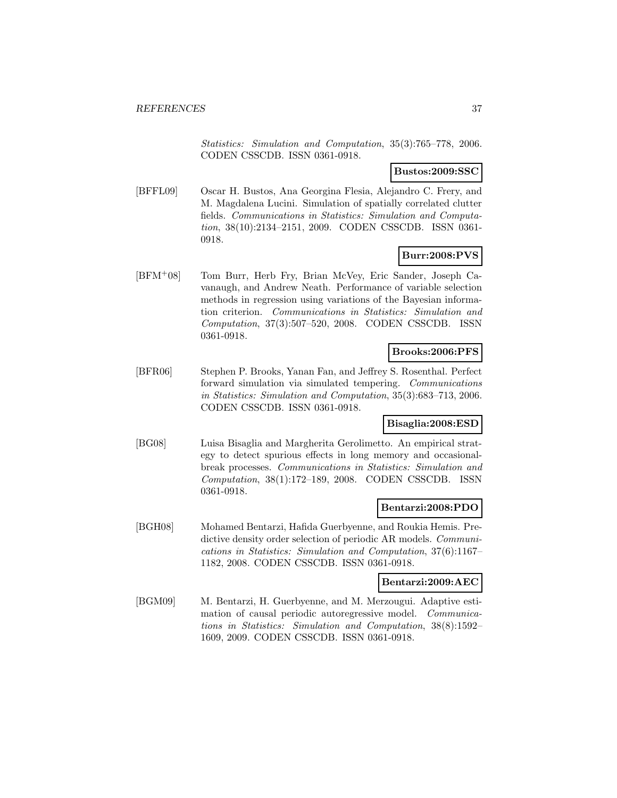Statistics: Simulation and Computation, 35(3):765–778, 2006. CODEN CSSCDB. ISSN 0361-0918.

**Bustos:2009:SSC**

[BFFL09] Oscar H. Bustos, Ana Georgina Flesia, Alejandro C. Frery, and M. Magdalena Lucini. Simulation of spatially correlated clutter fields. Communications in Statistics: Simulation and Computation, 38(10):2134–2151, 2009. CODEN CSSCDB. ISSN 0361- 0918.

# **Burr:2008:PVS**

[BFM<sup>+</sup>08] Tom Burr, Herb Fry, Brian McVey, Eric Sander, Joseph Cavanaugh, and Andrew Neath. Performance of variable selection methods in regression using variations of the Bayesian information criterion. Communications in Statistics: Simulation and Computation, 37(3):507–520, 2008. CODEN CSSCDB. ISSN 0361-0918.

# **Brooks:2006:PFS**

[BFR06] Stephen P. Brooks, Yanan Fan, and Jeffrey S. Rosenthal. Perfect forward simulation via simulated tempering. Communications in Statistics: Simulation and Computation, 35(3):683–713, 2006. CODEN CSSCDB. ISSN 0361-0918.

#### **Bisaglia:2008:ESD**

[BG08] Luisa Bisaglia and Margherita Gerolimetto. An empirical strategy to detect spurious effects in long memory and occasionalbreak processes. Communications in Statistics: Simulation and Computation, 38(1):172–189, 2008. CODEN CSSCDB. ISSN 0361-0918.

#### **Bentarzi:2008:PDO**

[BGH08] Mohamed Bentarzi, Hafida Guerbyenne, and Roukia Hemis. Predictive density order selection of periodic AR models. Communications in Statistics: Simulation and Computation, 37(6):1167– 1182, 2008. CODEN CSSCDB. ISSN 0361-0918.

#### **Bentarzi:2009:AEC**

[BGM09] M. Bentarzi, H. Guerbyenne, and M. Merzougui. Adaptive estimation of causal periodic autoregressive model. Communications in Statistics: Simulation and Computation, 38(8):1592– 1609, 2009. CODEN CSSCDB. ISSN 0361-0918.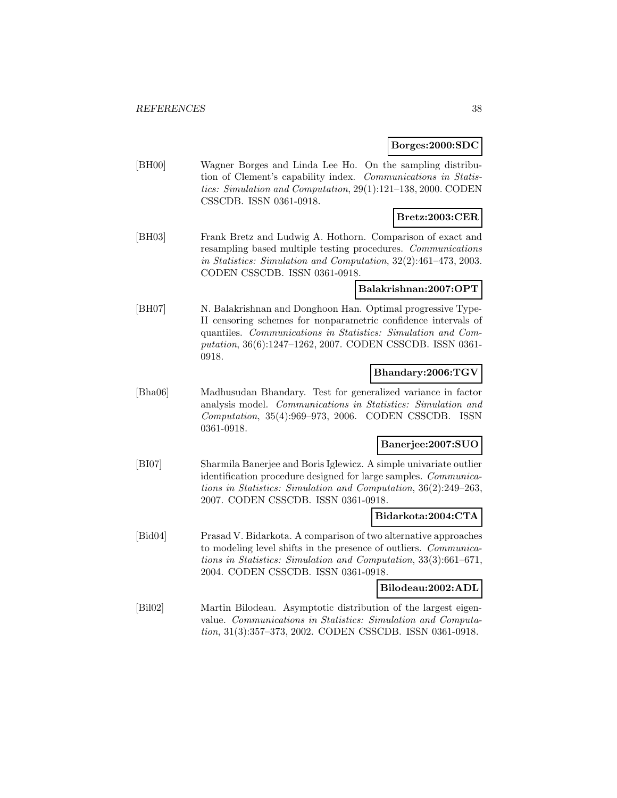#### **Borges:2000:SDC**

[BH00] Wagner Borges and Linda Lee Ho. On the sampling distribution of Clement's capability index. Communications in Statistics: Simulation and Computation, 29(1):121–138, 2000. CODEN CSSCDB. ISSN 0361-0918.

# **Bretz:2003:CER**

[BH03] Frank Bretz and Ludwig A. Hothorn. Comparison of exact and resampling based multiple testing procedures. Communications in Statistics: Simulation and Computation, 32(2):461–473, 2003. CODEN CSSCDB. ISSN 0361-0918.

### **Balakrishnan:2007:OPT**

[BH07] N. Balakrishnan and Donghoon Han. Optimal progressive Type-II censoring schemes for nonparametric confidence intervals of quantiles. Communications in Statistics: Simulation and Computation, 36(6):1247–1262, 2007. CODEN CSSCDB. ISSN 0361- 0918.

# **Bhandary:2006:TGV**

[Bha06] Madhusudan Bhandary. Test for generalized variance in factor analysis model. Communications in Statistics: Simulation and Computation, 35(4):969–973, 2006. CODEN CSSCDB. ISSN 0361-0918.

## **Banerjee:2007:SUO**

[BI07] Sharmila Banerjee and Boris Iglewicz. A simple univariate outlier identification procedure designed for large samples. Communications in Statistics: Simulation and Computation, 36(2):249–263, 2007. CODEN CSSCDB. ISSN 0361-0918.

#### **Bidarkota:2004:CTA**

[Bid04] Prasad V. Bidarkota. A comparison of two alternative approaches to modeling level shifts in the presence of outliers. Communications in Statistics: Simulation and Computation, 33(3):661–671, 2004. CODEN CSSCDB. ISSN 0361-0918.

#### **Bilodeau:2002:ADL**

[Bil02] Martin Bilodeau. Asymptotic distribution of the largest eigenvalue. Communications in Statistics: Simulation and Computation, 31(3):357–373, 2002. CODEN CSSCDB. ISSN 0361-0918.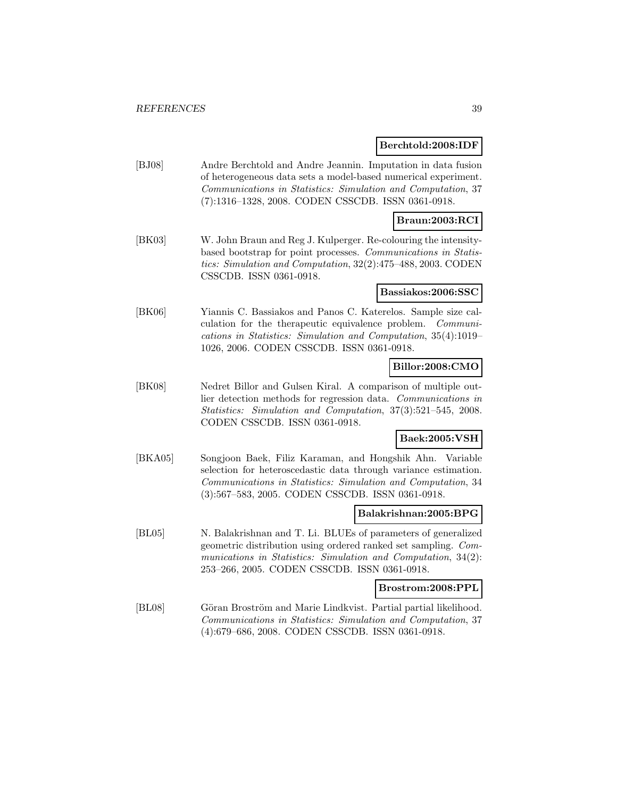#### **Berchtold:2008:IDF**

[BJ08] Andre Berchtold and Andre Jeannin. Imputation in data fusion of heterogeneous data sets a model-based numerical experiment. Communications in Statistics: Simulation and Computation, 37 (7):1316–1328, 2008. CODEN CSSCDB. ISSN 0361-0918.

# **Braun:2003:RCI**

[BK03] W. John Braun and Reg J. Kulperger. Re-colouring the intensitybased bootstrap for point processes. Communications in Statistics: Simulation and Computation, 32(2):475–488, 2003. CODEN CSSCDB. ISSN 0361-0918.

#### **Bassiakos:2006:SSC**

[BK06] Yiannis C. Bassiakos and Panos C. Katerelos. Sample size calculation for the therapeutic equivalence problem. Communications in Statistics: Simulation and Computation, 35(4):1019– 1026, 2006. CODEN CSSCDB. ISSN 0361-0918.

# **Billor:2008:CMO**

[BK08] Nedret Billor and Gulsen Kiral. A comparison of multiple outlier detection methods for regression data. Communications in Statistics: Simulation and Computation, 37(3):521–545, 2008. CODEN CSSCDB. ISSN 0361-0918.

# **Baek:2005:VSH**

[BKA05] Songjoon Baek, Filiz Karaman, and Hongshik Ahn. Variable selection for heteroscedastic data through variance estimation. Communications in Statistics: Simulation and Computation, 34 (3):567–583, 2005. CODEN CSSCDB. ISSN 0361-0918.

#### **Balakrishnan:2005:BPG**

[BL05] N. Balakrishnan and T. Li. BLUEs of parameters of generalized geometric distribution using ordered ranked set sampling. Communications in Statistics: Simulation and Computation, 34(2): 253–266, 2005. CODEN CSSCDB. ISSN 0361-0918.

#### **Brostrom:2008:PPL**

[BL08] Göran Broström and Marie Lindkvist. Partial partial likelihood. Communications in Statistics: Simulation and Computation, 37 (4):679–686, 2008. CODEN CSSCDB. ISSN 0361-0918.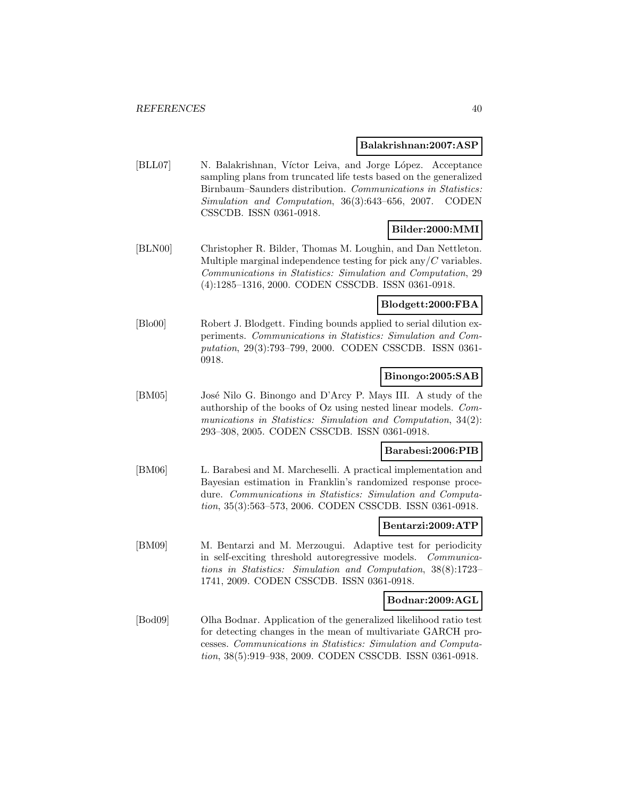#### **Balakrishnan:2007:ASP**

[BLL07] N. Balakrishnan, Víctor Leiva, and Jorge López. Acceptance sampling plans from truncated life tests based on the generalized Birnbaum–Saunders distribution. Communications in Statistics: Simulation and Computation, 36(3):643–656, 2007. CODEN CSSCDB. ISSN 0361-0918.

# **Bilder:2000:MMI**

[BLN00] Christopher R. Bilder, Thomas M. Loughin, and Dan Nettleton. Multiple marginal independence testing for pick any  $\ell C$  variables. Communications in Statistics: Simulation and Computation, 29 (4):1285–1316, 2000. CODEN CSSCDB. ISSN 0361-0918.

## **Blodgett:2000:FBA**

[Blo00] Robert J. Blodgett. Finding bounds applied to serial dilution experiments. Communications in Statistics: Simulation and Computation, 29(3):793–799, 2000. CODEN CSSCDB. ISSN 0361- 0918.

# **Binongo:2005:SAB**

[BM05] José Nilo G. Binongo and D'Arcy P. Mays III. A study of the authorship of the books of Oz using nested linear models. Communications in Statistics: Simulation and Computation, 34(2): 293–308, 2005. CODEN CSSCDB. ISSN 0361-0918.

#### **Barabesi:2006:PIB**

[BM06] L. Barabesi and M. Marcheselli. A practical implementation and Bayesian estimation in Franklin's randomized response procedure. Communications in Statistics: Simulation and Computation, 35(3):563–573, 2006. CODEN CSSCDB. ISSN 0361-0918.

#### **Bentarzi:2009:ATP**

[BM09] M. Bentarzi and M. Merzougui. Adaptive test for periodicity in self-exciting threshold autoregressive models. Communications in Statistics: Simulation and Computation, 38(8):1723– 1741, 2009. CODEN CSSCDB. ISSN 0361-0918.

#### **Bodnar:2009:AGL**

[Bod09] Olha Bodnar. Application of the generalized likelihood ratio test for detecting changes in the mean of multivariate GARCH processes. Communications in Statistics: Simulation and Computation, 38(5):919–938, 2009. CODEN CSSCDB. ISSN 0361-0918.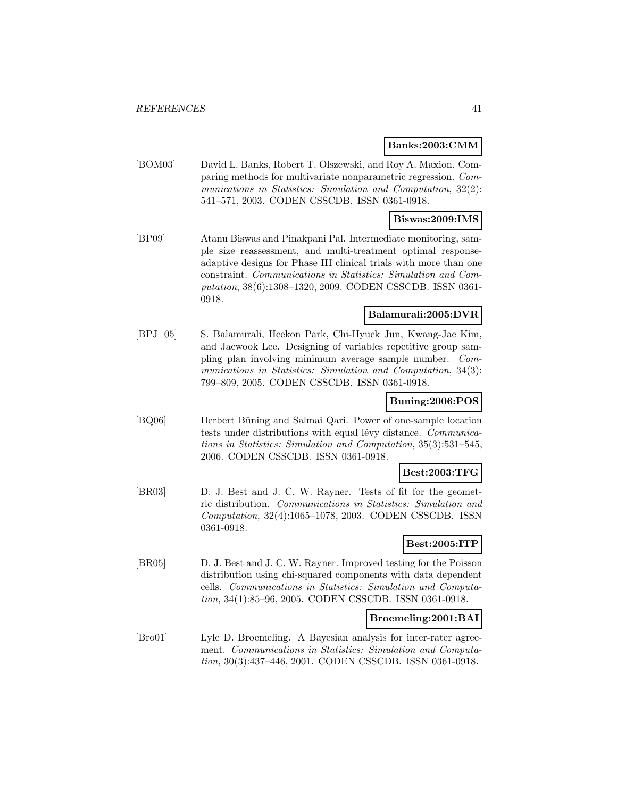#### **Banks:2003:CMM**

[BOM03] David L. Banks, Robert T. Olszewski, and Roy A. Maxion. Comparing methods for multivariate nonparametric regression. Communications in Statistics: Simulation and Computation, 32(2): 541–571, 2003. CODEN CSSCDB. ISSN 0361-0918.

#### **Biswas:2009:IMS**

[BP09] Atanu Biswas and Pinakpani Pal. Intermediate monitoring, sample size reassessment, and multi-treatment optimal responseadaptive designs for Phase III clinical trials with more than one constraint. Communications in Statistics: Simulation and Computation, 38(6):1308–1320, 2009. CODEN CSSCDB. ISSN 0361- 0918.

# **Balamurali:2005:DVR**

[BPJ<sup>+</sup>05] S. Balamurali, Heekon Park, Chi-Hyuck Jun, Kwang-Jae Kim, and Jaewook Lee. Designing of variables repetitive group sampling plan involving minimum average sample number. Communications in Statistics: Simulation and Computation, 34(3): 799–809, 2005. CODEN CSSCDB. ISSN 0361-0918.

### **Buning:2006:POS**

[BQ06] Herbert Büning and Salmai Qari. Power of one-sample location tests under distributions with equal lévy distance. Communications in Statistics: Simulation and Computation, 35(3):531–545, 2006. CODEN CSSCDB. ISSN 0361-0918.

#### **Best:2003:TFG**

[BR03] D. J. Best and J. C. W. Rayner. Tests of fit for the geometric distribution. Communications in Statistics: Simulation and Computation, 32(4):1065–1078, 2003. CODEN CSSCDB. ISSN 0361-0918.

# **Best:2005:ITP**

[BR05] D. J. Best and J. C. W. Rayner. Improved testing for the Poisson distribution using chi-squared components with data dependent cells. Communications in Statistics: Simulation and Computation, 34(1):85–96, 2005. CODEN CSSCDB. ISSN 0361-0918.

#### **Broemeling:2001:BAI**

[Bro01] Lyle D. Broemeling. A Bayesian analysis for inter-rater agreement. Communications in Statistics: Simulation and Computation, 30(3):437–446, 2001. CODEN CSSCDB. ISSN 0361-0918.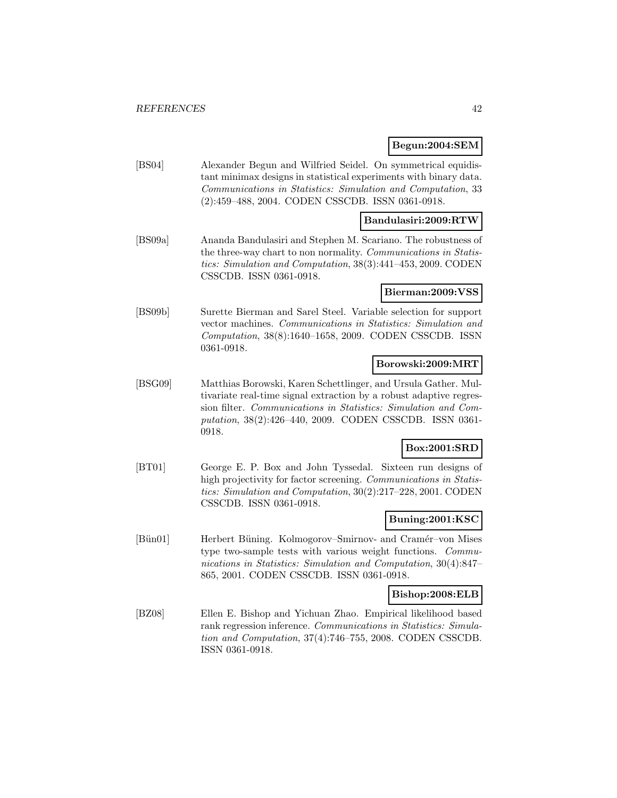#### **Begun:2004:SEM**

[BS04] Alexander Begun and Wilfried Seidel. On symmetrical equidistant minimax designs in statistical experiments with binary data. Communications in Statistics: Simulation and Computation, 33 (2):459–488, 2004. CODEN CSSCDB. ISSN 0361-0918.

#### **Bandulasiri:2009:RTW**

[BS09a] Ananda Bandulasiri and Stephen M. Scariano. The robustness of the three-way chart to non normality. Communications in Statistics: Simulation and Computation, 38(3):441–453, 2009. CODEN CSSCDB. ISSN 0361-0918.

#### **Bierman:2009:VSS**

[BS09b] Surette Bierman and Sarel Steel. Variable selection for support vector machines. Communications in Statistics: Simulation and Computation, 38(8):1640–1658, 2009. CODEN CSSCDB. ISSN 0361-0918.

#### **Borowski:2009:MRT**

[BSG09] Matthias Borowski, Karen Schettlinger, and Ursula Gather. Multivariate real-time signal extraction by a robust adaptive regression filter. Communications in Statistics: Simulation and Computation, 38(2):426–440, 2009. CODEN CSSCDB. ISSN 0361- 0918.

# **Box:2001:SRD**

[BT01] George E. P. Box and John Tyssedal. Sixteen run designs of high projectivity for factor screening. Communications in Statistics: Simulation and Computation, 30(2):217–228, 2001. CODEN CSSCDB. ISSN 0361-0918.

#### **Buning:2001:KSC**

[Bün01] Herbert Büning. Kolmogorov–Smirnov- and Cramér–von Mises type two-sample tests with various weight functions. Communications in Statistics: Simulation and Computation, 30(4):847– 865, 2001. CODEN CSSCDB. ISSN 0361-0918.

#### **Bishop:2008:ELB**

[BZ08] Ellen E. Bishop and Yichuan Zhao. Empirical likelihood based rank regression inference. Communications in Statistics: Simulation and Computation, 37(4):746–755, 2008. CODEN CSSCDB. ISSN 0361-0918.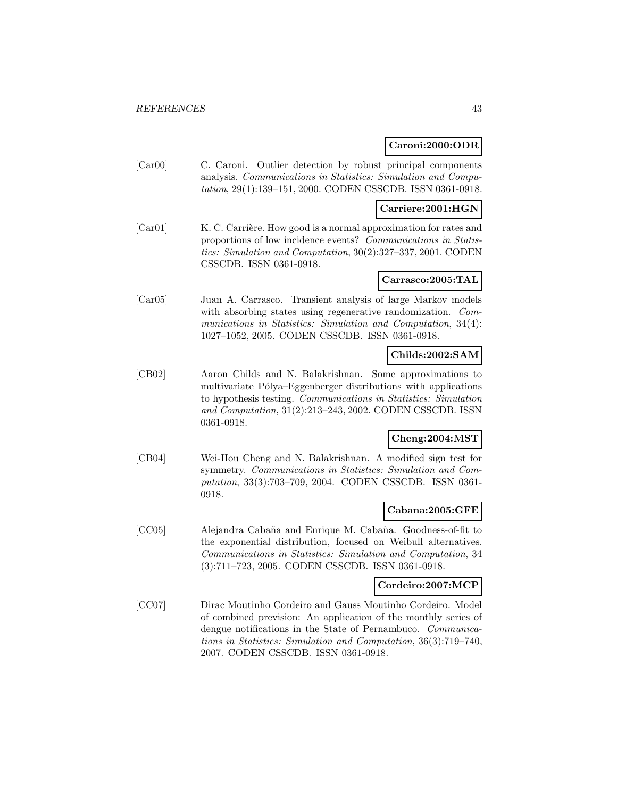### **Caroni:2000:ODR**

[Car00] C. Caroni. Outlier detection by robust principal components analysis. Communications in Statistics: Simulation and Computation, 29(1):139–151, 2000. CODEN CSSCDB. ISSN 0361-0918.

## **Carriere:2001:HGN**

[Car01] K. C. Carrière. How good is a normal approximation for rates and proportions of low incidence events? Communications in Statistics: Simulation and Computation, 30(2):327–337, 2001. CODEN CSSCDB. ISSN 0361-0918.

## **Carrasco:2005:TAL**

[Car05] Juan A. Carrasco. Transient analysis of large Markov models with absorbing states using regenerative randomization. *Com*munications in Statistics: Simulation and Computation, 34(4): 1027–1052, 2005. CODEN CSSCDB. ISSN 0361-0918.

# **Childs:2002:SAM**

[CB02] Aaron Childs and N. Balakrishnan. Some approximations to multivariate Pólya–Eggenberger distributions with applications to hypothesis testing. Communications in Statistics: Simulation and Computation, 31(2):213–243, 2002. CODEN CSSCDB. ISSN 0361-0918.

# **Cheng:2004:MST**

[CB04] Wei-Hou Cheng and N. Balakrishnan. A modified sign test for symmetry. Communications in Statistics: Simulation and Computation, 33(3):703–709, 2004. CODEN CSSCDB. ISSN 0361- 0918.

#### **Cabana:2005:GFE**

[CC05] Alejandra Cabaña and Enrique M. Cabaña. Goodness-of-fit to the exponential distribution, focused on Weibull alternatives. Communications in Statistics: Simulation and Computation, 34 (3):711–723, 2005. CODEN CSSCDB. ISSN 0361-0918.

### **Cordeiro:2007:MCP**

[CC07] Dirac Moutinho Cordeiro and Gauss Moutinho Cordeiro. Model of combined prevision: An application of the monthly series of dengue notifications in the State of Pernambuco. Communications in Statistics: Simulation and Computation, 36(3):719–740, 2007. CODEN CSSCDB. ISSN 0361-0918.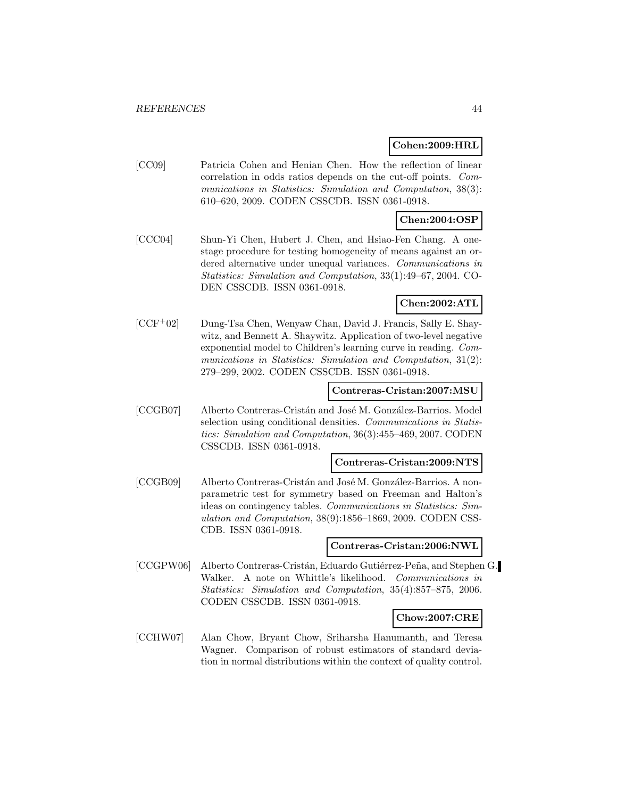#### **Cohen:2009:HRL**

[CC09] Patricia Cohen and Henian Chen. How the reflection of linear correlation in odds ratios depends on the cut-off points. Communications in Statistics: Simulation and Computation, 38(3): 610–620, 2009. CODEN CSSCDB. ISSN 0361-0918.

# **Chen:2004:OSP**

[CCC04] Shun-Yi Chen, Hubert J. Chen, and Hsiao-Fen Chang. A onestage procedure for testing homogeneity of means against an ordered alternative under unequal variances. Communications in Statistics: Simulation and Computation, 33(1):49–67, 2004. CO-DEN CSSCDB. ISSN 0361-0918.

# **Chen:2002:ATL**

[CCF<sup>+</sup>02] Dung-Tsa Chen, Wenyaw Chan, David J. Francis, Sally E. Shaywitz, and Bennett A. Shaywitz. Application of two-level negative exponential model to Children's learning curve in reading. Communications in Statistics: Simulation and Computation, 31(2): 279–299, 2002. CODEN CSSCDB. ISSN 0361-0918.

#### **Contreras-Cristan:2007:MSU**

[CCGB07] Alberto Contreras-Cristán and José M. González-Barrios. Model selection using conditional densities. Communications in Statistics: Simulation and Computation, 36(3):455–469, 2007. CODEN CSSCDB. ISSN 0361-0918.

#### **Contreras-Cristan:2009:NTS**

[CCGB09] Alberto Contreras-Cristán and José M. González-Barrios. A nonparametric test for symmetry based on Freeman and Halton's ideas on contingency tables. Communications in Statistics: Simulation and Computation, 38(9):1856–1869, 2009. CODEN CSS-CDB. ISSN 0361-0918.

#### **Contreras-Cristan:2006:NWL**

[CCGPW06] Alberto Contreras-Cristán, Eduardo Gutiérrez-Peña, and Stephen G. Walker. A note on Whittle's likelihood. Communications in Statistics: Simulation and Computation, 35(4):857–875, 2006. CODEN CSSCDB. ISSN 0361-0918.

#### **Chow:2007:CRE**

[CCHW07] Alan Chow, Bryant Chow, Sriharsha Hanumanth, and Teresa Wagner. Comparison of robust estimators of standard deviation in normal distributions within the context of quality control.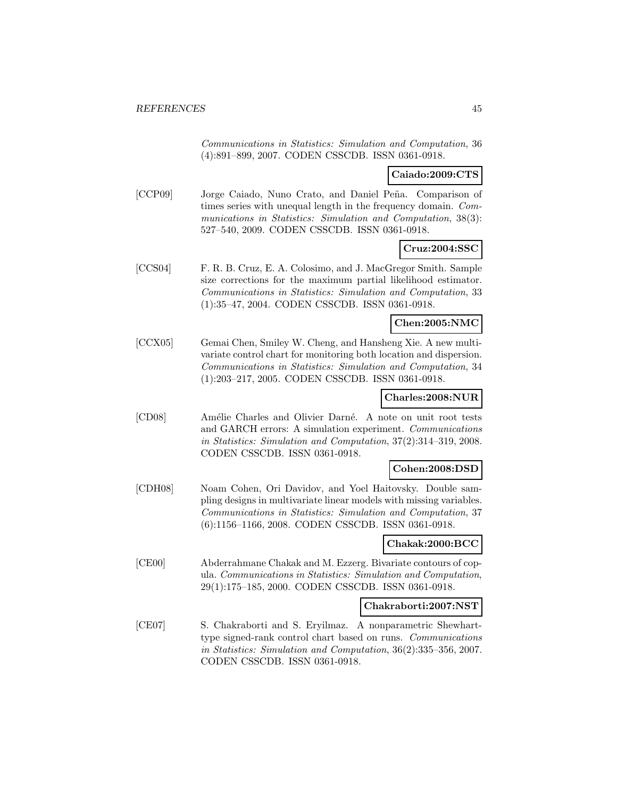Communications in Statistics: Simulation and Computation, 36 (4):891–899, 2007. CODEN CSSCDB. ISSN 0361-0918.

## **Caiado:2009:CTS**

[CCP09] Jorge Caiado, Nuno Crato, and Daniel Peña. Comparison of times series with unequal length in the frequency domain. Communications in Statistics: Simulation and Computation, 38(3): 527–540, 2009. CODEN CSSCDB. ISSN 0361-0918.

# **Cruz:2004:SSC**

[CCS04] F. R. B. Cruz, E. A. Colosimo, and J. MacGregor Smith. Sample size corrections for the maximum partial likelihood estimator. Communications in Statistics: Simulation and Computation, 33 (1):35–47, 2004. CODEN CSSCDB. ISSN 0361-0918.

## **Chen:2005:NMC**

[CCX05] Gemai Chen, Smiley W. Cheng, and Hansheng Xie. A new multivariate control chart for monitoring both location and dispersion. Communications in Statistics: Simulation and Computation, 34 (1):203–217, 2005. CODEN CSSCDB. ISSN 0361-0918.

# **Charles:2008:NUR**

[CD08] Amélie Charles and Olivier Darné. A note on unit root tests and GARCH errors: A simulation experiment. Communications in Statistics: Simulation and Computation, 37(2):314–319, 2008. CODEN CSSCDB. ISSN 0361-0918.

#### **Cohen:2008:DSD**

[CDH08] Noam Cohen, Ori Davidov, and Yoel Haitovsky. Double sampling designs in multivariate linear models with missing variables. Communications in Statistics: Simulation and Computation, 37 (6):1156–1166, 2008. CODEN CSSCDB. ISSN 0361-0918.

### **Chakak:2000:BCC**

[CE00] Abderrahmane Chakak and M. Ezzerg. Bivariate contours of copula. Communications in Statistics: Simulation and Computation, 29(1):175–185, 2000. CODEN CSSCDB. ISSN 0361-0918.

#### **Chakraborti:2007:NST**

[CE07] S. Chakraborti and S. Eryilmaz. A nonparametric Shewharttype signed-rank control chart based on runs. Communications in Statistics: Simulation and Computation, 36(2):335–356, 2007. CODEN CSSCDB. ISSN 0361-0918.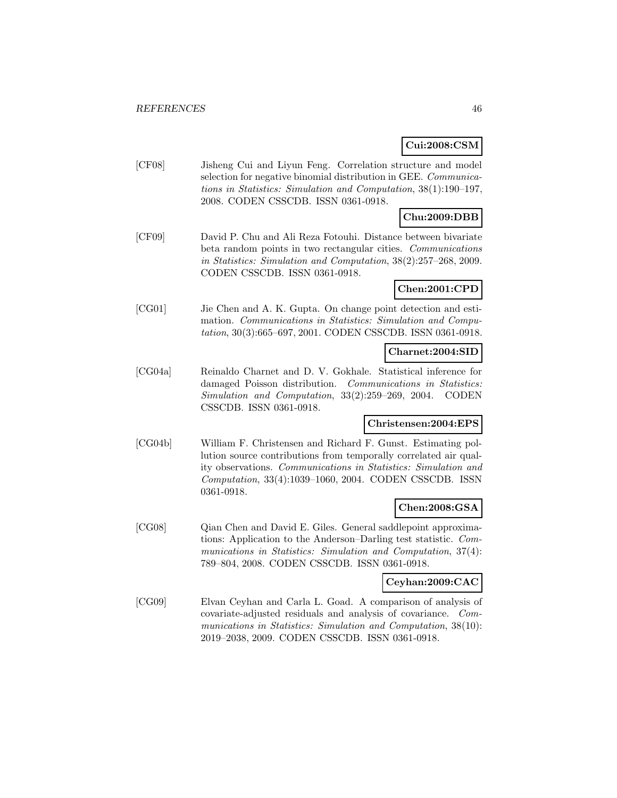# **Cui:2008:CSM**

[CF08] Jisheng Cui and Liyun Feng. Correlation structure and model selection for negative binomial distribution in GEE. Communications in Statistics: Simulation and Computation, 38(1):190–197, 2008. CODEN CSSCDB. ISSN 0361-0918.

# **Chu:2009:DBB**

[CF09] David P. Chu and Ali Reza Fotouhi. Distance between bivariate beta random points in two rectangular cities. Communications in Statistics: Simulation and Computation, 38(2):257–268, 2009. CODEN CSSCDB. ISSN 0361-0918.

# **Chen:2001:CPD**

[CG01] Jie Chen and A. K. Gupta. On change point detection and estimation. Communications in Statistics: Simulation and Computation, 30(3):665–697, 2001. CODEN CSSCDB. ISSN 0361-0918.

#### **Charnet:2004:SID**

[CG04a] Reinaldo Charnet and D. V. Gokhale. Statistical inference for damaged Poisson distribution. Communications in Statistics: Simulation and Computation, 33(2):259–269, 2004. CODEN CSSCDB. ISSN 0361-0918.

#### **Christensen:2004:EPS**

[CG04b] William F. Christensen and Richard F. Gunst. Estimating pollution source contributions from temporally correlated air quality observations. Communications in Statistics: Simulation and Computation, 33(4):1039–1060, 2004. CODEN CSSCDB. ISSN 0361-0918.

# **Chen:2008:GSA**

[CG08] Qian Chen and David E. Giles. General saddlepoint approximations: Application to the Anderson–Darling test statistic. Communications in Statistics: Simulation and Computation, 37(4): 789–804, 2008. CODEN CSSCDB. ISSN 0361-0918.

## **Ceyhan:2009:CAC**

[CG09] Elvan Ceyhan and Carla L. Goad. A comparison of analysis of covariate-adjusted residuals and analysis of covariance. Communications in Statistics: Simulation and Computation, 38(10): 2019–2038, 2009. CODEN CSSCDB. ISSN 0361-0918.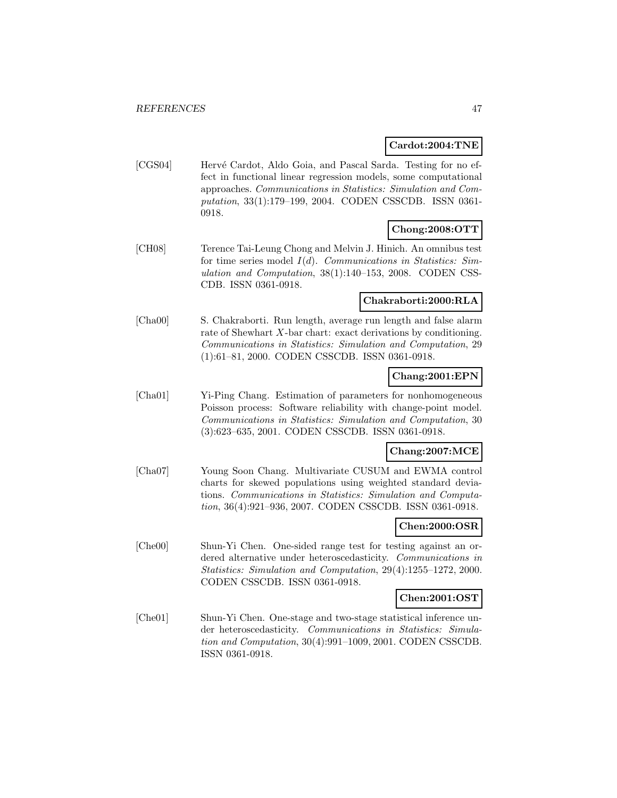#### **Cardot:2004:TNE**

[CGS04] Hervé Cardot, Aldo Goia, and Pascal Sarda. Testing for no effect in functional linear regression models, some computational approaches. Communications in Statistics: Simulation and Computation, 33(1):179–199, 2004. CODEN CSSCDB. ISSN 0361- 0918.

# **Chong:2008:OTT**

[CH08] Terence Tai-Leung Chong and Melvin J. Hinich. An omnibus test for time series model  $I(d)$ . *Communications in Statistics: Sim*ulation and Computation, 38(1):140–153, 2008. CODEN CSS-CDB. ISSN 0361-0918.

# **Chakraborti:2000:RLA**

[Cha00] S. Chakraborti. Run length, average run length and false alarm rate of Shewhart X-bar chart: exact derivations by conditioning. Communications in Statistics: Simulation and Computation, 29 (1):61–81, 2000. CODEN CSSCDB. ISSN 0361-0918.

### **Chang:2001:EPN**

[Cha01] Yi-Ping Chang. Estimation of parameters for nonhomogeneous Poisson process: Software reliability with change-point model. Communications in Statistics: Simulation and Computation, 30 (3):623–635, 2001. CODEN CSSCDB. ISSN 0361-0918.

# **Chang:2007:MCE**

[Cha07] Young Soon Chang. Multivariate CUSUM and EWMA control charts for skewed populations using weighted standard deviations. Communications in Statistics: Simulation and Computation, 36(4):921–936, 2007. CODEN CSSCDB. ISSN 0361-0918.

# **Chen:2000:OSR**

[Che00] Shun-Yi Chen. One-sided range test for testing against an ordered alternative under heteroscedasticity. Communications in Statistics: Simulation and Computation, 29(4):1255–1272, 2000. CODEN CSSCDB. ISSN 0361-0918.

# **Chen:2001:OST**

[Che01] Shun-Yi Chen. One-stage and two-stage statistical inference under heteroscedasticity. Communications in Statistics: Simulation and Computation, 30(4):991–1009, 2001. CODEN CSSCDB. ISSN 0361-0918.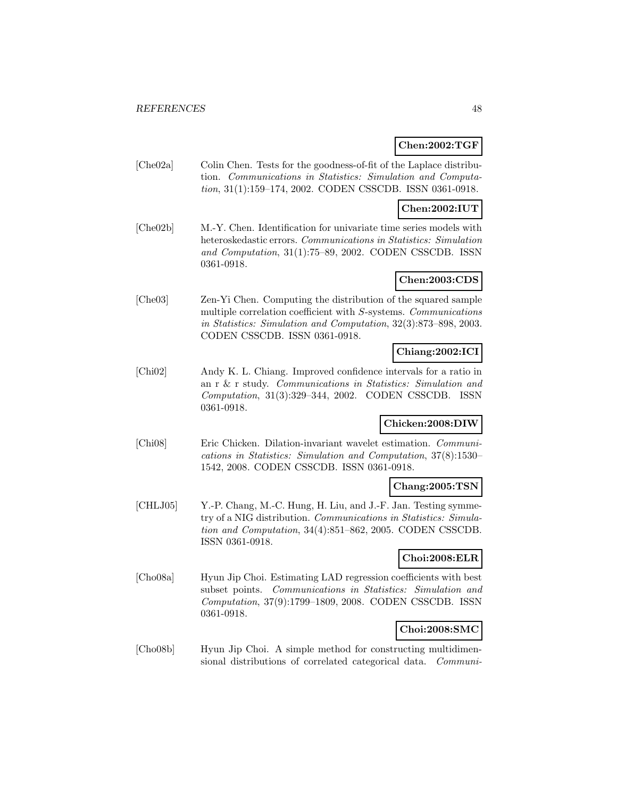# **Chen:2002:TGF**

[Che02a] Colin Chen. Tests for the goodness-of-fit of the Laplace distribution. Communications in Statistics: Simulation and Computation, 31(1):159–174, 2002. CODEN CSSCDB. ISSN 0361-0918.

# **Chen:2002:IUT**

[Che02b] M.-Y. Chen. Identification for univariate time series models with heteroskedastic errors. Communications in Statistics: Simulation and Computation, 31(1):75–89, 2002. CODEN CSSCDB. ISSN 0361-0918.

# **Chen:2003:CDS**

[Che03] Zen-Yi Chen. Computing the distribution of the squared sample multiple correlation coefficient with S-systems. Communications in Statistics: Simulation and Computation, 32(3):873–898, 2003. CODEN CSSCDB. ISSN 0361-0918.

# **Chiang:2002:ICI**

[Chi02] Andy K. L. Chiang. Improved confidence intervals for a ratio in an r & r study. Communications in Statistics: Simulation and Computation, 31(3):329–344, 2002. CODEN CSSCDB. ISSN 0361-0918.

# **Chicken:2008:DIW**

[Chi08] Eric Chicken. Dilation-invariant wavelet estimation. Communications in Statistics: Simulation and Computation, 37(8):1530– 1542, 2008. CODEN CSSCDB. ISSN 0361-0918.

# **Chang:2005:TSN**

[CHLJ05] Y.-P. Chang, M.-C. Hung, H. Liu, and J.-F. Jan. Testing symmetry of a NIG distribution. Communications in Statistics: Simulation and Computation, 34(4):851–862, 2005. CODEN CSSCDB. ISSN 0361-0918.

# **Choi:2008:ELR**

[Cho08a] Hyun Jip Choi. Estimating LAD regression coefficients with best subset points. Communications in Statistics: Simulation and Computation, 37(9):1799–1809, 2008. CODEN CSSCDB. ISSN 0361-0918.

# **Choi:2008:SMC**

[Cho08b] Hyun Jip Choi. A simple method for constructing multidimensional distributions of correlated categorical data. Communi-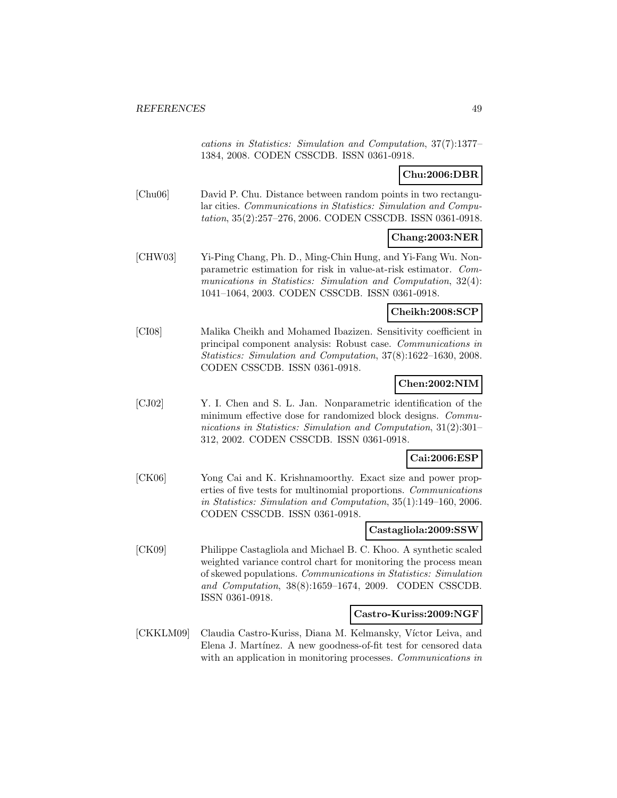cations in Statistics: Simulation and Computation, 37(7):1377– 1384, 2008. CODEN CSSCDB. ISSN 0361-0918.

# **Chu:2006:DBR**

[Chu06] David P. Chu. Distance between random points in two rectangular cities. Communications in Statistics: Simulation and Computation, 35(2):257–276, 2006. CODEN CSSCDB. ISSN 0361-0918.

# **Chang:2003:NER**

[CHW03] Yi-Ping Chang, Ph. D., Ming-Chin Hung, and Yi-Fang Wu. Nonparametric estimation for risk in value-at-risk estimator. Communications in Statistics: Simulation and Computation, 32(4): 1041–1064, 2003. CODEN CSSCDB. ISSN 0361-0918.

# **Cheikh:2008:SCP**

[CI08] Malika Cheikh and Mohamed Ibazizen. Sensitivity coefficient in principal component analysis: Robust case. Communications in Statistics: Simulation and Computation, 37(8):1622–1630, 2008. CODEN CSSCDB. ISSN 0361-0918.

# **Chen:2002:NIM**

[CJ02] Y. I. Chen and S. L. Jan. Nonparametric identification of the minimum effective dose for randomized block designs. Communications in Statistics: Simulation and Computation, 31(2):301– 312, 2002. CODEN CSSCDB. ISSN 0361-0918.

#### **Cai:2006:ESP**

[CK06] Yong Cai and K. Krishnamoorthy. Exact size and power properties of five tests for multinomial proportions. Communications in Statistics: Simulation and Computation, 35(1):149–160, 2006. CODEN CSSCDB. ISSN 0361-0918.

# **Castagliola:2009:SSW**

[CK09] Philippe Castagliola and Michael B. C. Khoo. A synthetic scaled weighted variance control chart for monitoring the process mean of skewed populations. Communications in Statistics: Simulation and Computation, 38(8):1659–1674, 2009. CODEN CSSCDB. ISSN 0361-0918.

#### **Castro-Kuriss:2009:NGF**

[CKKLM09] Claudia Castro-Kuriss, Diana M. Kelmansky, Víctor Leiva, and Elena J. Martínez. A new goodness-of-fit test for censored data with an application in monitoring processes. Communications in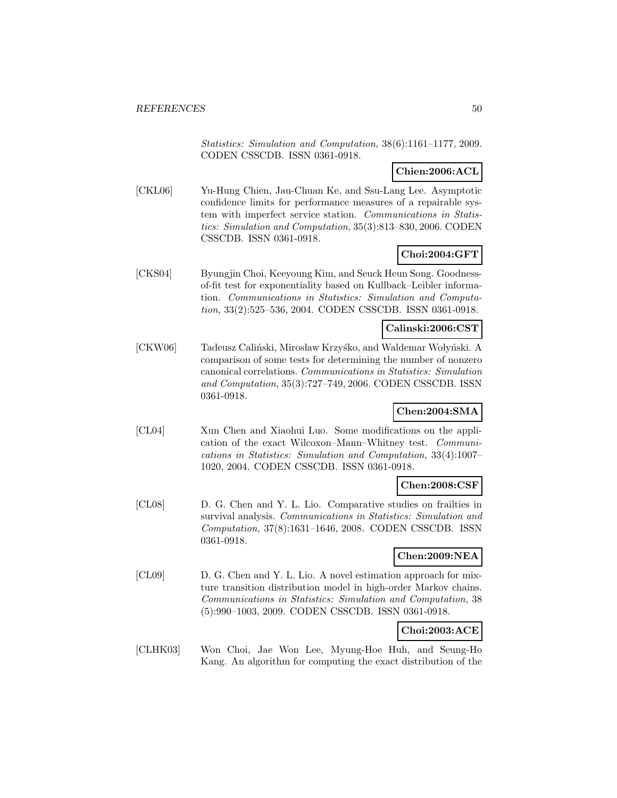Statistics: Simulation and Computation, 38(6):1161–1177, 2009. CODEN CSSCDB. ISSN 0361-0918.

# **Chien:2006:ACL**

[CKL06] Yu-Hung Chien, Jau-Chuan Ke, and Ssu-Lang Lee. Asymptotic confidence limits for performance measures of a repairable system with imperfect service station. Communications in Statistics: Simulation and Computation, 35(3):813–830, 2006. CODEN CSSCDB. ISSN 0361-0918.

# **Choi:2004:GFT**

[CKS04] Byungjin Choi, Keeyoung Kim, and Seuck Heun Song. Goodnessof-fit test for exponentiality based on Kullback–Leibler information. Communications in Statistics: Simulation and Computation, 33(2):525–536, 2004. CODEN CSSCDB. ISSN 0361-0918.

# **Calinski:2006:CST**

[CKW06] Tadeusz Caliński, Mirosław Krzyśko, and Waldemar Wołyński. A comparison of some tests for determining the number of nonzero canonical correlations. Communications in Statistics: Simulation and Computation, 35(3):727–749, 2006. CODEN CSSCDB. ISSN 0361-0918.

# **Chen:2004:SMA**

[CL04] Xun Chen and Xiaohui Luo. Some modifications on the application of the exact Wilcoxon–Mann–Whitney test. Communications in Statistics: Simulation and Computation, 33(4):1007– 1020, 2004. CODEN CSSCDB. ISSN 0361-0918.

### **Chen:2008:CSF**

[CL08] D. G. Chen and Y. L. Lio. Comparative studies on frailties in survival analysis. Communications in Statistics: Simulation and Computation, 37(8):1631–1646, 2008. CODEN CSSCDB. ISSN 0361-0918.

# **Chen:2009:NEA**

[CL09] D. G. Chen and Y. L. Lio. A novel estimation approach for mixture transition distribution model in high-order Markov chains. Communications in Statistics: Simulation and Computation, 38 (5):990–1003, 2009. CODEN CSSCDB. ISSN 0361-0918.

# **Choi:2003:ACE**

[CLHK03] Won Choi, Jae Won Lee, Myung-Hoe Huh, and Seung-Ho Kang. An algorithm for computing the exact distribution of the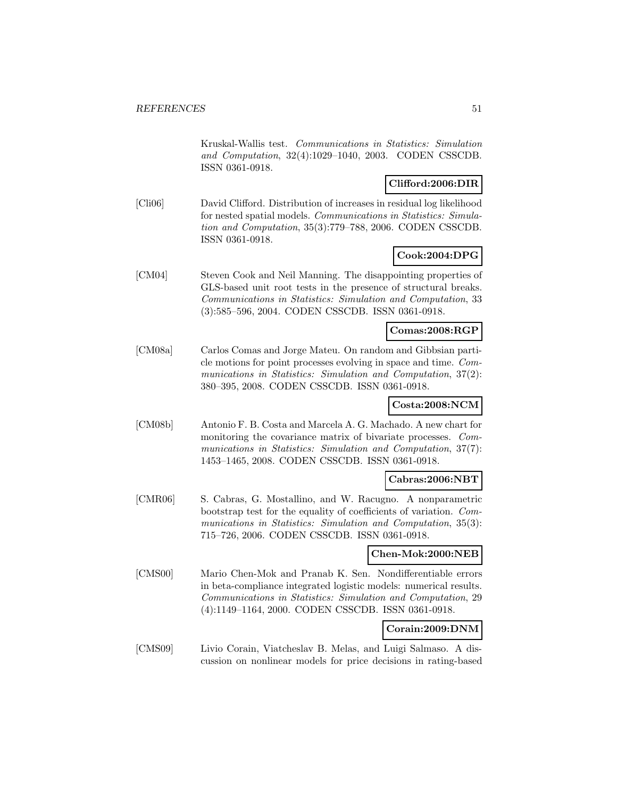Kruskal-Wallis test. Communications in Statistics: Simulation and Computation, 32(4):1029–1040, 2003. CODEN CSSCDB. ISSN 0361-0918.

# **Clifford:2006:DIR**

[Cli06] David Clifford. Distribution of increases in residual log likelihood for nested spatial models. Communications in Statistics: Simulation and Computation, 35(3):779–788, 2006. CODEN CSSCDB. ISSN 0361-0918.

# **Cook:2004:DPG**

[CM04] Steven Cook and Neil Manning. The disappointing properties of GLS-based unit root tests in the presence of structural breaks. Communications in Statistics: Simulation and Computation, 33 (3):585–596, 2004. CODEN CSSCDB. ISSN 0361-0918.

## **Comas:2008:RGP**

[CM08a] Carlos Comas and Jorge Mateu. On random and Gibbsian particle motions for point processes evolving in space and time. Communications in Statistics: Simulation and Computation, 37(2): 380–395, 2008. CODEN CSSCDB. ISSN 0361-0918.

# **Costa:2008:NCM**

[CM08b] Antonio F. B. Costa and Marcela A. G. Machado. A new chart for monitoring the covariance matrix of bivariate processes. Communications in Statistics: Simulation and Computation, 37(7): 1453–1465, 2008. CODEN CSSCDB. ISSN 0361-0918.

### **Cabras:2006:NBT**

[CMR06] S. Cabras, G. Mostallino, and W. Racugno. A nonparametric bootstrap test for the equality of coefficients of variation. Communications in Statistics: Simulation and Computation, 35(3): 715–726, 2006. CODEN CSSCDB. ISSN 0361-0918.

# **Chen-Mok:2000:NEB**

[CMS00] Mario Chen-Mok and Pranab K. Sen. Nondifferentiable errors in beta-compliance integrated logistic models: numerical results. Communications in Statistics: Simulation and Computation, 29 (4):1149–1164, 2000. CODEN CSSCDB. ISSN 0361-0918.

# **Corain:2009:DNM**

[CMS09] Livio Corain, Viatcheslav B. Melas, and Luigi Salmaso. A discussion on nonlinear models for price decisions in rating-based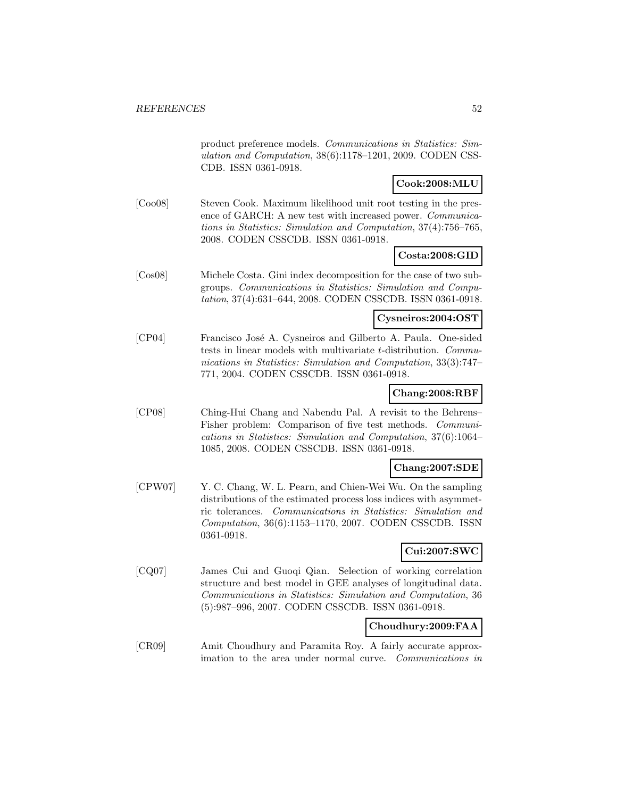product preference models. Communications in Statistics: Simulation and Computation, 38(6):1178–1201, 2009. CODEN CSS-CDB. ISSN 0361-0918.

# **Cook:2008:MLU**

[Coo08] Steven Cook. Maximum likelihood unit root testing in the presence of GARCH: A new test with increased power. Communications in Statistics: Simulation and Computation, 37(4):756–765, 2008. CODEN CSSCDB. ISSN 0361-0918.

# **Costa:2008:GID**

[Cos08] Michele Costa. Gini index decomposition for the case of two subgroups. Communications in Statistics: Simulation and Computation, 37(4):631–644, 2008. CODEN CSSCDB. ISSN 0361-0918.

#### **Cysneiros:2004:OST**

[CP04] Francisco José A. Cysneiros and Gilberto A. Paula. One-sided tests in linear models with multivariate t-distribution. Communications in Statistics: Simulation and Computation, 33(3):747– 771, 2004. CODEN CSSCDB. ISSN 0361-0918.

#### **Chang:2008:RBF**

[CP08] Ching-Hui Chang and Nabendu Pal. A revisit to the Behrens– Fisher problem: Comparison of five test methods. Communications in Statistics: Simulation and Computation, 37(6):1064– 1085, 2008. CODEN CSSCDB. ISSN 0361-0918.

#### **Chang:2007:SDE**

[CPW07] Y. C. Chang, W. L. Pearn, and Chien-Wei Wu. On the sampling distributions of the estimated process loss indices with asymmetric tolerances. Communications in Statistics: Simulation and Computation, 36(6):1153–1170, 2007. CODEN CSSCDB. ISSN 0361-0918.

# **Cui:2007:SWC**

[CQ07] James Cui and Guoqi Qian. Selection of working correlation structure and best model in GEE analyses of longitudinal data. Communications in Statistics: Simulation and Computation, 36 (5):987–996, 2007. CODEN CSSCDB. ISSN 0361-0918.

# **Choudhury:2009:FAA**

[CR09] Amit Choudhury and Paramita Roy. A fairly accurate approximation to the area under normal curve. Communications in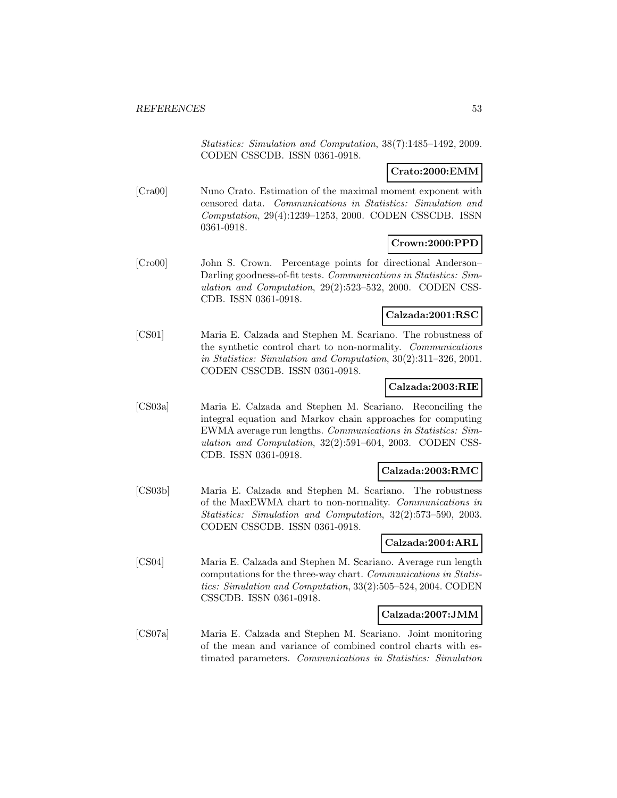Statistics: Simulation and Computation, 38(7):1485–1492, 2009. CODEN CSSCDB. ISSN 0361-0918.

## **Crato:2000:EMM**

[Cra00] Nuno Crato. Estimation of the maximal moment exponent with censored data. Communications in Statistics: Simulation and Computation, 29(4):1239–1253, 2000. CODEN CSSCDB. ISSN 0361-0918.

### **Crown:2000:PPD**

[Cro00] John S. Crown. Percentage points for directional Anderson– Darling goodness-of-fit tests. Communications in Statistics: Simulation and Computation, 29(2):523–532, 2000. CODEN CSS-CDB. ISSN 0361-0918.

### **Calzada:2001:RSC**

[CS01] Maria E. Calzada and Stephen M. Scariano. The robustness of the synthetic control chart to non-normality. Communications in Statistics: Simulation and Computation, 30(2):311–326, 2001. CODEN CSSCDB. ISSN 0361-0918.

## **Calzada:2003:RIE**

[CS03a] Maria E. Calzada and Stephen M. Scariano. Reconciling the integral equation and Markov chain approaches for computing EWMA average run lengths. Communications in Statistics: Simulation and Computation, 32(2):591–604, 2003. CODEN CSS-CDB. ISSN 0361-0918.

#### **Calzada:2003:RMC**

[CS03b] Maria E. Calzada and Stephen M. Scariano. The robustness of the MaxEWMA chart to non-normality. Communications in Statistics: Simulation and Computation, 32(2):573–590, 2003. CODEN CSSCDB. ISSN 0361-0918.

#### **Calzada:2004:ARL**

[CS04] Maria E. Calzada and Stephen M. Scariano. Average run length computations for the three-way chart. Communications in Statistics: Simulation and Computation, 33(2):505–524, 2004. CODEN CSSCDB. ISSN 0361-0918.

#### **Calzada:2007:JMM**

[CS07a] Maria E. Calzada and Stephen M. Scariano. Joint monitoring of the mean and variance of combined control charts with estimated parameters. Communications in Statistics: Simulation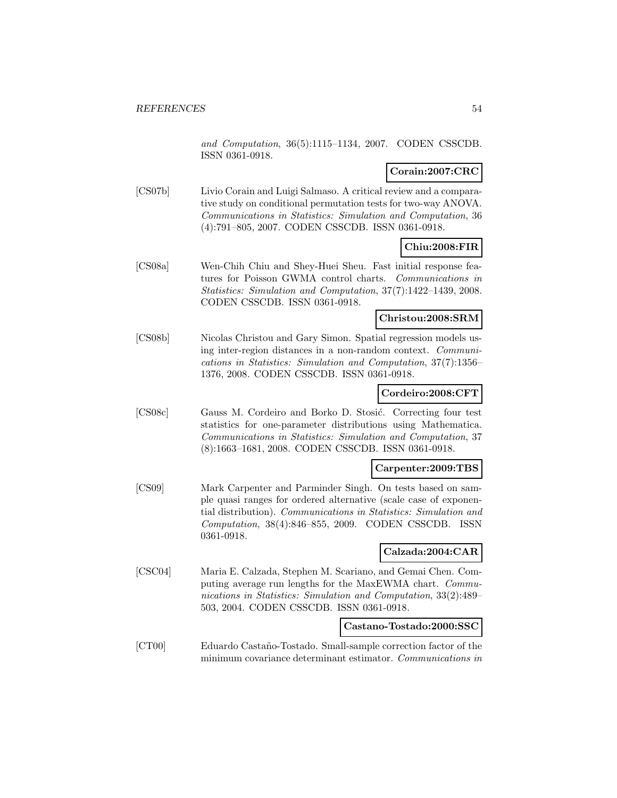and Computation, 36(5):1115–1134, 2007. CODEN CSSCDB. ISSN 0361-0918.

## **Corain:2007:CRC**

[CS07b] Livio Corain and Luigi Salmaso. A critical review and a comparative study on conditional permutation tests for two-way ANOVA. Communications in Statistics: Simulation and Computation, 36 (4):791–805, 2007. CODEN CSSCDB. ISSN 0361-0918.

# **Chiu:2008:FIR**

[CS08a] Wen-Chih Chiu and Shey-Huei Sheu. Fast initial response features for Poisson GWMA control charts. Communications in Statistics: Simulation and Computation, 37(7):1422–1439, 2008. CODEN CSSCDB. ISSN 0361-0918.

### **Christou:2008:SRM**

[CS08b] Nicolas Christou and Gary Simon. Spatial regression models using inter-region distances in a non-random context. Communications in Statistics: Simulation and Computation, 37(7):1356– 1376, 2008. CODEN CSSCDB. ISSN 0361-0918.

### **Cordeiro:2008:CFT**

[CS08c] Gauss M. Cordeiro and Borko D. Stosić. Correcting four test statistics for one-parameter distributions using Mathematica. Communications in Statistics: Simulation and Computation, 37 (8):1663–1681, 2008. CODEN CSSCDB. ISSN 0361-0918.

# **Carpenter:2009:TBS**

[CS09] Mark Carpenter and Parminder Singh. On tests based on sample quasi ranges for ordered alternative (scale case of exponential distribution). Communications in Statistics: Simulation and Computation, 38(4):846–855, 2009. CODEN CSSCDB. ISSN 0361-0918.

# **Calzada:2004:CAR**

[CSC04] Maria E. Calzada, Stephen M. Scariano, and Gemai Chen. Computing average run lengths for the MaxEWMA chart. Communications in Statistics: Simulation and Computation, 33(2):489– 503, 2004. CODEN CSSCDB. ISSN 0361-0918.

### **Castano-Tostado:2000:SSC**

[CT00] Eduardo Castaño-Tostado. Small-sample correction factor of the minimum covariance determinant estimator. Communications in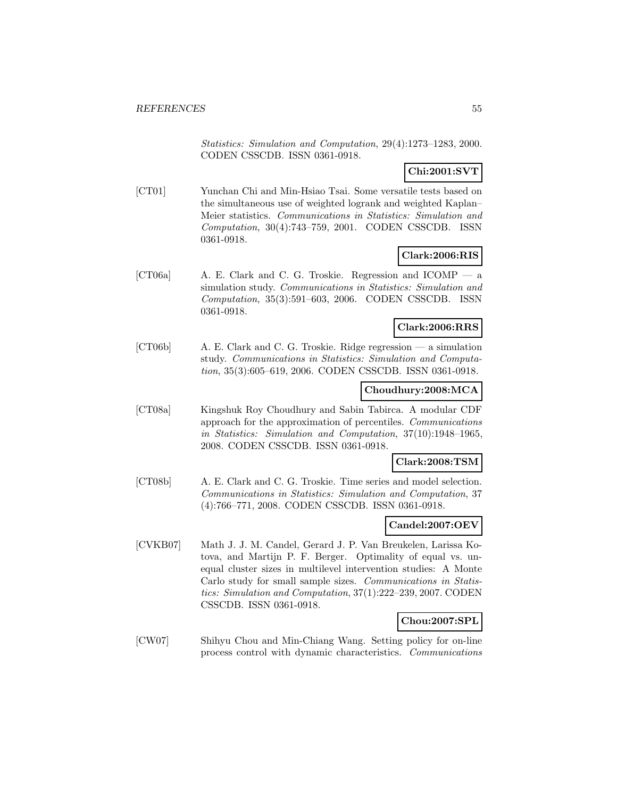Statistics: Simulation and Computation, 29(4):1273–1283, 2000. CODEN CSSCDB. ISSN 0361-0918.

# **Chi:2001:SVT**

[CT01] Yunchan Chi and Min-Hsiao Tsai. Some versatile tests based on the simultaneous use of weighted logrank and weighted Kaplan– Meier statistics. Communications in Statistics: Simulation and Computation, 30(4):743–759, 2001. CODEN CSSCDB. ISSN 0361-0918.

## **Clark:2006:RIS**

[CT06a] A. E. Clark and C. G. Troskie. Regression and ICOMP — a simulation study. Communications in Statistics: Simulation and Computation, 35(3):591–603, 2006. CODEN CSSCDB. ISSN 0361-0918.

## **Clark:2006:RRS**

[CT06b] A. E. Clark and C. G. Troskie. Ridge regression — a simulation study. Communications in Statistics: Simulation and Computation, 35(3):605–619, 2006. CODEN CSSCDB. ISSN 0361-0918.

# **Choudhury:2008:MCA**

[CT08a] Kingshuk Roy Choudhury and Sabin Tabirca. A modular CDF approach for the approximation of percentiles. Communications in Statistics: Simulation and Computation, 37(10):1948–1965, 2008. CODEN CSSCDB. ISSN 0361-0918.

#### **Clark:2008:TSM**

[CT08b] A. E. Clark and C. G. Troskie. Time series and model selection. Communications in Statistics: Simulation and Computation, 37 (4):766–771, 2008. CODEN CSSCDB. ISSN 0361-0918.

#### **Candel:2007:OEV**

[CVKB07] Math J. J. M. Candel, Gerard J. P. Van Breukelen, Larissa Kotova, and Martijn P. F. Berger. Optimality of equal vs. unequal cluster sizes in multilevel intervention studies: A Monte Carlo study for small sample sizes. Communications in Statistics: Simulation and Computation, 37(1):222–239, 2007. CODEN CSSCDB. ISSN 0361-0918.

#### **Chou:2007:SPL**

[CW07] Shihyu Chou and Min-Chiang Wang. Setting policy for on-line process control with dynamic characteristics. Communications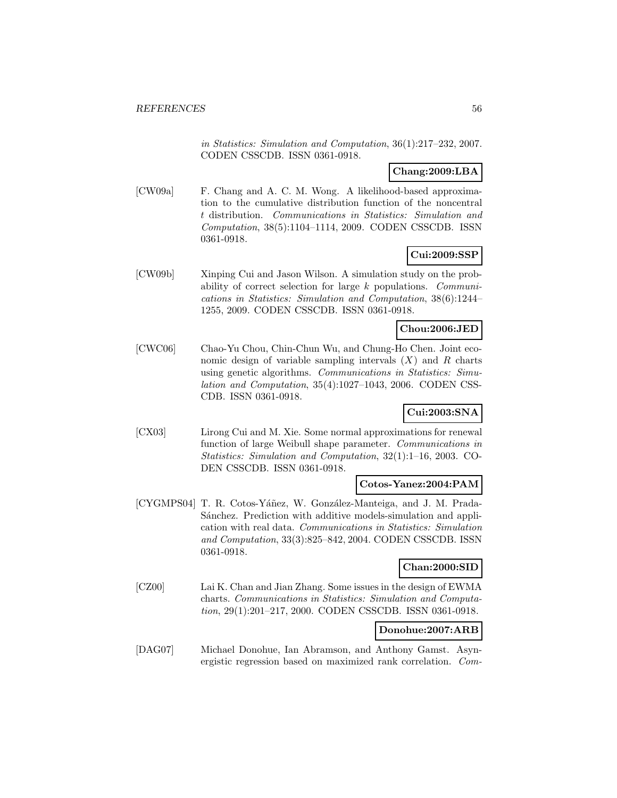in Statistics: Simulation and Computation, 36(1):217–232, 2007. CODEN CSSCDB. ISSN 0361-0918.

# **Chang:2009:LBA**

[CW09a] F. Chang and A. C. M. Wong. A likelihood-based approximation to the cumulative distribution function of the noncentral t distribution. Communications in Statistics: Simulation and Computation, 38(5):1104–1114, 2009. CODEN CSSCDB. ISSN 0361-0918.

# **Cui:2009:SSP**

[CW09b] Xinping Cui and Jason Wilson. A simulation study on the probability of correct selection for large k populations. Communications in Statistics: Simulation and Computation, 38(6):1244– 1255, 2009. CODEN CSSCDB. ISSN 0361-0918.

### **Chou:2006:JED**

[CWC06] Chao-Yu Chou, Chin-Chun Wu, and Chung-Ho Chen. Joint economic design of variable sampling intervals  $(X)$  and R charts using genetic algorithms. Communications in Statistics: Simulation and Computation, 35(4):1027–1043, 2006. CODEN CSS-CDB. ISSN 0361-0918.

## **Cui:2003:SNA**

[CX03] Lirong Cui and M. Xie. Some normal approximations for renewal function of large Weibull shape parameter. Communications in Statistics: Simulation and Computation, 32(1):1–16, 2003. CO-DEN CSSCDB. ISSN 0361-0918.

### **Cotos-Yanez:2004:PAM**

[CYGMPS04] T. R. Cotos-Yáñez, W. González-Manteiga, and J. M. Prada-Sánchez. Prediction with additive models-simulation and application with real data. Communications in Statistics: Simulation and Computation, 33(3):825–842, 2004. CODEN CSSCDB. ISSN 0361-0918.

# **Chan:2000:SID**

[CZ00] Lai K. Chan and Jian Zhang. Some issues in the design of EWMA charts. Communications in Statistics: Simulation and Computation, 29(1):201–217, 2000. CODEN CSSCDB. ISSN 0361-0918.

### **Donohue:2007:ARB**

[DAG07] Michael Donohue, Ian Abramson, and Anthony Gamst. Asynergistic regression based on maximized rank correlation. Com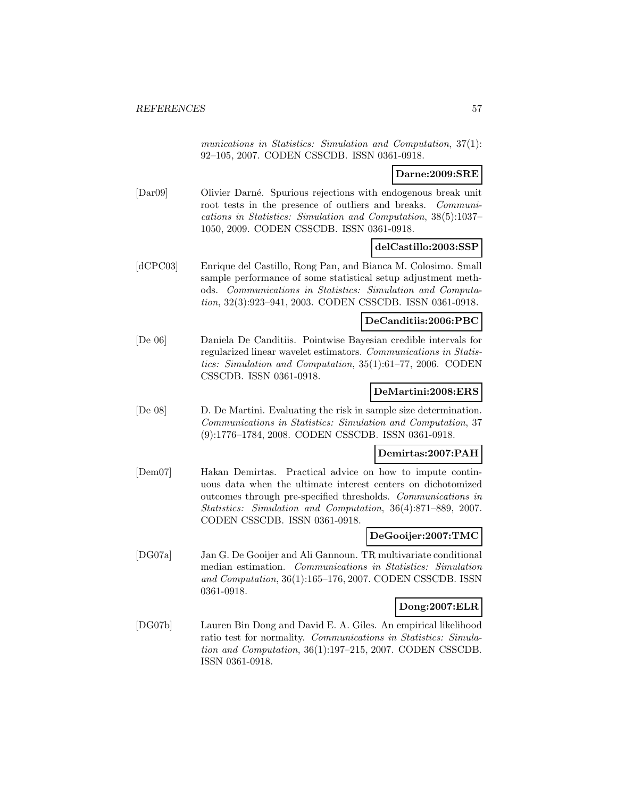munications in Statistics: Simulation and Computation, 37(1): 92–105, 2007. CODEN CSSCDB. ISSN 0361-0918.

# **Darne:2009:SRE**

[Dar09] Olivier Darné. Spurious rejections with endogenous break unit root tests in the presence of outliers and breaks. Communications in Statistics: Simulation and Computation, 38(5):1037– 1050, 2009. CODEN CSSCDB. ISSN 0361-0918.

#### **delCastillo:2003:SSP**

[dCPC03] Enrique del Castillo, Rong Pan, and Bianca M. Colosimo. Small sample performance of some statistical setup adjustment methods. Communications in Statistics: Simulation and Computation, 32(3):923–941, 2003. CODEN CSSCDB. ISSN 0361-0918.

# **DeCanditiis:2006:PBC**

[De 06] Daniela De Canditiis. Pointwise Bayesian credible intervals for regularized linear wavelet estimators. Communications in Statistics: Simulation and Computation, 35(1):61–77, 2006. CODEN CSSCDB. ISSN 0361-0918.

#### **DeMartini:2008:ERS**

[De 08] D. De Martini. Evaluating the risk in sample size determination. Communications in Statistics: Simulation and Computation, 37 (9):1776–1784, 2008. CODEN CSSCDB. ISSN 0361-0918.

#### **Demirtas:2007:PAH**

[Dem07] Hakan Demirtas. Practical advice on how to impute continuous data when the ultimate interest centers on dichotomized outcomes through pre-specified thresholds. Communications in Statistics: Simulation and Computation, 36(4):871–889, 2007. CODEN CSSCDB. ISSN 0361-0918.

#### **DeGooijer:2007:TMC**

[DG07a] Jan G. De Gooijer and Ali Gannoun. TR multivariate conditional median estimation. Communications in Statistics: Simulation and Computation, 36(1):165–176, 2007. CODEN CSSCDB. ISSN 0361-0918.

#### **Dong:2007:ELR**

[DG07b] Lauren Bin Dong and David E. A. Giles. An empirical likelihood ratio test for normality. Communications in Statistics: Simulation and Computation, 36(1):197–215, 2007. CODEN CSSCDB. ISSN 0361-0918.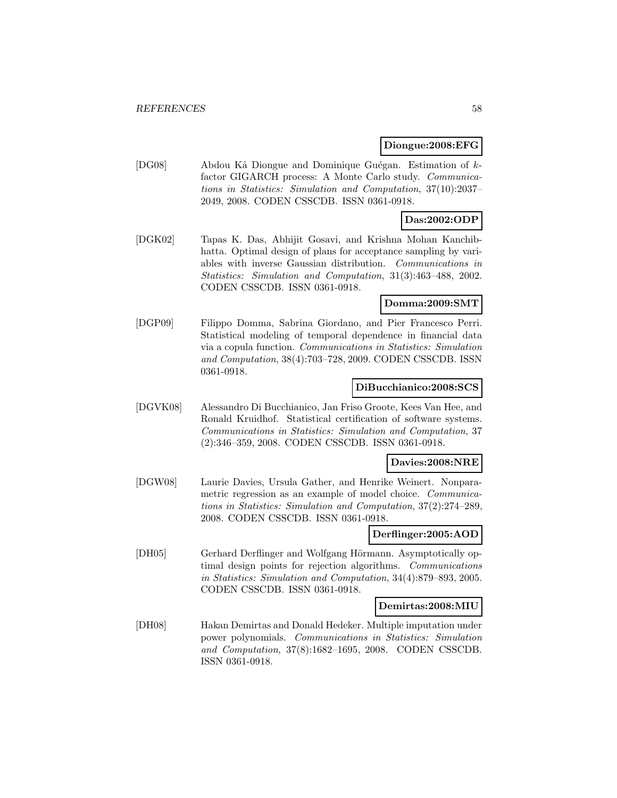#### **Diongue:2008:EFG**

[DG08] Abdou Kâ Diongue and Dominique Guégan. Estimation of kfactor GIGARCH process: A Monte Carlo study. Communications in Statistics: Simulation and Computation, 37(10):2037– 2049, 2008. CODEN CSSCDB. ISSN 0361-0918.

## **Das:2002:ODP**

[DGK02] Tapas K. Das, Abhijit Gosavi, and Krishna Mohan Kanchibhatta. Optimal design of plans for acceptance sampling by variables with inverse Gaussian distribution. Communications in Statistics: Simulation and Computation, 31(3):463–488, 2002. CODEN CSSCDB. ISSN 0361-0918.

## **Domma:2009:SMT**

[DGP09] Filippo Domma, Sabrina Giordano, and Pier Francesco Perri. Statistical modeling of temporal dependence in financial data via a copula function. Communications in Statistics: Simulation and Computation, 38(4):703–728, 2009. CODEN CSSCDB. ISSN 0361-0918.

### **DiBucchianico:2008:SCS**

[DGVK08] Alessandro Di Bucchianico, Jan Friso Groote, Kees Van Hee, and Ronald Kruidhof. Statistical certification of software systems. Communications in Statistics: Simulation and Computation, 37 (2):346–359, 2008. CODEN CSSCDB. ISSN 0361-0918.

### **Davies:2008:NRE**

[DGW08] Laurie Davies, Ursula Gather, and Henrike Weinert. Nonparametric regression as an example of model choice. Communications in Statistics: Simulation and Computation, 37(2):274–289, 2008. CODEN CSSCDB. ISSN 0361-0918.

### **Derflinger:2005:AOD**

[DH05] Gerhard Derflinger and Wolfgang Hörmann. Asymptotically optimal design points for rejection algorithms. Communications in Statistics: Simulation and Computation, 34(4):879–893, 2005. CODEN CSSCDB. ISSN 0361-0918.

#### **Demirtas:2008:MIU**

[DH08] Hakan Demirtas and Donald Hedeker. Multiple imputation under power polynomials. Communications in Statistics: Simulation and Computation, 37(8):1682–1695, 2008. CODEN CSSCDB. ISSN 0361-0918.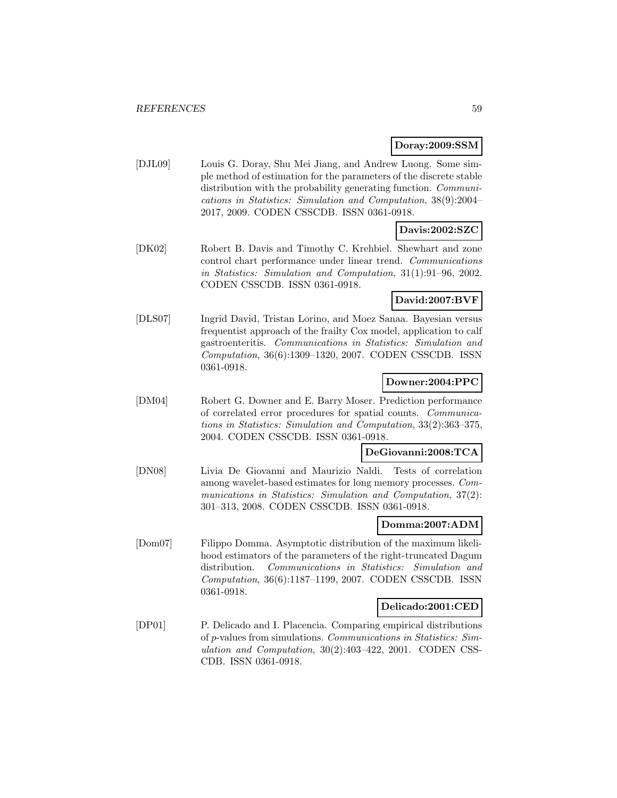### **Doray:2009:SSM**

[DJL09] Louis G. Doray, Shu Mei Jiang, and Andrew Luong. Some simple method of estimation for the parameters of the discrete stable distribution with the probability generating function. *Communi*cations in Statistics: Simulation and Computation, 38(9):2004– 2017, 2009. CODEN CSSCDB. ISSN 0361-0918.

# **Davis:2002:SZC**

[DK02] Robert B. Davis and Timothy C. Krehbiel. Shewhart and zone control chart performance under linear trend. Communications in Statistics: Simulation and Computation, 31(1):91–96, 2002. CODEN CSSCDB. ISSN 0361-0918.

# **David:2007:BVF**

[DLS07] Ingrid David, Tristan Lorino, and Moez Sanaa. Bayesian versus frequentist approach of the frailty Cox model, application to calf gastroenteritis. Communications in Statistics: Simulation and Computation, 36(6):1309–1320, 2007. CODEN CSSCDB. ISSN 0361-0918.

## **Downer:2004:PPC**

[DM04] Robert G. Downer and E. Barry Moser. Prediction performance of correlated error procedures for spatial counts. Communications in Statistics: Simulation and Computation, 33(2):363–375, 2004. CODEN CSSCDB. ISSN 0361-0918.

# **DeGiovanni:2008:TCA**

[DN08] Livia De Giovanni and Maurizio Naldi. Tests of correlation among wavelet-based estimates for long memory processes. Communications in Statistics: Simulation and Computation, 37(2): 301–313, 2008. CODEN CSSCDB. ISSN 0361-0918.

#### **Domma:2007:ADM**

[Dom07] Filippo Domma. Asymptotic distribution of the maximum likelihood estimators of the parameters of the right-truncated Dagum distribution. Communications in Statistics: Simulation and Computation, 36(6):1187–1199, 2007. CODEN CSSCDB. ISSN 0361-0918.

#### **Delicado:2001:CED**

[DP01] P. Delicado and I. Placencia. Comparing empirical distributions of p-values from simulations. Communications in Statistics: Simulation and Computation, 30(2):403–422, 2001. CODEN CSS-CDB. ISSN 0361-0918.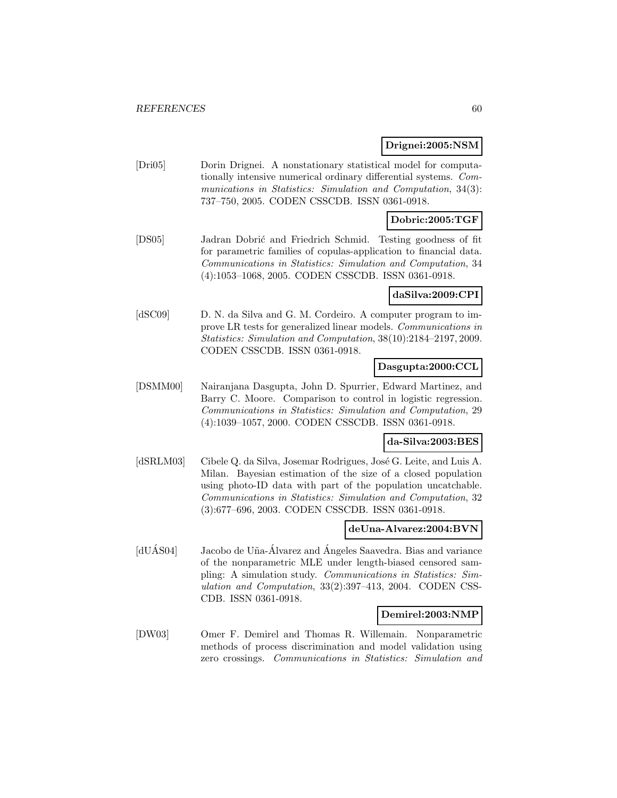#### **Drignei:2005:NSM**

[Dri05] Dorin Drignei. A nonstationary statistical model for computationally intensive numerical ordinary differential systems. Communications in Statistics: Simulation and Computation, 34(3): 737–750, 2005. CODEN CSSCDB. ISSN 0361-0918.

## **Dobric:2005:TGF**

[DS05] Jadran Dobrić and Friedrich Schmid. Testing goodness of fit for parametric families of copulas-application to financial data. Communications in Statistics: Simulation and Computation, 34 (4):1053–1068, 2005. CODEN CSSCDB. ISSN 0361-0918.

#### **daSilva:2009:CPI**

[dSC09] D. N. da Silva and G. M. Cordeiro. A computer program to improve LR tests for generalized linear models. Communications in Statistics: Simulation and Computation, 38(10):2184–2197, 2009. CODEN CSSCDB. ISSN 0361-0918.

# **Dasgupta:2000:CCL**

[DSMM00] Nairanjana Dasgupta, John D. Spurrier, Edward Martinez, and Barry C. Moore. Comparison to control in logistic regression. Communications in Statistics: Simulation and Computation, 29 (4):1039–1057, 2000. CODEN CSSCDB. ISSN 0361-0918.

### **da-Silva:2003:BES**

[dSRLM03] Cibele Q. da Silva, Josemar Rodrigues, José G. Leite, and Luis A. Milan. Bayesian estimation of the size of a closed population using photo-ID data with part of the population uncatchable. Communications in Statistics: Simulation and Computation, 32 (3):677–696, 2003. CODEN CSSCDB. ISSN 0361-0918.

#### **deUna-Alvarez:2004:BVN**

[dUÁS04] Jacobo de Uña-Álvarez and Ángeles Saavedra. Bias and variance of the nonparametric MLE under length-biased censored sampling: A simulation study. Communications in Statistics: Simulation and Computation, 33(2):397–413, 2004. CODEN CSS-CDB. ISSN 0361-0918.

#### **Demirel:2003:NMP**

[DW03] Omer F. Demirel and Thomas R. Willemain. Nonparametric methods of process discrimination and model validation using zero crossings. Communications in Statistics: Simulation and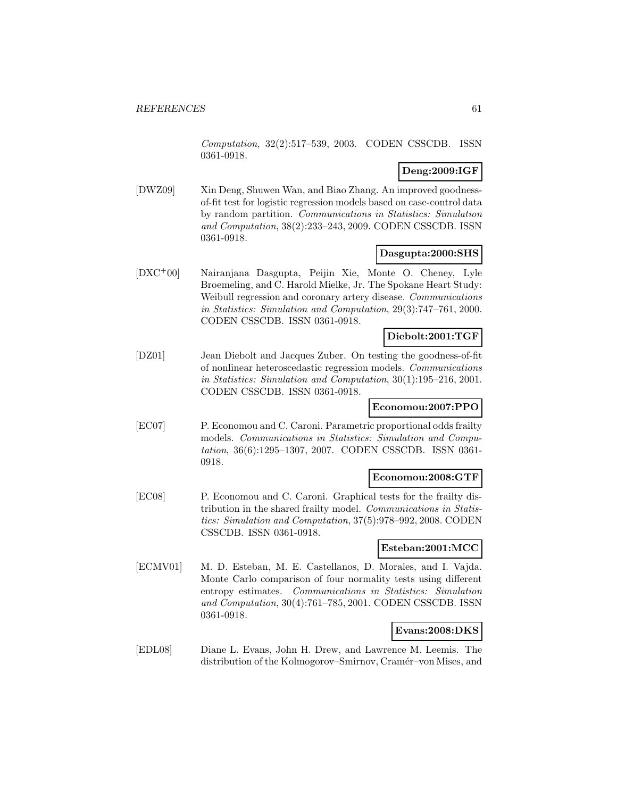Computation, 32(2):517–539, 2003. CODEN CSSCDB. ISSN 0361-0918.

# **Deng:2009:IGF**

[DWZ09] Xin Deng, Shuwen Wan, and Biao Zhang. An improved goodnessof-fit test for logistic regression models based on case-control data by random partition. Communications in Statistics: Simulation and Computation, 38(2):233–243, 2009. CODEN CSSCDB. ISSN 0361-0918.

# **Dasgupta:2000:SHS**

[DXC<sup>+</sup>00] Nairanjana Dasgupta, Peijin Xie, Monte O. Cheney, Lyle Broemeling, and C. Harold Mielke, Jr. The Spokane Heart Study: Weibull regression and coronary artery disease. Communications in Statistics: Simulation and Computation, 29(3):747–761, 2000. CODEN CSSCDB. ISSN 0361-0918.

## **Diebolt:2001:TGF**

[DZ01] Jean Diebolt and Jacques Zuber. On testing the goodness-of-fit of nonlinear heteroscedastic regression models. Communications in Statistics: Simulation and Computation, 30(1):195–216, 2001. CODEN CSSCDB. ISSN 0361-0918.

# **Economou:2007:PPO**

[EC07] P. Economou and C. Caroni. Parametric proportional odds frailty models. Communications in Statistics: Simulation and Computation, 36(6):1295–1307, 2007. CODEN CSSCDB. ISSN 0361- 0918.

#### **Economou:2008:GTF**

[EC08] P. Economou and C. Caroni. Graphical tests for the frailty distribution in the shared frailty model. Communications in Statistics: Simulation and Computation, 37(5):978–992, 2008. CODEN CSSCDB. ISSN 0361-0918.

# **Esteban:2001:MCC**

[ECMV01] M. D. Esteban, M. E. Castellanos, D. Morales, and I. Vajda. Monte Carlo comparison of four normality tests using different entropy estimates. Communications in Statistics: Simulation and Computation, 30(4):761–785, 2001. CODEN CSSCDB. ISSN 0361-0918.

# **Evans:2008:DKS**

[EDL08] Diane L. Evans, John H. Drew, and Lawrence M. Leemis. The distribution of the Kolmogorov–Smirnov, Cramér–von Mises, and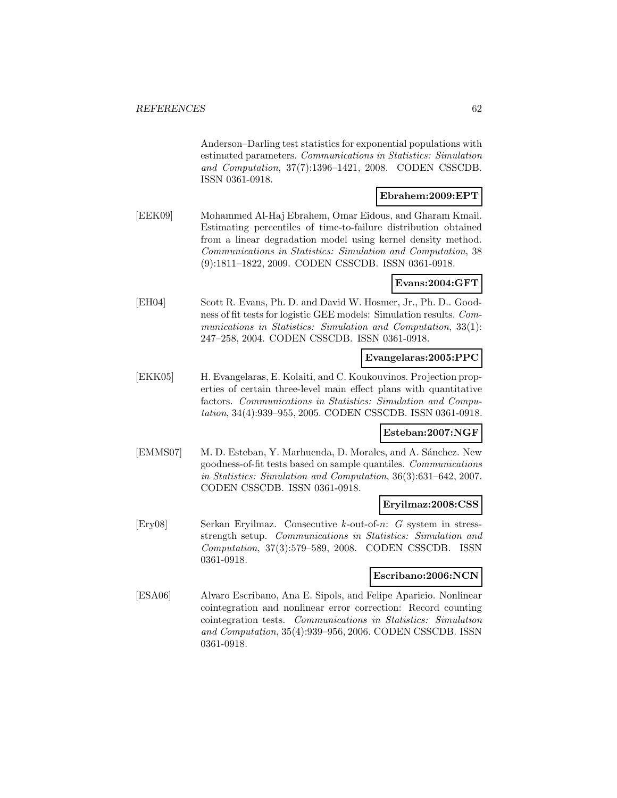Anderson–Darling test statistics for exponential populations with estimated parameters. Communications in Statistics: Simulation and Computation, 37(7):1396–1421, 2008. CODEN CSSCDB. ISSN 0361-0918.

### **Ebrahem:2009:EPT**

[EEK09] Mohammed Al-Haj Ebrahem, Omar Eidous, and Gharam Kmail. Estimating percentiles of time-to-failure distribution obtained from a linear degradation model using kernel density method. Communications in Statistics: Simulation and Computation, 38 (9):1811–1822, 2009. CODEN CSSCDB. ISSN 0361-0918.

# **Evans:2004:GFT**

[EH04] Scott R. Evans, Ph. D. and David W. Hosmer, Jr., Ph. D.. Goodness of fit tests for logistic GEE models: Simulation results. Communications in Statistics: Simulation and Computation, 33(1): 247–258, 2004. CODEN CSSCDB. ISSN 0361-0918.

#### **Evangelaras:2005:PPC**

[EKK05] H. Evangelaras, E. Kolaiti, and C. Koukouvinos. Projection properties of certain three-level main effect plans with quantitative factors. Communications in Statistics: Simulation and Computation, 34(4):939–955, 2005. CODEN CSSCDB. ISSN 0361-0918.

# **Esteban:2007:NGF**

[EMMS07] M. D. Esteban, Y. Marhuenda, D. Morales, and A. Sánchez. New goodness-of-fit tests based on sample quantiles. Communications in Statistics: Simulation and Computation, 36(3):631–642, 2007. CODEN CSSCDB. ISSN 0361-0918.

#### **Eryilmaz:2008:CSS**

[Ery08] Serkan Eryilmaz. Consecutive k-out-of-n: G system in stressstrength setup. Communications in Statistics: Simulation and Computation, 37(3):579–589, 2008. CODEN CSSCDB. ISSN 0361-0918.

#### **Escribano:2006:NCN**

[ESA06] Alvaro Escribano, Ana E. Sipols, and Felipe Aparicio. Nonlinear cointegration and nonlinear error correction: Record counting cointegration tests. Communications in Statistics: Simulation and Computation, 35(4):939–956, 2006. CODEN CSSCDB. ISSN 0361-0918.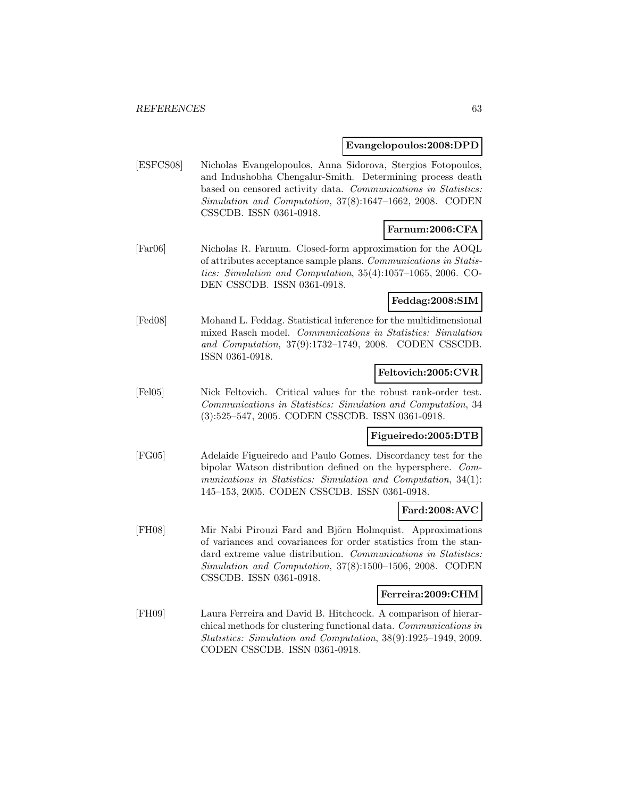#### **Evangelopoulos:2008:DPD**

[ESFCS08] Nicholas Evangelopoulos, Anna Sidorova, Stergios Fotopoulos, and Indushobha Chengalur-Smith. Determining process death based on censored activity data. Communications in Statistics: Simulation and Computation, 37(8):1647–1662, 2008. CODEN CSSCDB. ISSN 0361-0918.

# **Farnum:2006:CFA**

[Far06] Nicholas R. Farnum. Closed-form approximation for the AOQL of attributes acceptance sample plans. Communications in Statistics: Simulation and Computation, 35(4):1057–1065, 2006. CO-DEN CSSCDB. ISSN 0361-0918.

# **Feddag:2008:SIM**

[Fed08] Mohand L. Feddag. Statistical inference for the multidimensional mixed Rasch model. Communications in Statistics: Simulation and Computation, 37(9):1732–1749, 2008. CODEN CSSCDB. ISSN 0361-0918.

### **Feltovich:2005:CVR**

[Fel05] Nick Feltovich. Critical values for the robust rank-order test. Communications in Statistics: Simulation and Computation, 34 (3):525–547, 2005. CODEN CSSCDB. ISSN 0361-0918.

#### **Figueiredo:2005:DTB**

[FG05] Adelaide Figueiredo and Paulo Gomes. Discordancy test for the bipolar Watson distribution defined on the hypersphere. Communications in Statistics: Simulation and Computation, 34(1): 145–153, 2005. CODEN CSSCDB. ISSN 0361-0918.

#### **Fard:2008:AVC**

[FH08] Mir Nabi Pirouzi Fard and Björn Holmquist. Approximations of variances and covariances for order statistics from the standard extreme value distribution. Communications in Statistics: Simulation and Computation, 37(8):1500–1506, 2008. CODEN CSSCDB. ISSN 0361-0918.

# **Ferreira:2009:CHM**

[FH09] Laura Ferreira and David B. Hitchcock. A comparison of hierarchical methods for clustering functional data. Communications in Statistics: Simulation and Computation, 38(9):1925–1949, 2009. CODEN CSSCDB. ISSN 0361-0918.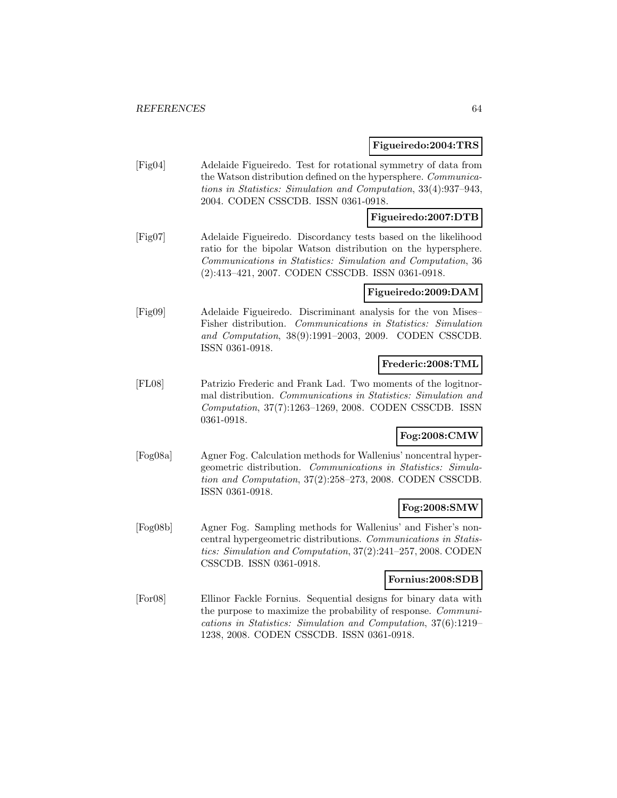#### **Figueiredo:2004:TRS**

[Fig04] Adelaide Figueiredo. Test for rotational symmetry of data from the Watson distribution defined on the hypersphere. Communications in Statistics: Simulation and Computation, 33(4):937–943, 2004. CODEN CSSCDB. ISSN 0361-0918.

# **Figueiredo:2007:DTB**

[Fig07] Adelaide Figueiredo. Discordancy tests based on the likelihood ratio for the bipolar Watson distribution on the hypersphere. Communications in Statistics: Simulation and Computation, 36 (2):413–421, 2007. CODEN CSSCDB. ISSN 0361-0918.

### **Figueiredo:2009:DAM**

[Fig09] Adelaide Figueiredo. Discriminant analysis for the von Mises– Fisher distribution. Communications in Statistics: Simulation and Computation, 38(9):1991–2003, 2009. CODEN CSSCDB. ISSN 0361-0918.

## **Frederic:2008:TML**

[FL08] Patrizio Frederic and Frank Lad. Two moments of the logitnormal distribution. Communications in Statistics: Simulation and Computation, 37(7):1263–1269, 2008. CODEN CSSCDB. ISSN 0361-0918.

# **Fog:2008:CMW**

[Fog08a] Agner Fog. Calculation methods for Wallenius' noncentral hypergeometric distribution. Communications in Statistics: Simulation and Computation, 37(2):258–273, 2008. CODEN CSSCDB. ISSN 0361-0918.

# **Fog:2008:SMW**

[Fog08b] Agner Fog. Sampling methods for Wallenius' and Fisher's noncentral hypergeometric distributions. Communications in Statistics: Simulation and Computation, 37(2):241–257, 2008. CODEN CSSCDB. ISSN 0361-0918.

#### **Fornius:2008:SDB**

[For08] Ellinor Fackle Fornius. Sequential designs for binary data with the purpose to maximize the probability of response. Communications in Statistics: Simulation and Computation, 37(6):1219– 1238, 2008. CODEN CSSCDB. ISSN 0361-0918.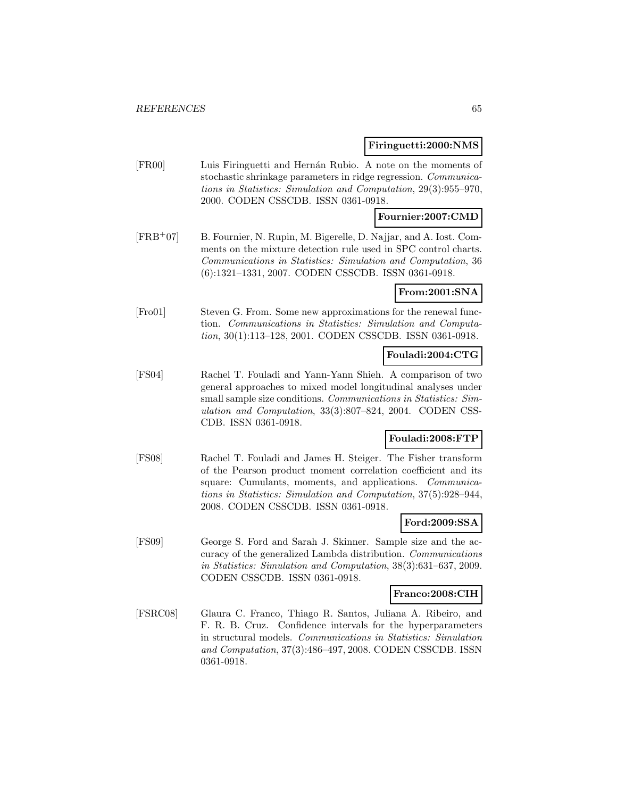#### **Firinguetti:2000:NMS**

[FR00] Luis Firinguetti and Hern´an Rubio. A note on the moments of stochastic shrinkage parameters in ridge regression. Communications in Statistics: Simulation and Computation, 29(3):955–970, 2000. CODEN CSSCDB. ISSN 0361-0918.

### **Fournier:2007:CMD**

[FRB<sup>+</sup>07] B. Fournier, N. Rupin, M. Bigerelle, D. Najjar, and A. Iost. Comments on the mixture detection rule used in SPC control charts. Communications in Statistics: Simulation and Computation, 36 (6):1321–1331, 2007. CODEN CSSCDB. ISSN 0361-0918.

# **From:2001:SNA**

[Fro01] Steven G. From. Some new approximations for the renewal function. Communications in Statistics: Simulation and Computation, 30(1):113–128, 2001. CODEN CSSCDB. ISSN 0361-0918.

### **Fouladi:2004:CTG**

[FS04] Rachel T. Fouladi and Yann-Yann Shieh. A comparison of two general approaches to mixed model longitudinal analyses under small sample size conditions. Communications in Statistics: Simulation and Computation, 33(3):807–824, 2004. CODEN CSS-CDB. ISSN 0361-0918.

# **Fouladi:2008:FTP**

[FS08] Rachel T. Fouladi and James H. Steiger. The Fisher transform of the Pearson product moment correlation coefficient and its square: Cumulants, moments, and applications. *Communica*tions in Statistics: Simulation and Computation, 37(5):928–944, 2008. CODEN CSSCDB. ISSN 0361-0918.

#### **Ford:2009:SSA**

[FS09] George S. Ford and Sarah J. Skinner. Sample size and the accuracy of the generalized Lambda distribution. Communications in Statistics: Simulation and Computation, 38(3):631–637, 2009. CODEN CSSCDB. ISSN 0361-0918.

#### **Franco:2008:CIH**

[FSRC08] Glaura C. Franco, Thiago R. Santos, Juliana A. Ribeiro, and F. R. B. Cruz. Confidence intervals for the hyperparameters in structural models. Communications in Statistics: Simulation and Computation, 37(3):486–497, 2008. CODEN CSSCDB. ISSN 0361-0918.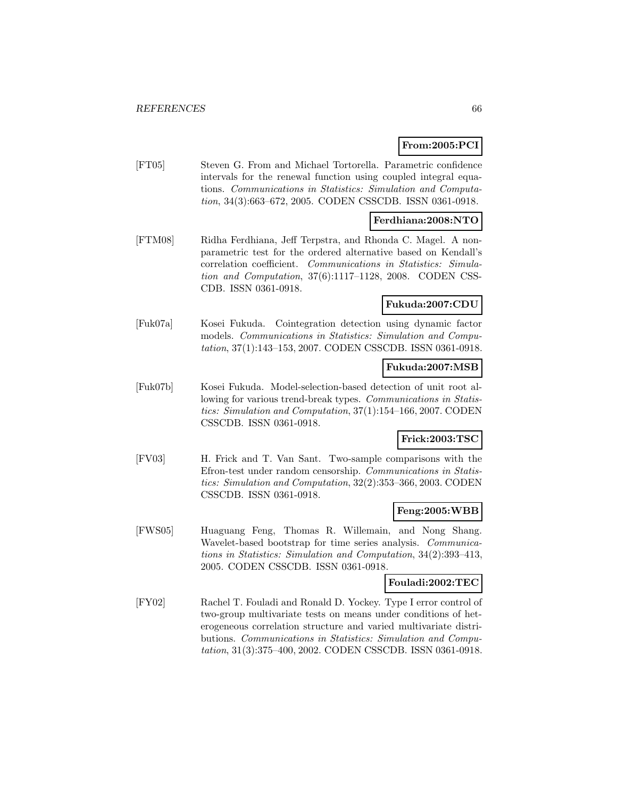# **From:2005:PCI**

[FT05] Steven G. From and Michael Tortorella. Parametric confidence intervals for the renewal function using coupled integral equations. Communications in Statistics: Simulation and Computation, 34(3):663–672, 2005. CODEN CSSCDB. ISSN 0361-0918.

## **Ferdhiana:2008:NTO**

[FTM08] Ridha Ferdhiana, Jeff Terpstra, and Rhonda C. Magel. A nonparametric test for the ordered alternative based on Kendall's correlation coefficient. Communications in Statistics: Simulation and Computation, 37(6):1117–1128, 2008. CODEN CSS-CDB. ISSN 0361-0918.

# **Fukuda:2007:CDU**

[Fuk07a] Kosei Fukuda. Cointegration detection using dynamic factor models. Communications in Statistics: Simulation and Computation, 37(1):143–153, 2007. CODEN CSSCDB. ISSN 0361-0918.

# **Fukuda:2007:MSB**

[Fuk07b] Kosei Fukuda. Model-selection-based detection of unit root allowing for various trend-break types. Communications in Statistics: Simulation and Computation, 37(1):154–166, 2007. CODEN CSSCDB. ISSN 0361-0918.

# **Frick:2003:TSC**

[FV03] H. Frick and T. Van Sant. Two-sample comparisons with the Efron-test under random censorship. Communications in Statistics: Simulation and Computation, 32(2):353–366, 2003. CODEN CSSCDB. ISSN 0361-0918.

# **Feng:2005:WBB**

[FWS05] Huaguang Feng, Thomas R. Willemain, and Nong Shang. Wavelet-based bootstrap for time series analysis. Communications in Statistics: Simulation and Computation, 34(2):393–413, 2005. CODEN CSSCDB. ISSN 0361-0918.

## **Fouladi:2002:TEC**

[FY02] Rachel T. Fouladi and Ronald D. Yockey. Type I error control of two-group multivariate tests on means under conditions of heterogeneous correlation structure and varied multivariate distributions. Communications in Statistics: Simulation and Computation, 31(3):375–400, 2002. CODEN CSSCDB. ISSN 0361-0918.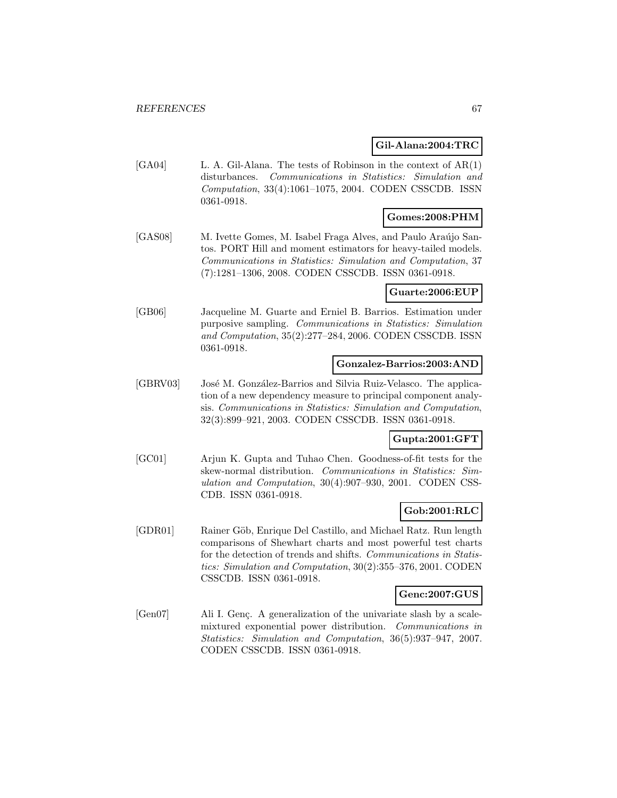### **Gil-Alana:2004:TRC**

[GA04] L. A. Gil-Alana. The tests of Robinson in the context of AR(1) disturbances. Communications in Statistics: Simulation and Computation, 33(4):1061–1075, 2004. CODEN CSSCDB. ISSN 0361-0918.

# **Gomes:2008:PHM**

[GAS08] M. Ivette Gomes, M. Isabel Fraga Alves, and Paulo Araújo Santos. PORT Hill and moment estimators for heavy-tailed models. Communications in Statistics: Simulation and Computation, 37 (7):1281–1306, 2008. CODEN CSSCDB. ISSN 0361-0918.

### **Guarte:2006:EUP**

[GB06] Jacqueline M. Guarte and Erniel B. Barrios. Estimation under purposive sampling. Communications in Statistics: Simulation and Computation, 35(2):277–284, 2006. CODEN CSSCDB. ISSN 0361-0918.

#### **Gonzalez-Barrios:2003:AND**

[GBRV03] José M. González-Barrios and Silvia Ruiz-Velasco. The application of a new dependency measure to principal component analysis. Communications in Statistics: Simulation and Computation, 32(3):899–921, 2003. CODEN CSSCDB. ISSN 0361-0918.

# **Gupta:2001:GFT**

[GC01] Arjun K. Gupta and Tuhao Chen. Goodness-of-fit tests for the skew-normal distribution. Communications in Statistics: Simulation and Computation, 30(4):907–930, 2001. CODEN CSS-CDB. ISSN 0361-0918.

# **Gob:2001:RLC**

[GDR01] Rainer Göb, Enrique Del Castillo, and Michael Ratz. Run length comparisons of Shewhart charts and most powerful test charts for the detection of trends and shifts. Communications in Statistics: Simulation and Computation, 30(2):355–376, 2001. CODEN CSSCDB. ISSN 0361-0918.

#### **Genc:2007:GUS**

[Gen07] Ali I. Genç. A generalization of the univariate slash by a scalemixtured exponential power distribution. Communications in Statistics: Simulation and Computation, 36(5):937–947, 2007. CODEN CSSCDB. ISSN 0361-0918.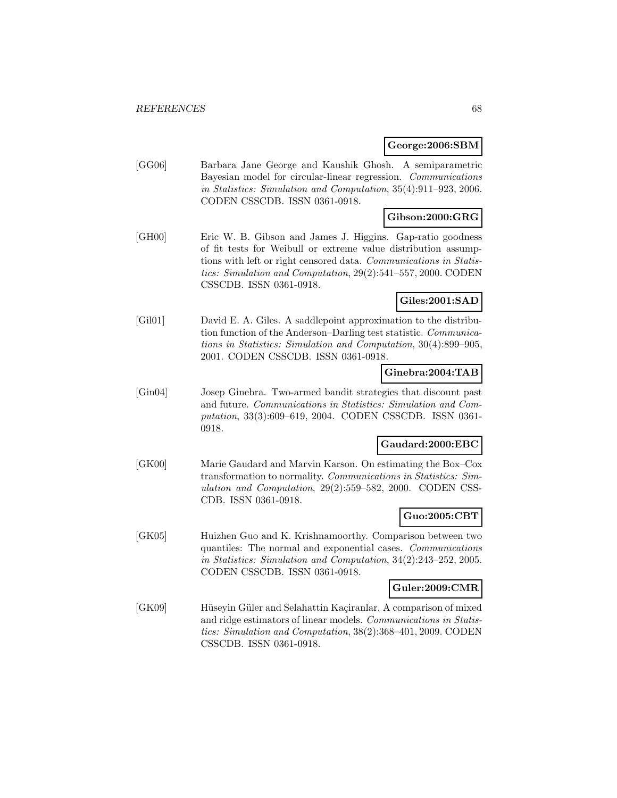#### **George:2006:SBM**

[GG06] Barbara Jane George and Kaushik Ghosh. A semiparametric Bayesian model for circular-linear regression. Communications in Statistics: Simulation and Computation, 35(4):911–923, 2006. CODEN CSSCDB. ISSN 0361-0918.

# **Gibson:2000:GRG**

[GH00] Eric W. B. Gibson and James J. Higgins. Gap-ratio goodness of fit tests for Weibull or extreme value distribution assumptions with left or right censored data. Communications in Statistics: Simulation and Computation, 29(2):541–557, 2000. CODEN CSSCDB. ISSN 0361-0918.

# **Giles:2001:SAD**

[Gil01] David E. A. Giles. A saddlepoint approximation to the distribution function of the Anderson–Darling test statistic. Communications in Statistics: Simulation and Computation, 30(4):899–905, 2001. CODEN CSSCDB. ISSN 0361-0918.

### **Ginebra:2004:TAB**

[Gin04] Josep Ginebra. Two-armed bandit strategies that discount past and future. Communications in Statistics: Simulation and Computation, 33(3):609–619, 2004. CODEN CSSCDB. ISSN 0361- 0918.

#### **Gaudard:2000:EBC**

[GK00] Marie Gaudard and Marvin Karson. On estimating the Box–Cox transformation to normality. Communications in Statistics: Simulation and Computation, 29(2):559–582, 2000. CODEN CSS-CDB. ISSN 0361-0918.

# **Guo:2005:CBT**

[GK05] Huizhen Guo and K. Krishnamoorthy. Comparison between two quantiles: The normal and exponential cases. Communications in Statistics: Simulation and Computation, 34(2):243–252, 2005. CODEN CSSCDB. ISSN 0361-0918.

#### **Guler:2009:CMR**

[GK09] Hüseyin Güler and Selahattin Kaçiranlar. A comparison of mixed and ridge estimators of linear models. Communications in Statistics: Simulation and Computation, 38(2):368–401, 2009. CODEN CSSCDB. ISSN 0361-0918.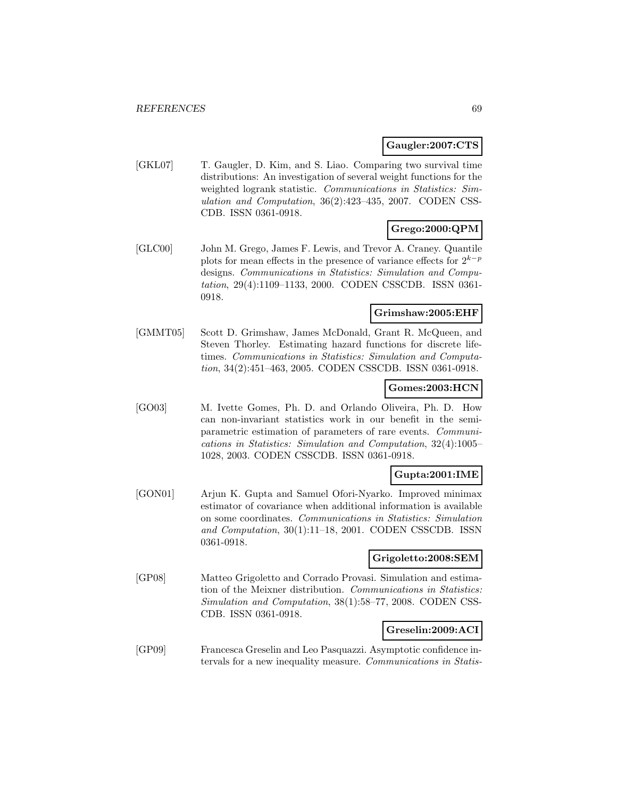### **Gaugler:2007:CTS**

[GKL07] T. Gaugler, D. Kim, and S. Liao. Comparing two survival time distributions: An investigation of several weight functions for the weighted logrank statistic. Communications in Statistics: Simulation and Computation, 36(2):423–435, 2007. CODEN CSS-CDB. ISSN 0361-0918.

# **Grego:2000:QPM**

[GLC00] John M. Grego, James F. Lewis, and Trevor A. Craney. Quantile plots for mean effects in the presence of variance effects for  $2^{k-p}$ designs. Communications in Statistics: Simulation and Computation, 29(4):1109–1133, 2000. CODEN CSSCDB. ISSN 0361- 0918.

#### **Grimshaw:2005:EHF**

[GMMT05] Scott D. Grimshaw, James McDonald, Grant R. McQueen, and Steven Thorley. Estimating hazard functions for discrete lifetimes. Communications in Statistics: Simulation and Computation, 34(2):451–463, 2005. CODEN CSSCDB. ISSN 0361-0918.

# **Gomes:2003:HCN**

[GO03] M. Ivette Gomes, Ph. D. and Orlando Oliveira, Ph. D. How can non-invariant statistics work in our benefit in the semiparametric estimation of parameters of rare events. Communications in Statistics: Simulation and Computation, 32(4):1005– 1028, 2003. CODEN CSSCDB. ISSN 0361-0918.

# **Gupta:2001:IME**

[GON01] Arjun K. Gupta and Samuel Ofori-Nyarko. Improved minimax estimator of covariance when additional information is available on some coordinates. Communications in Statistics: Simulation and Computation, 30(1):11–18, 2001. CODEN CSSCDB. ISSN 0361-0918.

#### **Grigoletto:2008:SEM**

[GP08] Matteo Grigoletto and Corrado Provasi. Simulation and estimation of the Meixner distribution. Communications in Statistics: Simulation and Computation, 38(1):58–77, 2008. CODEN CSS-CDB. ISSN 0361-0918.

#### **Greselin:2009:ACI**

[GP09] Francesca Greselin and Leo Pasquazzi. Asymptotic confidence intervals for a new inequality measure. Communications in Statis-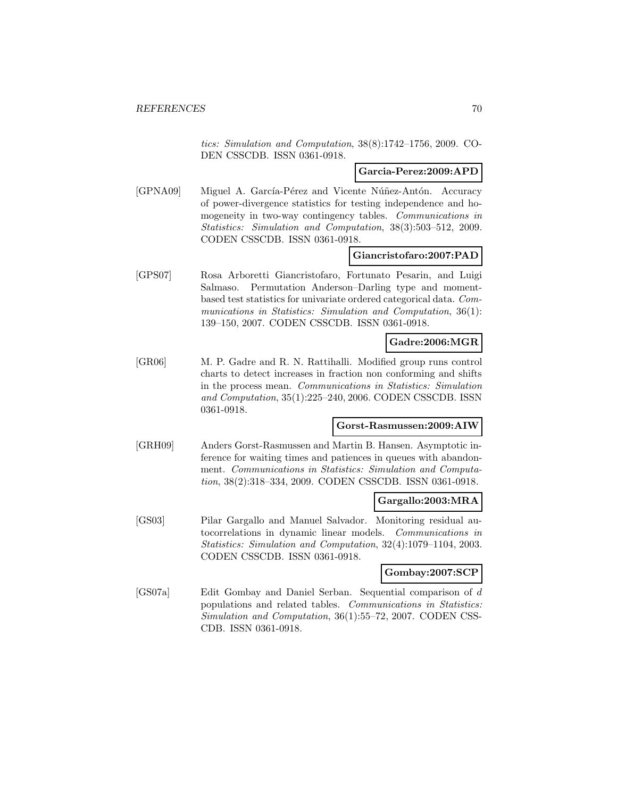tics: Simulation and Computation, 38(8):1742–1756, 2009. CO-DEN CSSCDB. ISSN 0361-0918.

#### **Garcia-Perez:2009:APD**

[GPNA09] Miguel A. García-Pérez and Vicente Núñez-Antón. Accuracy of power-divergence statistics for testing independence and homogeneity in two-way contingency tables. Communications in Statistics: Simulation and Computation, 38(3):503–512, 2009. CODEN CSSCDB. ISSN 0361-0918.

#### **Giancristofaro:2007:PAD**

[GPS07] Rosa Arboretti Giancristofaro, Fortunato Pesarin, and Luigi Salmaso. Permutation Anderson–Darling type and momentbased test statistics for univariate ordered categorical data. Communications in Statistics: Simulation and Computation, 36(1): 139–150, 2007. CODEN CSSCDB. ISSN 0361-0918.

# **Gadre:2006:MGR**

[GR06] M. P. Gadre and R. N. Rattihalli. Modified group runs control charts to detect increases in fraction non conforming and shifts in the process mean. Communications in Statistics: Simulation and Computation, 35(1):225–240, 2006. CODEN CSSCDB. ISSN 0361-0918.

#### **Gorst-Rasmussen:2009:AIW**

[GRH09] Anders Gorst-Rasmussen and Martin B. Hansen. Asymptotic inference for waiting times and patiences in queues with abandonment. Communications in Statistics: Simulation and Computation, 38(2):318–334, 2009. CODEN CSSCDB. ISSN 0361-0918.

#### **Gargallo:2003:MRA**

[GS03] Pilar Gargallo and Manuel Salvador. Monitoring residual autocorrelations in dynamic linear models. Communications in Statistics: Simulation and Computation, 32(4):1079–1104, 2003. CODEN CSSCDB. ISSN 0361-0918.

#### **Gombay:2007:SCP**

[GS07a] Edit Gombay and Daniel Serban. Sequential comparison of d populations and related tables. Communications in Statistics: Simulation and Computation, 36(1):55–72, 2007. CODEN CSS-CDB. ISSN 0361-0918.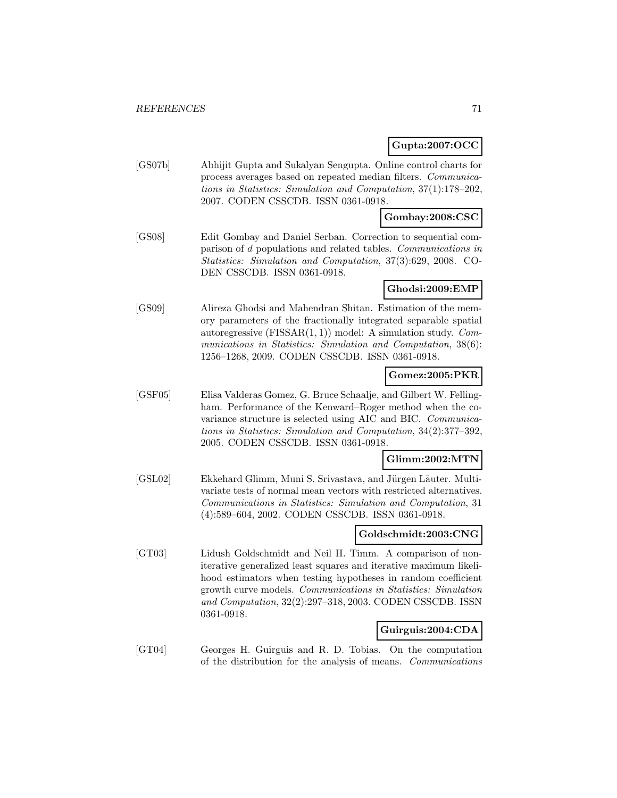## **Gupta:2007:OCC**

[GS07b] Abhijit Gupta and Sukalyan Sengupta. Online control charts for process averages based on repeated median filters. Communications in Statistics: Simulation and Computation, 37(1):178–202, 2007. CODEN CSSCDB. ISSN 0361-0918.

### **Gombay:2008:CSC**

[GS08] Edit Gombay and Daniel Serban. Correction to sequential comparison of d populations and related tables. Communications in Statistics: Simulation and Computation, 37(3):629, 2008. CO-DEN CSSCDB. ISSN 0361-0918.

## **Ghodsi:2009:EMP**

[GS09] Alireza Ghodsi and Mahendran Shitan. Estimation of the memory parameters of the fractionally integrated separable spatial autoregressive  $(FISSAR(1, 1))$  model: A simulation study. *Com*munications in Statistics: Simulation and Computation, 38(6): 1256–1268, 2009. CODEN CSSCDB. ISSN 0361-0918.

### **Gomez:2005:PKR**

[GSF05] Elisa Valderas Gomez, G. Bruce Schaalje, and Gilbert W. Fellingham. Performance of the Kenward–Roger method when the covariance structure is selected using AIC and BIC. Communications in Statistics: Simulation and Computation, 34(2):377–392, 2005. CODEN CSSCDB. ISSN 0361-0918.

#### **Glimm:2002:MTN**

[GSL02] Ekkehard Glimm, Muni S. Srivastava, and Jürgen Läuter. Multivariate tests of normal mean vectors with restricted alternatives. Communications in Statistics: Simulation and Computation, 31 (4):589–604, 2002. CODEN CSSCDB. ISSN 0361-0918.

### **Goldschmidt:2003:CNG**

[GT03] Lidush Goldschmidt and Neil H. Timm. A comparison of noniterative generalized least squares and iterative maximum likelihood estimators when testing hypotheses in random coefficient growth curve models. Communications in Statistics: Simulation and Computation, 32(2):297–318, 2003. CODEN CSSCDB. ISSN 0361-0918.

#### **Guirguis:2004:CDA**

[GT04] Georges H. Guirguis and R. D. Tobias. On the computation of the distribution for the analysis of means. Communications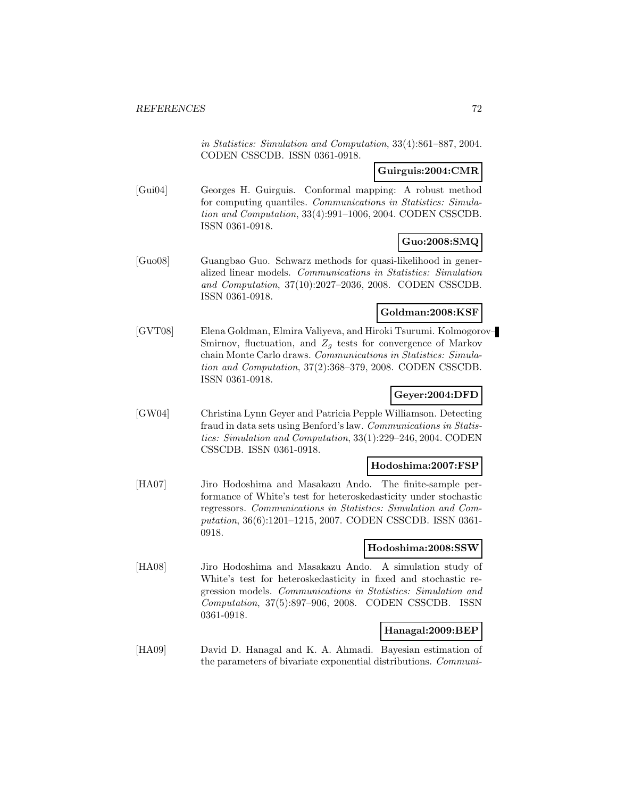in Statistics: Simulation and Computation, 33(4):861–887, 2004. CODEN CSSCDB. ISSN 0361-0918.

# **Guirguis:2004:CMR**

[Gui04] Georges H. Guirguis. Conformal mapping: A robust method for computing quantiles. Communications in Statistics: Simulation and Computation, 33(4):991–1006, 2004. CODEN CSSCDB. ISSN 0361-0918.

# **Guo:2008:SMQ**

[Guo08] Guangbao Guo. Schwarz methods for quasi-likelihood in generalized linear models. Communications in Statistics: Simulation and Computation, 37(10):2027–2036, 2008. CODEN CSSCDB. ISSN 0361-0918.

#### **Goldman:2008:KSF**

[GVT08] Elena Goldman, Elmira Valiyeva, and Hiroki Tsurumi. Kolmogorov– Smirnov, fluctuation, and  $Z_g$  tests for convergence of Markov chain Monte Carlo draws. Communications in Statistics: Simulation and Computation, 37(2):368–379, 2008. CODEN CSSCDB. ISSN 0361-0918.

# **Geyer:2004:DFD**

[GW04] Christina Lynn Geyer and Patricia Pepple Williamson. Detecting fraud in data sets using Benford's law. Communications in Statistics: Simulation and Computation, 33(1):229–246, 2004. CODEN CSSCDB. ISSN 0361-0918.

### **Hodoshima:2007:FSP**

[HA07] Jiro Hodoshima and Masakazu Ando. The finite-sample performance of White's test for heteroskedasticity under stochastic regressors. Communications in Statistics: Simulation and Computation, 36(6):1201–1215, 2007. CODEN CSSCDB. ISSN 0361- 0918.

## **Hodoshima:2008:SSW**

[HA08] Jiro Hodoshima and Masakazu Ando. A simulation study of White's test for heteroskedasticity in fixed and stochastic regression models. Communications in Statistics: Simulation and Computation, 37(5):897–906, 2008. CODEN CSSCDB. ISSN 0361-0918.

# **Hanagal:2009:BEP**

[HA09] David D. Hanagal and K. A. Ahmadi. Bayesian estimation of the parameters of bivariate exponential distributions. Communi-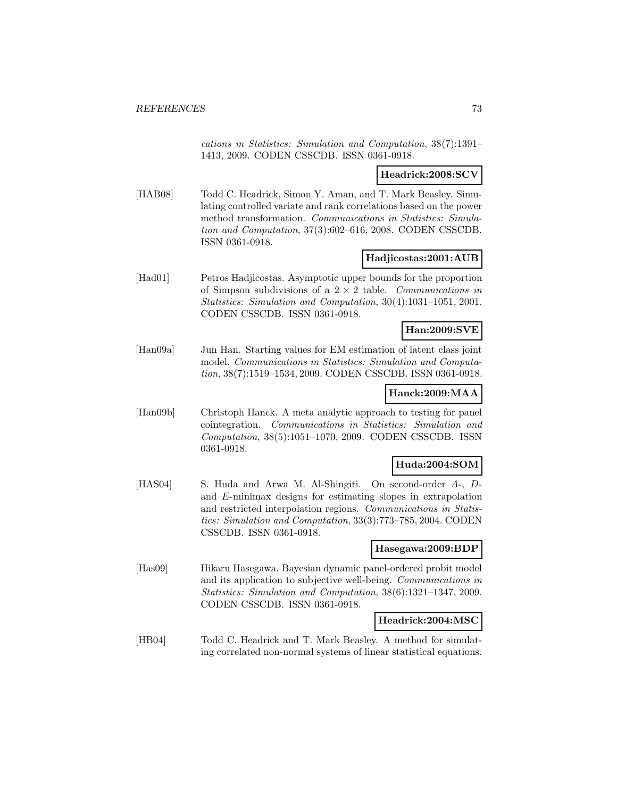cations in Statistics: Simulation and Computation, 38(7):1391– 1413, 2009. CODEN CSSCDB. ISSN 0361-0918.

### **Headrick:2008:SCV**

[HAB08] Todd C. Headrick, Simon Y. Aman, and T. Mark Beasley. Simulating controlled variate and rank correlations based on the power method transformation. Communications in Statistics: Simulation and Computation, 37(3):602–616, 2008. CODEN CSSCDB. ISSN 0361-0918.

### **Hadjicostas:2001:AUB**

[Had01] Petros Hadjicostas. Asymptotic upper bounds for the proportion of Simpson subdivisions of a  $2 \times 2$  table. Communications in Statistics: Simulation and Computation, 30(4):1031–1051, 2001. CODEN CSSCDB. ISSN 0361-0918.

## **Han:2009:SVE**

[Han09a] Jun Han. Starting values for EM estimation of latent class joint model. Communications in Statistics: Simulation and Computation, 38(7):1519–1534, 2009. CODEN CSSCDB. ISSN 0361-0918.

### **Hanck:2009:MAA**

[Han09b] Christoph Hanck. A meta analytic approach to testing for panel cointegration. Communications in Statistics: Simulation and Computation, 38(5):1051–1070, 2009. CODEN CSSCDB. ISSN 0361-0918.

# **Huda:2004:SOM**

[HAS04] S. Huda and Arwa M. Al-Shingiti. On second-order A-, Dand E-minimax designs for estimating slopes in extrapolation and restricted interpolation regions. Communications in Statistics: Simulation and Computation, 33(3):773–785, 2004. CODEN CSSCDB. ISSN 0361-0918.

### **Hasegawa:2009:BDP**

[Has09] Hikaru Hasegawa. Bayesian dynamic panel-ordered probit model and its application to subjective well-being. Communications in Statistics: Simulation and Computation, 38(6):1321–1347, 2009. CODEN CSSCDB. ISSN 0361-0918.

### **Headrick:2004:MSC**

[HB04] Todd C. Headrick and T. Mark Beasley. A method for simulating correlated non-normal systems of linear statistical equations.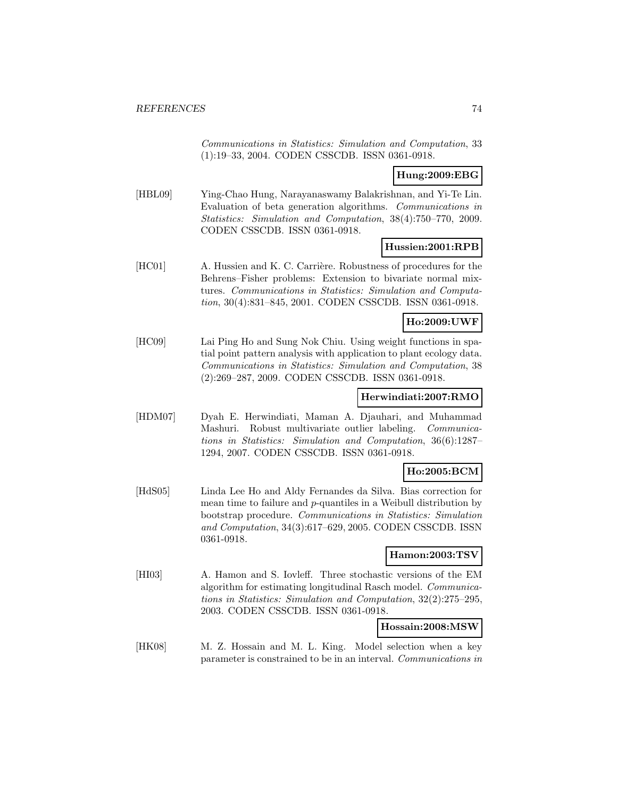Communications in Statistics: Simulation and Computation, 33 (1):19–33, 2004. CODEN CSSCDB. ISSN 0361-0918.

## **Hung:2009:EBG**

[HBL09] Ying-Chao Hung, Narayanaswamy Balakrishnan, and Yi-Te Lin. Evaluation of beta generation algorithms. Communications in Statistics: Simulation and Computation, 38(4):750–770, 2009. CODEN CSSCDB. ISSN 0361-0918.

### **Hussien:2001:RPB**

[HC01] A. Hussien and K. C. Carrière. Robustness of procedures for the Behrens–Fisher problems: Extension to bivariate normal mixtures. Communications in Statistics: Simulation and Computation, 30(4):831–845, 2001. CODEN CSSCDB. ISSN 0361-0918.

## **Ho:2009:UWF**

[HC09] Lai Ping Ho and Sung Nok Chiu. Using weight functions in spatial point pattern analysis with application to plant ecology data. Communications in Statistics: Simulation and Computation, 38 (2):269–287, 2009. CODEN CSSCDB. ISSN 0361-0918.

## **Herwindiati:2007:RMO**

[HDM07] Dyah E. Herwindiati, Maman A. Djauhari, and Muhammad Mashuri. Robust multivariate outlier labeling. Communications in Statistics: Simulation and Computation, 36(6):1287– 1294, 2007. CODEN CSSCDB. ISSN 0361-0918.

## **Ho:2005:BCM**

[HdS05] Linda Lee Ho and Aldy Fernandes da Silva. Bias correction for mean time to failure and p-quantiles in a Weibull distribution by bootstrap procedure. Communications in Statistics: Simulation and Computation, 34(3):617–629, 2005. CODEN CSSCDB. ISSN 0361-0918.

## **Hamon:2003:TSV**

[HI03] A. Hamon and S. Iovleff. Three stochastic versions of the EM algorithm for estimating longitudinal Rasch model. Communications in Statistics: Simulation and Computation, 32(2):275–295, 2003. CODEN CSSCDB. ISSN 0361-0918.

### **Hossain:2008:MSW**

[HK08] M. Z. Hossain and M. L. King. Model selection when a key parameter is constrained to be in an interval. Communications in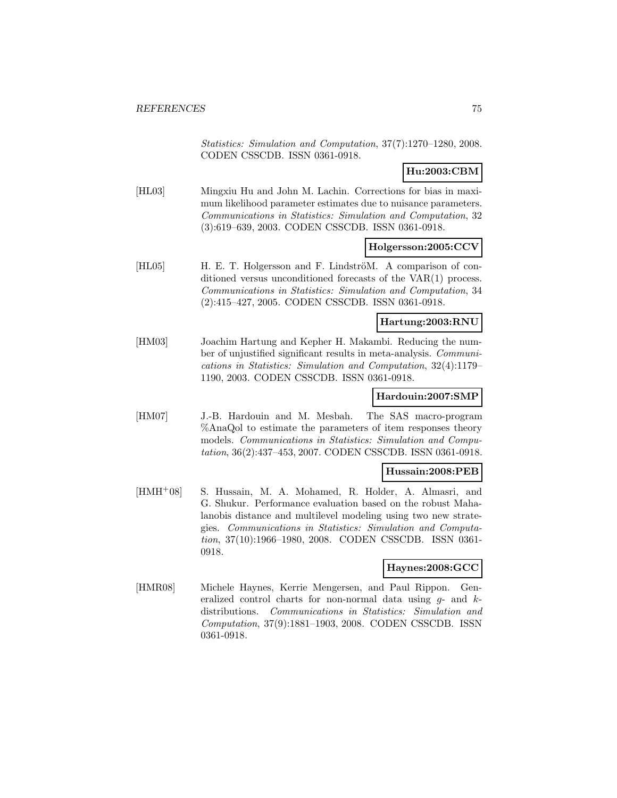Statistics: Simulation and Computation, 37(7):1270–1280, 2008. CODEN CSSCDB. ISSN 0361-0918.

## **Hu:2003:CBM**

[HL03] Mingxiu Hu and John M. Lachin. Corrections for bias in maximum likelihood parameter estimates due to nuisance parameters. Communications in Statistics: Simulation and Computation, 32 (3):619–639, 2003. CODEN CSSCDB. ISSN 0361-0918.

### **Holgersson:2005:CCV**

[HL05] H. E. T. Holgersson and F. LindströM. A comparison of conditioned versus unconditioned forecasts of the VAR(1) process. Communications in Statistics: Simulation and Computation, 34 (2):415–427, 2005. CODEN CSSCDB. ISSN 0361-0918.

### **Hartung:2003:RNU**

[HM03] Joachim Hartung and Kepher H. Makambi. Reducing the number of unjustified significant results in meta-analysis. Communications in Statistics: Simulation and Computation, 32(4):1179– 1190, 2003. CODEN CSSCDB. ISSN 0361-0918.

### **Hardouin:2007:SMP**

[HM07] J.-B. Hardouin and M. Mesbah. The SAS macro-program %AnaQol to estimate the parameters of item responses theory models. Communications in Statistics: Simulation and Computation, 36(2):437–453, 2007. CODEN CSSCDB. ISSN 0361-0918.

### **Hussain:2008:PEB**

[HMH<sup>+</sup>08] S. Hussain, M. A. Mohamed, R. Holder, A. Almasri, and G. Shukur. Performance evaluation based on the robust Mahalanobis distance and multilevel modeling using two new strategies. Communications in Statistics: Simulation and Computation, 37(10):1966–1980, 2008. CODEN CSSCDB. ISSN 0361- 0918.

## **Haynes:2008:GCC**

[HMR08] Michele Haynes, Kerrie Mengersen, and Paul Rippon. Generalized control charts for non-normal data using  $g$ - and  $k$ distributions. Communications in Statistics: Simulation and Computation, 37(9):1881–1903, 2008. CODEN CSSCDB. ISSN 0361-0918.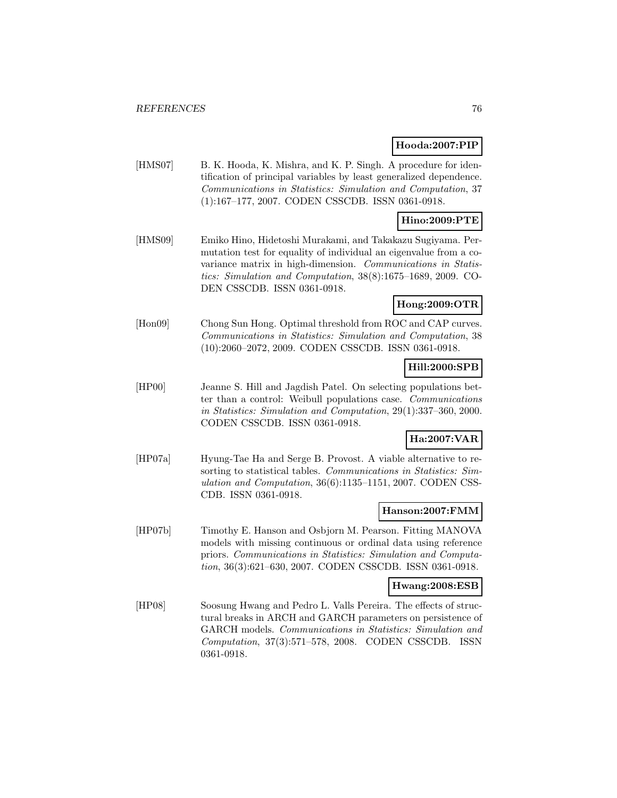### **Hooda:2007:PIP**

[HMS07] B. K. Hooda, K. Mishra, and K. P. Singh. A procedure for identification of principal variables by least generalized dependence. Communications in Statistics: Simulation and Computation, 37 (1):167–177, 2007. CODEN CSSCDB. ISSN 0361-0918.

### **Hino:2009:PTE**

[HMS09] Emiko Hino, Hidetoshi Murakami, and Takakazu Sugiyama. Permutation test for equality of individual an eigenvalue from a covariance matrix in high-dimension. Communications in Statistics: Simulation and Computation, 38(8):1675–1689, 2009. CO-DEN CSSCDB. ISSN 0361-0918.

# **Hong:2009:OTR**

[Hon09] Chong Sun Hong. Optimal threshold from ROC and CAP curves. Communications in Statistics: Simulation and Computation, 38 (10):2060–2072, 2009. CODEN CSSCDB. ISSN 0361-0918.

## **Hill:2000:SPB**

[HP00] Jeanne S. Hill and Jagdish Patel. On selecting populations better than a control: Weibull populations case. Communications in Statistics: Simulation and Computation, 29(1):337–360, 2000. CODEN CSSCDB. ISSN 0361-0918.

## **Ha:2007:VAR**

[HP07a] Hyung-Tae Ha and Serge B. Provost. A viable alternative to resorting to statistical tables. Communications in Statistics: Simulation and Computation, 36(6):1135–1151, 2007. CODEN CSS-CDB. ISSN 0361-0918.

### **Hanson:2007:FMM**

[HP07b] Timothy E. Hanson and Osbjorn M. Pearson. Fitting MANOVA models with missing continuous or ordinal data using reference priors. Communications in Statistics: Simulation and Computation, 36(3):621–630, 2007. CODEN CSSCDB. ISSN 0361-0918.

#### **Hwang:2008:ESB**

[HP08] Soosung Hwang and Pedro L. Valls Pereira. The effects of structural breaks in ARCH and GARCH parameters on persistence of GARCH models. Communications in Statistics: Simulation and Computation, 37(3):571–578, 2008. CODEN CSSCDB. ISSN 0361-0918.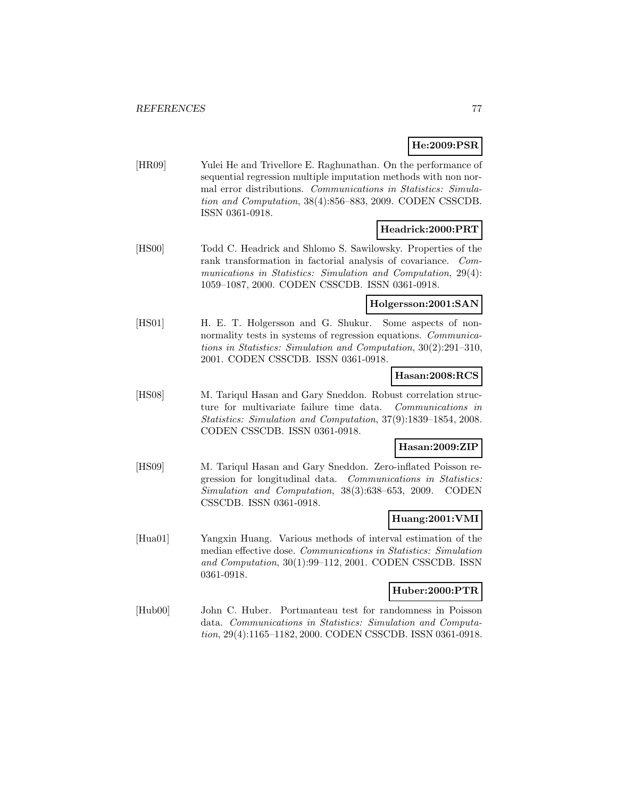## **He:2009:PSR**

[HR09] Yulei He and Trivellore E. Raghunathan. On the performance of sequential regression multiple imputation methods with non normal error distributions. Communications in Statistics: Simulation and Computation, 38(4):856–883, 2009. CODEN CSSCDB. ISSN 0361-0918.

## **Headrick:2000:PRT**

[HS00] Todd C. Headrick and Shlomo S. Sawilowsky. Properties of the rank transformation in factorial analysis of covariance. Communications in Statistics: Simulation and Computation, 29(4): 1059–1087, 2000. CODEN CSSCDB. ISSN 0361-0918.

### **Holgersson:2001:SAN**

[HS01] H. E. T. Holgersson and G. Shukur. Some aspects of nonnormality tests in systems of regression equations. Communications in Statistics: Simulation and Computation, 30(2):291–310, 2001. CODEN CSSCDB. ISSN 0361-0918.

### **Hasan:2008:RCS**

[HS08] M. Tariqul Hasan and Gary Sneddon. Robust correlation structure for multivariate failure time data. Communications in Statistics: Simulation and Computation, 37(9):1839–1854, 2008. CODEN CSSCDB. ISSN 0361-0918.

### **Hasan:2009:ZIP**

[HS09] M. Tariqul Hasan and Gary Sneddon. Zero-inflated Poisson regression for longitudinal data. Communications in Statistics: Simulation and Computation, 38(3):638–653, 2009. CODEN CSSCDB. ISSN 0361-0918.

## **Huang:2001:VMI**

[Hua01] Yangxin Huang. Various methods of interval estimation of the median effective dose. Communications in Statistics: Simulation and Computation, 30(1):99–112, 2001. CODEN CSSCDB. ISSN 0361-0918.

### **Huber:2000:PTR**

[Hub00] John C. Huber. Portmanteau test for randomness in Poisson data. Communications in Statistics: Simulation and Computation, 29(4):1165–1182, 2000. CODEN CSSCDB. ISSN 0361-0918.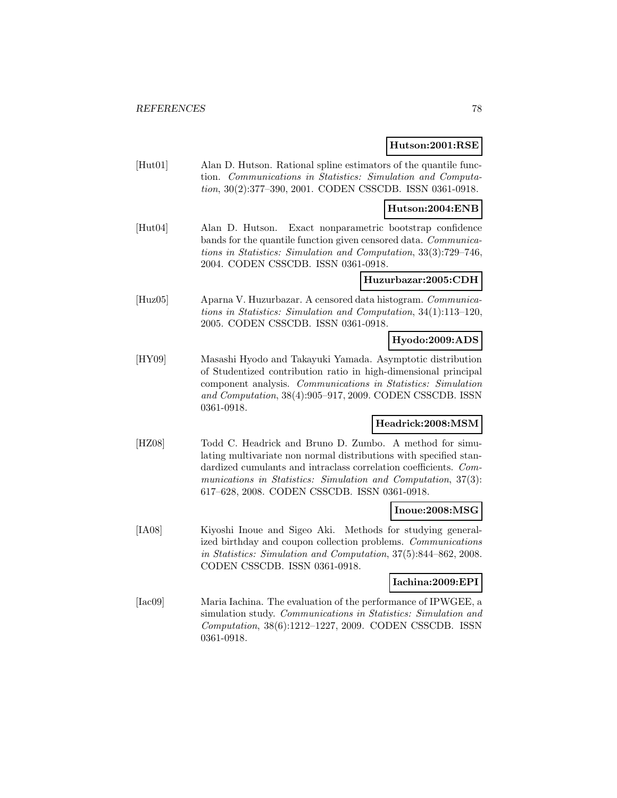#### **Hutson:2001:RSE**

[Hut01] Alan D. Hutson. Rational spline estimators of the quantile function. Communications in Statistics: Simulation and Computation, 30(2):377–390, 2001. CODEN CSSCDB. ISSN 0361-0918.

### **Hutson:2004:ENB**

[Hut04] Alan D. Hutson. Exact nonparametric bootstrap confidence bands for the quantile function given censored data. Communications in Statistics: Simulation and Computation, 33(3):729–746, 2004. CODEN CSSCDB. ISSN 0361-0918.

### **Huzurbazar:2005:CDH**

[Huz05] Aparna V. Huzurbazar. A censored data histogram. Communications in Statistics: Simulation and Computation, 34(1):113–120, 2005. CODEN CSSCDB. ISSN 0361-0918.

## **Hyodo:2009:ADS**

[HY09] Masashi Hyodo and Takayuki Yamada. Asymptotic distribution of Studentized contribution ratio in high-dimensional principal component analysis. Communications in Statistics: Simulation and Computation, 38(4):905–917, 2009. CODEN CSSCDB. ISSN 0361-0918.

## **Headrick:2008:MSM**

[HZ08] Todd C. Headrick and Bruno D. Zumbo. A method for simulating multivariate non normal distributions with specified standardized cumulants and intraclass correlation coefficients. Communications in Statistics: Simulation and Computation, 37(3): 617–628, 2008. CODEN CSSCDB. ISSN 0361-0918.

### **Inoue:2008:MSG**

[IA08] Kiyoshi Inoue and Sigeo Aki. Methods for studying generalized birthday and coupon collection problems. Communications in Statistics: Simulation and Computation, 37(5):844–862, 2008. CODEN CSSCDB. ISSN 0361-0918.

## **Iachina:2009:EPI**

[Iac09] Maria Iachina. The evaluation of the performance of IPWGEE, a simulation study. Communications in Statistics: Simulation and Computation, 38(6):1212–1227, 2009. CODEN CSSCDB. ISSN 0361-0918.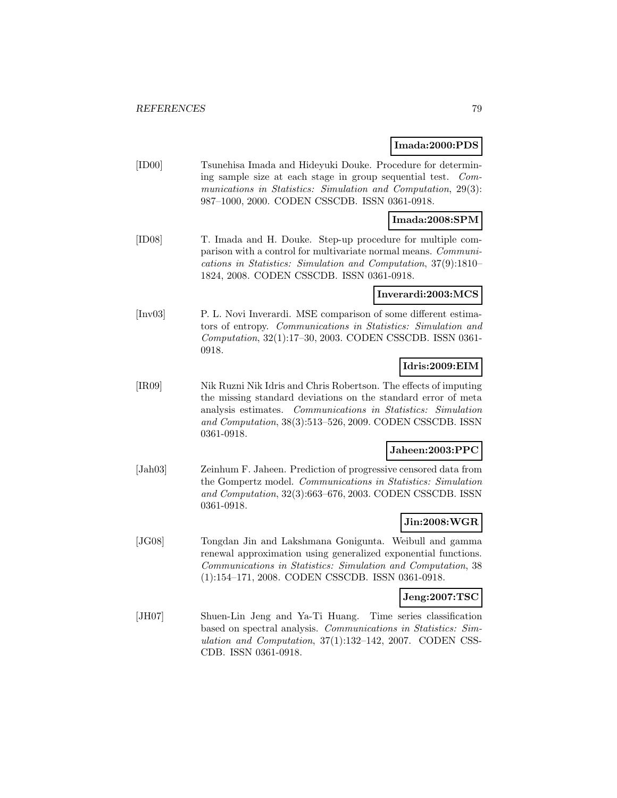### **Imada:2000:PDS**

[ID00] Tsunehisa Imada and Hideyuki Douke. Procedure for determining sample size at each stage in group sequential test. Communications in Statistics: Simulation and Computation, 29(3): 987–1000, 2000. CODEN CSSCDB. ISSN 0361-0918.

### **Imada:2008:SPM**

[ID08] T. Imada and H. Douke. Step-up procedure for multiple comparison with a control for multivariate normal means. Communications in Statistics: Simulation and Computation, 37(9):1810– 1824, 2008. CODEN CSSCDB. ISSN 0361-0918.

### **Inverardi:2003:MCS**

[Inv03] P. L. Novi Inverardi. MSE comparison of some different estimators of entropy. Communications in Statistics: Simulation and Computation, 32(1):17–30, 2003. CODEN CSSCDB. ISSN 0361- 0918.

## **Idris:2009:EIM**

[IR09] Nik Ruzni Nik Idris and Chris Robertson. The effects of imputing the missing standard deviations on the standard error of meta analysis estimates. Communications in Statistics: Simulation and Computation, 38(3):513–526, 2009. CODEN CSSCDB. ISSN 0361-0918.

### **Jaheen:2003:PPC**

[Jah03] Zeinhum F. Jaheen. Prediction of progressive censored data from the Gompertz model. Communications in Statistics: Simulation and Computation, 32(3):663–676, 2003. CODEN CSSCDB. ISSN 0361-0918.

# **Jin:2008:WGR**

[JG08] Tongdan Jin and Lakshmana Gonigunta. Weibull and gamma renewal approximation using generalized exponential functions. Communications in Statistics: Simulation and Computation, 38 (1):154–171, 2008. CODEN CSSCDB. ISSN 0361-0918.

## **Jeng:2007:TSC**

[JH07] Shuen-Lin Jeng and Ya-Ti Huang. Time series classification based on spectral analysis. Communications in Statistics: Simulation and Computation, 37(1):132–142, 2007. CODEN CSS-CDB. ISSN 0361-0918.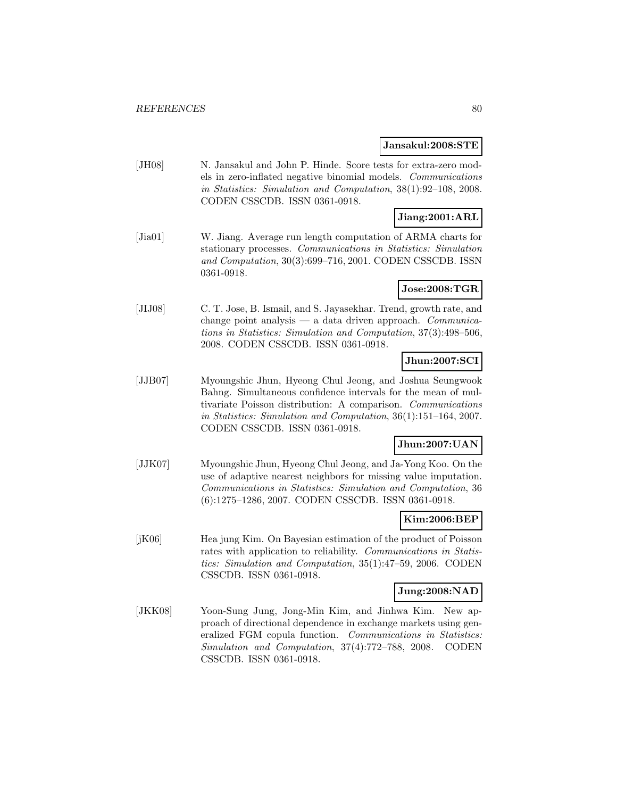#### **Jansakul:2008:STE**

[JH08] N. Jansakul and John P. Hinde. Score tests for extra-zero models in zero-inflated negative binomial models. Communications in Statistics: Simulation and Computation, 38(1):92–108, 2008. CODEN CSSCDB. ISSN 0361-0918.

# **Jiang:2001:ARL**

[Jia01] W. Jiang. Average run length computation of ARMA charts for stationary processes. Communications in Statistics: Simulation and Computation, 30(3):699–716, 2001. CODEN CSSCDB. ISSN 0361-0918.

## **Jose:2008:TGR**

[JIJ08] C. T. Jose, B. Ismail, and S. Jayasekhar. Trend, growth rate, and change point analysis — a data driven approach. Communications in Statistics: Simulation and Computation, 37(3):498–506, 2008. CODEN CSSCDB. ISSN 0361-0918.

## **Jhun:2007:SCI**

[JJB07] Myoungshic Jhun, Hyeong Chul Jeong, and Joshua Seungwook Bahng. Simultaneous confidence intervals for the mean of multivariate Poisson distribution: A comparison. Communications in Statistics: Simulation and Computation, 36(1):151–164, 2007. CODEN CSSCDB. ISSN 0361-0918.

## **Jhun:2007:UAN**

[JJK07] Myoungshic Jhun, Hyeong Chul Jeong, and Ja-Yong Koo. On the use of adaptive nearest neighbors for missing value imputation. Communications in Statistics: Simulation and Computation, 36 (6):1275–1286, 2007. CODEN CSSCDB. ISSN 0361-0918.

### **Kim:2006:BEP**

[jK06] Hea jung Kim. On Bayesian estimation of the product of Poisson rates with application to reliability. Communications in Statistics: Simulation and Computation, 35(1):47–59, 2006. CODEN CSSCDB. ISSN 0361-0918.

### **Jung:2008:NAD**

[JKK08] Yoon-Sung Jung, Jong-Min Kim, and Jinhwa Kim. New approach of directional dependence in exchange markets using generalized FGM copula function. Communications in Statistics: Simulation and Computation, 37(4):772–788, 2008. CODEN CSSCDB. ISSN 0361-0918.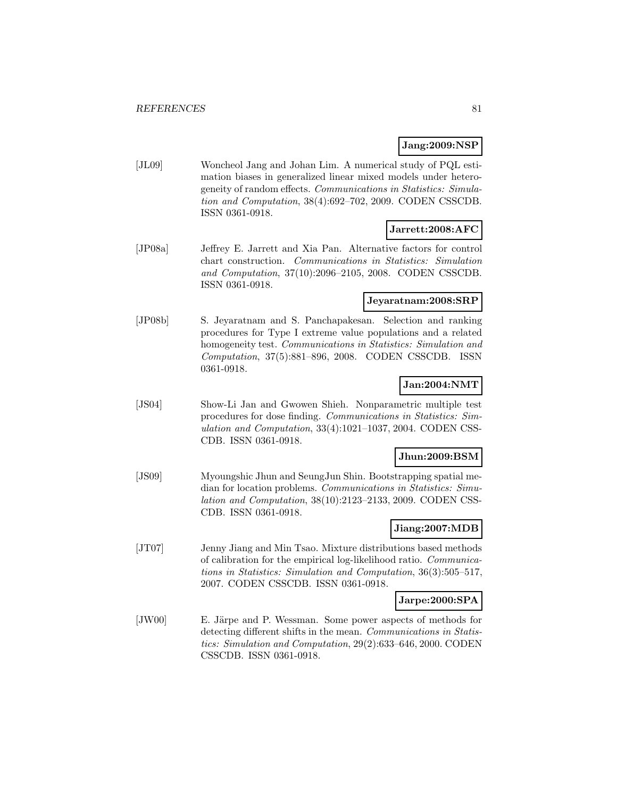## **Jang:2009:NSP**

[JL09] Woncheol Jang and Johan Lim. A numerical study of PQL estimation biases in generalized linear mixed models under heterogeneity of random effects. Communications in Statistics: Simulation and Computation, 38(4):692–702, 2009. CODEN CSSCDB. ISSN 0361-0918.

### **Jarrett:2008:AFC**

[JP08a] Jeffrey E. Jarrett and Xia Pan. Alternative factors for control chart construction. Communications in Statistics: Simulation and Computation, 37(10):2096–2105, 2008. CODEN CSSCDB. ISSN 0361-0918.

## **Jeyaratnam:2008:SRP**

[JP08b] S. Jeyaratnam and S. Panchapakesan. Selection and ranking procedures for Type I extreme value populations and a related homogeneity test. Communications in Statistics: Simulation and Computation, 37(5):881–896, 2008. CODEN CSSCDB. ISSN 0361-0918.

## **Jan:2004:NMT**

[JS04] Show-Li Jan and Gwowen Shieh. Nonparametric multiple test procedures for dose finding. Communications in Statistics: Simulation and Computation, 33(4):1021–1037, 2004. CODEN CSS-CDB. ISSN 0361-0918.

### **Jhun:2009:BSM**

[JS09] Myoungshic Jhun and SeungJun Shin. Bootstrapping spatial median for location problems. Communications in Statistics: Simulation and Computation, 38(10):2123–2133, 2009. CODEN CSS-CDB. ISSN 0361-0918.

### **Jiang:2007:MDB**

[JT07] Jenny Jiang and Min Tsao. Mixture distributions based methods of calibration for the empirical log-likelihood ratio. Communications in Statistics: Simulation and Computation, 36(3):505–517, 2007. CODEN CSSCDB. ISSN 0361-0918.

# **Jarpe:2000:SPA**

[JW00] E. Järpe and P. Wessman. Some power aspects of methods for detecting different shifts in the mean. Communications in Statistics: Simulation and Computation, 29(2):633–646, 2000. CODEN CSSCDB. ISSN 0361-0918.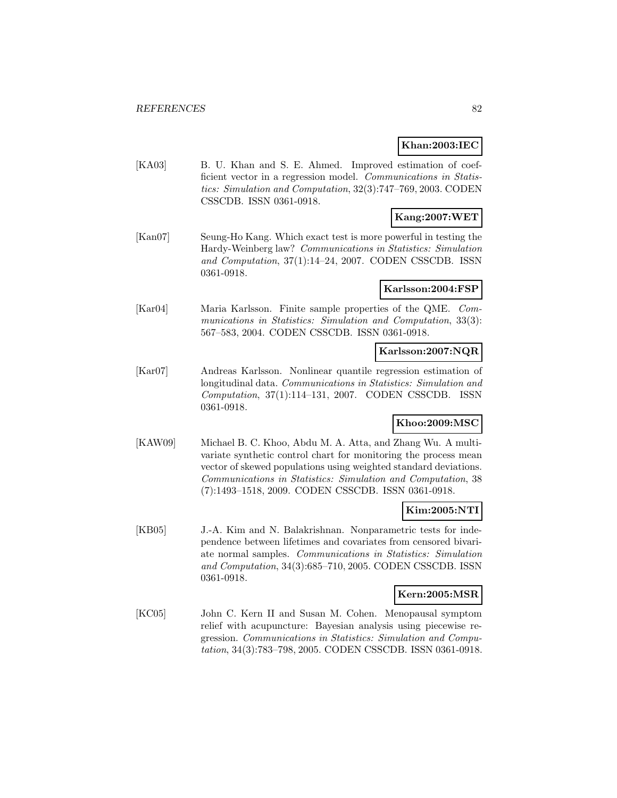## **Khan:2003:IEC**

[KA03] B. U. Khan and S. E. Ahmed. Improved estimation of coefficient vector in a regression model. Communications in Statistics: Simulation and Computation, 32(3):747–769, 2003. CODEN CSSCDB. ISSN 0361-0918.

# **Kang:2007:WET**

[Kan07] Seung-Ho Kang. Which exact test is more powerful in testing the Hardy-Weinberg law? Communications in Statistics: Simulation and Computation, 37(1):14–24, 2007. CODEN CSSCDB. ISSN 0361-0918.

### **Karlsson:2004:FSP**

[Kar04] Maria Karlsson. Finite sample properties of the QME. Communications in Statistics: Simulation and Computation, 33(3): 567–583, 2004. CODEN CSSCDB. ISSN 0361-0918.

### **Karlsson:2007:NQR**

[Kar07] Andreas Karlsson. Nonlinear quantile regression estimation of longitudinal data. Communications in Statistics: Simulation and Computation, 37(1):114–131, 2007. CODEN CSSCDB. ISSN 0361-0918.

## **Khoo:2009:MSC**

[KAW09] Michael B. C. Khoo, Abdu M. A. Atta, and Zhang Wu. A multivariate synthetic control chart for monitoring the process mean vector of skewed populations using weighted standard deviations. Communications in Statistics: Simulation and Computation, 38 (7):1493–1518, 2009. CODEN CSSCDB. ISSN 0361-0918.

## **Kim:2005:NTI**

[KB05] J.-A. Kim and N. Balakrishnan. Nonparametric tests for independence between lifetimes and covariates from censored bivariate normal samples. Communications in Statistics: Simulation and Computation, 34(3):685–710, 2005. CODEN CSSCDB. ISSN 0361-0918.

### **Kern:2005:MSR**

[KC05] John C. Kern II and Susan M. Cohen. Menopausal symptom relief with acupuncture: Bayesian analysis using piecewise regression. Communications in Statistics: Simulation and Computation, 34(3):783–798, 2005. CODEN CSSCDB. ISSN 0361-0918.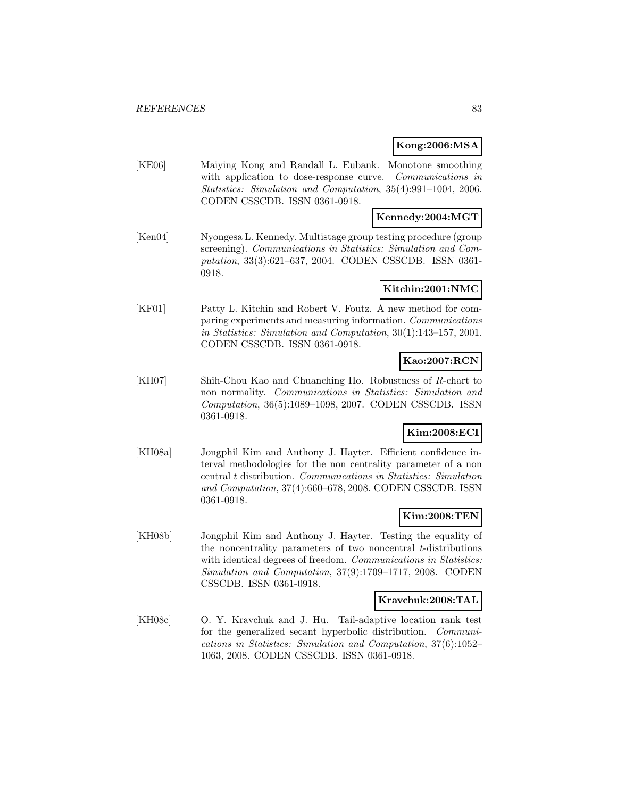## **Kong:2006:MSA**

[KE06] Maiying Kong and Randall L. Eubank. Monotone smoothing with application to dose-response curve. Communications in Statistics: Simulation and Computation, 35(4):991–1004, 2006. CODEN CSSCDB. ISSN 0361-0918.

## **Kennedy:2004:MGT**

[Ken04] Nyongesa L. Kennedy. Multistage group testing procedure (group screening). Communications in Statistics: Simulation and Computation, 33(3):621–637, 2004. CODEN CSSCDB. ISSN 0361- 0918.

### **Kitchin:2001:NMC**

[KF01] Patty L. Kitchin and Robert V. Foutz. A new method for comparing experiments and measuring information. Communications in Statistics: Simulation and Computation, 30(1):143–157, 2001. CODEN CSSCDB. ISSN 0361-0918.

## **Kao:2007:RCN**

[KH07] Shih-Chou Kao and Chuanching Ho. Robustness of R-chart to non normality. Communications in Statistics: Simulation and Computation, 36(5):1089–1098, 2007. CODEN CSSCDB. ISSN 0361-0918.

## **Kim:2008:ECI**

[KH08a] Jongphil Kim and Anthony J. Hayter. Efficient confidence interval methodologies for the non centrality parameter of a non central t distribution. Communications in Statistics: Simulation and Computation, 37(4):660–678, 2008. CODEN CSSCDB. ISSN 0361-0918.

## **Kim:2008:TEN**

[KH08b] Jongphil Kim and Anthony J. Hayter. Testing the equality of the noncentrality parameters of two noncentral  $t$ -distributions with identical degrees of freedom. Communications in Statistics: Simulation and Computation, 37(9):1709–1717, 2008. CODEN CSSCDB. ISSN 0361-0918.

### **Kravchuk:2008:TAL**

[KH08c] O. Y. Kravchuk and J. Hu. Tail-adaptive location rank test for the generalized secant hyperbolic distribution. Communications in Statistics: Simulation and Computation, 37(6):1052– 1063, 2008. CODEN CSSCDB. ISSN 0361-0918.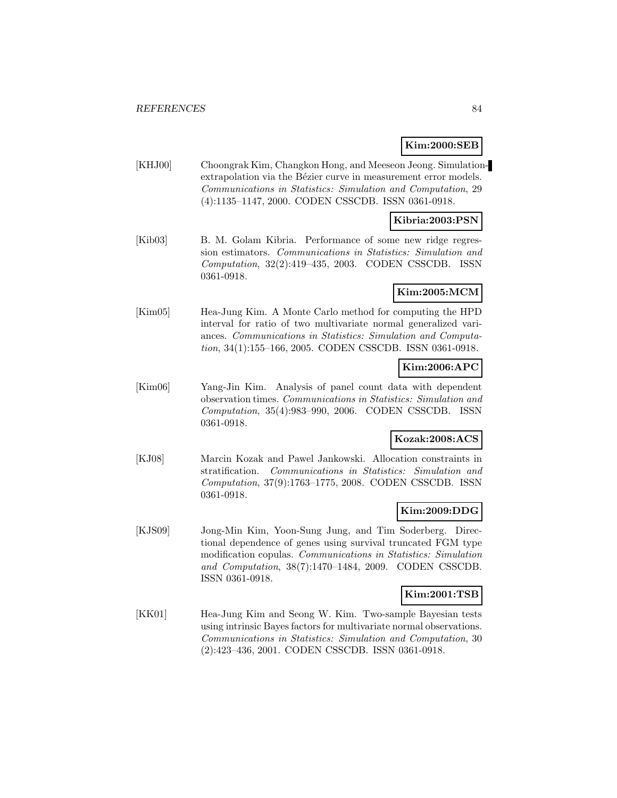## **Kim:2000:SEB**

[KHJ00] Choongrak Kim, Changkon Hong, and Meeseon Jeong. Simulationextrapolation via the Bézier curve in measurement error models. Communications in Statistics: Simulation and Computation, 29 (4):1135–1147, 2000. CODEN CSSCDB. ISSN 0361-0918.

## **Kibria:2003:PSN**

[Kib03] B. M. Golam Kibria. Performance of some new ridge regression estimators. Communications in Statistics: Simulation and Computation, 32(2):419–435, 2003. CODEN CSSCDB. ISSN 0361-0918.

## **Kim:2005:MCM**

[Kim05] Hea-Jung Kim. A Monte Carlo method for computing the HPD interval for ratio of two multivariate normal generalized variances. Communications in Statistics: Simulation and Computation, 34(1):155–166, 2005. CODEN CSSCDB. ISSN 0361-0918.

## **Kim:2006:APC**

[Kim06] Yang-Jin Kim. Analysis of panel count data with dependent observation times. Communications in Statistics: Simulation and Computation, 35(4):983–990, 2006. CODEN CSSCDB. ISSN 0361-0918.

## **Kozak:2008:ACS**

[KJ08] Marcin Kozak and Pawel Jankowski. Allocation constraints in stratification. Communications in Statistics: Simulation and Computation, 37(9):1763–1775, 2008. CODEN CSSCDB. ISSN 0361-0918.

### **Kim:2009:DDG**

[KJS09] Jong-Min Kim, Yoon-Sung Jung, and Tim Soderberg. Directional dependence of genes using survival truncated FGM type modification copulas. Communications in Statistics: Simulation and Computation, 38(7):1470–1484, 2009. CODEN CSSCDB. ISSN 0361-0918.

### **Kim:2001:TSB**

[KK01] Hea-Jung Kim and Seong W. Kim. Two-sample Bayesian tests using intrinsic Bayes factors for multivariate normal observations. Communications in Statistics: Simulation and Computation, 30 (2):423–436, 2001. CODEN CSSCDB. ISSN 0361-0918.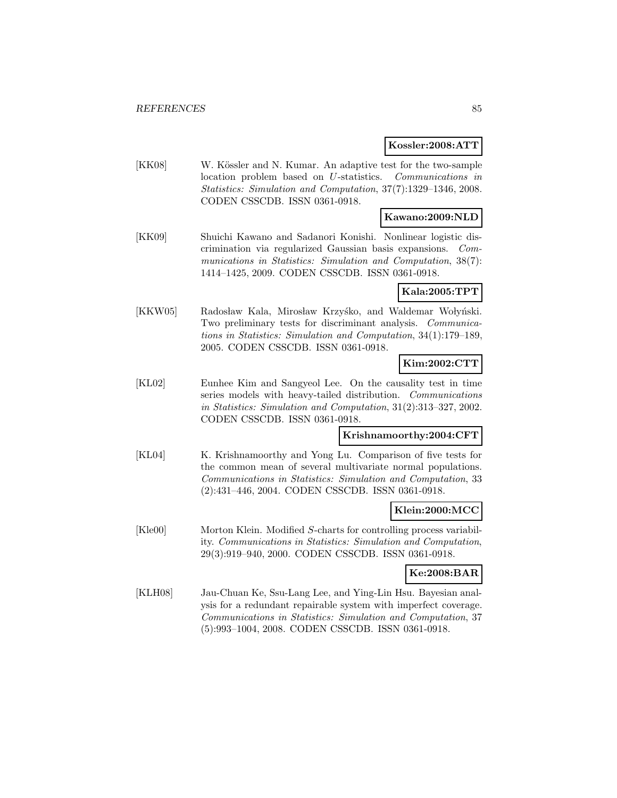#### **Kossler:2008:ATT**

[KK08] W. Kössler and N. Kumar. An adaptive test for the two-sample location problem based on U-statistics. Communications in Statistics: Simulation and Computation, 37(7):1329–1346, 2008. CODEN CSSCDB. ISSN 0361-0918.

## **Kawano:2009:NLD**

[KK09] Shuichi Kawano and Sadanori Konishi. Nonlinear logistic discrimination via regularized Gaussian basis expansions. Communications in Statistics: Simulation and Computation, 38(7): 1414–1425, 2009. CODEN CSSCDB. ISSN 0361-0918.

**Kala:2005:TPT**

[KKW05] Radosław Kala, Mirosław Krzyśko, and Waldemar Wołyński. Two preliminary tests for discriminant analysis. Communications in Statistics: Simulation and Computation, 34(1):179–189, 2005. CODEN CSSCDB. ISSN 0361-0918.

# **Kim:2002:CTT**

[KL02] Eunhee Kim and Sangyeol Lee. On the causality test in time series models with heavy-tailed distribution. Communications in Statistics: Simulation and Computation, 31(2):313–327, 2002. CODEN CSSCDB. ISSN 0361-0918.

## **Krishnamoorthy:2004:CFT**

[KL04] K. Krishnamoorthy and Yong Lu. Comparison of five tests for the common mean of several multivariate normal populations. Communications in Statistics: Simulation and Computation, 33 (2):431–446, 2004. CODEN CSSCDB. ISSN 0361-0918.

## **Klein:2000:MCC**

[Kle00] Morton Klein. Modified S-charts for controlling process variability. Communications in Statistics: Simulation and Computation, 29(3):919–940, 2000. CODEN CSSCDB. ISSN 0361-0918.

### **Ke:2008:BAR**

[KLH08] Jau-Chuan Ke, Ssu-Lang Lee, and Ying-Lin Hsu. Bayesian analysis for a redundant repairable system with imperfect coverage. Communications in Statistics: Simulation and Computation, 37 (5):993–1004, 2008. CODEN CSSCDB. ISSN 0361-0918.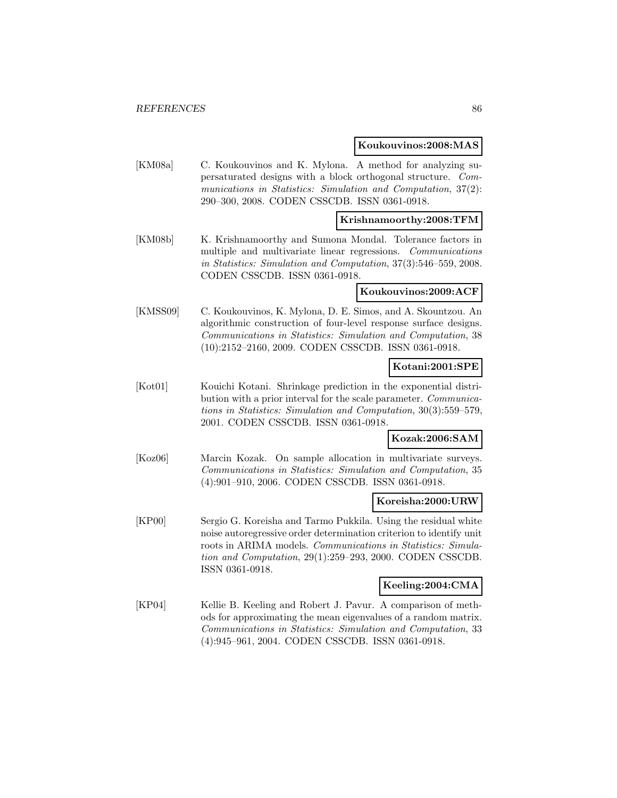#### **Koukouvinos:2008:MAS**

[KM08a] C. Koukouvinos and K. Mylona. A method for analyzing supersaturated designs with a block orthogonal structure. Communications in Statistics: Simulation and Computation, 37(2): 290–300, 2008. CODEN CSSCDB. ISSN 0361-0918.

### **Krishnamoorthy:2008:TFM**

[KM08b] K. Krishnamoorthy and Sumona Mondal. Tolerance factors in multiple and multivariate linear regressions. Communications in Statistics: Simulation and Computation, 37(3):546–559, 2008. CODEN CSSCDB. ISSN 0361-0918.

### **Koukouvinos:2009:ACF**

[KMSS09] C. Koukouvinos, K. Mylona, D. E. Simos, and A. Skountzou. An algorithmic construction of four-level response surface designs. Communications in Statistics: Simulation and Computation, 38 (10):2152–2160, 2009. CODEN CSSCDB. ISSN 0361-0918.

## **Kotani:2001:SPE**

[Kot01] Kouichi Kotani. Shrinkage prediction in the exponential distribution with a prior interval for the scale parameter. Communications in Statistics: Simulation and Computation, 30(3):559–579, 2001. CODEN CSSCDB. ISSN 0361-0918.

## **Kozak:2006:SAM**

[Koz06] Marcin Kozak. On sample allocation in multivariate surveys. Communications in Statistics: Simulation and Computation, 35 (4):901–910, 2006. CODEN CSSCDB. ISSN 0361-0918.

### **Koreisha:2000:URW**

[KP00] Sergio G. Koreisha and Tarmo Pukkila. Using the residual white noise autoregressive order determination criterion to identify unit roots in ARIMA models. Communications in Statistics: Simulation and Computation, 29(1):259–293, 2000. CODEN CSSCDB. ISSN 0361-0918.

## **Keeling:2004:CMA**

[KP04] Kellie B. Keeling and Robert J. Pavur. A comparison of methods for approximating the mean eigenvalues of a random matrix. Communications in Statistics: Simulation and Computation, 33 (4):945–961, 2004. CODEN CSSCDB. ISSN 0361-0918.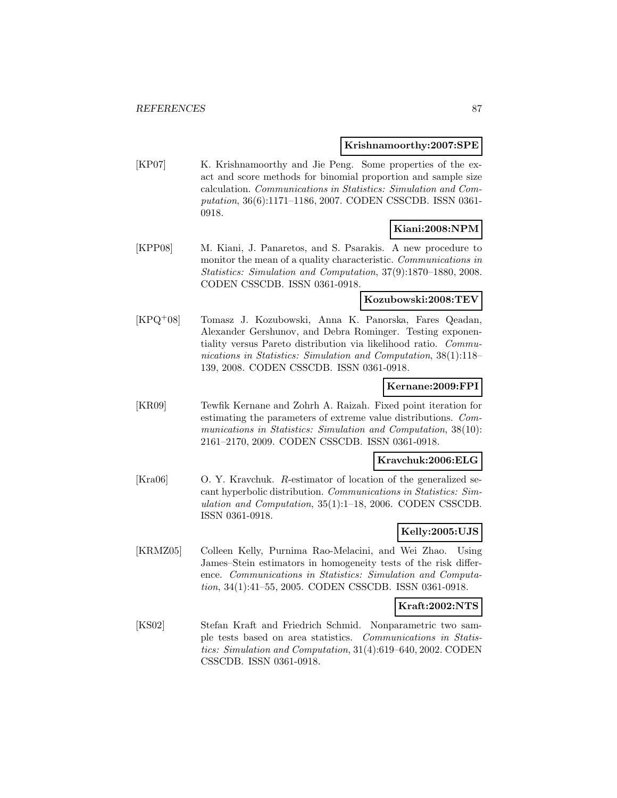#### **Krishnamoorthy:2007:SPE**

[KP07] K. Krishnamoorthy and Jie Peng. Some properties of the exact and score methods for binomial proportion and sample size calculation. Communications in Statistics: Simulation and Computation, 36(6):1171–1186, 2007. CODEN CSSCDB. ISSN 0361- 0918.

## **Kiani:2008:NPM**

[KPP08] M. Kiani, J. Panaretos, and S. Psarakis. A new procedure to monitor the mean of a quality characteristic. Communications in Statistics: Simulation and Computation, 37(9):1870–1880, 2008. CODEN CSSCDB. ISSN 0361-0918.

### **Kozubowski:2008:TEV**

[KPQ<sup>+</sup>08] Tomasz J. Kozubowski, Anna K. Panorska, Fares Qeadan, Alexander Gershunov, and Debra Rominger. Testing exponentiality versus Pareto distribution via likelihood ratio. Communications in Statistics: Simulation and Computation, 38(1):118– 139, 2008. CODEN CSSCDB. ISSN 0361-0918.

#### **Kernane:2009:FPI**

[KR09] Tewfik Kernane and Zohrh A. Raizah. Fixed point iteration for estimating the parameters of extreme value distributions. Communications in Statistics: Simulation and Computation, 38(10): 2161–2170, 2009. CODEN CSSCDB. ISSN 0361-0918.

#### **Kravchuk:2006:ELG**

[Kra06] O. Y. Kravchuk. R-estimator of location of the generalized secant hyperbolic distribution. Communications in Statistics: Simulation and Computation, 35(1):1–18, 2006. CODEN CSSCDB. ISSN 0361-0918.

### **Kelly:2005:UJS**

[KRMZ05] Colleen Kelly, Purnima Rao-Melacini, and Wei Zhao. Using James–Stein estimators in homogeneity tests of the risk difference. Communications in Statistics: Simulation and Computation, 34(1):41–55, 2005. CODEN CSSCDB. ISSN 0361-0918.

## **Kraft:2002:NTS**

[KS02] Stefan Kraft and Friedrich Schmid. Nonparametric two sample tests based on area statistics. Communications in Statistics: Simulation and Computation, 31(4):619–640, 2002. CODEN CSSCDB. ISSN 0361-0918.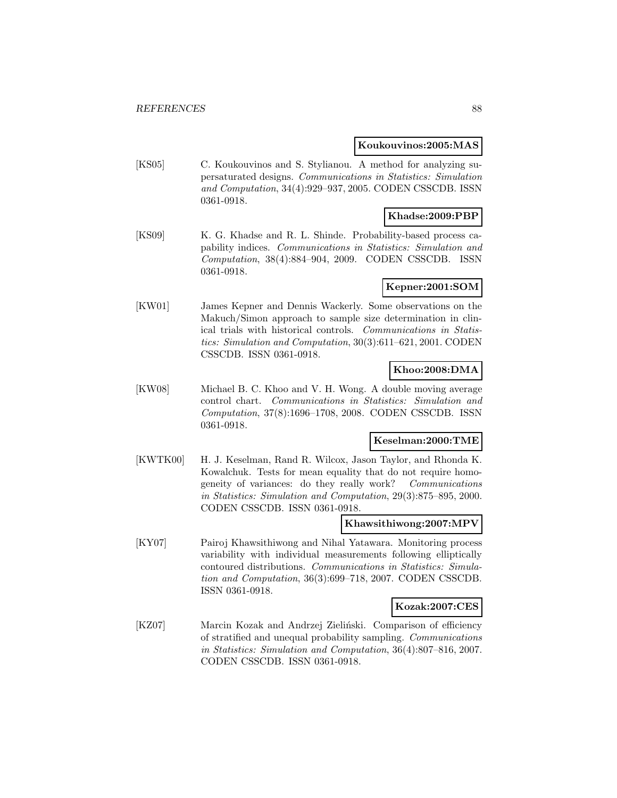#### **Koukouvinos:2005:MAS**

[KS05] C. Koukouvinos and S. Stylianou. A method for analyzing supersaturated designs. Communications in Statistics: Simulation and Computation, 34(4):929–937, 2005. CODEN CSSCDB. ISSN 0361-0918.

## **Khadse:2009:PBP**

[KS09] K. G. Khadse and R. L. Shinde. Probability-based process capability indices. Communications in Statistics: Simulation and Computation, 38(4):884–904, 2009. CODEN CSSCDB. ISSN 0361-0918.

### **Kepner:2001:SOM**

[KW01] James Kepner and Dennis Wackerly. Some observations on the Makuch/Simon approach to sample size determination in clinical trials with historical controls. Communications in Statistics: Simulation and Computation, 30(3):611–621, 2001. CODEN CSSCDB. ISSN 0361-0918.

## **Khoo:2008:DMA**

[KW08] Michael B. C. Khoo and V. H. Wong. A double moving average control chart. Communications in Statistics: Simulation and Computation, 37(8):1696–1708, 2008. CODEN CSSCDB. ISSN 0361-0918.

### **Keselman:2000:TME**

[KWTK00] H. J. Keselman, Rand R. Wilcox, Jason Taylor, and Rhonda K. Kowalchuk. Tests for mean equality that do not require homogeneity of variances: do they really work? Communications in Statistics: Simulation and Computation, 29(3):875–895, 2000. CODEN CSSCDB. ISSN 0361-0918.

#### **Khawsithiwong:2007:MPV**

[KY07] Pairoj Khawsithiwong and Nihal Yatawara. Monitoring process variability with individual measurements following elliptically contoured distributions. Communications in Statistics: Simulation and Computation, 36(3):699–718, 2007. CODEN CSSCDB. ISSN 0361-0918.

### **Kozak:2007:CES**

[KZ07] Marcin Kozak and Andrzej Zieliński. Comparison of efficiency of stratified and unequal probability sampling. Communications in Statistics: Simulation and Computation, 36(4):807–816, 2007. CODEN CSSCDB. ISSN 0361-0918.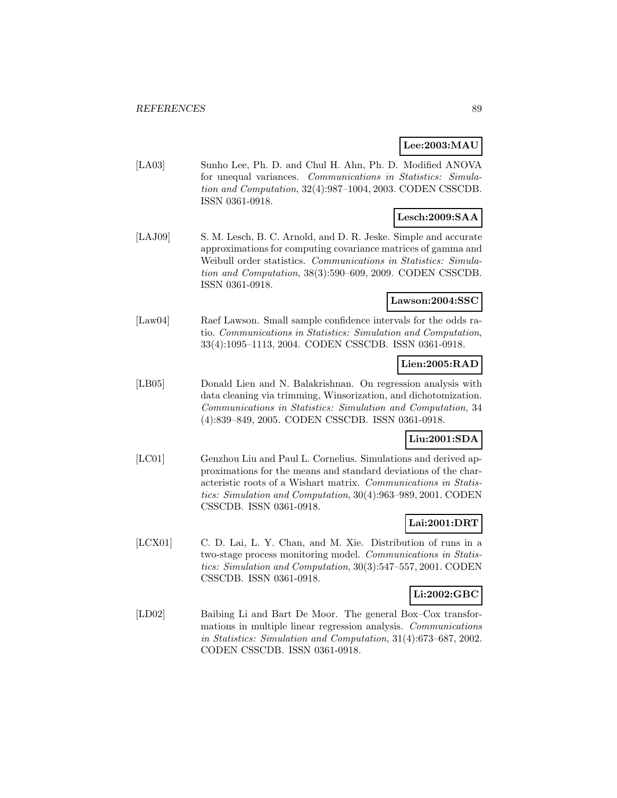## **Lee:2003:MAU**

[LA03] Sunho Lee, Ph. D. and Chul H. Ahn, Ph. D. Modified ANOVA for unequal variances. Communications in Statistics: Simulation and Computation, 32(4):987–1004, 2003. CODEN CSSCDB. ISSN 0361-0918.

# **Lesch:2009:SAA**

[LAJ09] S. M. Lesch, B. C. Arnold, and D. R. Jeske. Simple and accurate approximations for computing covariance matrices of gamma and Weibull order statistics. Communications in Statistics: Simulation and Computation, 38(3):590–609, 2009. CODEN CSSCDB. ISSN 0361-0918.

## **Lawson:2004:SSC**

[Law04] Raef Lawson. Small sample confidence intervals for the odds ratio. Communications in Statistics: Simulation and Computation, 33(4):1095–1113, 2004. CODEN CSSCDB. ISSN 0361-0918.

### **Lien:2005:RAD**

[LB05] Donald Lien and N. Balakrishnan. On regression analysis with data cleaning via trimming, Winsorization, and dichotomization. Communications in Statistics: Simulation and Computation, 34 (4):839–849, 2005. CODEN CSSCDB. ISSN 0361-0918.

## **Liu:2001:SDA**

[LC01] Genzhou Liu and Paul L. Cornelius. Simulations and derived approximations for the means and standard deviations of the characteristic roots of a Wishart matrix. Communications in Statistics: Simulation and Computation, 30(4):963–989, 2001. CODEN CSSCDB. ISSN 0361-0918.

## **Lai:2001:DRT**

[LCX01] C. D. Lai, L. Y. Chan, and M. Xie. Distribution of runs in a two-stage process monitoring model. Communications in Statistics: Simulation and Computation, 30(3):547–557, 2001. CODEN CSSCDB. ISSN 0361-0918.

### **Li:2002:GBC**

[LD02] Baibing Li and Bart De Moor. The general Box–Cox transformations in multiple linear regression analysis. Communications in Statistics: Simulation and Computation, 31(4):673–687, 2002. CODEN CSSCDB. ISSN 0361-0918.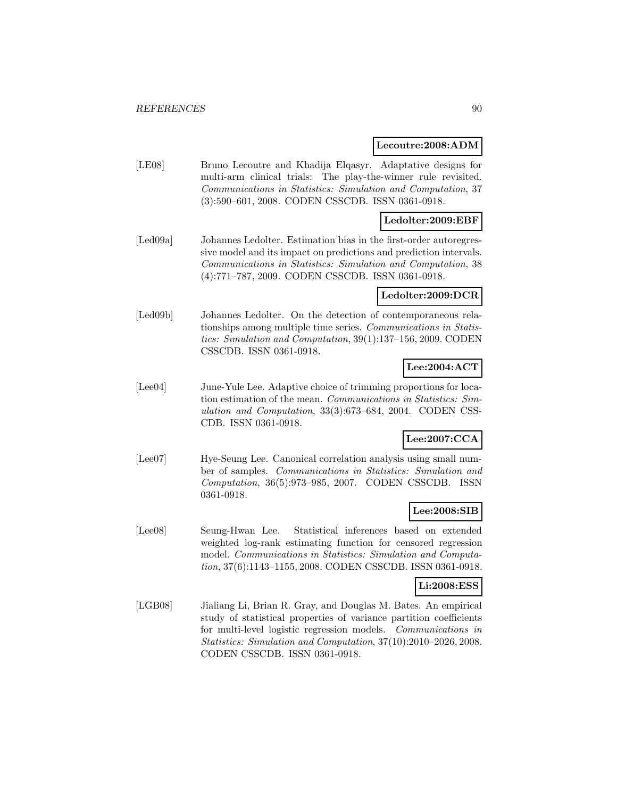#### **Lecoutre:2008:ADM**

[LE08] Bruno Lecoutre and Khadija Elqasyr. Adaptative designs for multi-arm clinical trials: The play-the-winner rule revisited. Communications in Statistics: Simulation and Computation, 37 (3):590–601, 2008. CODEN CSSCDB. ISSN 0361-0918.

## **Ledolter:2009:EBF**

[Led09a] Johannes Ledolter. Estimation bias in the first-order autoregressive model and its impact on predictions and prediction intervals. Communications in Statistics: Simulation and Computation, 38 (4):771–787, 2009. CODEN CSSCDB. ISSN 0361-0918.

#### **Ledolter:2009:DCR**

[Led09b] Johannes Ledolter. On the detection of contemporaneous relationships among multiple time series. Communications in Statistics: Simulation and Computation, 39(1):137–156, 2009. CODEN CSSCDB. ISSN 0361-0918.

## **Lee:2004:ACT**

[Lee04] June-Yule Lee. Adaptive choice of trimming proportions for location estimation of the mean. Communications in Statistics: Simulation and Computation, 33(3):673–684, 2004. CODEN CSS-CDB. ISSN 0361-0918.

# **Lee:2007:CCA**

[Lee07] Hye-Seung Lee. Canonical correlation analysis using small number of samples. Communications in Statistics: Simulation and Computation, 36(5):973–985, 2007. CODEN CSSCDB. ISSN 0361-0918.

### **Lee:2008:SIB**

[Lee08] Seung-Hwan Lee. Statistical inferences based on extended weighted log-rank estimating function for censored regression model. Communications in Statistics: Simulation and Computation, 37(6):1143–1155, 2008. CODEN CSSCDB. ISSN 0361-0918.

#### **Li:2008:ESS**

[LGB08] Jialiang Li, Brian R. Gray, and Douglas M. Bates. An empirical study of statistical properties of variance partition coefficients for multi-level logistic regression models. Communications in Statistics: Simulation and Computation, 37(10):2010–2026, 2008. CODEN CSSCDB. ISSN 0361-0918.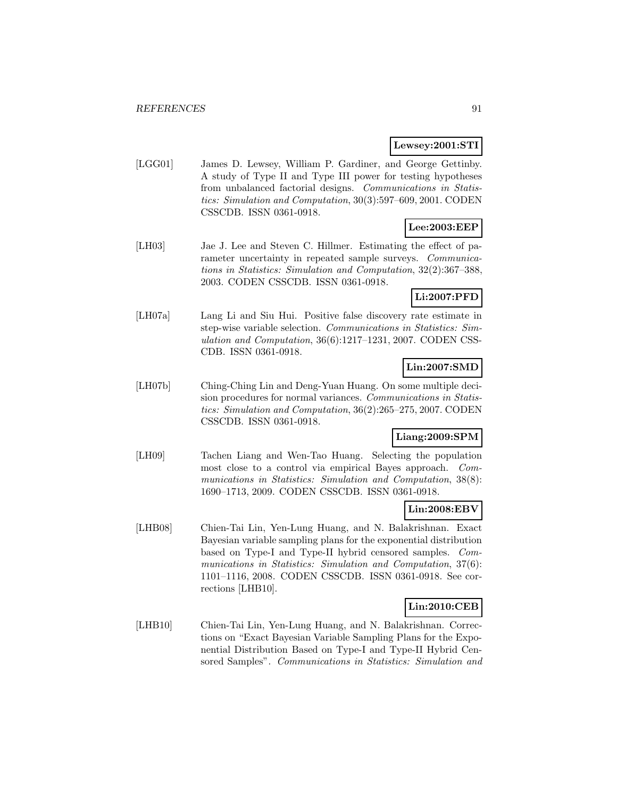### **Lewsey:2001:STI**

[LGG01] James D. Lewsey, William P. Gardiner, and George Gettinby. A study of Type II and Type III power for testing hypotheses from unbalanced factorial designs. Communications in Statistics: Simulation and Computation, 30(3):597–609, 2001. CODEN CSSCDB. ISSN 0361-0918.

## **Lee:2003:EEP**

[LH03] Jae J. Lee and Steven C. Hillmer. Estimating the effect of parameter uncertainty in repeated sample surveys. *Communica*tions in Statistics: Simulation and Computation, 32(2):367–388, 2003. CODEN CSSCDB. ISSN 0361-0918.

### **Li:2007:PFD**

[LH07a] Lang Li and Siu Hui. Positive false discovery rate estimate in step-wise variable selection. Communications in Statistics: Simulation and Computation, 36(6):1217–1231, 2007. CODEN CSS-CDB. ISSN 0361-0918.

## **Lin:2007:SMD**

[LH07b] Ching-Ching Lin and Deng-Yuan Huang. On some multiple decision procedures for normal variances. Communications in Statistics: Simulation and Computation, 36(2):265–275, 2007. CODEN CSSCDB. ISSN 0361-0918.

## **Liang:2009:SPM**

[LH09] Tachen Liang and Wen-Tao Huang. Selecting the population most close to a control via empirical Bayes approach. Communications in Statistics: Simulation and Computation, 38(8): 1690–1713, 2009. CODEN CSSCDB. ISSN 0361-0918.

## **Lin:2008:EBV**

[LHB08] Chien-Tai Lin, Yen-Lung Huang, and N. Balakrishnan. Exact Bayesian variable sampling plans for the exponential distribution based on Type-I and Type-II hybrid censored samples. Communications in Statistics: Simulation and Computation, 37(6): 1101–1116, 2008. CODEN CSSCDB. ISSN 0361-0918. See corrections [LHB10].

## **Lin:2010:CEB**

[LHB10] Chien-Tai Lin, Yen-Lung Huang, and N. Balakrishnan. Corrections on "Exact Bayesian Variable Sampling Plans for the Exponential Distribution Based on Type-I and Type-II Hybrid Censored Samples". Communications in Statistics: Simulation and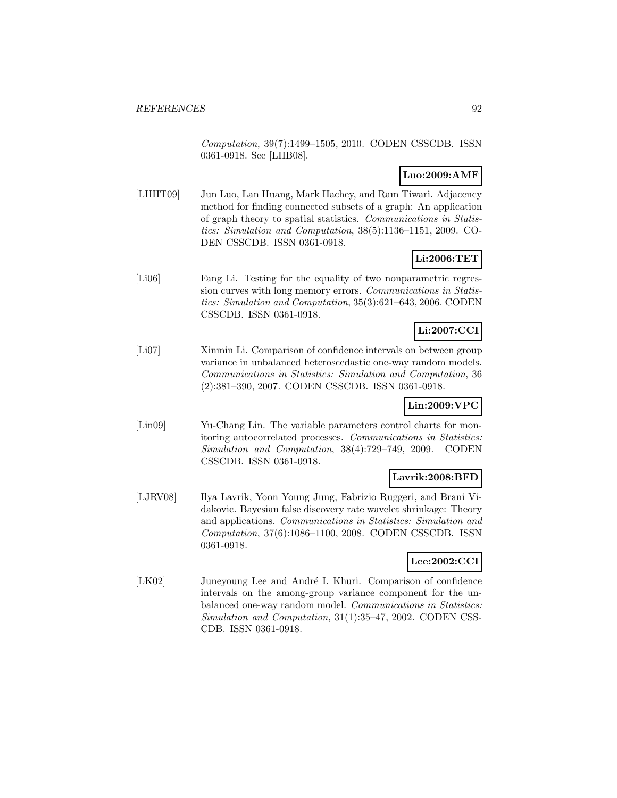Computation, 39(7):1499–1505, 2010. CODEN CSSCDB. ISSN 0361-0918. See [LHB08].

# **Luo:2009:AMF**

[LHHT09] Jun Luo, Lan Huang, Mark Hachey, and Ram Tiwari. Adjacency method for finding connected subsets of a graph: An application of graph theory to spatial statistics. Communications in Statistics: Simulation and Computation, 38(5):1136–1151, 2009. CO-DEN CSSCDB. ISSN 0361-0918.

# **Li:2006:TET**

[Li06] Fang Li. Testing for the equality of two nonparametric regression curves with long memory errors. Communications in Statistics: Simulation and Computation, 35(3):621–643, 2006. CODEN CSSCDB. ISSN 0361-0918.

# **Li:2007:CCI**

[Li07] Xinmin Li. Comparison of confidence intervals on between group variance in unbalanced heteroscedastic one-way random models. Communications in Statistics: Simulation and Computation, 36 (2):381–390, 2007. CODEN CSSCDB. ISSN 0361-0918.

# **Lin:2009:VPC**

[Lin09] Yu-Chang Lin. The variable parameters control charts for monitoring autocorrelated processes. Communications in Statistics: Simulation and Computation, 38(4):729–749, 2009. CODEN CSSCDB. ISSN 0361-0918.

## **Lavrik:2008:BFD**

[LJRV08] Ilya Lavrik, Yoon Young Jung, Fabrizio Ruggeri, and Brani Vidakovic. Bayesian false discovery rate wavelet shrinkage: Theory and applications. Communications in Statistics: Simulation and Computation, 37(6):1086–1100, 2008. CODEN CSSCDB. ISSN 0361-0918.

## **Lee:2002:CCI**

[LK02] Juneyoung Lee and André I. Khuri. Comparison of confidence intervals on the among-group variance component for the unbalanced one-way random model. Communications in Statistics: Simulation and Computation, 31(1):35–47, 2002. CODEN CSS-CDB. ISSN 0361-0918.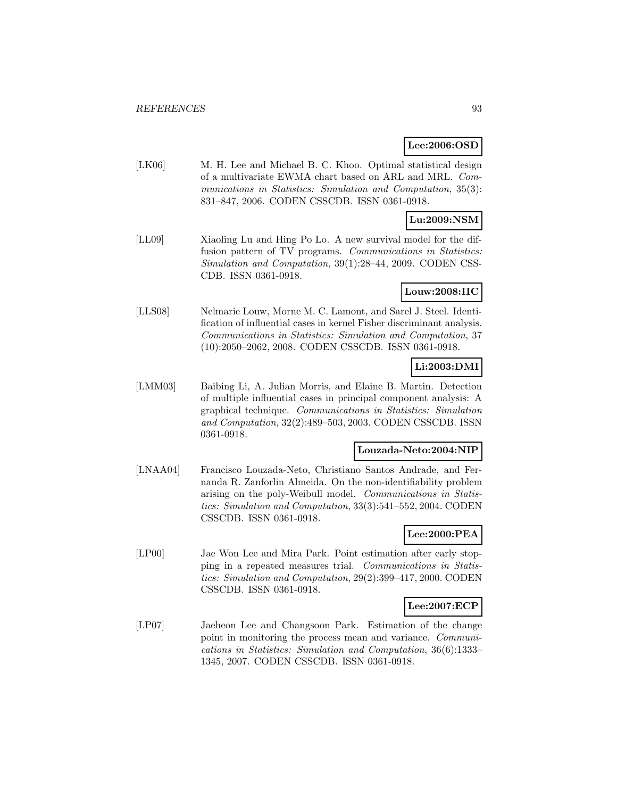## **Lee:2006:OSD**

[LK06] M. H. Lee and Michael B. C. Khoo. Optimal statistical design of a multivariate EWMA chart based on ARL and MRL. Communications in Statistics: Simulation and Computation, 35(3): 831–847, 2006. CODEN CSSCDB. ISSN 0361-0918.

## **Lu:2009:NSM**

[LL09] Xiaoling Lu and Hing Po Lo. A new survival model for the diffusion pattern of TV programs. Communications in Statistics: Simulation and Computation, 39(1):28–44, 2009. CODEN CSS-CDB. ISSN 0361-0918.

### **Louw:2008:IIC**

[LLS08] Nelmarie Louw, Morne M. C. Lamont, and Sarel J. Steel. Identification of influential cases in kernel Fisher discriminant analysis. Communications in Statistics: Simulation and Computation, 37 (10):2050–2062, 2008. CODEN CSSCDB. ISSN 0361-0918.

## **Li:2003:DMI**

[LMM03] Baibing Li, A. Julian Morris, and Elaine B. Martin. Detection of multiple influential cases in principal component analysis: A graphical technique. Communications in Statistics: Simulation and Computation, 32(2):489–503, 2003. CODEN CSSCDB. ISSN 0361-0918.

### **Louzada-Neto:2004:NIP**

[LNAA04] Francisco Louzada-Neto, Christiano Santos Andrade, and Fernanda R. Zanforlin Almeida. On the non-identifiability problem arising on the poly-Weibull model. Communications in Statistics: Simulation and Computation, 33(3):541–552, 2004. CODEN CSSCDB. ISSN 0361-0918.

## **Lee:2000:PEA**

[LP00] Jae Won Lee and Mira Park. Point estimation after early stopping in a repeated measures trial. Communications in Statistics: Simulation and Computation, 29(2):399–417, 2000. CODEN CSSCDB. ISSN 0361-0918.

### **Lee:2007:ECP**

[LP07] Jaeheon Lee and Changsoon Park. Estimation of the change point in monitoring the process mean and variance. Communications in Statistics: Simulation and Computation, 36(6):1333– 1345, 2007. CODEN CSSCDB. ISSN 0361-0918.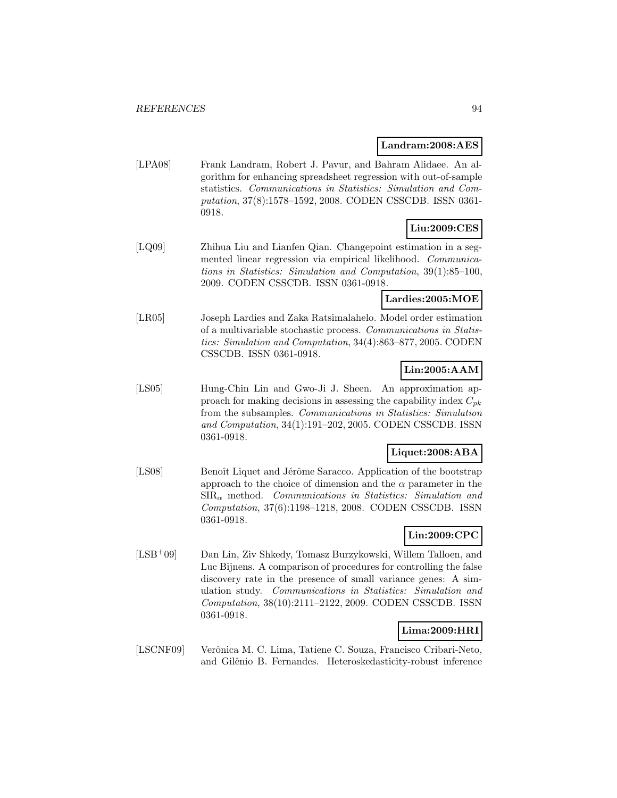#### **Landram:2008:AES**

[LPA08] Frank Landram, Robert J. Pavur, and Bahram Alidaee. An algorithm for enhancing spreadsheet regression with out-of-sample statistics. Communications in Statistics: Simulation and Computation, 37(8):1578–1592, 2008. CODEN CSSCDB. ISSN 0361- 0918.

## **Liu:2009:CES**

[LQ09] Zhihua Liu and Lianfen Qian. Changepoint estimation in a segmented linear regression via empirical likelihood. Communications in Statistics: Simulation and Computation, 39(1):85–100, 2009. CODEN CSSCDB. ISSN 0361-0918.

# **Lardies:2005:MOE**

[LR05] Joseph Lardies and Zaka Ratsimalahelo. Model order estimation of a multivariable stochastic process. Communications in Statistics: Simulation and Computation, 34(4):863–877, 2005. CODEN CSSCDB. ISSN 0361-0918.

## **Lin:2005:AAM**

[LS05] Hung-Chin Lin and Gwo-Ji J. Sheen. An approximation approach for making decisions in assessing the capability index  $C_{pk}$ from the subsamples. Communications in Statistics: Simulation and Computation, 34(1):191–202, 2005. CODEN CSSCDB. ISSN 0361-0918.

## **Liquet:2008:ABA**

[LS08] Benoît Liquet and Jérôme Saracco. Application of the bootstrap approach to the choice of dimension and the  $\alpha$  parameter in the  $SIR_{\alpha}$  method. Communications in Statistics: Simulation and Computation, 37(6):1198–1218, 2008. CODEN CSSCDB. ISSN 0361-0918.

# **Lin:2009:CPC**

[LSB<sup>+</sup>09] Dan Lin, Ziv Shkedy, Tomasz Burzykowski, Willem Talloen, and Luc Bijnens. A comparison of procedures for controlling the false discovery rate in the presence of small variance genes: A simulation study. Communications in Statistics: Simulation and Computation, 38(10):2111–2122, 2009. CODEN CSSCDB. ISSN 0361-0918.

## **Lima:2009:HRI**

[LSCNF09] Verônica M. C. Lima, Tatiene C. Souza, Francisco Cribari-Neto, and Gilˆenio B. Fernandes. Heteroskedasticity-robust inference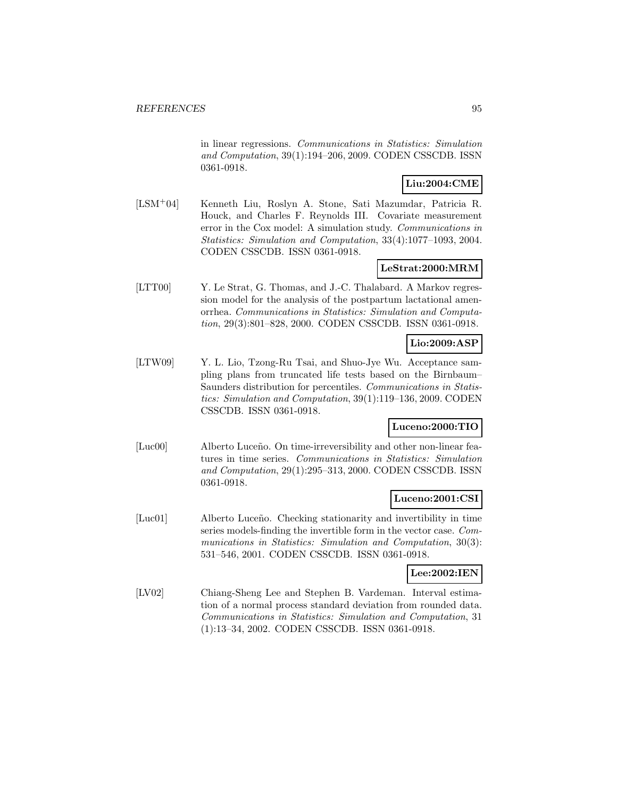in linear regressions. Communications in Statistics: Simulation and Computation, 39(1):194–206, 2009. CODEN CSSCDB. ISSN 0361-0918.

# **Liu:2004:CME**

[LSM<sup>+</sup>04] Kenneth Liu, Roslyn A. Stone, Sati Mazumdar, Patricia R. Houck, and Charles F. Reynolds III. Covariate measurement error in the Cox model: A simulation study. Communications in Statistics: Simulation and Computation, 33(4):1077–1093, 2004. CODEN CSSCDB. ISSN 0361-0918.

## **LeStrat:2000:MRM**

[LTT00] Y. Le Strat, G. Thomas, and J.-C. Thalabard. A Markov regression model for the analysis of the postpartum lactational amenorrhea. Communications in Statistics: Simulation and Computation, 29(3):801–828, 2000. CODEN CSSCDB. ISSN 0361-0918.

### **Lio:2009:ASP**

[LTW09] Y. L. Lio, Tzong-Ru Tsai, and Shuo-Jye Wu. Acceptance sampling plans from truncated life tests based on the Birnbaum– Saunders distribution for percentiles. Communications in Statistics: Simulation and Computation, 39(1):119–136, 2009. CODEN CSSCDB. ISSN 0361-0918.

## **Luceno:2000:TIO**

[Luc00] Alberto Luceño. On time-irreversibility and other non-linear features in time series. Communications in Statistics: Simulation and Computation, 29(1):295–313, 2000. CODEN CSSCDB. ISSN 0361-0918.

## **Luceno:2001:CSI**

[Luc01] Alberto Luceño. Checking stationarity and invertibility in time series models-finding the invertible form in the vector case. Communications in Statistics: Simulation and Computation, 30(3): 531–546, 2001. CODEN CSSCDB. ISSN 0361-0918.

### **Lee:2002:IEN**

[LV02] Chiang-Sheng Lee and Stephen B. Vardeman. Interval estimation of a normal process standard deviation from rounded data. Communications in Statistics: Simulation and Computation, 31 (1):13–34, 2002. CODEN CSSCDB. ISSN 0361-0918.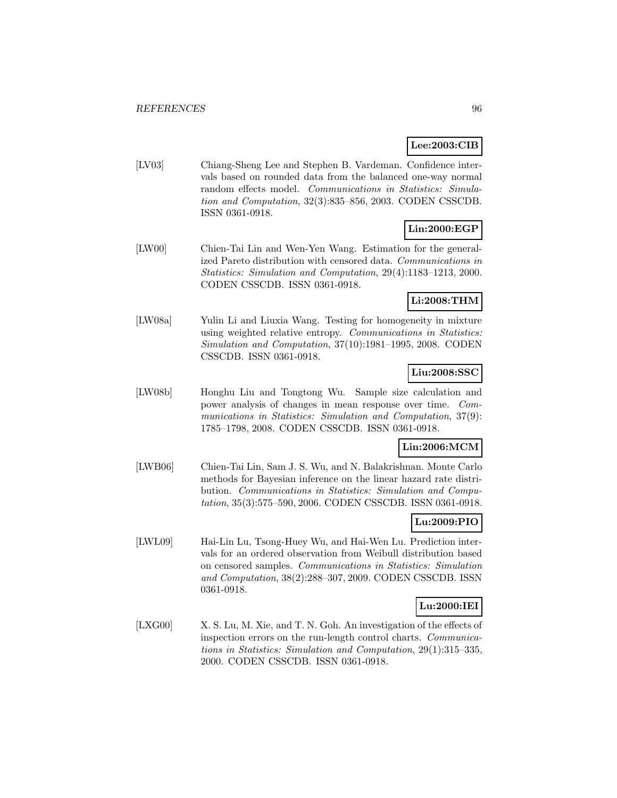## **Lee:2003:CIB**

[LV03] Chiang-Sheng Lee and Stephen B. Vardeman. Confidence intervals based on rounded data from the balanced one-way normal random effects model. Communications in Statistics: Simulation and Computation, 32(3):835–856, 2003. CODEN CSSCDB. ISSN 0361-0918.

# **Lin:2000:EGP**

[LW00] Chien-Tai Lin and Wen-Yen Wang. Estimation for the generalized Pareto distribution with censored data. Communications in Statistics: Simulation and Computation, 29(4):1183–1213, 2000. CODEN CSSCDB. ISSN 0361-0918.

## **Li:2008:THM**

[LW08a] Yulin Li and Liuxia Wang. Testing for homogeneity in mixture using weighted relative entropy. Communications in Statistics: Simulation and Computation, 37(10):1981–1995, 2008. CODEN CSSCDB. ISSN 0361-0918.

## **Liu:2008:SSC**

[LW08b] Honghu Liu and Tongtong Wu. Sample size calculation and power analysis of changes in mean response over time. Communications in Statistics: Simulation and Computation, 37(9): 1785–1798, 2008. CODEN CSSCDB. ISSN 0361-0918.

## **Lin:2006:MCM**

[LWB06] Chien-Tai Lin, Sam J. S. Wu, and N. Balakrishnan. Monte Carlo methods for Bayesian inference on the linear hazard rate distribution. Communications in Statistics: Simulation and Computation, 35(3):575–590, 2006. CODEN CSSCDB. ISSN 0361-0918.

## **Lu:2009:PIO**

[LWL09] Hai-Lin Lu, Tsong-Huey Wu, and Hai-Wen Lu. Prediction intervals for an ordered observation from Weibull distribution based on censored samples. Communications in Statistics: Simulation and Computation, 38(2):288–307, 2009. CODEN CSSCDB. ISSN 0361-0918.

## **Lu:2000:IEI**

[LXG00] X. S. Lu, M. Xie, and T. N. Goh. An investigation of the effects of inspection errors on the run-length control charts. Communications in Statistics: Simulation and Computation, 29(1):315–335, 2000. CODEN CSSCDB. ISSN 0361-0918.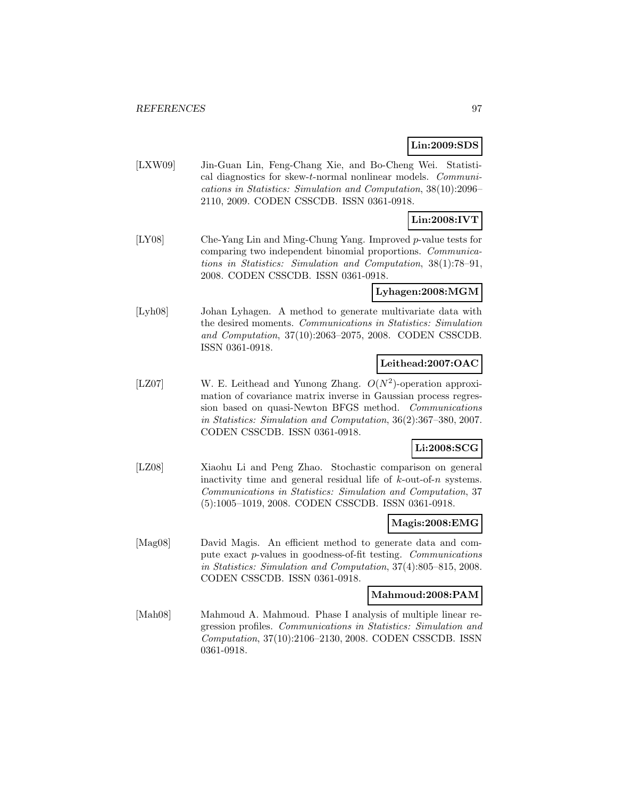## **Lin:2009:SDS**

[LXW09] Jin-Guan Lin, Feng-Chang Xie, and Bo-Cheng Wei. Statistical diagnostics for skew-t-normal nonlinear models. Communications in Statistics: Simulation and Computation, 38(10):2096– 2110, 2009. CODEN CSSCDB. ISSN 0361-0918.

# **Lin:2008:IVT**

[LY08] Che-Yang Lin and Ming-Chung Yang. Improved p-value tests for comparing two independent binomial proportions. Communications in Statistics: Simulation and Computation, 38(1):78–91, 2008. CODEN CSSCDB. ISSN 0361-0918.

### **Lyhagen:2008:MGM**

[Lyh08] Johan Lyhagen. A method to generate multivariate data with the desired moments. Communications in Statistics: Simulation and Computation, 37(10):2063–2075, 2008. CODEN CSSCDB. ISSN 0361-0918.

## **Leithead:2007:OAC**

[LZ07] W. E. Leithead and Yunong Zhang.  $O(N^2)$ -operation approximation of covariance matrix inverse in Gaussian process regression based on quasi-Newton BFGS method. Communications in Statistics: Simulation and Computation, 36(2):367–380, 2007. CODEN CSSCDB. ISSN 0361-0918.

## **Li:2008:SCG**

[LZ08] Xiaohu Li and Peng Zhao. Stochastic comparison on general inactivity time and general residual life of  $k$ -out-of-n systems. Communications in Statistics: Simulation and Computation, 37 (5):1005–1019, 2008. CODEN CSSCDB. ISSN 0361-0918.

### **Magis:2008:EMG**

[Mag08] David Magis. An efficient method to generate data and compute exact p-values in goodness-of-fit testing. Communications in Statistics: Simulation and Computation, 37(4):805–815, 2008. CODEN CSSCDB. ISSN 0361-0918.

### **Mahmoud:2008:PAM**

[Mah08] Mahmoud A. Mahmoud. Phase I analysis of multiple linear regression profiles. Communications in Statistics: Simulation and Computation, 37(10):2106–2130, 2008. CODEN CSSCDB. ISSN 0361-0918.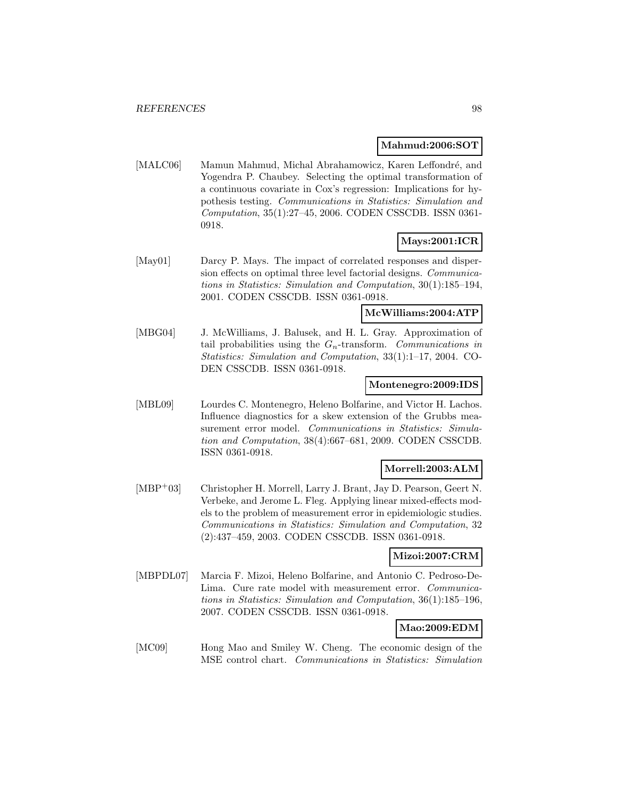#### **Mahmud:2006:SOT**

[MALC06] Mamun Mahmud, Michal Abrahamowicz, Karen Leffondré, and Yogendra P. Chaubey. Selecting the optimal transformation of a continuous covariate in Cox's regression: Implications for hypothesis testing. Communications in Statistics: Simulation and Computation, 35(1):27–45, 2006. CODEN CSSCDB. ISSN 0361- 0918.

### **Mays:2001:ICR**

[May01] Darcy P. Mays. The impact of correlated responses and dispersion effects on optimal three level factorial designs. Communications in Statistics: Simulation and Computation, 30(1):185–194, 2001. CODEN CSSCDB. ISSN 0361-0918.

#### **McWilliams:2004:ATP**

[MBG04] J. McWilliams, J. Balusek, and H. L. Gray. Approximation of tail probabilities using the  $G_n$ -transform. Communications in Statistics: Simulation and Computation, 33(1):1–17, 2004. CO-DEN CSSCDB. ISSN 0361-0918.

#### **Montenegro:2009:IDS**

[MBL09] Lourdes C. Montenegro, Heleno Bolfarine, and Victor H. Lachos. Influence diagnostics for a skew extension of the Grubbs measurement error model. Communications in Statistics: Simulation and Computation, 38(4):667–681, 2009. CODEN CSSCDB. ISSN 0361-0918.

### **Morrell:2003:ALM**

[MBP<sup>+</sup>03] Christopher H. Morrell, Larry J. Brant, Jay D. Pearson, Geert N. Verbeke, and Jerome L. Fleg. Applying linear mixed-effects models to the problem of measurement error in epidemiologic studies. Communications in Statistics: Simulation and Computation, 32 (2):437–459, 2003. CODEN CSSCDB. ISSN 0361-0918.

### **Mizoi:2007:CRM**

[MBPDL07] Marcia F. Mizoi, Heleno Bolfarine, and Antonio C. Pedroso-De-Lima. Cure rate model with measurement error. Communications in Statistics: Simulation and Computation, 36(1):185–196, 2007. CODEN CSSCDB. ISSN 0361-0918.

### **Mao:2009:EDM**

[MC09] Hong Mao and Smiley W. Cheng. The economic design of the MSE control chart. Communications in Statistics: Simulation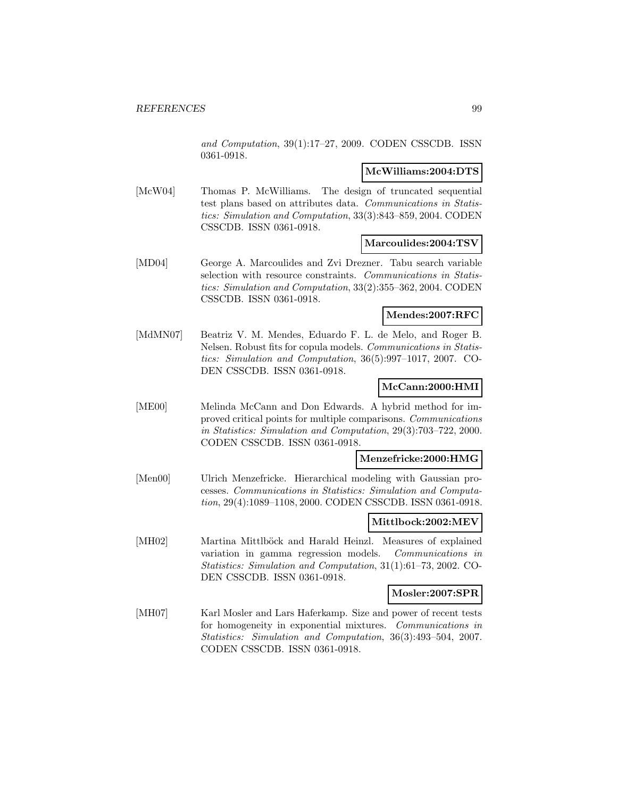and Computation, 39(1):17–27, 2009. CODEN CSSCDB. ISSN 0361-0918.

### **McWilliams:2004:DTS**

[McW04] Thomas P. McWilliams. The design of truncated sequential test plans based on attributes data. Communications in Statistics: Simulation and Computation, 33(3):843–859, 2004. CODEN CSSCDB. ISSN 0361-0918.

### **Marcoulides:2004:TSV**

[MD04] George A. Marcoulides and Zvi Drezner. Tabu search variable selection with resource constraints. Communications in Statistics: Simulation and Computation, 33(2):355–362, 2004. CODEN CSSCDB. ISSN 0361-0918.

## **Mendes:2007:RFC**

[MdMN07] Beatriz V. M. Mendes, Eduardo F. L. de Melo, and Roger B. Nelsen. Robust fits for copula models. Communications in Statistics: Simulation and Computation, 36(5):997–1017, 2007. CO-DEN CSSCDB. ISSN 0361-0918.

## **McCann:2000:HMI**

[ME00] Melinda McCann and Don Edwards. A hybrid method for improved critical points for multiple comparisons. Communications in Statistics: Simulation and Computation, 29(3):703–722, 2000. CODEN CSSCDB. ISSN 0361-0918.

### **Menzefricke:2000:HMG**

[Men00] Ulrich Menzefricke. Hierarchical modeling with Gaussian processes. Communications in Statistics: Simulation and Computation, 29(4):1089–1108, 2000. CODEN CSSCDB. ISSN 0361-0918.

### **Mittlbock:2002:MEV**

[MH02] Martina Mittlböck and Harald Heinzl. Measures of explained variation in gamma regression models. Communications in Statistics: Simulation and Computation, 31(1):61–73, 2002. CO-DEN CSSCDB. ISSN 0361-0918.

### **Mosler:2007:SPR**

[MH07] Karl Mosler and Lars Haferkamp. Size and power of recent tests for homogeneity in exponential mixtures. Communications in Statistics: Simulation and Computation, 36(3):493–504, 2007. CODEN CSSCDB. ISSN 0361-0918.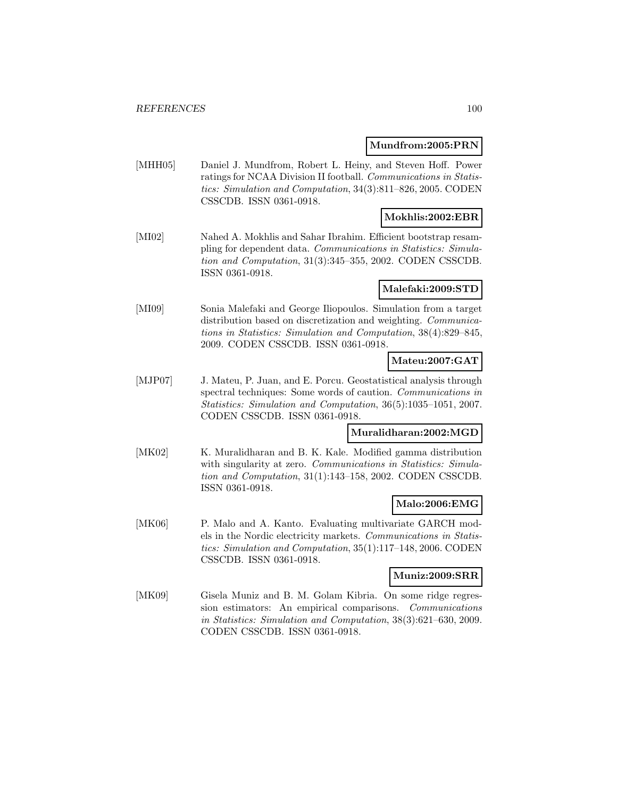### **Mundfrom:2005:PRN**

[MHH05] Daniel J. Mundfrom, Robert L. Heiny, and Steven Hoff. Power ratings for NCAA Division II football. Communications in Statistics: Simulation and Computation, 34(3):811–826, 2005. CODEN CSSCDB. ISSN 0361-0918.

## **Mokhlis:2002:EBR**

[MI02] Nahed A. Mokhlis and Sahar Ibrahim. Efficient bootstrap resampling for dependent data. Communications in Statistics: Simulation and Computation, 31(3):345–355, 2002. CODEN CSSCDB. ISSN 0361-0918.

### **Malefaki:2009:STD**

[MI09] Sonia Malefaki and George Iliopoulos. Simulation from a target distribution based on discretization and weighting. *Communica*tions in Statistics: Simulation and Computation, 38(4):829–845, 2009. CODEN CSSCDB. ISSN 0361-0918.

## **Mateu:2007:GAT**

[MJP07] J. Mateu, P. Juan, and E. Porcu. Geostatistical analysis through spectral techniques: Some words of caution. Communications in Statistics: Simulation and Computation, 36(5):1035–1051, 2007. CODEN CSSCDB. ISSN 0361-0918.

## **Muralidharan:2002:MGD**

[MK02] K. Muralidharan and B. K. Kale. Modified gamma distribution with singularity at zero. Communications in Statistics: Simulation and Computation, 31(1):143–158, 2002. CODEN CSSCDB. ISSN 0361-0918.

### **Malo:2006:EMG**

[MK06] P. Malo and A. Kanto. Evaluating multivariate GARCH models in the Nordic electricity markets. Communications in Statistics: Simulation and Computation, 35(1):117–148, 2006. CODEN CSSCDB. ISSN 0361-0918.

### **Muniz:2009:SRR**

[MK09] Gisela Muniz and B. M. Golam Kibria. On some ridge regression estimators: An empirical comparisons. Communications in Statistics: Simulation and Computation, 38(3):621–630, 2009. CODEN CSSCDB. ISSN 0361-0918.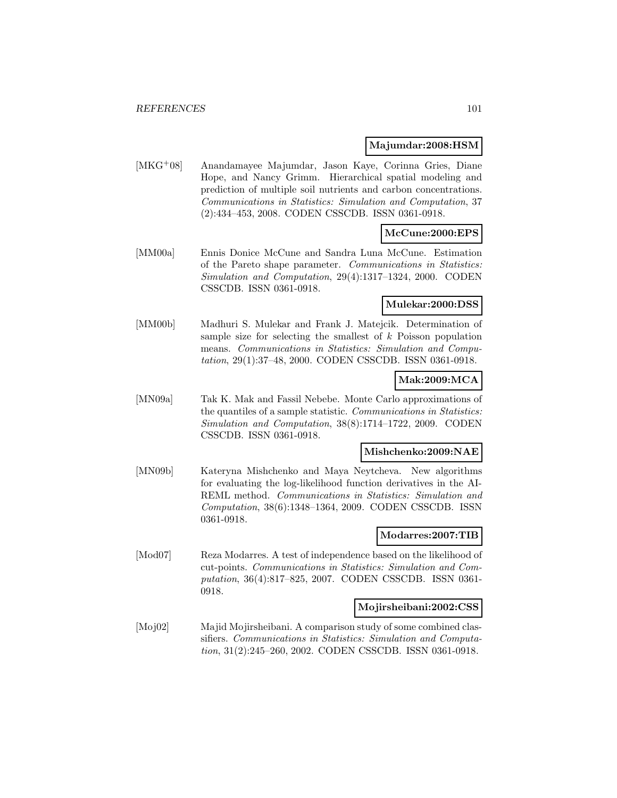### **Majumdar:2008:HSM**

[MKG<sup>+</sup>08] Anandamayee Majumdar, Jason Kaye, Corinna Gries, Diane Hope, and Nancy Grimm. Hierarchical spatial modeling and prediction of multiple soil nutrients and carbon concentrations. Communications in Statistics: Simulation and Computation, 37 (2):434–453, 2008. CODEN CSSCDB. ISSN 0361-0918.

# **McCune:2000:EPS**

[MM00a] Ennis Donice McCune and Sandra Luna McCune. Estimation of the Pareto shape parameter. Communications in Statistics: Simulation and Computation, 29(4):1317–1324, 2000. CODEN CSSCDB. ISSN 0361-0918.

## **Mulekar:2000:DSS**

[MM00b] Madhuri S. Mulekar and Frank J. Matejcik. Determination of sample size for selecting the smallest of k Poisson population means. Communications in Statistics: Simulation and Computation, 29(1):37–48, 2000. CODEN CSSCDB. ISSN 0361-0918.

## **Mak:2009:MCA**

[MN09a] Tak K. Mak and Fassil Nebebe. Monte Carlo approximations of the quantiles of a sample statistic. Communications in Statistics: Simulation and Computation, 38(8):1714–1722, 2009. CODEN CSSCDB. ISSN 0361-0918.

### **Mishchenko:2009:NAE**

[MN09b] Kateryna Mishchenko and Maya Neytcheva. New algorithms for evaluating the log-likelihood function derivatives in the AI-REML method. Communications in Statistics: Simulation and Computation, 38(6):1348–1364, 2009. CODEN CSSCDB. ISSN 0361-0918.

### **Modarres:2007:TIB**

[Mod07] Reza Modarres. A test of independence based on the likelihood of cut-points. Communications in Statistics: Simulation and Computation, 36(4):817–825, 2007. CODEN CSSCDB. ISSN 0361- 0918.

### **Mojirsheibani:2002:CSS**

[Moj02] Majid Mojirsheibani. A comparison study of some combined classifiers. Communications in Statistics: Simulation and Computation, 31(2):245–260, 2002. CODEN CSSCDB. ISSN 0361-0918.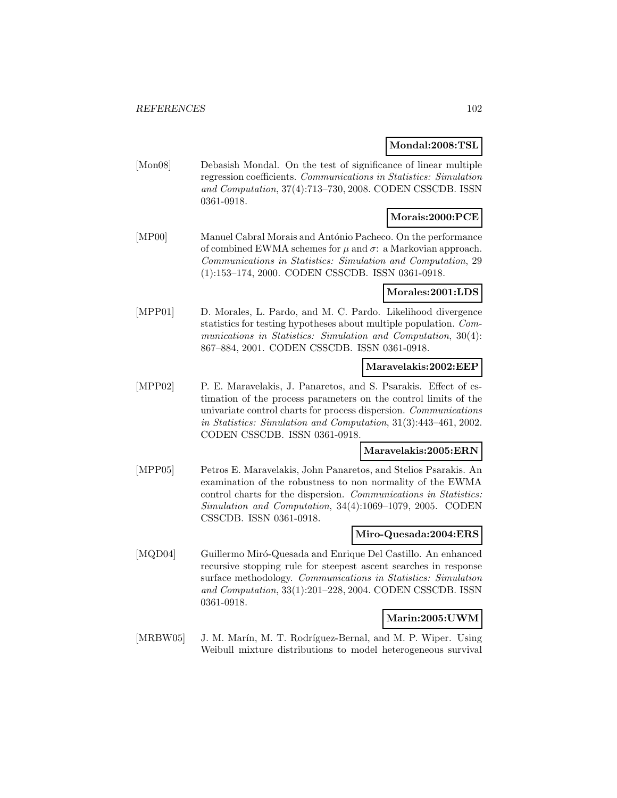### **Mondal:2008:TSL**

[Mon08] Debasish Mondal. On the test of significance of linear multiple regression coefficients. Communications in Statistics: Simulation and Computation, 37(4):713–730, 2008. CODEN CSSCDB. ISSN 0361-0918.

## **Morais:2000:PCE**

[MP00] Manuel Cabral Morais and António Pacheco. On the performance of combined EWMA schemes for  $\mu$  and  $\sigma$ : a Markovian approach. Communications in Statistics: Simulation and Computation, 29 (1):153–174, 2000. CODEN CSSCDB. ISSN 0361-0918.

### **Morales:2001:LDS**

[MPP01] D. Morales, L. Pardo, and M. C. Pardo. Likelihood divergence statistics for testing hypotheses about multiple population. Communications in Statistics: Simulation and Computation, 30(4): 867–884, 2001. CODEN CSSCDB. ISSN 0361-0918.

### **Maravelakis:2002:EEP**

[MPP02] P. E. Maravelakis, J. Panaretos, and S. Psarakis. Effect of estimation of the process parameters on the control limits of the univariate control charts for process dispersion. Communications in Statistics: Simulation and Computation, 31(3):443–461, 2002. CODEN CSSCDB. ISSN 0361-0918.

### **Maravelakis:2005:ERN**

[MPP05] Petros E. Maravelakis, John Panaretos, and Stelios Psarakis. An examination of the robustness to non normality of the EWMA control charts for the dispersion. Communications in Statistics: Simulation and Computation, 34(4):1069–1079, 2005. CODEN CSSCDB. ISSN 0361-0918.

### **Miro-Quesada:2004:ERS**

[MQD04] Guillermo Miró-Quesada and Enrique Del Castillo. An enhanced recursive stopping rule for steepest ascent searches in response surface methodology. Communications in Statistics: Simulation and Computation, 33(1):201–228, 2004. CODEN CSSCDB. ISSN 0361-0918.

### **Marin:2005:UWM**

[MRBW05] J. M. Marín, M. T. Rodríguez-Bernal, and M. P. Wiper. Using Weibull mixture distributions to model heterogeneous survival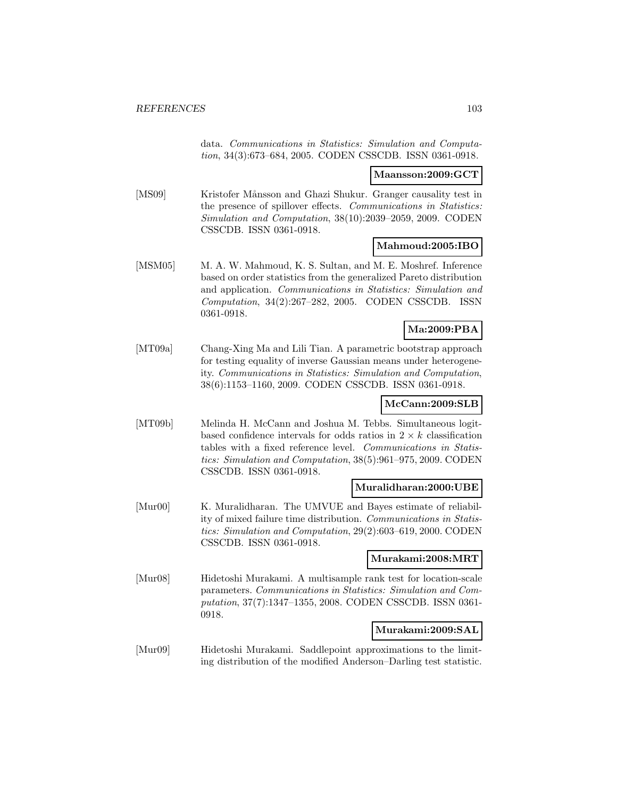data. Communications in Statistics: Simulation and Computation, 34(3):673–684, 2005. CODEN CSSCDB. ISSN 0361-0918.

#### **Maansson:2009:GCT**

[MS09] Kristofer Månsson and Ghazi Shukur. Granger causality test in the presence of spillover effects. Communications in Statistics: Simulation and Computation, 38(10):2039–2059, 2009. CODEN CSSCDB. ISSN 0361-0918.

### **Mahmoud:2005:IBO**

[MSM05] M. A. W. Mahmoud, K. S. Sultan, and M. E. Moshref. Inference based on order statistics from the generalized Pareto distribution and application. Communications in Statistics: Simulation and Computation, 34(2):267–282, 2005. CODEN CSSCDB. ISSN 0361-0918.

## **Ma:2009:PBA**

[MT09a] Chang-Xing Ma and Lili Tian. A parametric bootstrap approach for testing equality of inverse Gaussian means under heterogeneity. Communications in Statistics: Simulation and Computation, 38(6):1153–1160, 2009. CODEN CSSCDB. ISSN 0361-0918.

## **McCann:2009:SLB**

[MT09b] Melinda H. McCann and Joshua M. Tebbs. Simultaneous logitbased confidence intervals for odds ratios in  $2 \times k$  classification tables with a fixed reference level. Communications in Statistics: Simulation and Computation, 38(5):961–975, 2009. CODEN CSSCDB. ISSN 0361-0918.

### **Muralidharan:2000:UBE**

[Mur00] K. Muralidharan. The UMVUE and Bayes estimate of reliability of mixed failure time distribution. Communications in Statistics: Simulation and Computation, 29(2):603–619, 2000. CODEN CSSCDB. ISSN 0361-0918.

### **Murakami:2008:MRT**

[Mur08] Hidetoshi Murakami. A multisample rank test for location-scale parameters. Communications in Statistics: Simulation and Computation, 37(7):1347–1355, 2008. CODEN CSSCDB. ISSN 0361- 0918.

### **Murakami:2009:SAL**

[Mur09] Hidetoshi Murakami. Saddlepoint approximations to the limiting distribution of the modified Anderson–Darling test statistic.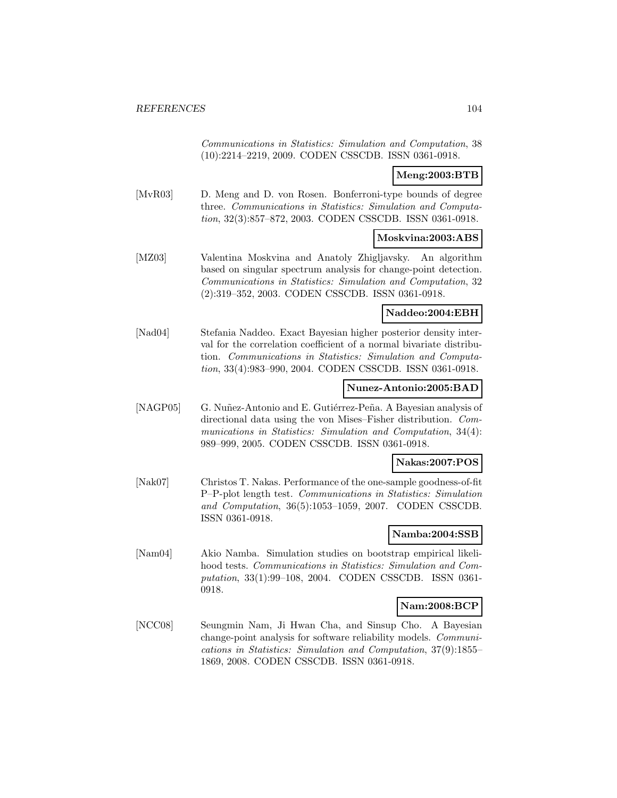Communications in Statistics: Simulation and Computation, 38 (10):2214–2219, 2009. CODEN CSSCDB. ISSN 0361-0918.

## **Meng:2003:BTB**

[MvR03] D. Meng and D. von Rosen. Bonferroni-type bounds of degree three. Communications in Statistics: Simulation and Computation, 32(3):857–872, 2003. CODEN CSSCDB. ISSN 0361-0918.

### **Moskvina:2003:ABS**

[MZ03] Valentina Moskvina and Anatoly Zhigljavsky. An algorithm based on singular spectrum analysis for change-point detection. Communications in Statistics: Simulation and Computation, 32 (2):319–352, 2003. CODEN CSSCDB. ISSN 0361-0918.

#### **Naddeo:2004:EBH**

[Nad04] Stefania Naddeo. Exact Bayesian higher posterior density interval for the correlation coefficient of a normal bivariate distribution. Communications in Statistics: Simulation and Computation, 33(4):983–990, 2004. CODEN CSSCDB. ISSN 0361-0918.

### **Nunez-Antonio:2005:BAD**

[NAGP05] G. Nuñez-Antonio and E. Gutiérrez-Peña. A Bayesian analysis of directional data using the von Mises–Fisher distribution. Communications in Statistics: Simulation and Computation, 34(4): 989–999, 2005. CODEN CSSCDB. ISSN 0361-0918.

### **Nakas:2007:POS**

[Nak07] Christos T. Nakas. Performance of the one-sample goodness-of-fit P–P-plot length test. Communications in Statistics: Simulation and Computation, 36(5):1053–1059, 2007. CODEN CSSCDB. ISSN 0361-0918.

## **Namba:2004:SSB**

[Nam04] Akio Namba. Simulation studies on bootstrap empirical likelihood tests. Communications in Statistics: Simulation and Computation, 33(1):99–108, 2004. CODEN CSSCDB. ISSN 0361- 0918.

### **Nam:2008:BCP**

[NCC08] Seungmin Nam, Ji Hwan Cha, and Sinsup Cho. A Bayesian change-point analysis for software reliability models. Communications in Statistics: Simulation and Computation, 37(9):1855– 1869, 2008. CODEN CSSCDB. ISSN 0361-0918.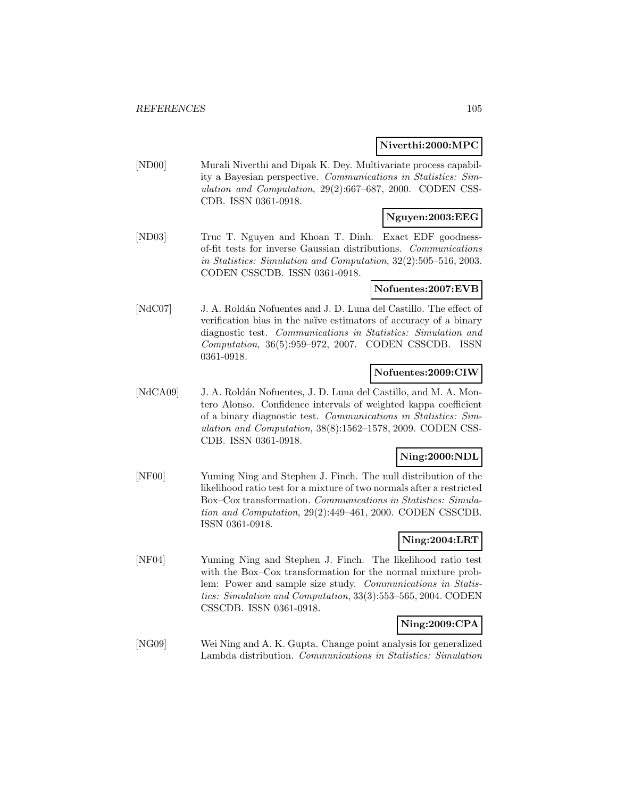### **Niverthi:2000:MPC**

[ND00] Murali Niverthi and Dipak K. Dey. Multivariate process capability a Bayesian perspective. Communications in Statistics: Simulation and Computation, 29(2):667–687, 2000. CODEN CSS-CDB. ISSN 0361-0918.

## **Nguyen:2003:EEG**

[ND03] Truc T. Nguyen and Khoan T. Dinh. Exact EDF goodnessof-fit tests for inverse Gaussian distributions. Communications in Statistics: Simulation and Computation, 32(2):505–516, 2003. CODEN CSSCDB. ISSN 0361-0918.

### **Nofuentes:2007:EVB**

[NdC07] J. A. Roldán Nofuentes and J. D. Luna del Castillo. The effect of verification bias in the na¨ıve estimators of accuracy of a binary diagnostic test. Communications in Statistics: Simulation and Computation, 36(5):959–972, 2007. CODEN CSSCDB. ISSN 0361-0918.

### **Nofuentes:2009:CIW**

[NdCA09] J. A. Roldán Nofuentes, J. D. Luna del Castillo, and M. A. Montero Alonso. Confidence intervals of weighted kappa coefficient of a binary diagnostic test. Communications in Statistics: Simulation and Computation, 38(8):1562–1578, 2009. CODEN CSS-CDB. ISSN 0361-0918.

## **Ning:2000:NDL**

[NF00] Yuming Ning and Stephen J. Finch. The null distribution of the likelihood ratio test for a mixture of two normals after a restricted Box–Cox transformation. Communications in Statistics: Simulation and Computation, 29(2):449–461, 2000. CODEN CSSCDB. ISSN 0361-0918.

## **Ning:2004:LRT**

[NF04] Yuming Ning and Stephen J. Finch. The likelihood ratio test with the Box–Cox transformation for the normal mixture problem: Power and sample size study. Communications in Statistics: Simulation and Computation, 33(3):553–565, 2004. CODEN CSSCDB. ISSN 0361-0918.

## **Ning:2009:CPA**

[NG09] Wei Ning and A. K. Gupta. Change point analysis for generalized Lambda distribution. Communications in Statistics: Simulation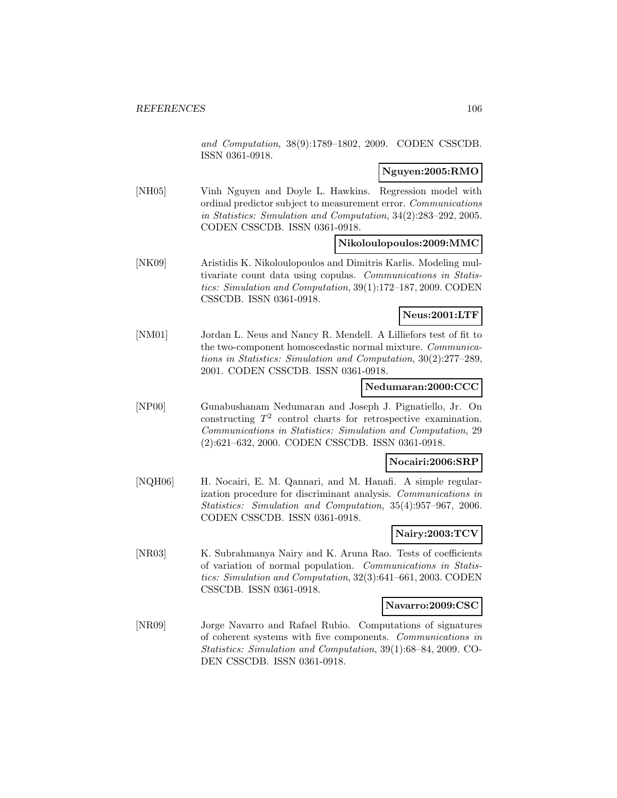and Computation, 38(9):1789–1802, 2009. CODEN CSSCDB. ISSN 0361-0918.

### **Nguyen:2005:RMO**

[NH05] Vinh Nguyen and Doyle L. Hawkins. Regression model with ordinal predictor subject to measurement error. Communications in Statistics: Simulation and Computation, 34(2):283–292, 2005. CODEN CSSCDB. ISSN 0361-0918.

### **Nikoloulopoulos:2009:MMC**

[NK09] Aristidis K. Nikoloulopoulos and Dimitris Karlis. Modeling multivariate count data using copulas. Communications in Statistics: Simulation and Computation, 39(1):172–187, 2009. CODEN CSSCDB. ISSN 0361-0918.

### **Neus:2001:LTF**

[NM01] Jordan L. Neus and Nancy R. Mendell. A Lilliefors test of fit to the two-component homoscedastic normal mixture. Communications in Statistics: Simulation and Computation, 30(2):277–289, 2001. CODEN CSSCDB. ISSN 0361-0918.

### **Nedumaran:2000:CCC**

[NP00] Gunabushanam Nedumaran and Joseph J. Pignatiello, Jr. On constructing  $T^2$  control charts for retrospective examination. Communications in Statistics: Simulation and Computation, 29 (2):621–632, 2000. CODEN CSSCDB. ISSN 0361-0918.

### **Nocairi:2006:SRP**

[NQH06] H. Nocairi, E. M. Qannari, and M. Hanafi. A simple regularization procedure for discriminant analysis. Communications in Statistics: Simulation and Computation, 35(4):957–967, 2006. CODEN CSSCDB. ISSN 0361-0918.

## **Nairy:2003:TCV**

[NR03] K. Subrahmanya Nairy and K. Aruna Rao. Tests of coefficients of variation of normal population. Communications in Statistics: Simulation and Computation, 32(3):641–661, 2003. CODEN CSSCDB. ISSN 0361-0918.

### **Navarro:2009:CSC**

[NR09] Jorge Navarro and Rafael Rubio. Computations of signatures of coherent systems with five components. Communications in Statistics: Simulation and Computation, 39(1):68–84, 2009. CO-DEN CSSCDB. ISSN 0361-0918.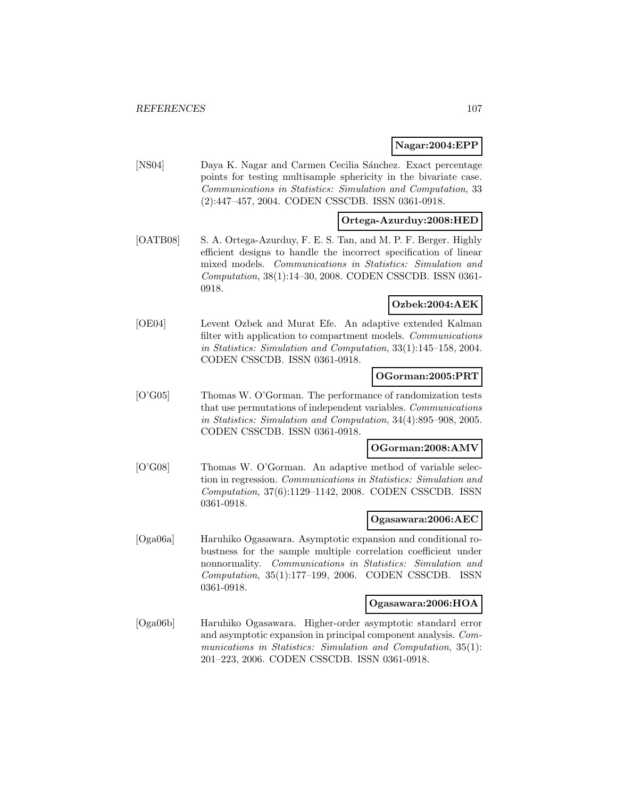### **Nagar:2004:EPP**

[NS04] Daya K. Nagar and Carmen Cecilia Sánchez. Exact percentage points for testing multisample sphericity in the bivariate case. Communications in Statistics: Simulation and Computation, 33 (2):447–457, 2004. CODEN CSSCDB. ISSN 0361-0918.

### **Ortega-Azurduy:2008:HED**

[OATB08] S. A. Ortega-Azurduy, F. E. S. Tan, and M. P. F. Berger. Highly efficient designs to handle the incorrect specification of linear mixed models. Communications in Statistics: Simulation and Computation, 38(1):14–30, 2008. CODEN CSSCDB. ISSN 0361- 0918.

# **Ozbek:2004:AEK**

[OE04] Levent Ozbek and Murat Efe. An adaptive extended Kalman filter with application to compartment models. Communications in Statistics: Simulation and Computation, 33(1):145–158, 2004. CODEN CSSCDB. ISSN 0361-0918.

### **OGorman:2005:PRT**

[O'G05] Thomas W. O'Gorman. The performance of randomization tests that use permutations of independent variables. Communications in Statistics: Simulation and Computation, 34(4):895–908, 2005. CODEN CSSCDB. ISSN 0361-0918.

### **OGorman:2008:AMV**

[O'G08] Thomas W. O'Gorman. An adaptive method of variable selection in regression. Communications in Statistics: Simulation and Computation, 37(6):1129–1142, 2008. CODEN CSSCDB. ISSN 0361-0918.

### **Ogasawara:2006:AEC**

[Oga06a] Haruhiko Ogasawara. Asymptotic expansion and conditional robustness for the sample multiple correlation coefficient under nonnormality. Communications in Statistics: Simulation and Computation, 35(1):177–199, 2006. CODEN CSSCDB. ISSN 0361-0918.

## **Ogasawara:2006:HOA**

[Oga06b] Haruhiko Ogasawara. Higher-order asymptotic standard error and asymptotic expansion in principal component analysis. Communications in Statistics: Simulation and Computation, 35(1): 201–223, 2006. CODEN CSSCDB. ISSN 0361-0918.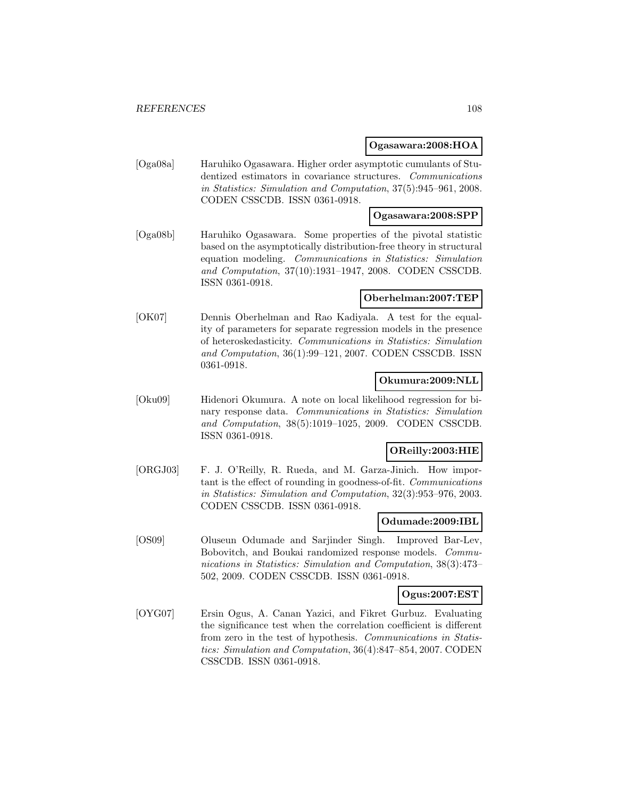### **Ogasawara:2008:HOA**

[Oga08a] Haruhiko Ogasawara. Higher order asymptotic cumulants of Studentized estimators in covariance structures. Communications in Statistics: Simulation and Computation, 37(5):945–961, 2008. CODEN CSSCDB. ISSN 0361-0918.

## **Ogasawara:2008:SPP**

[Oga08b] Haruhiko Ogasawara. Some properties of the pivotal statistic based on the asymptotically distribution-free theory in structural equation modeling. Communications in Statistics: Simulation and Computation, 37(10):1931–1947, 2008. CODEN CSSCDB. ISSN 0361-0918.

### **Oberhelman:2007:TEP**

[OK07] Dennis Oberhelman and Rao Kadiyala. A test for the equality of parameters for separate regression models in the presence of heteroskedasticity. Communications in Statistics: Simulation and Computation, 36(1):99–121, 2007. CODEN CSSCDB. ISSN 0361-0918.

### **Okumura:2009:NLL**

[Oku09] Hidenori Okumura. A note on local likelihood regression for binary response data. Communications in Statistics: Simulation and Computation, 38(5):1019–1025, 2009. CODEN CSSCDB. ISSN 0361-0918.

## **OReilly:2003:HIE**

[ORGJ03] F. J. O'Reilly, R. Rueda, and M. Garza-Jinich. How important is the effect of rounding in goodness-of-fit. Communications in Statistics: Simulation and Computation, 32(3):953–976, 2003. CODEN CSSCDB. ISSN 0361-0918.

#### **Odumade:2009:IBL**

[OS09] Oluseun Odumade and Sarjinder Singh. Improved Bar-Lev, Bobovitch, and Boukai randomized response models. Communications in Statistics: Simulation and Computation, 38(3):473– 502, 2009. CODEN CSSCDB. ISSN 0361-0918.

### **Ogus:2007:EST**

[OYG07] Ersin Ogus, A. Canan Yazici, and Fikret Gurbuz. Evaluating the significance test when the correlation coefficient is different from zero in the test of hypothesis. Communications in Statistics: Simulation and Computation, 36(4):847–854, 2007. CODEN CSSCDB. ISSN 0361-0918.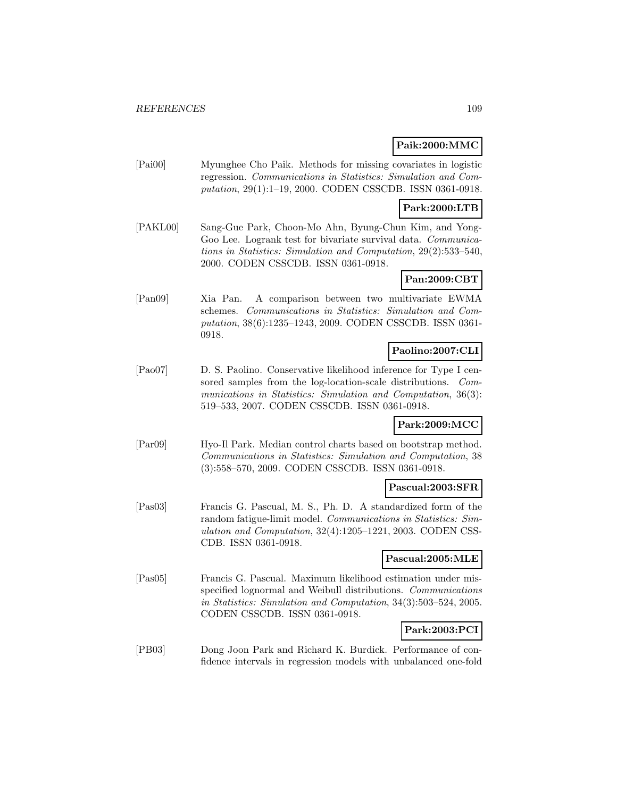## **Paik:2000:MMC**

[Pai00] Myunghee Cho Paik. Methods for missing covariates in logistic regression. Communications in Statistics: Simulation and Computation, 29(1):1–19, 2000. CODEN CSSCDB. ISSN 0361-0918.

## **Park:2000:LTB**

[PAKL00] Sang-Gue Park, Choon-Mo Ahn, Byung-Chun Kim, and Yong-Goo Lee. Logrank test for bivariate survival data. Communications in Statistics: Simulation and Computation, 29(2):533–540, 2000. CODEN CSSCDB. ISSN 0361-0918.

## **Pan:2009:CBT**

[Pan09] Xia Pan. A comparison between two multivariate EWMA schemes. Communications in Statistics: Simulation and Computation, 38(6):1235–1243, 2009. CODEN CSSCDB. ISSN 0361- 0918.

## **Paolino:2007:CLI**

[Pao07] D. S. Paolino. Conservative likelihood inference for Type I censored samples from the log-location-scale distributions. Communications in Statistics: Simulation and Computation, 36(3): 519–533, 2007. CODEN CSSCDB. ISSN 0361-0918.

## **Park:2009:MCC**

[Par09] Hyo-Il Park. Median control charts based on bootstrap method. Communications in Statistics: Simulation and Computation, 38 (3):558–570, 2009. CODEN CSSCDB. ISSN 0361-0918.

#### **Pascual:2003:SFR**

[Pas03] Francis G. Pascual, M. S., Ph. D. A standardized form of the random fatigue-limit model. Communications in Statistics: Simulation and Computation, 32(4):1205–1221, 2003. CODEN CSS-CDB. ISSN 0361-0918.

#### **Pascual:2005:MLE**

[Pas05] Francis G. Pascual. Maximum likelihood estimation under misspecified lognormal and Weibull distributions. Communications in Statistics: Simulation and Computation, 34(3):503–524, 2005. CODEN CSSCDB. ISSN 0361-0918.

## **Park:2003:PCI**

[PB03] Dong Joon Park and Richard K. Burdick. Performance of confidence intervals in regression models with unbalanced one-fold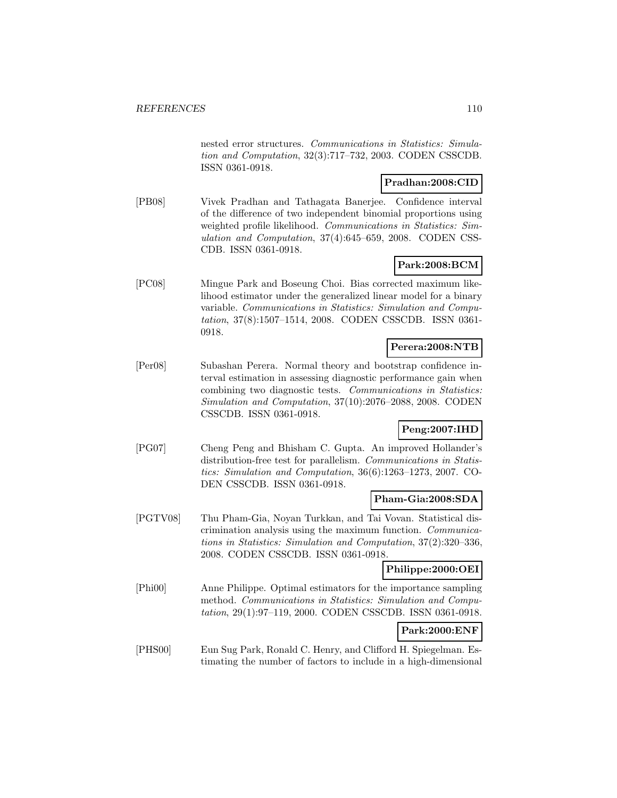nested error structures. Communications in Statistics: Simulation and Computation, 32(3):717–732, 2003. CODEN CSSCDB. ISSN 0361-0918.

## **Pradhan:2008:CID**

[PB08] Vivek Pradhan and Tathagata Banerjee. Confidence interval of the difference of two independent binomial proportions using weighted profile likelihood. Communications in Statistics: Simulation and Computation, 37(4):645–659, 2008. CODEN CSS-CDB. ISSN 0361-0918.

# **Park:2008:BCM**

[PC08] Mingue Park and Boseung Choi. Bias corrected maximum likelihood estimator under the generalized linear model for a binary variable. Communications in Statistics: Simulation and Computation, 37(8):1507–1514, 2008. CODEN CSSCDB. ISSN 0361- 0918.

## **Perera:2008:NTB**

[Per08] Subashan Perera. Normal theory and bootstrap confidence interval estimation in assessing diagnostic performance gain when combining two diagnostic tests. Communications in Statistics: Simulation and Computation, 37(10):2076–2088, 2008. CODEN CSSCDB. ISSN 0361-0918.

## **Peng:2007:IHD**

[PG07] Cheng Peng and Bhisham C. Gupta. An improved Hollander's distribution-free test for parallelism. Communications in Statistics: Simulation and Computation, 36(6):1263–1273, 2007. CO-DEN CSSCDB. ISSN 0361-0918.

## **Pham-Gia:2008:SDA**

[PGTV08] Thu Pham-Gia, Noyan Turkkan, and Tai Vovan. Statistical discrimination analysis using the maximum function. Communications in Statistics: Simulation and Computation, 37(2):320–336, 2008. CODEN CSSCDB. ISSN 0361-0918.

#### **Philippe:2000:OEI**

[Phi00] Anne Philippe. Optimal estimators for the importance sampling method. Communications in Statistics: Simulation and Computation, 29(1):97–119, 2000. CODEN CSSCDB. ISSN 0361-0918.

## **Park:2000:ENF**

[PHS00] Eun Sug Park, Ronald C. Henry, and Clifford H. Spiegelman. Estimating the number of factors to include in a high-dimensional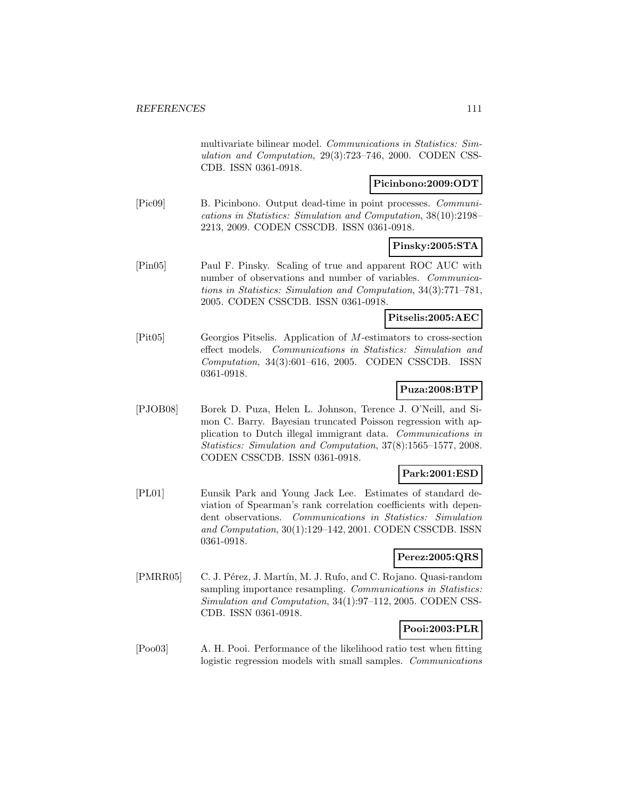multivariate bilinear model. Communications in Statistics: Simulation and Computation, 29(3):723–746, 2000. CODEN CSS-CDB. ISSN 0361-0918.

## **Picinbono:2009:ODT**

[Pic09] B. Picinbono. Output dead-time in point processes. Communications in Statistics: Simulation and Computation, 38(10):2198– 2213, 2009. CODEN CSSCDB. ISSN 0361-0918.

### **Pinsky:2005:STA**

[Pin05] Paul F. Pinsky. Scaling of true and apparent ROC AUC with number of observations and number of variables. Communications in Statistics: Simulation and Computation, 34(3):771–781, 2005. CODEN CSSCDB. ISSN 0361-0918.

### **Pitselis:2005:AEC**

[Pit05] Georgios Pitselis. Application of M-estimators to cross-section effect models. Communications in Statistics: Simulation and Computation, 34(3):601–616, 2005. CODEN CSSCDB. ISSN 0361-0918.

## **Puza:2008:BTP**

[PJOB08] Borek D. Puza, Helen L. Johnson, Terence J. O'Neill, and Simon C. Barry. Bayesian truncated Poisson regression with application to Dutch illegal immigrant data. Communications in Statistics: Simulation and Computation, 37(8):1565–1577, 2008. CODEN CSSCDB. ISSN 0361-0918.

## **Park:2001:ESD**

[PL01] Eunsik Park and Young Jack Lee. Estimates of standard deviation of Spearman's rank correlation coefficients with dependent observations. Communications in Statistics: Simulation and Computation, 30(1):129–142, 2001. CODEN CSSCDB. ISSN 0361-0918.

## **Perez:2005:QRS**

[PMRR05] C. J. Pérez, J. Martín, M. J. Rufo, and C. Rojano. Quasi-random sampling importance resampling. Communications in Statistics: Simulation and Computation, 34(1):97–112, 2005. CODEN CSS-CDB. ISSN 0361-0918.

## **Pooi:2003:PLR**

[Poo03] A. H. Pooi. Performance of the likelihood ratio test when fitting logistic regression models with small samples. Communications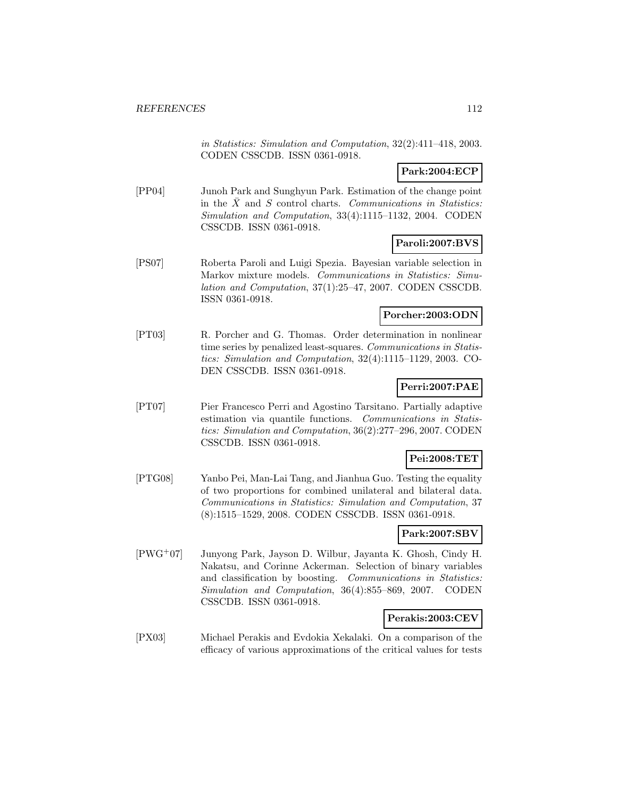in Statistics: Simulation and Computation, 32(2):411–418, 2003. CODEN CSSCDB. ISSN 0361-0918.

## **Park:2004:ECP**

[PP04] Junoh Park and Sunghyun Park. Estimation of the change point in the  $\bar{X}$  and  $S$  control charts. Communications in Statistics: Simulation and Computation, 33(4):1115–1132, 2004. CODEN CSSCDB. ISSN 0361-0918.

## **Paroli:2007:BVS**

[PS07] Roberta Paroli and Luigi Spezia. Bayesian variable selection in Markov mixture models. Communications in Statistics: Simulation and Computation, 37(1):25–47, 2007. CODEN CSSCDB. ISSN 0361-0918.

## **Porcher:2003:ODN**

[PT03] R. Porcher and G. Thomas. Order determination in nonlinear time series by penalized least-squares. Communications in Statistics: Simulation and Computation, 32(4):1115–1129, 2003. CO-DEN CSSCDB. ISSN 0361-0918.

## **Perri:2007:PAE**

[PT07] Pier Francesco Perri and Agostino Tarsitano. Partially adaptive estimation via quantile functions. Communications in Statistics: Simulation and Computation, 36(2):277–296, 2007. CODEN CSSCDB. ISSN 0361-0918.

#### **Pei:2008:TET**

[PTG08] Yanbo Pei, Man-Lai Tang, and Jianhua Guo. Testing the equality of two proportions for combined unilateral and bilateral data. Communications in Statistics: Simulation and Computation, 37 (8):1515–1529, 2008. CODEN CSSCDB. ISSN 0361-0918.

## **Park:2007:SBV**

[PWG<sup>+</sup>07] Junyong Park, Jayson D. Wilbur, Jayanta K. Ghosh, Cindy H. Nakatsu, and Corinne Ackerman. Selection of binary variables and classification by boosting. Communications in Statistics: Simulation and Computation, 36(4):855–869, 2007. CODEN CSSCDB. ISSN 0361-0918.

#### **Perakis:2003:CEV**

[PX03] Michael Perakis and Evdokia Xekalaki. On a comparison of the efficacy of various approximations of the critical values for tests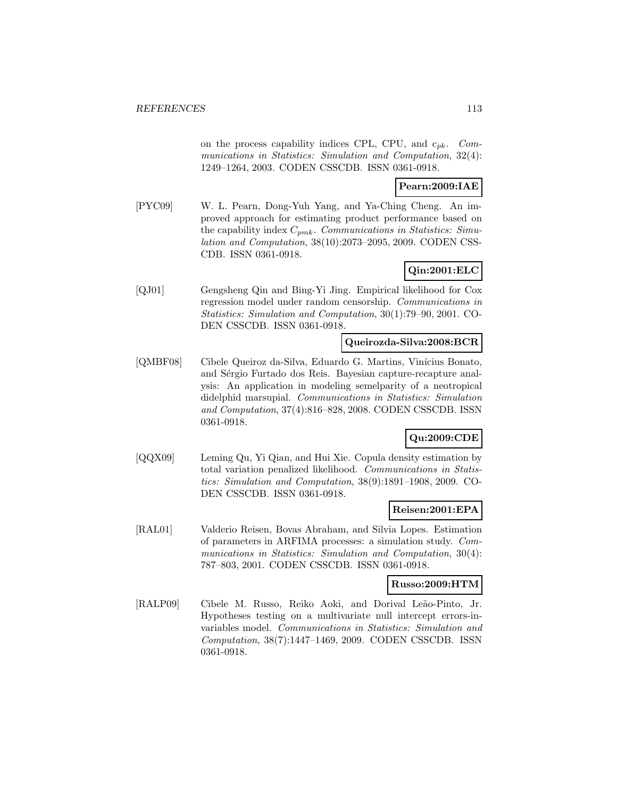on the process capability indices CPL, CPU, and  $c_{pk}$ . Communications in Statistics: Simulation and Computation, 32(4): 1249–1264, 2003. CODEN CSSCDB. ISSN 0361-0918.

### **Pearn:2009:IAE**

[PYC09] W. L. Pearn, Dong-Yuh Yang, and Ya-Ching Cheng. An improved approach for estimating product performance based on the capability index  $C_{pmk}$ . Communications in Statistics: Simulation and Computation, 38(10):2073–2095, 2009. CODEN CSS-CDB. ISSN 0361-0918.

## **Qin:2001:ELC**

[QJ01] Gengsheng Qin and Bing-Yi Jing. Empirical likelihood for Cox regression model under random censorship. Communications in Statistics: Simulation and Computation, 30(1):79–90, 2001. CO-DEN CSSCDB. ISSN 0361-0918.

### **Queirozda-Silva:2008:BCR**

[QMBF08] Cibele Queiroz da-Silva, Eduardo G. Martins, Vinícius Bonato, and Sérgio Furtado dos Reis. Bayesian capture-recapture analysis: An application in modeling semelparity of a neotropical didelphid marsupial. Communications in Statistics: Simulation and Computation, 37(4):816–828, 2008. CODEN CSSCDB. ISSN 0361-0918.

## **Qu:2009:CDE**

[QQX09] Leming Qu, Yi Qian, and Hui Xie. Copula density estimation by total variation penalized likelihood. Communications in Statistics: Simulation and Computation, 38(9):1891–1908, 2009. CO-DEN CSSCDB. ISSN 0361-0918.

#### **Reisen:2001:EPA**

[RAL01] Valderio Reisen, Bovas Abraham, and Silvia Lopes. Estimation of parameters in ARFIMA processes: a simulation study. Communications in Statistics: Simulation and Computation, 30(4): 787–803, 2001. CODEN CSSCDB. ISSN 0361-0918.

#### **Russo:2009:HTM**

[RALP09] Cibele M. Russo, Reiko Aoki, and Dorival Leão-Pinto, Jr. Hypotheses testing on a multivariate null intercept errors-invariables model. Communications in Statistics: Simulation and Computation, 38(7):1447–1469, 2009. CODEN CSSCDB. ISSN 0361-0918.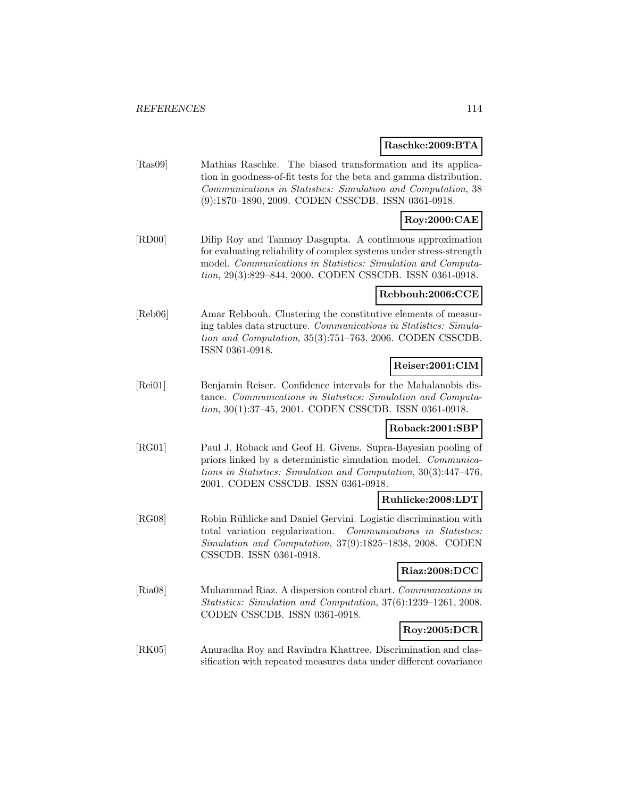#### **Raschke:2009:BTA**

[Ras09] Mathias Raschke. The biased transformation and its application in goodness-of-fit tests for the beta and gamma distribution. Communications in Statistics: Simulation and Computation, 38 (9):1870–1890, 2009. CODEN CSSCDB. ISSN 0361-0918.

## **Roy:2000:CAE**

[RD00] Dilip Roy and Tanmoy Dasgupta. A continuous approximation for evaluating reliability of complex systems under stress-strength model. Communications in Statistics: Simulation and Computation, 29(3):829–844, 2000. CODEN CSSCDB. ISSN 0361-0918.

### **Rebbouh:2006:CCE**

[Reb06] Amar Rebbouh. Clustering the constitutive elements of measuring tables data structure. Communications in Statistics: Simulation and Computation, 35(3):751–763, 2006. CODEN CSSCDB. ISSN 0361-0918.

## **Reiser:2001:CIM**

[Rei01] Benjamin Reiser. Confidence intervals for the Mahalanobis distance. Communications in Statistics: Simulation and Computation, 30(1):37–45, 2001. CODEN CSSCDB. ISSN 0361-0918.

## **Roback:2001:SBP**

[RG01] Paul J. Roback and Geof H. Givens. Supra-Bayesian pooling of priors linked by a deterministic simulation model. Communications in Statistics: Simulation and Computation, 30(3):447–476, 2001. CODEN CSSCDB. ISSN 0361-0918.

## **Ruhlicke:2008:LDT**

[RG08] Robin Rühlicke and Daniel Gervini. Logistic discrimination with total variation regularization. Communications in Statistics: Simulation and Computation, 37(9):1825–1838, 2008. CODEN CSSCDB. ISSN 0361-0918.

### **Riaz:2008:DCC**

[Ria08] Muhammad Riaz. A dispersion control chart. Communications in Statistics: Simulation and Computation, 37(6):1239–1261, 2008. CODEN CSSCDB. ISSN 0361-0918.

# **Roy:2005:DCR**

[RK05] Anuradha Roy and Ravindra Khattree. Discrimination and classification with repeated measures data under different covariance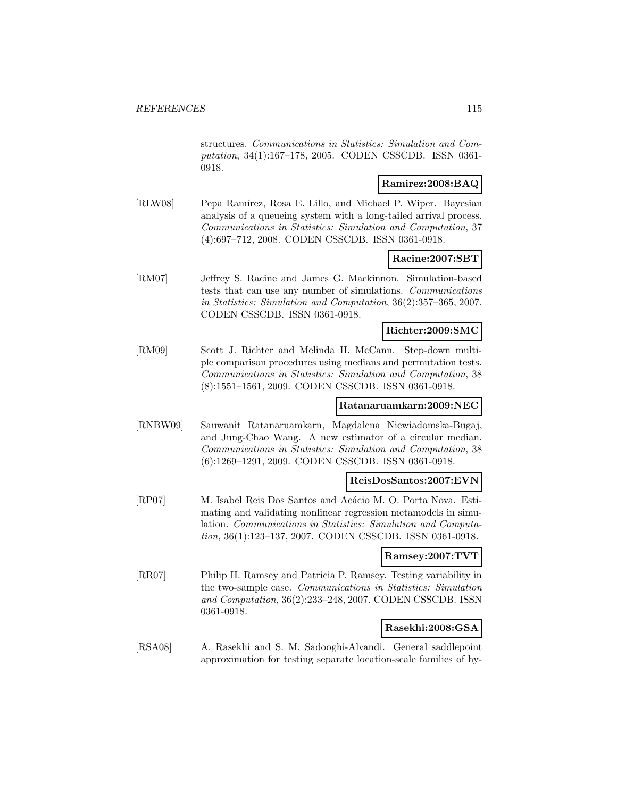structures. Communications in Statistics: Simulation and Computation, 34(1):167–178, 2005. CODEN CSSCDB. ISSN 0361- 0918.

## **Ramirez:2008:BAQ**

[RLW08] Pepa Ramírez, Rosa E. Lillo, and Michael P. Wiper. Bayesian analysis of a queueing system with a long-tailed arrival process. Communications in Statistics: Simulation and Computation, 37 (4):697–712, 2008. CODEN CSSCDB. ISSN 0361-0918.

#### **Racine:2007:SBT**

[RM07] Jeffrey S. Racine and James G. Mackinnon. Simulation-based tests that can use any number of simulations. Communications in Statistics: Simulation and Computation, 36(2):357–365, 2007. CODEN CSSCDB. ISSN 0361-0918.

#### **Richter:2009:SMC**

[RM09] Scott J. Richter and Melinda H. McCann. Step-down multiple comparison procedures using medians and permutation tests. Communications in Statistics: Simulation and Computation, 38 (8):1551–1561, 2009. CODEN CSSCDB. ISSN 0361-0918.

## **Ratanaruamkarn:2009:NEC**

[RNBW09] Sauwanit Ratanaruamkarn, Magdalena Niewiadomska-Bugaj, and Jung-Chao Wang. A new estimator of a circular median. Communications in Statistics: Simulation and Computation, 38 (6):1269–1291, 2009. CODEN CSSCDB. ISSN 0361-0918.

#### **ReisDosSantos:2007:EVN**

[RP07] M. Isabel Reis Dos Santos and Acácio M. O. Porta Nova. Estimating and validating nonlinear regression metamodels in simulation. Communications in Statistics: Simulation and Computation, 36(1):123–137, 2007. CODEN CSSCDB. ISSN 0361-0918.

#### **Ramsey:2007:TVT**

[RR07] Philip H. Ramsey and Patricia P. Ramsey. Testing variability in the two-sample case. Communications in Statistics: Simulation and Computation, 36(2):233–248, 2007. CODEN CSSCDB. ISSN 0361-0918.

#### **Rasekhi:2008:GSA**

[RSA08] A. Rasekhi and S. M. Sadooghi-Alvandi. General saddlepoint approximation for testing separate location-scale families of hy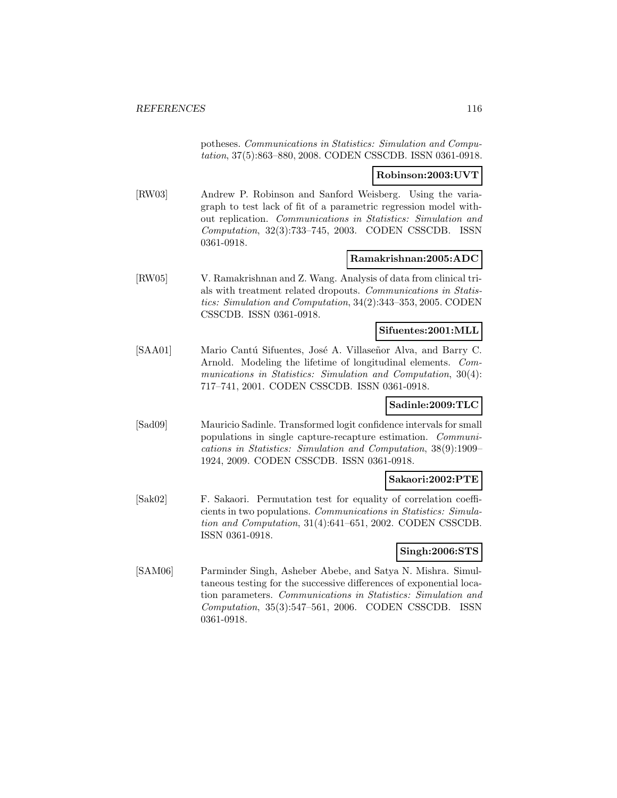potheses. Communications in Statistics: Simulation and Computation, 37(5):863–880, 2008. CODEN CSSCDB. ISSN 0361-0918.

#### **Robinson:2003:UVT**

[RW03] Andrew P. Robinson and Sanford Weisberg. Using the variagraph to test lack of fit of a parametric regression model without replication. Communications in Statistics: Simulation and Computation, 32(3):733–745, 2003. CODEN CSSCDB. ISSN 0361-0918.

#### **Ramakrishnan:2005:ADC**

[RW05] V. Ramakrishnan and Z. Wang. Analysis of data from clinical trials with treatment related dropouts. Communications in Statistics: Simulation and Computation, 34(2):343–353, 2005. CODEN CSSCDB. ISSN 0361-0918.

## **Sifuentes:2001:MLL**

[SAA01] Mario Cantú Sifuentes, José A. Villaseñor Alva, and Barry C. Arnold. Modeling the lifetime of longitudinal elements. Communications in Statistics: Simulation and Computation, 30(4): 717–741, 2001. CODEN CSSCDB. ISSN 0361-0918.

## **Sadinle:2009:TLC**

[Sad09] Mauricio Sadinle. Transformed logit confidence intervals for small populations in single capture-recapture estimation. Communications in Statistics: Simulation and Computation, 38(9):1909– 1924, 2009. CODEN CSSCDB. ISSN 0361-0918.

#### **Sakaori:2002:PTE**

[Sak02] F. Sakaori. Permutation test for equality of correlation coefficients in two populations. Communications in Statistics: Simulation and Computation, 31(4):641–651, 2002. CODEN CSSCDB. ISSN 0361-0918.

## **Singh:2006:STS**

[SAM06] Parminder Singh, Asheber Abebe, and Satya N. Mishra. Simultaneous testing for the successive differences of exponential location parameters. Communications in Statistics: Simulation and Computation, 35(3):547–561, 2006. CODEN CSSCDB. ISSN 0361-0918.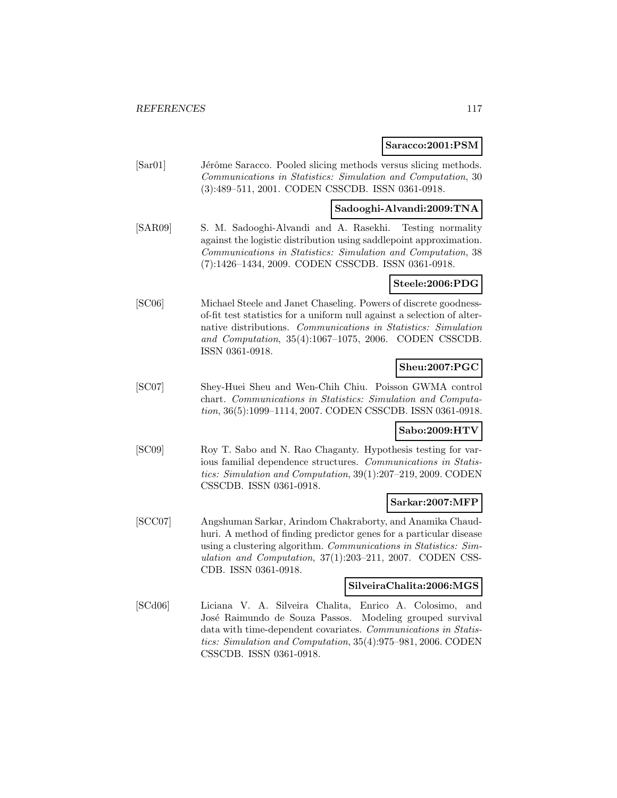#### **Saracco:2001:PSM**

[Sar01] Jérôme Saracco. Pooled slicing methods versus slicing methods. Communications in Statistics: Simulation and Computation, 30 (3):489–511, 2001. CODEN CSSCDB. ISSN 0361-0918.

## **Sadooghi-Alvandi:2009:TNA**

[SAR09] S. M. Sadooghi-Alvandi and A. Rasekhi. Testing normality against the logistic distribution using saddlepoint approximation. Communications in Statistics: Simulation and Computation, 38 (7):1426–1434, 2009. CODEN CSSCDB. ISSN 0361-0918.

#### **Steele:2006:PDG**

[SC06] Michael Steele and Janet Chaseling. Powers of discrete goodnessof-fit test statistics for a uniform null against a selection of alternative distributions. Communications in Statistics: Simulation and Computation, 35(4):1067–1075, 2006. CODEN CSSCDB. ISSN 0361-0918.

## **Sheu:2007:PGC**

[SC07] Shey-Huei Sheu and Wen-Chih Chiu. Poisson GWMA control chart. Communications in Statistics: Simulation and Computation, 36(5):1099–1114, 2007. CODEN CSSCDB. ISSN 0361-0918.

### **Sabo:2009:HTV**

[SC09] Roy T. Sabo and N. Rao Chaganty. Hypothesis testing for various familial dependence structures. Communications in Statistics: Simulation and Computation, 39(1):207–219, 2009. CODEN CSSCDB. ISSN 0361-0918.

## **Sarkar:2007:MFP**

[SCC07] Angshuman Sarkar, Arindom Chakraborty, and Anamika Chaudhuri. A method of finding predictor genes for a particular disease using a clustering algorithm. Communications in Statistics: Simulation and Computation, 37(1):203–211, 2007. CODEN CSS-CDB. ISSN 0361-0918.

#### **SilveiraChalita:2006:MGS**

[SCd06] Liciana V. A. Silveira Chalita, Enrico A. Colosimo, and José Raimundo de Souza Passos. Modeling grouped survival data with time-dependent covariates. Communications in Statistics: Simulation and Computation, 35(4):975–981, 2006. CODEN CSSCDB. ISSN 0361-0918.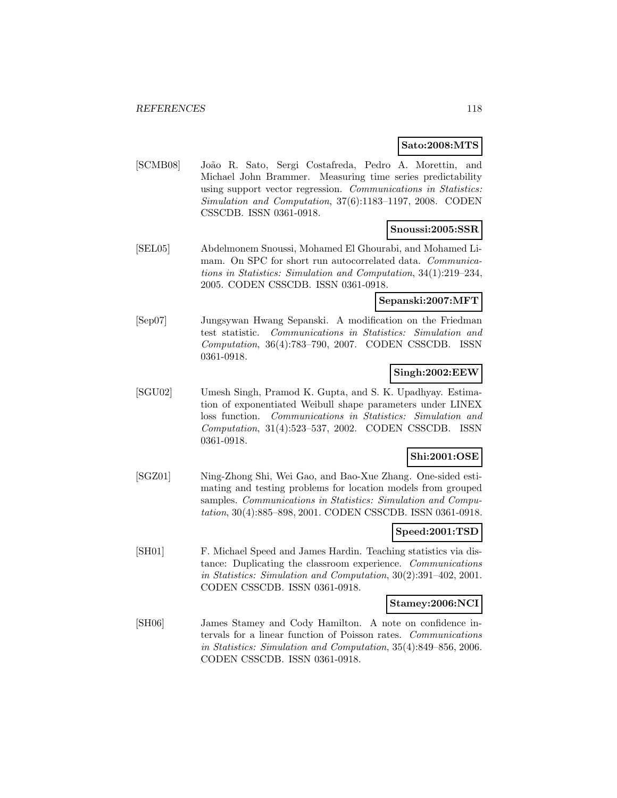## **Sato:2008:MTS**

[SCMB08] Jo˜ao R. Sato, Sergi Costafreda, Pedro A. Morettin, and Michael John Brammer. Measuring time series predictability using support vector regression. Communications in Statistics: Simulation and Computation, 37(6):1183–1197, 2008. CODEN CSSCDB. ISSN 0361-0918.

## **Snoussi:2005:SSR**

[SEL05] Abdelmonem Snoussi, Mohamed El Ghourabi, and Mohamed Limam. On SPC for short run autocorrelated data. Communications in Statistics: Simulation and Computation, 34(1):219–234, 2005. CODEN CSSCDB. ISSN 0361-0918.

## **Sepanski:2007:MFT**

[Sep07] Jungsywan Hwang Sepanski. A modification on the Friedman test statistic. Communications in Statistics: Simulation and Computation, 36(4):783–790, 2007. CODEN CSSCDB. ISSN 0361-0918.

## **Singh:2002:EEW**

[SGU02] Umesh Singh, Pramod K. Gupta, and S. K. Upadhyay. Estimation of exponentiated Weibull shape parameters under LINEX loss function. Communications in Statistics: Simulation and Computation, 31(4):523–537, 2002. CODEN CSSCDB. ISSN 0361-0918.

## **Shi:2001:OSE**

[SGZ01] Ning-Zhong Shi, Wei Gao, and Bao-Xue Zhang. One-sided estimating and testing problems for location models from grouped samples. Communications in Statistics: Simulation and Computation, 30(4):885–898, 2001. CODEN CSSCDB. ISSN 0361-0918.

## **Speed:2001:TSD**

[SH01] F. Michael Speed and James Hardin. Teaching statistics via distance: Duplicating the classroom experience. Communications in Statistics: Simulation and Computation, 30(2):391–402, 2001. CODEN CSSCDB. ISSN 0361-0918.

## **Stamey:2006:NCI**

[SH06] James Stamey and Cody Hamilton. A note on confidence intervals for a linear function of Poisson rates. Communications in Statistics: Simulation and Computation, 35(4):849–856, 2006. CODEN CSSCDB. ISSN 0361-0918.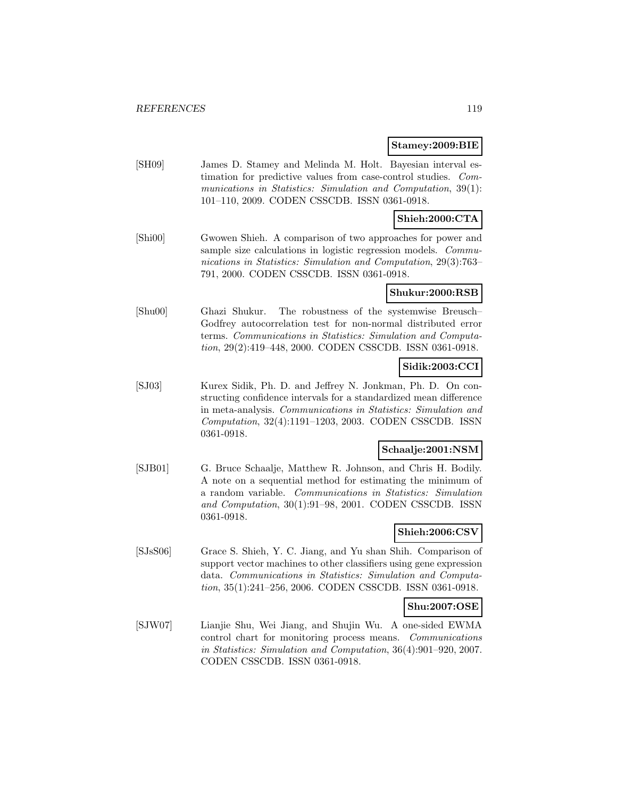#### **Stamey:2009:BIE**

[SH09] James D. Stamey and Melinda M. Holt. Bayesian interval estimation for predictive values from case-control studies. Communications in Statistics: Simulation and Computation, 39(1): 101–110, 2009. CODEN CSSCDB. ISSN 0361-0918.

### **Shieh:2000:CTA**

[Shi00] Gwowen Shieh. A comparison of two approaches for power and sample size calculations in logistic regression models. *Commu*nications in Statistics: Simulation and Computation, 29(3):763– 791, 2000. CODEN CSSCDB. ISSN 0361-0918.

#### **Shukur:2000:RSB**

[Shu00] Ghazi Shukur. The robustness of the systemwise Breusch– Godfrey autocorrelation test for non-normal distributed error terms. Communications in Statistics: Simulation and Computation, 29(2):419–448, 2000. CODEN CSSCDB. ISSN 0361-0918.

## **Sidik:2003:CCI**

[SJ03] Kurex Sidik, Ph. D. and Jeffrey N. Jonkman, Ph. D. On constructing confidence intervals for a standardized mean difference in meta-analysis. Communications in Statistics: Simulation and Computation, 32(4):1191–1203, 2003. CODEN CSSCDB. ISSN 0361-0918.

### **Schaalje:2001:NSM**

[SJB01] G. Bruce Schaalje, Matthew R. Johnson, and Chris H. Bodily. A note on a sequential method for estimating the minimum of a random variable. Communications in Statistics: Simulation and Computation, 30(1):91–98, 2001. CODEN CSSCDB. ISSN 0361-0918.

## **Shieh:2006:CSV**

[SJsS06] Grace S. Shieh, Y. C. Jiang, and Yu shan Shih. Comparison of support vector machines to other classifiers using gene expression data. Communications in Statistics: Simulation and Computation, 35(1):241–256, 2006. CODEN CSSCDB. ISSN 0361-0918.

#### **Shu:2007:OSE**

[SJW07] Lianjie Shu, Wei Jiang, and Shujin Wu. A one-sided EWMA control chart for monitoring process means. Communications in Statistics: Simulation and Computation, 36(4):901–920, 2007. CODEN CSSCDB. ISSN 0361-0918.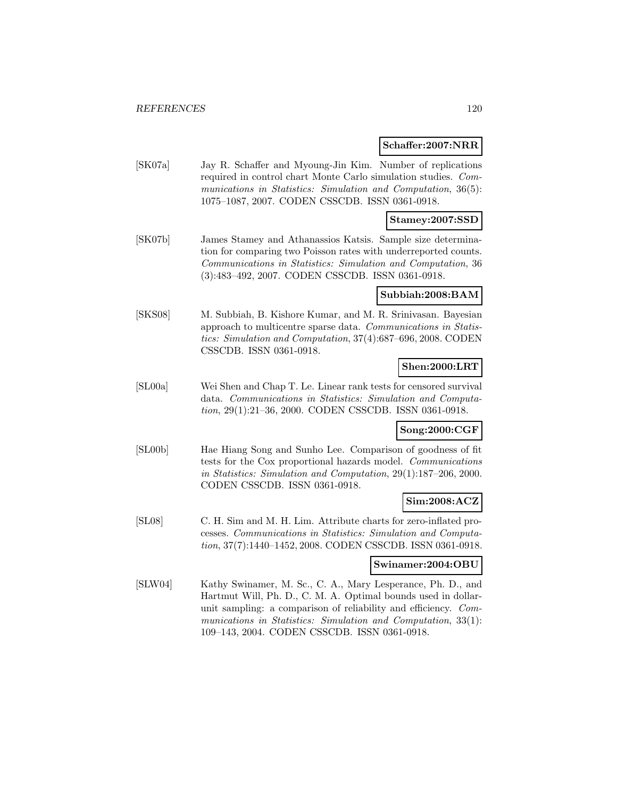#### **Schaffer:2007:NRR**

[SK07a] Jay R. Schaffer and Myoung-Jin Kim. Number of replications required in control chart Monte Carlo simulation studies. Communications in Statistics: Simulation and Computation, 36(5): 1075–1087, 2007. CODEN CSSCDB. ISSN 0361-0918.

### **Stamey:2007:SSD**

[SK07b] James Stamey and Athanassios Katsis. Sample size determination for comparing two Poisson rates with underreported counts. Communications in Statistics: Simulation and Computation, 36 (3):483–492, 2007. CODEN CSSCDB. ISSN 0361-0918.

#### **Subbiah:2008:BAM**

[SKS08] M. Subbiah, B. Kishore Kumar, and M. R. Srinivasan. Bayesian approach to multicentre sparse data. Communications in Statistics: Simulation and Computation, 37(4):687–696, 2008. CODEN CSSCDB. ISSN 0361-0918.

## **Shen:2000:LRT**

[SL00a] Wei Shen and Chap T. Le. Linear rank tests for censored survival data. Communications in Statistics: Simulation and Computation, 29(1):21–36, 2000. CODEN CSSCDB. ISSN 0361-0918.

#### **Song:2000:CGF**

[SL00b] Hae Hiang Song and Sunho Lee. Comparison of goodness of fit tests for the Cox proportional hazards model. Communications in Statistics: Simulation and Computation, 29(1):187–206, 2000. CODEN CSSCDB. ISSN 0361-0918.

#### **Sim:2008:ACZ**

[SL08] C. H. Sim and M. H. Lim. Attribute charts for zero-inflated processes. Communications in Statistics: Simulation and Computation, 37(7):1440–1452, 2008. CODEN CSSCDB. ISSN 0361-0918.

## **Swinamer:2004:OBU**

[SLW04] Kathy Swinamer, M. Sc., C. A., Mary Lesperance, Ph. D., and Hartmut Will, Ph. D., C. M. A. Optimal bounds used in dollarunit sampling: a comparison of reliability and efficiency. Communications in Statistics: Simulation and Computation, 33(1): 109–143, 2004. CODEN CSSCDB. ISSN 0361-0918.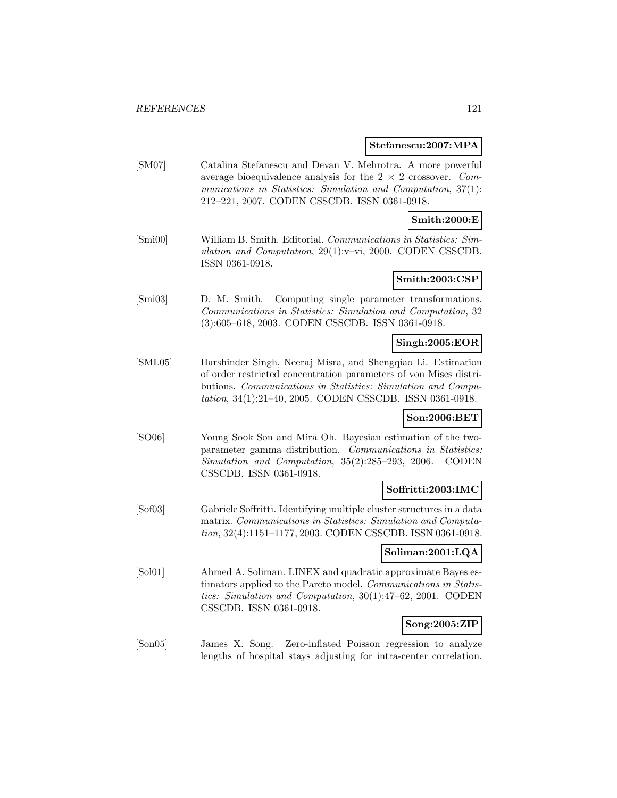#### **Stefanescu:2007:MPA**

[SM07] Catalina Stefanescu and Devan V. Mehrotra. A more powerful average bioequivalence analysis for the  $2 \times 2$  crossover. Communications in Statistics: Simulation and Computation, 37(1): 212–221, 2007. CODEN CSSCDB. ISSN 0361-0918.

### **Smith:2000:E**

[Smi00] William B. Smith. Editorial. Communications in Statistics: Simulation and Computation, 29(1):v–vi, 2000. CODEN CSSCDB. ISSN 0361-0918.

## **Smith:2003:CSP**

[Smi03] D. M. Smith. Computing single parameter transformations. Communications in Statistics: Simulation and Computation, 32 (3):605–618, 2003. CODEN CSSCDB. ISSN 0361-0918.

### **Singh:2005:EOR**

[SML05] Harshinder Singh, Neeraj Misra, and Shengqiao Li. Estimation of order restricted concentration parameters of von Mises distributions. Communications in Statistics: Simulation and Computation, 34(1):21–40, 2005. CODEN CSSCDB. ISSN 0361-0918.

#### **Son:2006:BET**

[SO06] Young Sook Son and Mira Oh. Bayesian estimation of the twoparameter gamma distribution. Communications in Statistics: Simulation and Computation, 35(2):285–293, 2006. CODEN CSSCDB. ISSN 0361-0918.

#### **Soffritti:2003:IMC**

[Sof03] Gabriele Soffritti. Identifying multiple cluster structures in a data matrix. Communications in Statistics: Simulation and Computation, 32(4):1151–1177, 2003. CODEN CSSCDB. ISSN 0361-0918.

## **Soliman:2001:LQA**

[Sol01] Ahmed A. Soliman. LINEX and quadratic approximate Bayes estimators applied to the Pareto model. Communications in Statistics: Simulation and Computation, 30(1):47–62, 2001. CODEN CSSCDB. ISSN 0361-0918.

## **Song:2005:ZIP**

[Son05] James X. Song. Zero-inflated Poisson regression to analyze lengths of hospital stays adjusting for intra-center correlation.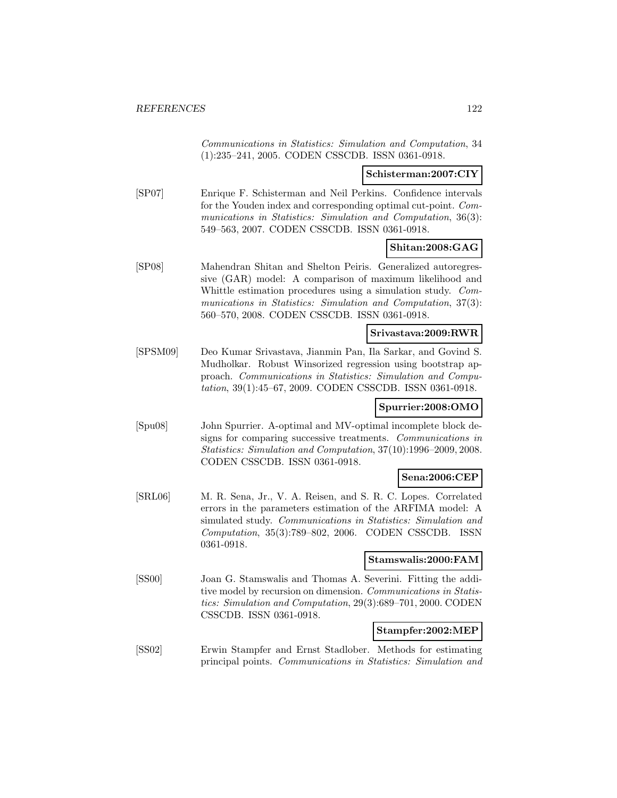Communications in Statistics: Simulation and Computation, 34 (1):235–241, 2005. CODEN CSSCDB. ISSN 0361-0918.

### **Schisterman:2007:CIY**

[SP07] Enrique F. Schisterman and Neil Perkins. Confidence intervals for the Youden index and corresponding optimal cut-point. Communications in Statistics: Simulation and Computation, 36(3): 549–563, 2007. CODEN CSSCDB. ISSN 0361-0918.

## **Shitan:2008:GAG**

[SP08] Mahendran Shitan and Shelton Peiris. Generalized autoregressive (GAR) model: A comparison of maximum likelihood and Whittle estimation procedures using a simulation study. Communications in Statistics: Simulation and Computation, 37(3): 560–570, 2008. CODEN CSSCDB. ISSN 0361-0918.

## **Srivastava:2009:RWR**

[SPSM09] Deo Kumar Srivastava, Jianmin Pan, Ila Sarkar, and Govind S. Mudholkar. Robust Winsorized regression using bootstrap approach. Communications in Statistics: Simulation and Computation, 39(1):45–67, 2009. CODEN CSSCDB. ISSN 0361-0918.

#### **Spurrier:2008:OMO**

[Spu08] John Spurrier. A-optimal and MV-optimal incomplete block designs for comparing successive treatments. Communications in Statistics: Simulation and Computation, 37(10):1996–2009, 2008. CODEN CSSCDB. ISSN 0361-0918.

#### **Sena:2006:CEP**

[SRL06] M. R. Sena, Jr., V. A. Reisen, and S. R. C. Lopes. Correlated errors in the parameters estimation of the ARFIMA model: A simulated study. Communications in Statistics: Simulation and Computation, 35(3):789–802, 2006. CODEN CSSCDB. ISSN 0361-0918.

#### **Stamswalis:2000:FAM**

[SS00] Joan G. Stamswalis and Thomas A. Severini. Fitting the additive model by recursion on dimension. Communications in Statistics: Simulation and Computation, 29(3):689–701, 2000. CODEN CSSCDB. ISSN 0361-0918.

## **Stampfer:2002:MEP**

[SS02] Erwin Stampfer and Ernst Stadlober. Methods for estimating principal points. Communications in Statistics: Simulation and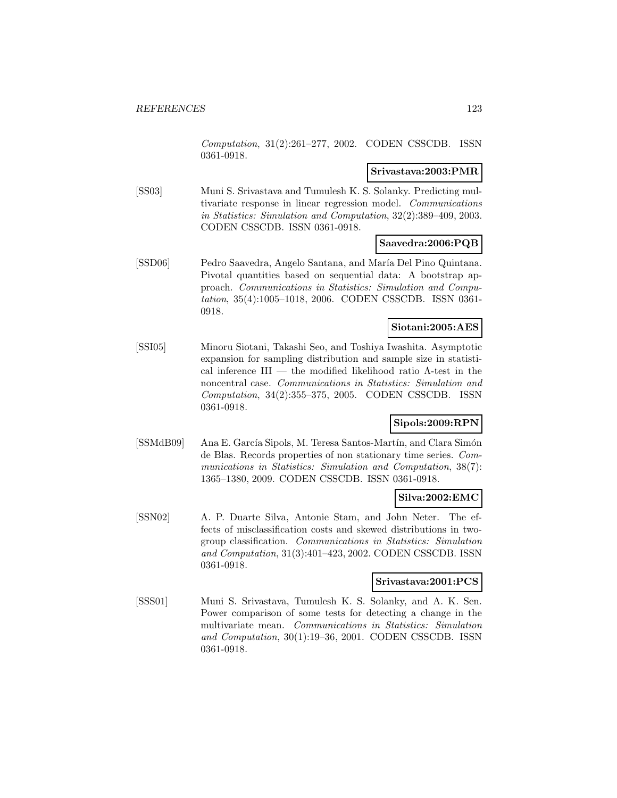Computation, 31(2):261–277, 2002. CODEN CSSCDB. ISSN 0361-0918.

#### **Srivastava:2003:PMR**

[SS03] Muni S. Srivastava and Tumulesh K. S. Solanky. Predicting multivariate response in linear regression model. Communications in Statistics: Simulation and Computation, 32(2):389–409, 2003. CODEN CSSCDB. ISSN 0361-0918.

### **Saavedra:2006:PQB**

[SSD06] Pedro Saavedra, Angelo Santana, and María Del Pino Quintana. Pivotal quantities based on sequential data: A bootstrap approach. Communications in Statistics: Simulation and Computation, 35(4):1005–1018, 2006. CODEN CSSCDB. ISSN 0361- 0918.

### **Siotani:2005:AES**

[SSI05] Minoru Siotani, Takashi Seo, and Toshiya Iwashita. Asymptotic expansion for sampling distribution and sample size in statistical inference III — the modified likelihood ratio Λ-test in the noncentral case. Communications in Statistics: Simulation and Computation, 34(2):355–375, 2005. CODEN CSSCDB. ISSN 0361-0918.

## **Sipols:2009:RPN**

[SSMdB09] Ana E. García Sipols, M. Teresa Santos-Martín, and Clara Simón de Blas. Records properties of non stationary time series. Communications in Statistics: Simulation and Computation, 38(7): 1365–1380, 2009. CODEN CSSCDB. ISSN 0361-0918.

## **Silva:2002:EMC**

[SSN02] A. P. Duarte Silva, Antonie Stam, and John Neter. The effects of misclassification costs and skewed distributions in twogroup classification. Communications in Statistics: Simulation and Computation, 31(3):401–423, 2002. CODEN CSSCDB. ISSN 0361-0918.

## **Srivastava:2001:PCS**

[SSS01] Muni S. Srivastava, Tumulesh K. S. Solanky, and A. K. Sen. Power comparison of some tests for detecting a change in the multivariate mean. Communications in Statistics: Simulation and Computation, 30(1):19–36, 2001. CODEN CSSCDB. ISSN 0361-0918.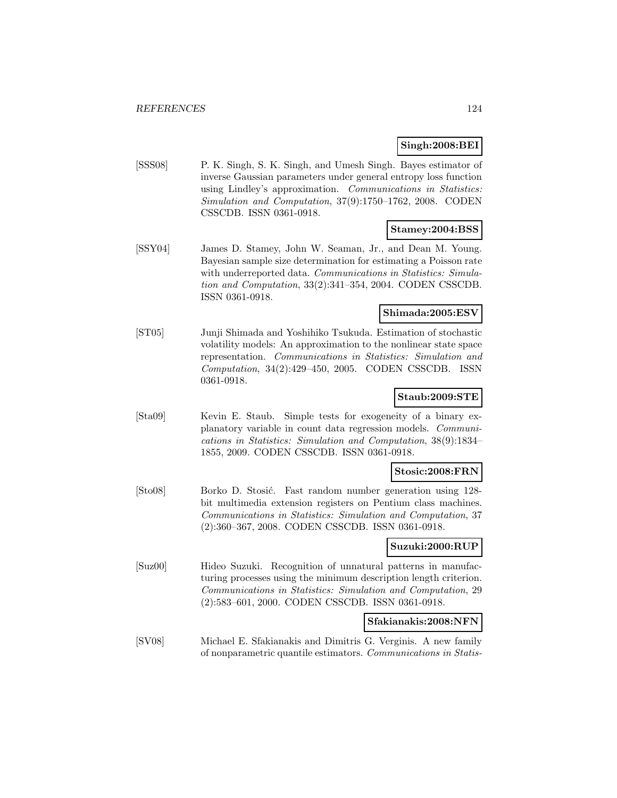#### **Singh:2008:BEI**

[SSS08] P. K. Singh, S. K. Singh, and Umesh Singh. Bayes estimator of inverse Gaussian parameters under general entropy loss function using Lindley's approximation. Communications in Statistics: Simulation and Computation, 37(9):1750–1762, 2008. CODEN CSSCDB. ISSN 0361-0918.

#### **Stamey:2004:BSS**

[SSY04] James D. Stamey, John W. Seaman, Jr., and Dean M. Young. Bayesian sample size determination for estimating a Poisson rate with underreported data. Communications in Statistics: Simulation and Computation, 33(2):341–354, 2004. CODEN CSSCDB. ISSN 0361-0918.

#### **Shimada:2005:ESV**

[ST05] Junji Shimada and Yoshihiko Tsukuda. Estimation of stochastic volatility models: An approximation to the nonlinear state space representation. Communications in Statistics: Simulation and Computation, 34(2):429–450, 2005. CODEN CSSCDB. ISSN 0361-0918.

### **Staub:2009:STE**

[Sta09] Kevin E. Staub. Simple tests for exogeneity of a binary explanatory variable in count data regression models. Communications in Statistics: Simulation and Computation, 38(9):1834– 1855, 2009. CODEN CSSCDB. ISSN 0361-0918.

## **Stosic:2008:FRN**

[Sto08] Borko D. Stosić. Fast random number generation using 128bit multimedia extension registers on Pentium class machines. Communications in Statistics: Simulation and Computation, 37 (2):360–367, 2008. CODEN CSSCDB. ISSN 0361-0918.

#### **Suzuki:2000:RUP**

[Suz00] Hideo Suzuki. Recognition of unnatural patterns in manufacturing processes using the minimum description length criterion. Communications in Statistics: Simulation and Computation, 29 (2):583–601, 2000. CODEN CSSCDB. ISSN 0361-0918.

### **Sfakianakis:2008:NFN**

[SV08] Michael E. Sfakianakis and Dimitris G. Verginis. A new family of nonparametric quantile estimators. Communications in Statis-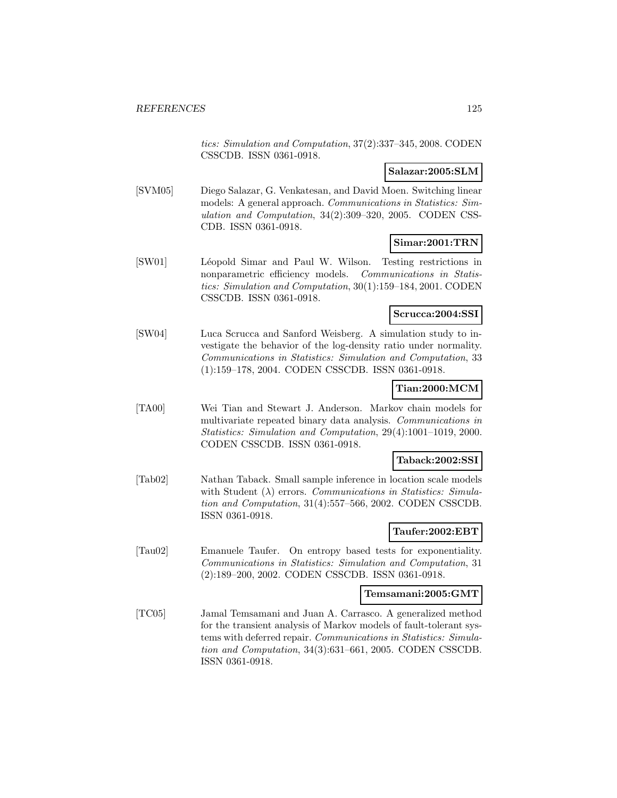tics: Simulation and Computation, 37(2):337–345, 2008. CODEN CSSCDB. ISSN 0361-0918.

## **Salazar:2005:SLM**

[SVM05] Diego Salazar, G. Venkatesan, and David Moen. Switching linear models: A general approach. Communications in Statistics: Simulation and Computation, 34(2):309–320, 2005. CODEN CSS-CDB. ISSN 0361-0918.

### **Simar:2001:TRN**

[SW01] Léopold Simar and Paul W. Wilson. Testing restrictions in nonparametric efficiency models. Communications in Statistics: Simulation and Computation, 30(1):159–184, 2001. CODEN CSSCDB. ISSN 0361-0918.

#### **Scrucca:2004:SSI**

[SW04] Luca Scrucca and Sanford Weisberg. A simulation study to investigate the behavior of the log-density ratio under normality. Communications in Statistics: Simulation and Computation, 33 (1):159–178, 2004. CODEN CSSCDB. ISSN 0361-0918.

### **Tian:2000:MCM**

[TA00] Wei Tian and Stewart J. Anderson. Markov chain models for multivariate repeated binary data analysis. Communications in Statistics: Simulation and Computation, 29(4):1001–1019, 2000. CODEN CSSCDB. ISSN 0361-0918.

#### **Taback:2002:SSI**

[Tab02] Nathan Taback. Small sample inference in location scale models with Student  $(\lambda)$  errors. Communications in Statistics: Simulation and Computation, 31(4):557–566, 2002. CODEN CSSCDB. ISSN 0361-0918.

## **Taufer:2002:EBT**

[Tau02] Emanuele Taufer. On entropy based tests for exponentiality. Communications in Statistics: Simulation and Computation, 31 (2):189–200, 2002. CODEN CSSCDB. ISSN 0361-0918.

#### **Temsamani:2005:GMT**

[TC05] Jamal Temsamani and Juan A. Carrasco. A generalized method for the transient analysis of Markov models of fault-tolerant systems with deferred repair. Communications in Statistics: Simulation and Computation, 34(3):631–661, 2005. CODEN CSSCDB. ISSN 0361-0918.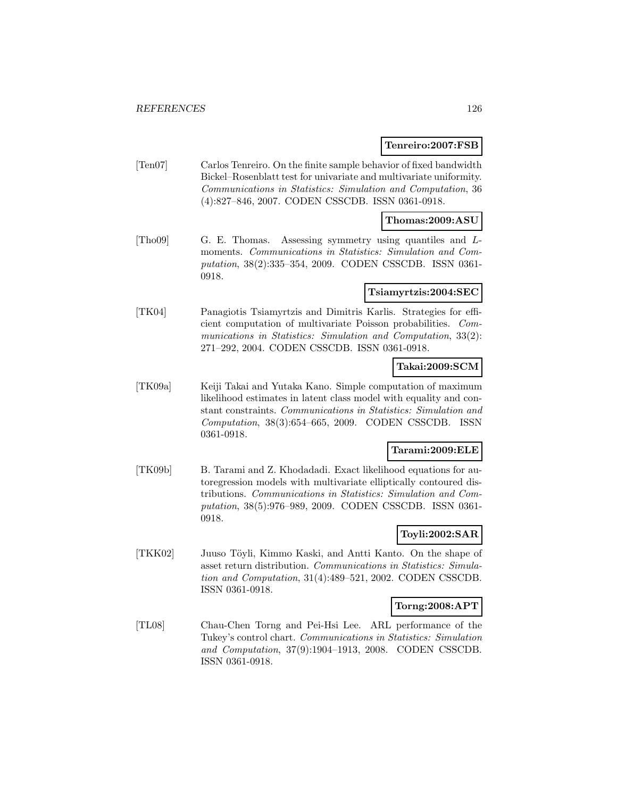#### **Tenreiro:2007:FSB**

[Ten07] Carlos Tenreiro. On the finite sample behavior of fixed bandwidth Bickel–Rosenblatt test for univariate and multivariate uniformity. Communications in Statistics: Simulation and Computation, 36 (4):827–846, 2007. CODEN CSSCDB. ISSN 0361-0918.

#### **Thomas:2009:ASU**

[Tho09] G. E. Thomas. Assessing symmetry using quantiles and Lmoments. Communications in Statistics: Simulation and Computation, 38(2):335–354, 2009. CODEN CSSCDB. ISSN 0361- 0918.

#### **Tsiamyrtzis:2004:SEC**

[TK04] Panagiotis Tsiamyrtzis and Dimitris Karlis. Strategies for efficient computation of multivariate Poisson probabilities. Communications in Statistics: Simulation and Computation, 33(2): 271–292, 2004. CODEN CSSCDB. ISSN 0361-0918.

### **Takai:2009:SCM**

[TK09a] Keiji Takai and Yutaka Kano. Simple computation of maximum likelihood estimates in latent class model with equality and constant constraints. Communications in Statistics: Simulation and Computation, 38(3):654–665, 2009. CODEN CSSCDB. ISSN 0361-0918.

### **Tarami:2009:ELE**

[TK09b] B. Tarami and Z. Khodadadi. Exact likelihood equations for autoregression models with multivariate elliptically contoured distributions. Communications in Statistics: Simulation and Computation, 38(5):976–989, 2009. CODEN CSSCDB. ISSN 0361- 0918.

### **Toyli:2002:SAR**

[TKK02] Juuso Töyli, Kimmo Kaski, and Antti Kanto. On the shape of asset return distribution. Communications in Statistics: Simulation and Computation, 31(4):489–521, 2002. CODEN CSSCDB. ISSN 0361-0918.

#### **Torng:2008:APT**

[TL08] Chau-Chen Torng and Pei-Hsi Lee. ARL performance of the Tukey's control chart. Communications in Statistics: Simulation and Computation, 37(9):1904–1913, 2008. CODEN CSSCDB. ISSN 0361-0918.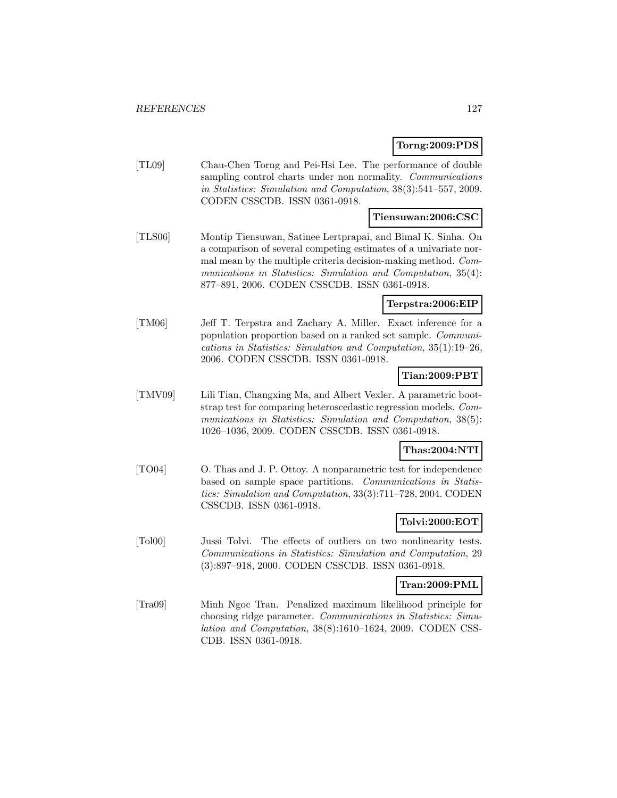## **Torng:2009:PDS**

[TL09] Chau-Chen Torng and Pei-Hsi Lee. The performance of double sampling control charts under non normality. Communications in Statistics: Simulation and Computation, 38(3):541–557, 2009. CODEN CSSCDB. ISSN 0361-0918.

## **Tiensuwan:2006:CSC**

[TLS06] Montip Tiensuwan, Satinee Lertprapai, and Bimal K. Sinha. On a comparison of several competing estimates of a univariate normal mean by the multiple criteria decision-making method. Communications in Statistics: Simulation and Computation, 35(4): 877–891, 2006. CODEN CSSCDB. ISSN 0361-0918.

## **Terpstra:2006:EIP**

[TM06] Jeff T. Terpstra and Zachary A. Miller. Exact inference for a population proportion based on a ranked set sample. Communications in Statistics: Simulation and Computation, 35(1):19–26, 2006. CODEN CSSCDB. ISSN 0361-0918.

## **Tian:2009:PBT**

[TMV09] Lili Tian, Changxing Ma, and Albert Vexler. A parametric bootstrap test for comparing heteroscedastic regression models. Communications in Statistics: Simulation and Computation, 38(5): 1026–1036, 2009. CODEN CSSCDB. ISSN 0361-0918.

## **Thas:2004:NTI**

[TO04] O. Thas and J. P. Ottoy. A nonparametric test for independence based on sample space partitions. Communications in Statistics: Simulation and Computation, 33(3):711–728, 2004. CODEN CSSCDB. ISSN 0361-0918.

## **Tolvi:2000:EOT**

[Tol00] Jussi Tolvi. The effects of outliers on two nonlinearity tests. Communications in Statistics: Simulation and Computation, 29 (3):897–918, 2000. CODEN CSSCDB. ISSN 0361-0918.

#### **Tran:2009:PML**

[Tra09] Minh Ngoc Tran. Penalized maximum likelihood principle for choosing ridge parameter. Communications in Statistics: Simulation and Computation, 38(8):1610–1624, 2009. CODEN CSS-CDB. ISSN 0361-0918.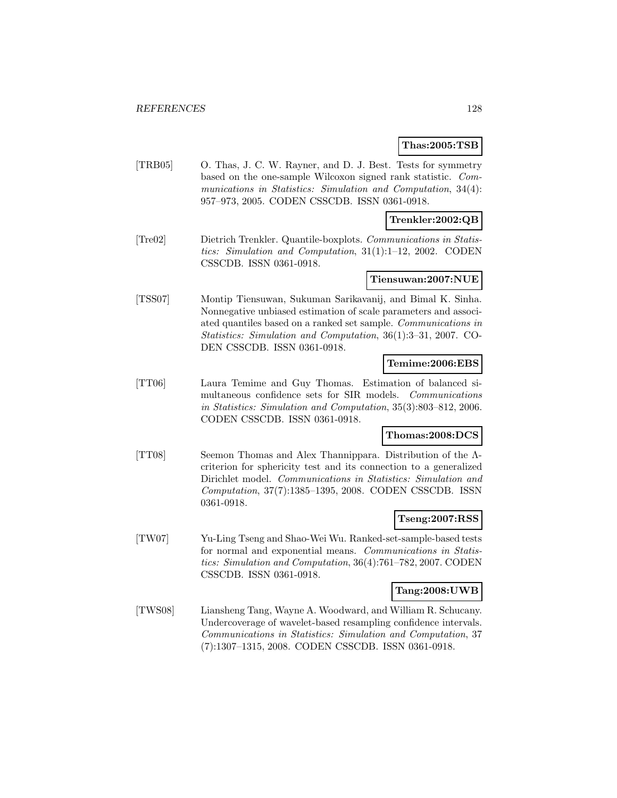#### **Thas:2005:TSB**

[TRB05] O. Thas, J. C. W. Rayner, and D. J. Best. Tests for symmetry based on the one-sample Wilcoxon signed rank statistic. Communications in Statistics: Simulation and Computation, 34(4): 957–973, 2005. CODEN CSSCDB. ISSN 0361-0918.

#### **Trenkler:2002:QB**

[Tre02] Dietrich Trenkler. Quantile-boxplots. Communications in Statistics: Simulation and Computation, 31(1):1–12, 2002. CODEN CSSCDB. ISSN 0361-0918.

### **Tiensuwan:2007:NUE**

[TSS07] Montip Tiensuwan, Sukuman Sarikavanij, and Bimal K. Sinha. Nonnegative unbiased estimation of scale parameters and associated quantiles based on a ranked set sample. Communications in Statistics: Simulation and Computation, 36(1):3–31, 2007. CO-DEN CSSCDB. ISSN 0361-0918.

#### **Temime:2006:EBS**

[TT06] Laura Temime and Guy Thomas. Estimation of balanced simultaneous confidence sets for SIR models. Communications in Statistics: Simulation and Computation, 35(3):803–812, 2006. CODEN CSSCDB. ISSN 0361-0918.

#### **Thomas:2008:DCS**

[TT08] Seemon Thomas and Alex Thannippara. Distribution of the Λcriterion for sphericity test and its connection to a generalized Dirichlet model. Communications in Statistics: Simulation and Computation, 37(7):1385–1395, 2008. CODEN CSSCDB. ISSN 0361-0918.

## **Tseng:2007:RSS**

[TW07] Yu-Ling Tseng and Shao-Wei Wu. Ranked-set-sample-based tests for normal and exponential means. Communications in Statistics: Simulation and Computation, 36(4):761–782, 2007. CODEN CSSCDB. ISSN 0361-0918.

### **Tang:2008:UWB**

[TWS08] Liansheng Tang, Wayne A. Woodward, and William R. Schucany. Undercoverage of wavelet-based resampling confidence intervals. Communications in Statistics: Simulation and Computation, 37 (7):1307–1315, 2008. CODEN CSSCDB. ISSN 0361-0918.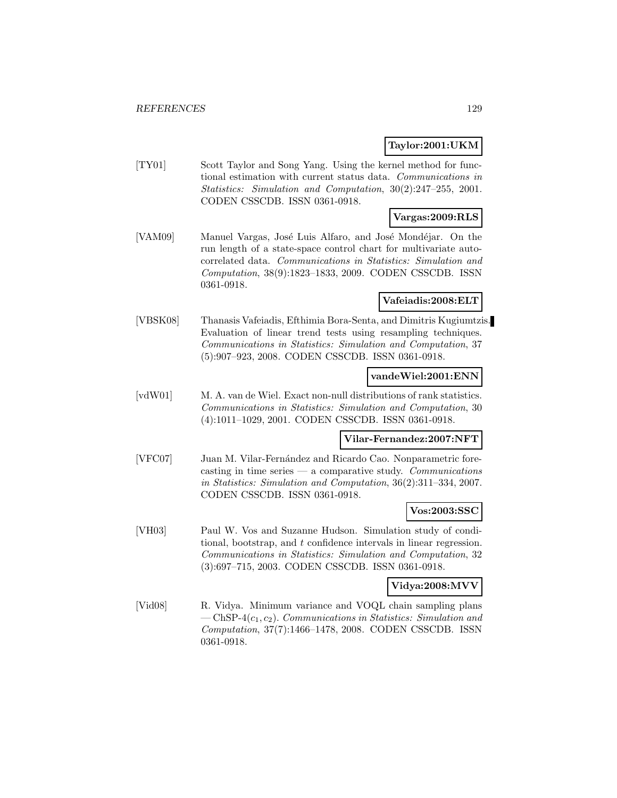### **Taylor:2001:UKM**

[TY01] Scott Taylor and Song Yang. Using the kernel method for functional estimation with current status data. Communications in Statistics: Simulation and Computation, 30(2):247–255, 2001. CODEN CSSCDB. ISSN 0361-0918.

## **Vargas:2009:RLS**

[VAM09] Manuel Vargas, José Luis Alfaro, and José Mondéjar. On the run length of a state-space control chart for multivariate autocorrelated data. Communications in Statistics: Simulation and Computation, 38(9):1823–1833, 2009. CODEN CSSCDB. ISSN 0361-0918.

# **Vafeiadis:2008:ELT**

[VBSK08] Thanasis Vafeiadis, Efthimia Bora-Senta, and Dimitris Kugiumtzis. Evaluation of linear trend tests using resampling techniques. Communications in Statistics: Simulation and Computation, 37 (5):907–923, 2008. CODEN CSSCDB. ISSN 0361-0918.

#### **vandeWiel:2001:ENN**

[vdW01] M. A. van de Wiel. Exact non-null distributions of rank statistics. Communications in Statistics: Simulation and Computation, 30 (4):1011–1029, 2001. CODEN CSSCDB. ISSN 0361-0918.

#### **Vilar-Fernandez:2007:NFT**

[VFC07] Juan M. Vilar-Fernández and Ricardo Cao. Nonparametric forecasting in time series  $-$  a comparative study. Communications in Statistics: Simulation and Computation, 36(2):311–334, 2007. CODEN CSSCDB. ISSN 0361-0918.

#### **Vos:2003:SSC**

[VH03] Paul W. Vos and Suzanne Hudson. Simulation study of conditional, bootstrap, and t confidence intervals in linear regression. Communications in Statistics: Simulation and Computation, 32 (3):697–715, 2003. CODEN CSSCDB. ISSN 0361-0918.

#### **Vidya:2008:MVV**

[Vid08] R. Vidya. Minimum variance and VOQL chain sampling plans  $-\text{ChSP-4}(c_1, c_2)$ . Communications in Statistics: Simulation and Computation, 37(7):1466–1478, 2008. CODEN CSSCDB. ISSN 0361-0918.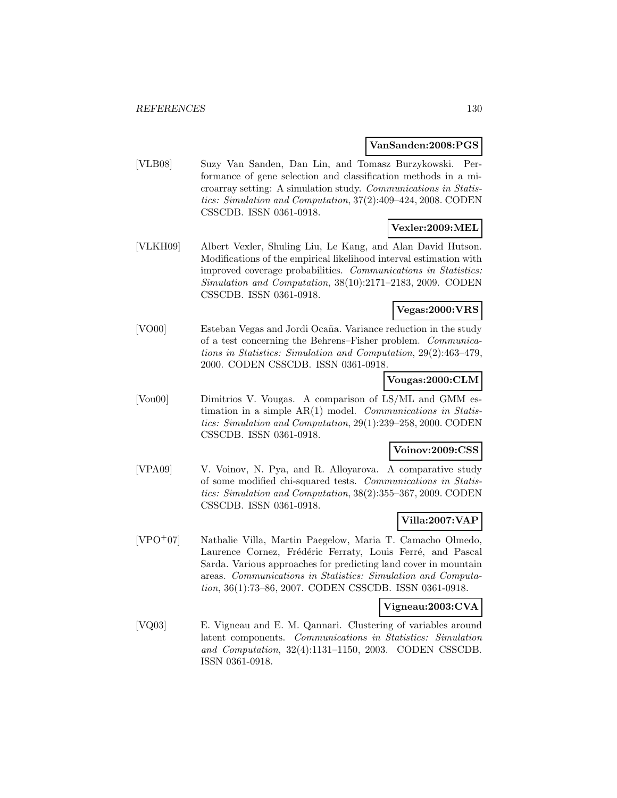#### **VanSanden:2008:PGS**

[VLB08] Suzy Van Sanden, Dan Lin, and Tomasz Burzykowski. Performance of gene selection and classification methods in a microarray setting: A simulation study. Communications in Statistics: Simulation and Computation, 37(2):409–424, 2008. CODEN CSSCDB. ISSN 0361-0918.

### **Vexler:2009:MEL**

[VLKH09] Albert Vexler, Shuling Liu, Le Kang, and Alan David Hutson. Modifications of the empirical likelihood interval estimation with improved coverage probabilities. Communications in Statistics: Simulation and Computation, 38(10):2171–2183, 2009. CODEN CSSCDB. ISSN 0361-0918.

## **Vegas:2000:VRS**

[VO00] Esteban Vegas and Jordi Ocaña. Variance reduction in the study of a test concerning the Behrens–Fisher problem. Communications in Statistics: Simulation and Computation, 29(2):463–479, 2000. CODEN CSSCDB. ISSN 0361-0918.

## **Vougas:2000:CLM**

[Vou00] Dimitrios V. Vougas. A comparison of LS/ML and GMM estimation in a simple AR(1) model. Communications in Statistics: Simulation and Computation, 29(1):239–258, 2000. CODEN CSSCDB. ISSN 0361-0918.

## **Voinov:2009:CSS**

[VPA09] V. Voinov, N. Pya, and R. Alloyarova. A comparative study of some modified chi-squared tests. Communications in Statistics: Simulation and Computation, 38(2):355–367, 2009. CODEN CSSCDB. ISSN 0361-0918.

## **Villa:2007:VAP**

[VPO<sup>+</sup>07] Nathalie Villa, Martin Paegelow, Maria T. Camacho Olmedo, Laurence Cornez, Frédéric Ferraty, Louis Ferré, and Pascal Sarda. Various approaches for predicting land cover in mountain areas. Communications in Statistics: Simulation and Computation, 36(1):73–86, 2007. CODEN CSSCDB. ISSN 0361-0918.

## **Vigneau:2003:CVA**

[VQ03] E. Vigneau and E. M. Qannari. Clustering of variables around latent components. Communications in Statistics: Simulation and Computation, 32(4):1131–1150, 2003. CODEN CSSCDB. ISSN 0361-0918.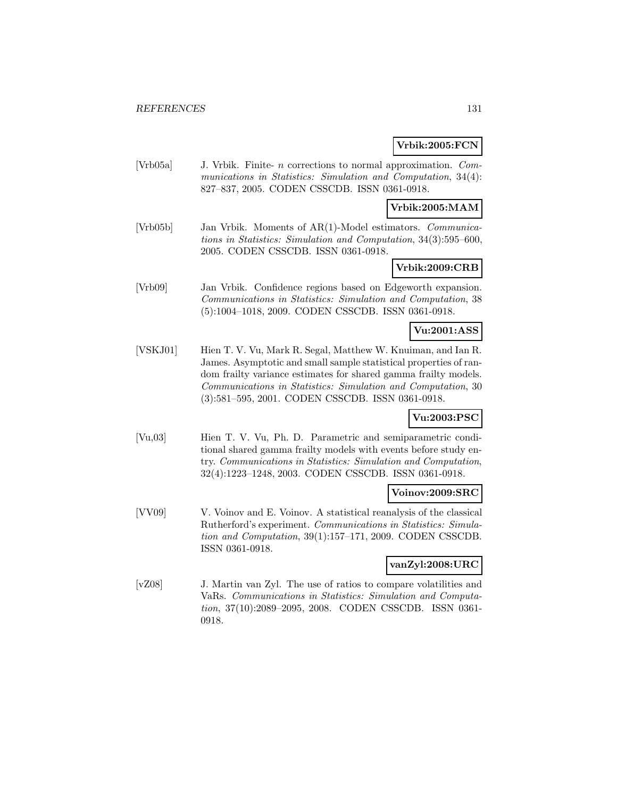### **Vrbik:2005:FCN**

[Vrb05a] J. Vrbik. Finite- n corrections to normal approximation. Communications in Statistics: Simulation and Computation, 34(4): 827–837, 2005. CODEN CSSCDB. ISSN 0361-0918.

### **Vrbik:2005:MAM**

[Vrb05b] Jan Vrbik. Moments of AR(1)-Model estimators. Communications in Statistics: Simulation and Computation, 34(3):595–600, 2005. CODEN CSSCDB. ISSN 0361-0918.

# **Vrbik:2009:CRB**

[Vrb09] Jan Vrbik. Confidence regions based on Edgeworth expansion. Communications in Statistics: Simulation and Computation, 38 (5):1004–1018, 2009. CODEN CSSCDB. ISSN 0361-0918.

### **Vu:2001:ASS**

[VSKJ01] Hien T. V. Vu, Mark R. Segal, Matthew W. Knuiman, and Ian R. James. Asymptotic and small sample statistical properties of random frailty variance estimates for shared gamma frailty models. Communications in Statistics: Simulation and Computation, 30 (3):581–595, 2001. CODEN CSSCDB. ISSN 0361-0918.

### **Vu:2003:PSC**

[Vu,03] Hien T. V. Vu, Ph. D. Parametric and semiparametric conditional shared gamma frailty models with events before study entry. Communications in Statistics: Simulation and Computation, 32(4):1223–1248, 2003. CODEN CSSCDB. ISSN 0361-0918.

### **Voinov:2009:SRC**

[VV09] V. Voinov and E. Voinov. A statistical reanalysis of the classical Rutherford's experiment. Communications in Statistics: Simulation and Computation, 39(1):157–171, 2009. CODEN CSSCDB. ISSN 0361-0918.

#### **vanZyl:2008:URC**

[vZ08] J. Martin van Zyl. The use of ratios to compare volatilities and VaRs. Communications in Statistics: Simulation and Computation, 37(10):2089–2095, 2008. CODEN CSSCDB. ISSN 0361- 0918.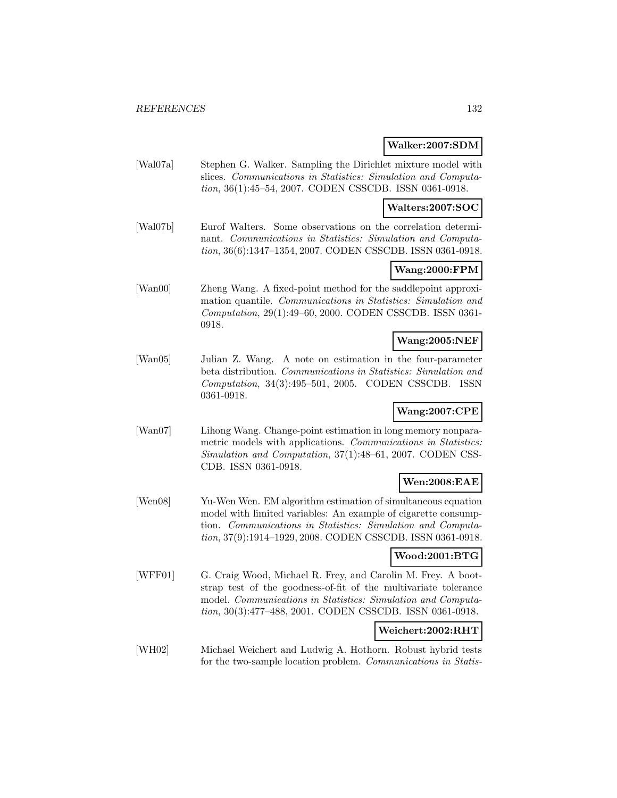#### **Walker:2007:SDM**

[Wal07a] Stephen G. Walker. Sampling the Dirichlet mixture model with slices. Communications in Statistics: Simulation and Computation, 36(1):45–54, 2007. CODEN CSSCDB. ISSN 0361-0918.

### **Walters:2007:SOC**

[Wal07b] Eurof Walters. Some observations on the correlation determinant. Communications in Statistics: Simulation and Computation, 36(6):1347–1354, 2007. CODEN CSSCDB. ISSN 0361-0918.

## **Wang:2000:FPM**

[Wan00] Zheng Wang. A fixed-point method for the saddlepoint approximation quantile. Communications in Statistics: Simulation and Computation, 29(1):49–60, 2000. CODEN CSSCDB. ISSN 0361- 0918.

#### **Wang:2005:NEF**

[Wan05] Julian Z. Wang. A note on estimation in the four-parameter beta distribution. Communications in Statistics: Simulation and Computation, 34(3):495–501, 2005. CODEN CSSCDB. ISSN 0361-0918.

### **Wang:2007:CPE**

[Wan07] Lihong Wang. Change-point estimation in long memory nonparametric models with applications. Communications in Statistics: Simulation and Computation, 37(1):48–61, 2007. CODEN CSS-CDB. ISSN 0361-0918.

## **Wen:2008:EAE**

[Wen08] Yu-Wen Wen. EM algorithm estimation of simultaneous equation model with limited variables: An example of cigarette consumption. Communications in Statistics: Simulation and Computation, 37(9):1914–1929, 2008. CODEN CSSCDB. ISSN 0361-0918.

#### **Wood:2001:BTG**

[WFF01] G. Craig Wood, Michael R. Frey, and Carolin M. Frey. A bootstrap test of the goodness-of-fit of the multivariate tolerance model. Communications in Statistics: Simulation and Computation, 30(3):477–488, 2001. CODEN CSSCDB. ISSN 0361-0918.

## **Weichert:2002:RHT**

[WH02] Michael Weichert and Ludwig A. Hothorn. Robust hybrid tests for the two-sample location problem. Communications in Statis-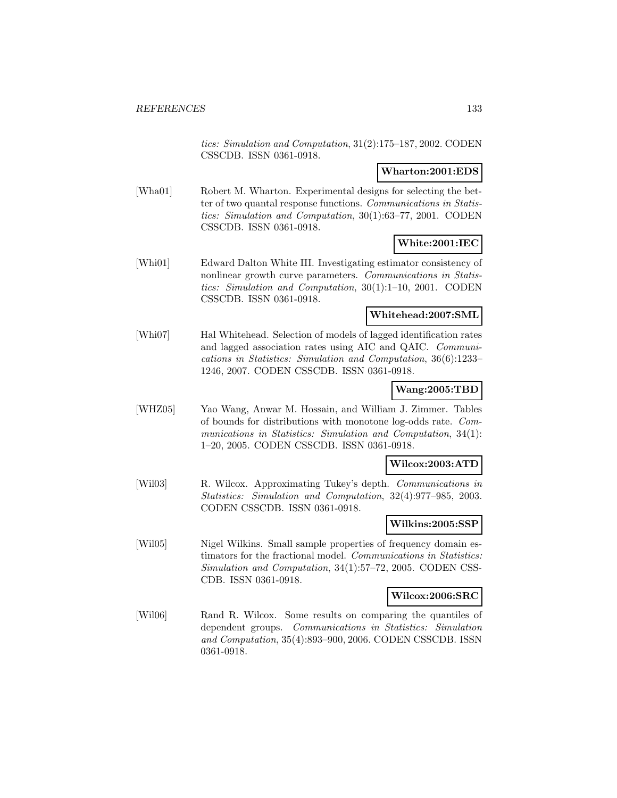tics: Simulation and Computation, 31(2):175–187, 2002. CODEN CSSCDB. ISSN 0361-0918.

### **Wharton:2001:EDS**

[Wha01] Robert M. Wharton. Experimental designs for selecting the better of two quantal response functions. Communications in Statistics: Simulation and Computation, 30(1):63–77, 2001. CODEN CSSCDB. ISSN 0361-0918.

## **White:2001:IEC**

[Whi01] Edward Dalton White III. Investigating estimator consistency of nonlinear growth curve parameters. Communications in Statistics: Simulation and Computation, 30(1):1–10, 2001. CODEN CSSCDB. ISSN 0361-0918.

### **Whitehead:2007:SML**

[Whi07] Hal Whitehead. Selection of models of lagged identification rates and lagged association rates using AIC and QAIC. Communications in Statistics: Simulation and Computation, 36(6):1233– 1246, 2007. CODEN CSSCDB. ISSN 0361-0918.

### **Wang:2005:TBD**

[WHZ05] Yao Wang, Anwar M. Hossain, and William J. Zimmer. Tables of bounds for distributions with monotone log-odds rate. Communications in Statistics: Simulation and Computation, 34(1): 1–20, 2005. CODEN CSSCDB. ISSN 0361-0918.

#### **Wilcox:2003:ATD**

[Wil03] R. Wilcox. Approximating Tukey's depth. Communications in Statistics: Simulation and Computation, 32(4):977–985, 2003. CODEN CSSCDB. ISSN 0361-0918.

#### **Wilkins:2005:SSP**

[Wil05] Nigel Wilkins. Small sample properties of frequency domain estimators for the fractional model. Communications in Statistics: Simulation and Computation, 34(1):57–72, 2005. CODEN CSS-CDB. ISSN 0361-0918.

### **Wilcox:2006:SRC**

[Wil06] Rand R. Wilcox. Some results on comparing the quantiles of dependent groups. Communications in Statistics: Simulation and Computation, 35(4):893–900, 2006. CODEN CSSCDB. ISSN 0361-0918.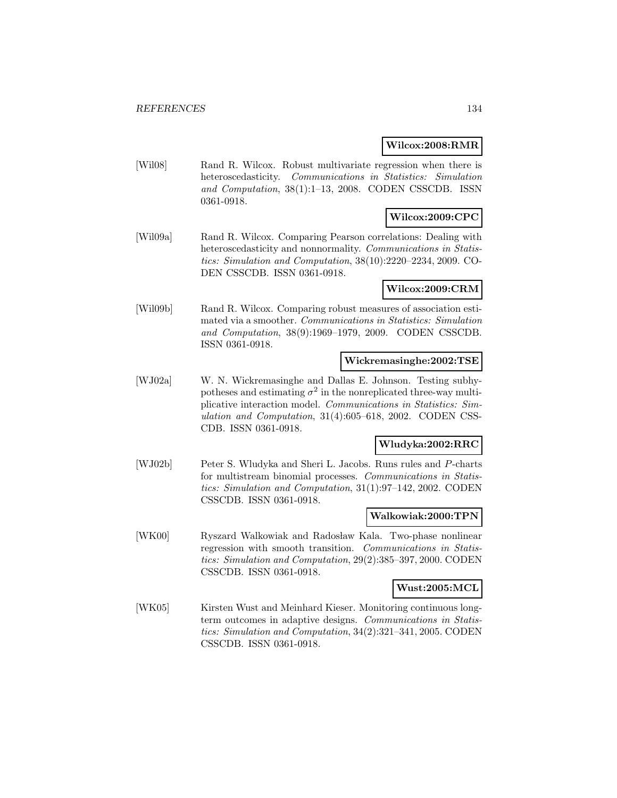#### **Wilcox:2008:RMR**

[Wil08] Rand R. Wilcox. Robust multivariate regression when there is heteroscedasticity. Communications in Statistics: Simulation and Computation, 38(1):1–13, 2008. CODEN CSSCDB. ISSN 0361-0918.

## **Wilcox:2009:CPC**

[Wil09a] Rand R. Wilcox. Comparing Pearson correlations: Dealing with heteroscedasticity and nonnormality. Communications in Statistics: Simulation and Computation, 38(10):2220–2234, 2009. CO-DEN CSSCDB. ISSN 0361-0918.

#### **Wilcox:2009:CRM**

[Wil09b] Rand R. Wilcox. Comparing robust measures of association estimated via a smoother. Communications in Statistics: Simulation and Computation, 38(9):1969–1979, 2009. CODEN CSSCDB. ISSN 0361-0918.

#### **Wickremasinghe:2002:TSE**

[WJ02a] W. N. Wickremasinghe and Dallas E. Johnson. Testing subhypotheses and estimating  $\sigma^2$  in the nonreplicated three-way multiplicative interaction model. Communications in Statistics: Simulation and Computation, 31(4):605–618, 2002. CODEN CSS-CDB. ISSN 0361-0918.

#### **Wludyka:2002:RRC**

[WJ02b] Peter S. Wludyka and Sheri L. Jacobs. Runs rules and P-charts for multistream binomial processes. Communications in Statistics: Simulation and Computation, 31(1):97–142, 2002. CODEN CSSCDB. ISSN 0361-0918.

#### **Walkowiak:2000:TPN**

[WK00] Ryszard Walkowiak and Radosław Kala. Two-phase nonlinear regression with smooth transition. Communications in Statistics: Simulation and Computation, 29(2):385–397, 2000. CODEN CSSCDB. ISSN 0361-0918.

#### **Wust:2005:MCL**

[WK05] Kirsten Wust and Meinhard Kieser. Monitoring continuous longterm outcomes in adaptive designs. Communications in Statistics: Simulation and Computation, 34(2):321–341, 2005. CODEN CSSCDB. ISSN 0361-0918.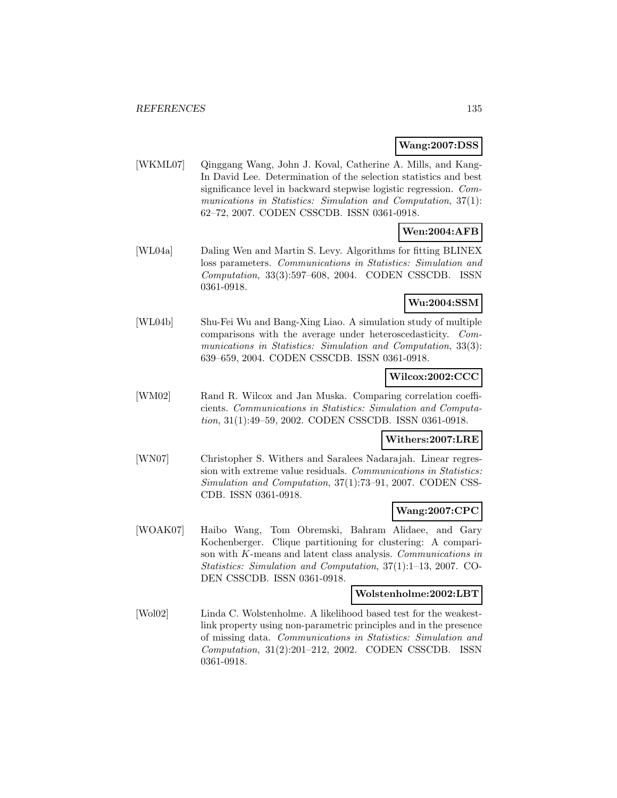### **Wang:2007:DSS**

[WKML07] Qinggang Wang, John J. Koval, Catherine A. Mills, and Kang-In David Lee. Determination of the selection statistics and best significance level in backward stepwise logistic regression. Communications in Statistics: Simulation and Computation, 37(1): 62–72, 2007. CODEN CSSCDB. ISSN 0361-0918.

# **Wen:2004:AFB**

[WL04a] Daling Wen and Martin S. Levy. Algorithms for fitting BLINEX loss parameters. Communications in Statistics: Simulation and Computation, 33(3):597–608, 2004. CODEN CSSCDB. ISSN 0361-0918.

## **Wu:2004:SSM**

[WL04b] Shu-Fei Wu and Bang-Xing Liao. A simulation study of multiple comparisons with the average under heteroscedasticity. Communications in Statistics: Simulation and Computation, 33(3): 639–659, 2004. CODEN CSSCDB. ISSN 0361-0918.

### **Wilcox:2002:CCC**

[WM02] Rand R. Wilcox and Jan Muska. Comparing correlation coefficients. Communications in Statistics: Simulation and Computation, 31(1):49–59, 2002. CODEN CSSCDB. ISSN 0361-0918.

## **Withers:2007:LRE**

[WN07] Christopher S. Withers and Saralees Nadarajah. Linear regression with extreme value residuals. Communications in Statistics: Simulation and Computation, 37(1):73–91, 2007. CODEN CSS-CDB. ISSN 0361-0918.

#### **Wang:2007:CPC**

[WOAK07] Haibo Wang, Tom Obremski, Bahram Alidaee, and Gary Kochenberger. Clique partitioning for clustering: A comparison with K-means and latent class analysis. Communications in Statistics: Simulation and Computation, 37(1):1–13, 2007. CO-DEN CSSCDB. ISSN 0361-0918.

#### **Wolstenholme:2002:LBT**

[Wol02] Linda C. Wolstenholme. A likelihood based test for the weakestlink property using non-parametric principles and in the presence of missing data. Communications in Statistics: Simulation and Computation, 31(2):201–212, 2002. CODEN CSSCDB. ISSN 0361-0918.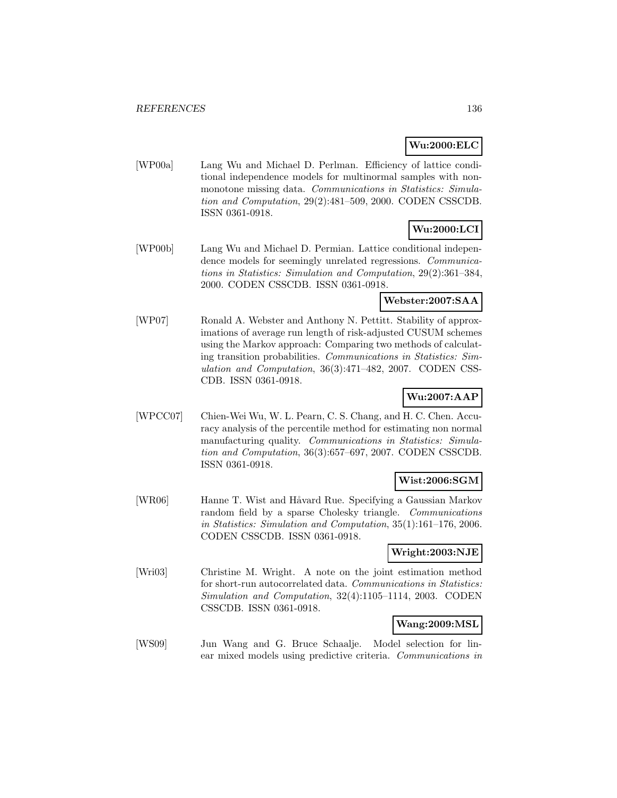## **Wu:2000:ELC**

[WP00a] Lang Wu and Michael D. Perlman. Efficiency of lattice conditional independence models for multinormal samples with nonmonotone missing data. Communications in Statistics: Simulation and Computation, 29(2):481–509, 2000. CODEN CSSCDB. ISSN 0361-0918.

## **Wu:2000:LCI**

[WP00b] Lang Wu and Michael D. Permian. Lattice conditional independence models for seemingly unrelated regressions. Communications in Statistics: Simulation and Computation, 29(2):361–384, 2000. CODEN CSSCDB. ISSN 0361-0918.

## **Webster:2007:SAA**

[WP07] Ronald A. Webster and Anthony N. Pettitt. Stability of approximations of average run length of risk-adjusted CUSUM schemes using the Markov approach: Comparing two methods of calculating transition probabilities. Communications in Statistics: Simulation and Computation, 36(3):471–482, 2007. CODEN CSS-CDB. ISSN 0361-0918.

# **Wu:2007:AAP**

[WPCC07] Chien-Wei Wu, W. L. Pearn, C. S. Chang, and H. C. Chen. Accuracy analysis of the percentile method for estimating non normal manufacturing quality. Communications in Statistics: Simulation and Computation, 36(3):657–697, 2007. CODEN CSSCDB. ISSN 0361-0918.

## **Wist:2006:SGM**

[WR06] Hanne T. Wist and Håvard Rue. Specifying a Gaussian Markov random field by a sparse Cholesky triangle. Communications in Statistics: Simulation and Computation, 35(1):161–176, 2006. CODEN CSSCDB. ISSN 0361-0918.

## **Wright:2003:NJE**

[Wri03] Christine M. Wright. A note on the joint estimation method for short-run autocorrelated data. Communications in Statistics: Simulation and Computation, 32(4):1105–1114, 2003. CODEN CSSCDB. ISSN 0361-0918.

## **Wang:2009:MSL**

[WS09] Jun Wang and G. Bruce Schaalje. Model selection for linear mixed models using predictive criteria. Communications in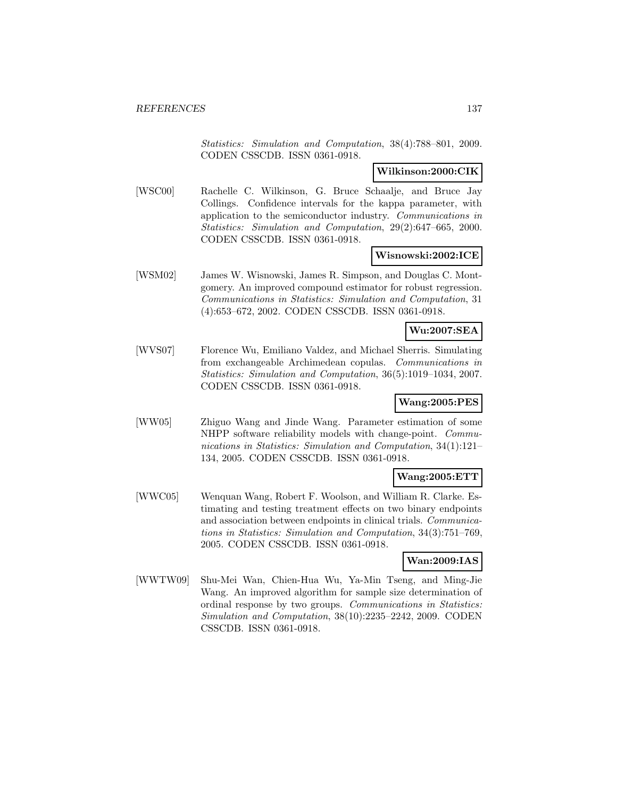Statistics: Simulation and Computation, 38(4):788–801, 2009. CODEN CSSCDB. ISSN 0361-0918.

### **Wilkinson:2000:CIK**

[WSC00] Rachelle C. Wilkinson, G. Bruce Schaalje, and Bruce Jay Collings. Confidence intervals for the kappa parameter, with application to the semiconductor industry. Communications in Statistics: Simulation and Computation, 29(2):647–665, 2000. CODEN CSSCDB. ISSN 0361-0918.

### **Wisnowski:2002:ICE**

[WSM02] James W. Wisnowski, James R. Simpson, and Douglas C. Montgomery. An improved compound estimator for robust regression. Communications in Statistics: Simulation and Computation, 31 (4):653–672, 2002. CODEN CSSCDB. ISSN 0361-0918.

## **Wu:2007:SEA**

[WVS07] Florence Wu, Emiliano Valdez, and Michael Sherris. Simulating from exchangeable Archimedean copulas. Communications in Statistics: Simulation and Computation, 36(5):1019–1034, 2007. CODEN CSSCDB. ISSN 0361-0918.

## **Wang:2005:PES**

[WW05] Zhiguo Wang and Jinde Wang. Parameter estimation of some NHPP software reliability models with change-point. Communications in Statistics: Simulation and Computation, 34(1):121– 134, 2005. CODEN CSSCDB. ISSN 0361-0918.

## **Wang:2005:ETT**

[WWC05] Wenquan Wang, Robert F. Woolson, and William R. Clarke. Estimating and testing treatment effects on two binary endpoints and association between endpoints in clinical trials. Communications in Statistics: Simulation and Computation, 34(3):751–769, 2005. CODEN CSSCDB. ISSN 0361-0918.

### **Wan:2009:IAS**

[WWTW09] Shu-Mei Wan, Chien-Hua Wu, Ya-Min Tseng, and Ming-Jie Wang. An improved algorithm for sample size determination of ordinal response by two groups. Communications in Statistics: Simulation and Computation, 38(10):2235–2242, 2009. CODEN CSSCDB. ISSN 0361-0918.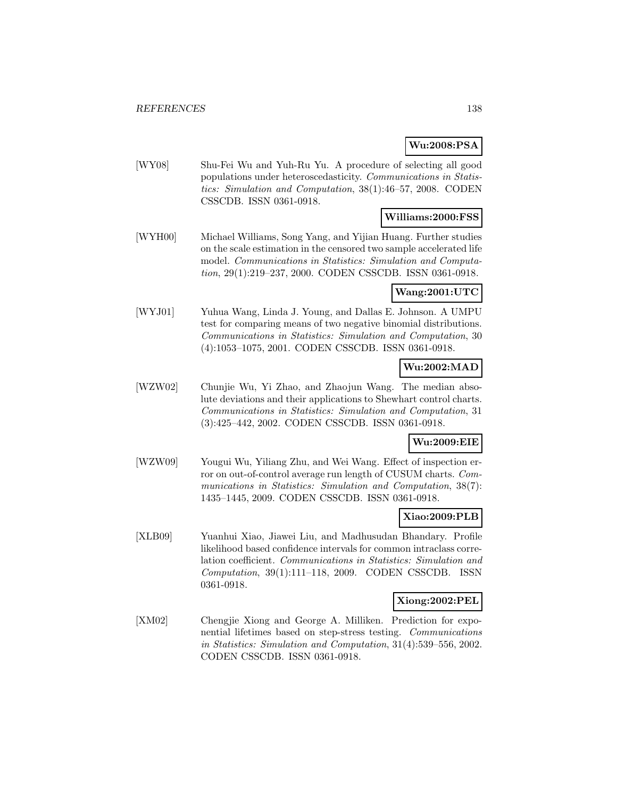## **Wu:2008:PSA**

[WY08] Shu-Fei Wu and Yuh-Ru Yu. A procedure of selecting all good populations under heteroscedasticity. Communications in Statistics: Simulation and Computation, 38(1):46–57, 2008. CODEN CSSCDB. ISSN 0361-0918.

## **Williams:2000:FSS**

[WYH00] Michael Williams, Song Yang, and Yijian Huang. Further studies on the scale estimation in the censored two sample accelerated life model. Communications in Statistics: Simulation and Computation, 29(1):219–237, 2000. CODEN CSSCDB. ISSN 0361-0918.

## **Wang:2001:UTC**

[WYJ01] Yuhua Wang, Linda J. Young, and Dallas E. Johnson. A UMPU test for comparing means of two negative binomial distributions. Communications in Statistics: Simulation and Computation, 30 (4):1053–1075, 2001. CODEN CSSCDB. ISSN 0361-0918.

## **Wu:2002:MAD**

[WZW02] Chunjie Wu, Yi Zhao, and Zhaojun Wang. The median absolute deviations and their applications to Shewhart control charts. Communications in Statistics: Simulation and Computation, 31 (3):425–442, 2002. CODEN CSSCDB. ISSN 0361-0918.

## **Wu:2009:EIE**

[WZW09] Yougui Wu, Yiliang Zhu, and Wei Wang. Effect of inspection error on out-of-control average run length of CUSUM charts. Communications in Statistics: Simulation and Computation, 38(7): 1435–1445, 2009. CODEN CSSCDB. ISSN 0361-0918.

## **Xiao:2009:PLB**

[XLB09] Yuanhui Xiao, Jiawei Liu, and Madhusudan Bhandary. Profile likelihood based confidence intervals for common intraclass correlation coefficient. Communications in Statistics: Simulation and Computation, 39(1):111–118, 2009. CODEN CSSCDB. ISSN 0361-0918.

#### **Xiong:2002:PEL**

[XM02] Chengjie Xiong and George A. Milliken. Prediction for exponential lifetimes based on step-stress testing. Communications in Statistics: Simulation and Computation, 31(4):539–556, 2002. CODEN CSSCDB. ISSN 0361-0918.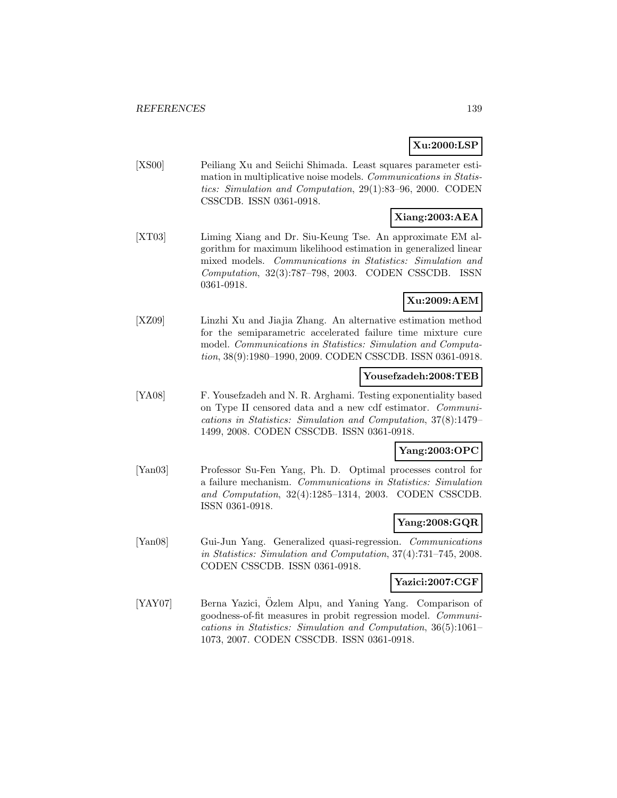## **Xu:2000:LSP**

[XS00] Peiliang Xu and Seiichi Shimada. Least squares parameter estimation in multiplicative noise models. Communications in Statistics: Simulation and Computation, 29(1):83–96, 2000. CODEN CSSCDB. ISSN 0361-0918.

# **Xiang:2003:AEA**

[XT03] Liming Xiang and Dr. Siu-Keung Tse. An approximate EM algorithm for maximum likelihood estimation in generalized linear mixed models. Communications in Statistics: Simulation and Computation, 32(3):787–798, 2003. CODEN CSSCDB. ISSN 0361-0918.

## **Xu:2009:AEM**

[XZ09] Linzhi Xu and Jiajia Zhang. An alternative estimation method for the semiparametric accelerated failure time mixture cure model. Communications in Statistics: Simulation and Computation, 38(9):1980–1990, 2009. CODEN CSSCDB. ISSN 0361-0918.

## **Yousefzadeh:2008:TEB**

[YA08] F. Yousefzadeh and N. R. Arghami. Testing exponentiality based on Type II censored data and a new cdf estimator. Communications in Statistics: Simulation and Computation, 37(8):1479– 1499, 2008. CODEN CSSCDB. ISSN 0361-0918.

# **Yang:2003:OPC**

[Yan03] Professor Su-Fen Yang, Ph. D. Optimal processes control for a failure mechanism. Communications in Statistics: Simulation and Computation, 32(4):1285–1314, 2003. CODEN CSSCDB. ISSN 0361-0918.

## **Yang:2008:GQR**

[Yan08] Gui-Jun Yang. Generalized quasi-regression. Communications in Statistics: Simulation and Computation, 37(4):731–745, 2008. CODEN CSSCDB. ISSN 0361-0918.

## **Yazici:2007:CGF**

[YAY07] Berna Yazici, Ozlem Alpu, and Yaning Yang. Comparison of goodness-of-fit measures in probit regression model. Communications in Statistics: Simulation and Computation, 36(5):1061– 1073, 2007. CODEN CSSCDB. ISSN 0361-0918.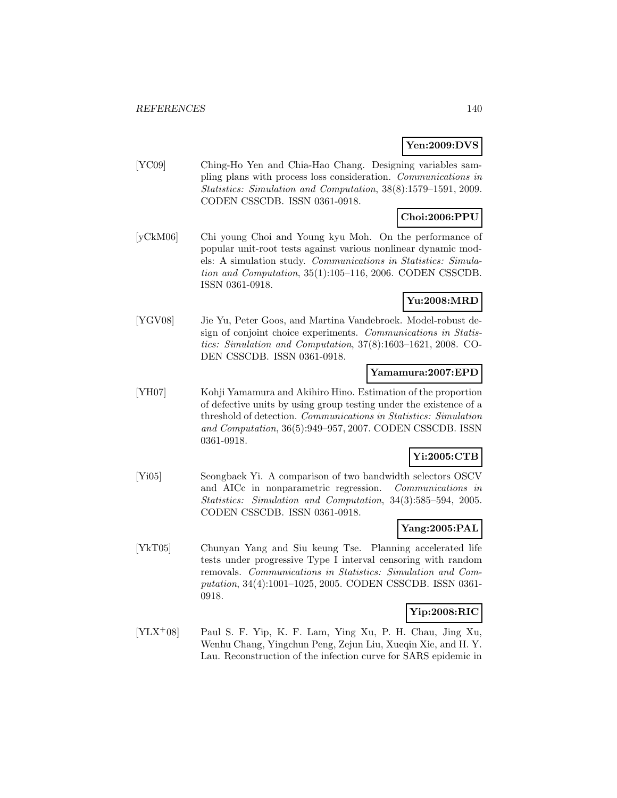## **Yen:2009:DVS**

[YC09] Ching-Ho Yen and Chia-Hao Chang. Designing variables sampling plans with process loss consideration. Communications in Statistics: Simulation and Computation, 38(8):1579–1591, 2009. CODEN CSSCDB. ISSN 0361-0918.

## **Choi:2006:PPU**

[yCkM06] Chi young Choi and Young kyu Moh. On the performance of popular unit-root tests against various nonlinear dynamic models: A simulation study. Communications in Statistics: Simulation and Computation, 35(1):105–116, 2006. CODEN CSSCDB. ISSN 0361-0918.

## **Yu:2008:MRD**

[YGV08] Jie Yu, Peter Goos, and Martina Vandebroek. Model-robust design of conjoint choice experiments. Communications in Statistics: Simulation and Computation, 37(8):1603–1621, 2008. CO-DEN CSSCDB. ISSN 0361-0918.

### **Yamamura:2007:EPD**

[YH07] Kohji Yamamura and Akihiro Hino. Estimation of the proportion of defective units by using group testing under the existence of a threshold of detection. Communications in Statistics: Simulation and Computation, 36(5):949–957, 2007. CODEN CSSCDB. ISSN 0361-0918.

## **Yi:2005:CTB**

[Yi05] Seongbaek Yi. A comparison of two bandwidth selectors OSCV and AICc in nonparametric regression. Communications in Statistics: Simulation and Computation, 34(3):585–594, 2005. CODEN CSSCDB. ISSN 0361-0918.

## **Yang:2005:PAL**

[YkT05] Chunyan Yang and Siu keung Tse. Planning accelerated life tests under progressive Type I interval censoring with random removals. Communications in Statistics: Simulation and Computation, 34(4):1001–1025, 2005. CODEN CSSCDB. ISSN 0361- 0918.

## **Yip:2008:RIC**

[YLX<sup>+</sup>08] Paul S. F. Yip, K. F. Lam, Ying Xu, P. H. Chau, Jing Xu, Wenhu Chang, Yingchun Peng, Zejun Liu, Xueqin Xie, and H. Y. Lau. Reconstruction of the infection curve for SARS epidemic in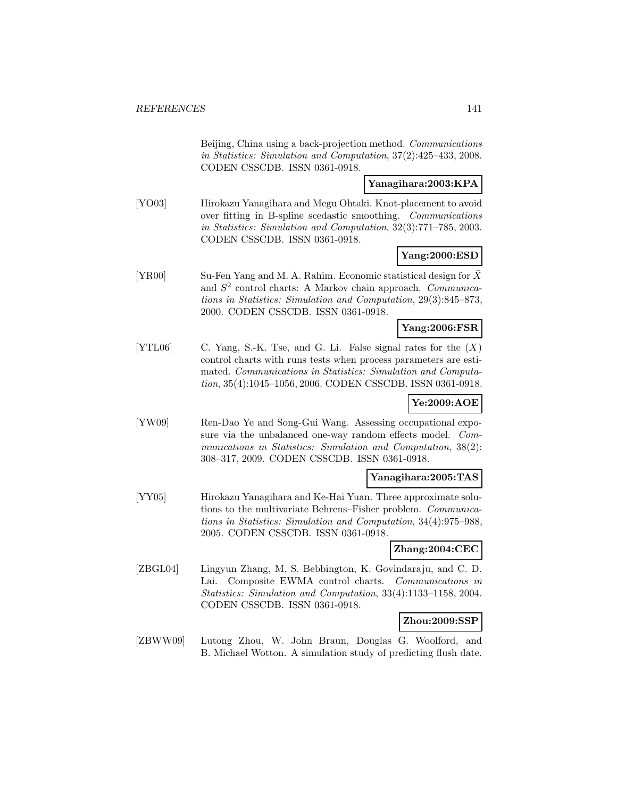Beijing, China using a back-projection method. Communications in Statistics: Simulation and Computation, 37(2):425–433, 2008. CODEN CSSCDB. ISSN 0361-0918.

## **Yanagihara:2003:KPA**

[YO03] Hirokazu Yanagihara and Megu Ohtaki. Knot-placement to avoid over fitting in B-spline scedastic smoothing. Communications in Statistics: Simulation and Computation, 32(3):771–785, 2003. CODEN CSSCDB. ISSN 0361-0918.

## **Yang:2000:ESD**

[YR00] Su-Fen Yang and M. A. Rahim. Economic statistical design for  $\bar{X}$ and  $S<sup>2</sup>$  control charts: A Markov chain approach. Communications in Statistics: Simulation and Computation, 29(3):845–873, 2000. CODEN CSSCDB. ISSN 0361-0918.

## **Yang:2006:FSR**

[YTL06] C. Yang, S.-K. Tse, and G. Li. False signal rates for the  $(X)$ control charts with runs tests when process parameters are estimated. Communications in Statistics: Simulation and Computation, 35(4):1045–1056, 2006. CODEN CSSCDB. ISSN 0361-0918.

## **Ye:2009:AOE**

[YW09] Ren-Dao Ye and Song-Gui Wang. Assessing occupational exposure via the unbalanced one-way random effects model. Communications in Statistics: Simulation and Computation, 38(2): 308–317, 2009. CODEN CSSCDB. ISSN 0361-0918.

#### **Yanagihara:2005:TAS**

[YY05] Hirokazu Yanagihara and Ke-Hai Yuan. Three approximate solutions to the multivariate Behrens–Fisher problem. Communications in Statistics: Simulation and Computation, 34(4):975–988, 2005. CODEN CSSCDB. ISSN 0361-0918.

## **Zhang:2004:CEC**

[ZBGL04] Lingyun Zhang, M. S. Bebbington, K. Govindaraju, and C. D. Lai. Composite EWMA control charts. Communications in Statistics: Simulation and Computation, 33(4):1133–1158, 2004. CODEN CSSCDB. ISSN 0361-0918.

## **Zhou:2009:SSP**

[ZBWW09] Lutong Zhou, W. John Braun, Douglas G. Woolford, and B. Michael Wotton. A simulation study of predicting flush date.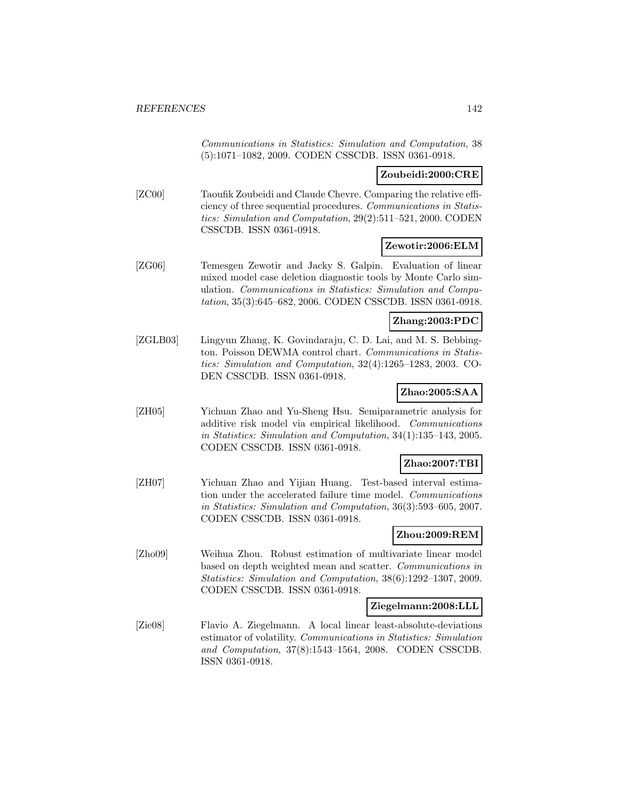Communications in Statistics: Simulation and Computation, 38 (5):1071–1082, 2009. CODEN CSSCDB. ISSN 0361-0918.

### **Zoubeidi:2000:CRE**

[ZC00] Taoufik Zoubeidi and Claude Chevre. Comparing the relative efficiency of three sequential procedures. Communications in Statistics: Simulation and Computation, 29(2):511–521, 2000. CODEN CSSCDB. ISSN 0361-0918.

#### **Zewotir:2006:ELM**

[ZG06] Temesgen Zewotir and Jacky S. Galpin. Evaluation of linear mixed model case deletion diagnostic tools by Monte Carlo simulation. Communications in Statistics: Simulation and Computation, 35(3):645–682, 2006. CODEN CSSCDB. ISSN 0361-0918.

#### **Zhang:2003:PDC**

[ZGLB03] Lingyun Zhang, K. Govindaraju, C. D. Lai, and M. S. Bebbington. Poisson DEWMA control chart. Communications in Statistics: Simulation and Computation, 32(4):1265–1283, 2003. CO-DEN CSSCDB. ISSN 0361-0918.

## **Zhao:2005:SAA**

[ZH05] Yichuan Zhao and Yu-Sheng Hsu. Semiparametric analysis for additive risk model via empirical likelihood. Communications in Statistics: Simulation and Computation, 34(1):135–143, 2005. CODEN CSSCDB. ISSN 0361-0918.

#### **Zhao:2007:TBI**

[ZH07] Yichuan Zhao and Yijian Huang. Test-based interval estimation under the accelerated failure time model. Communications in Statistics: Simulation and Computation, 36(3):593–605, 2007. CODEN CSSCDB. ISSN 0361-0918.

### **Zhou:2009:REM**

[Zho09] Weihua Zhou. Robust estimation of multivariate linear model based on depth weighted mean and scatter. Communications in Statistics: Simulation and Computation, 38(6):1292–1307, 2009. CODEN CSSCDB. ISSN 0361-0918.

#### **Ziegelmann:2008:LLL**

[Zie08] Flavio A. Ziegelmann. A local linear least-absolute-deviations estimator of volatility. Communications in Statistics: Simulation and Computation, 37(8):1543–1564, 2008. CODEN CSSCDB. ISSN 0361-0918.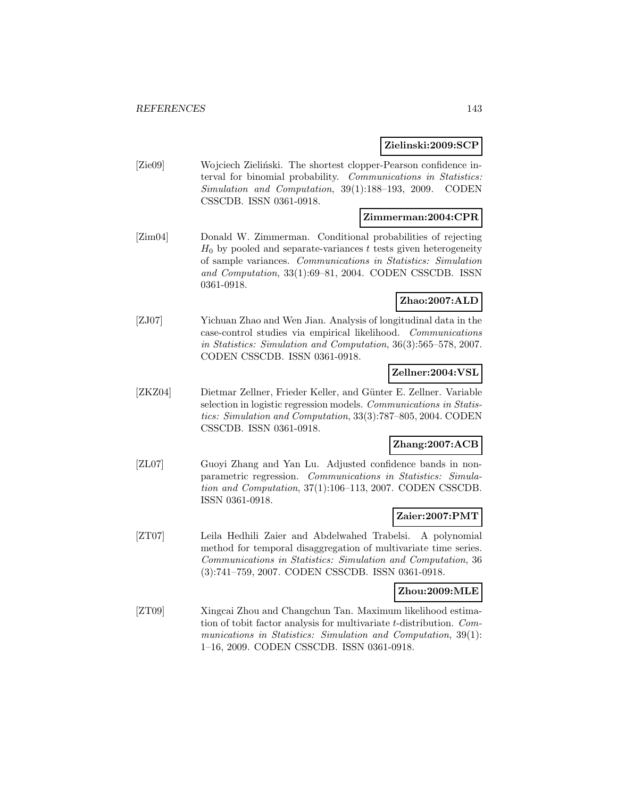#### **Zielinski:2009:SCP**

[Zie09] Wojciech Zieliński. The shortest clopper-Pearson confidence interval for binomial probability. Communications in Statistics: Simulation and Computation, 39(1):188–193, 2009. CODEN CSSCDB. ISSN 0361-0918.

## **Zimmerman:2004:CPR**

[Zim04] Donald W. Zimmerman. Conditional probabilities of rejecting  $H_0$  by pooled and separate-variances t tests given heterogeneity of sample variances. Communications in Statistics: Simulation and Computation, 33(1):69–81, 2004. CODEN CSSCDB. ISSN 0361-0918.

## **Zhao:2007:ALD**

[ZJ07] Yichuan Zhao and Wen Jian. Analysis of longitudinal data in the case-control studies via empirical likelihood. Communications in Statistics: Simulation and Computation, 36(3):565–578, 2007. CODEN CSSCDB. ISSN 0361-0918.

## **Zellner:2004:VSL**

[ZKZ04] Dietmar Zellner, Frieder Keller, and Günter E. Zellner. Variable selection in logistic regression models. Communications in Statistics: Simulation and Computation, 33(3):787–805, 2004. CODEN CSSCDB. ISSN 0361-0918.

## **Zhang:2007:ACB**

[ZL07] Guoyi Zhang and Yan Lu. Adjusted confidence bands in nonparametric regression. Communications in Statistics: Simulation and Computation, 37(1):106–113, 2007. CODEN CSSCDB. ISSN 0361-0918.

## **Zaier:2007:PMT**

[ZT07] Leila Hedhili Zaier and Abdelwahed Trabelsi. A polynomial method for temporal disaggregation of multivariate time series. Communications in Statistics: Simulation and Computation, 36 (3):741–759, 2007. CODEN CSSCDB. ISSN 0361-0918.

#### **Zhou:2009:MLE**

[ZT09] Xingcai Zhou and Changchun Tan. Maximum likelihood estimation of tobit factor analysis for multivariate t-distribution. Communications in Statistics: Simulation and Computation, 39(1): 1–16, 2009. CODEN CSSCDB. ISSN 0361-0918.